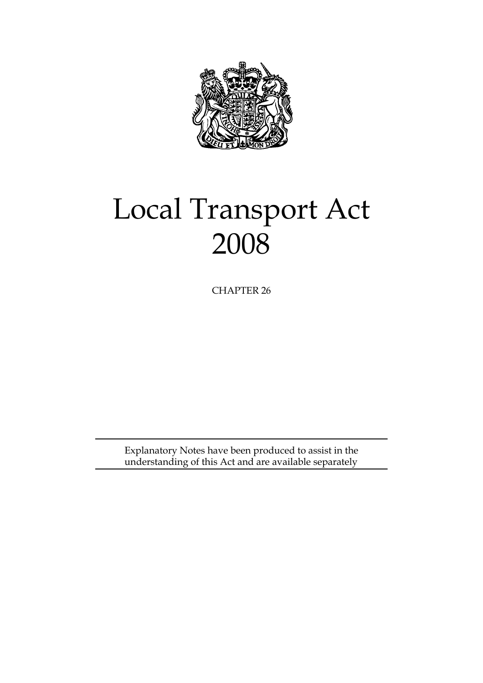

# Local Transport Act 2008

CHAPTER 26

Explanatory Notes have been produced to assist in the understanding of this Act and are available separately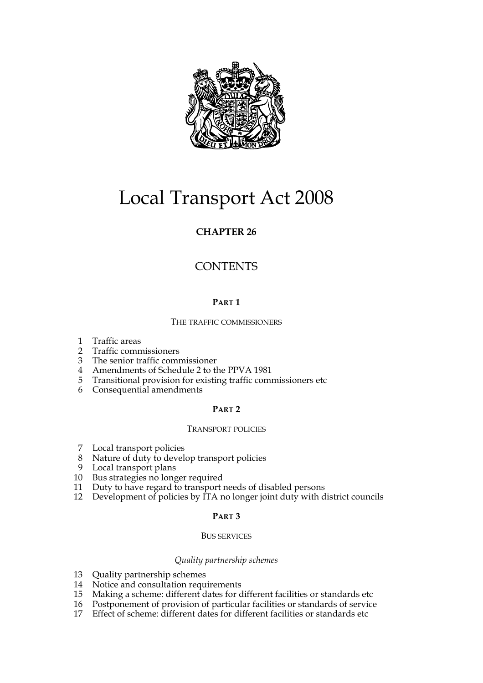

# Local Transport Act 2008

# **CHAPTER 26**

# **CONTENTS**

# **PART 1**

# THE TRAFFIC COMMISSIONERS

- 1 Traffic areas
- 2 Traffic commissioners
- 3 The senior traffic commissioner
- 4 Amendments of Schedule 2 to the PPVA 1981
- 5 Transitional provision for existing traffic commissioners etc
- 6 Consequential amendments

# **PART 2**

#### TRANSPORT POLICIES

- 7 Local transport policies
- 8 Nature of duty to develop transport policies
- 9 Local transport plans
- 10 Bus strategies no longer required<br>11 Duty to have regard to transport i
- Duty to have regard to transport needs of disabled persons
- 12 Development of policies by ITA no longer joint duty with district councils

#### **PART 3**

#### BUS SERVICES

#### *Quality partnership schemes*

- 13 Quality partnership schemes
- 14 Notice and consultation requirements
- 15 Making a scheme: different dates for different facilities or standards etc
- 16 Postponement of provision of particular facilities or standards of service
- 17 Effect of scheme: different dates for different facilities or standards etc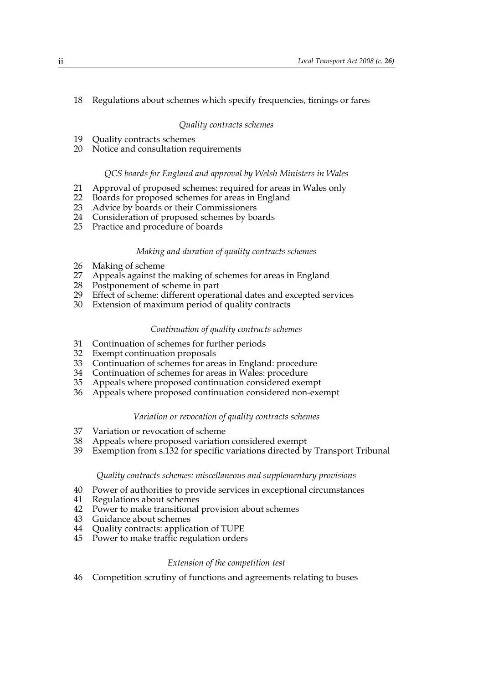# 18 Regulations about schemes which specify frequencies, timings or fares

#### *Quality contracts schemes*

- 19 Quality contracts schemes
- 20 Notice and consultation requirements

#### *QCS boards for England and approval by Welsh Ministers in Wales*

- 21 Approval of proposed schemes: required for areas in Wales only
- 22 Boards for proposed schemes for areas in England
- 23 Advice by boards or their Commissioners
- 24 Consideration of proposed schemes by boards
- 25 Practice and procedure of boards

#### *Making and duration of quality contracts schemes*

- 26 Making of scheme
- 27 Appeals against the making of schemes for areas in England
- 28 Postponement of scheme in part
- 29 Effect of scheme: different operational dates and excepted services
- 30 Extension of maximum period of quality contracts

#### *Continuation of quality contracts schemes*

- 31 Continuation of schemes for further periods
- 32 Exempt continuation proposals
- 33 Continuation of schemes for areas in England: procedure
- Continuation of schemes for areas in Wales: procedure
- 35 Appeals where proposed continuation considered exempt
- 36 Appeals where proposed continuation considered non-exempt

#### *Variation or revocation of quality contracts schemes*

- 37 Variation or revocation of scheme
- 38 Appeals where proposed variation considered exempt
- 39 Exemption from s.132 for specific variations directed by Transport Tribunal

# *Quality contracts schemes: miscellaneous and supplementary provisions*

- 40 Power of authorities to provide services in exceptional circumstances
- 41 Regulations about schemes
- 42 Power to make transitional provision about schemes
- 43 Guidance about schemes
- 44 Quality contracts: application of TUPE
- 45 Power to make traffic regulation orders

#### *Extension of the competition test*

46 Competition scrutiny of functions and agreements relating to buses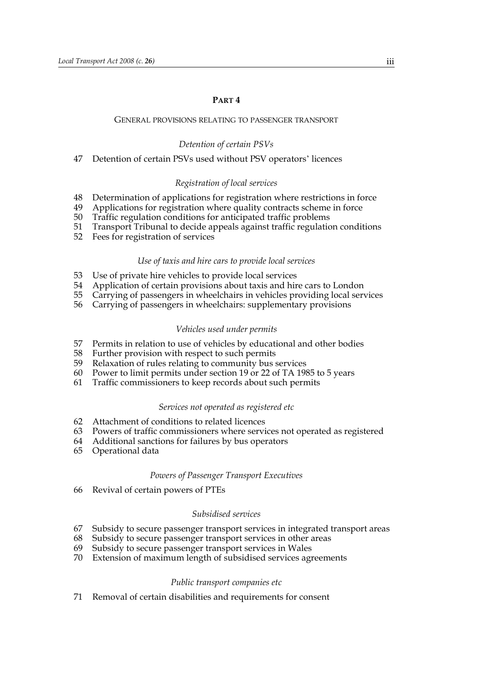#### **PART 4**

#### GENERAL PROVISIONS RELATING TO PASSENGER TRANSPORT

#### *Detention of certain PSVs*

#### 47 Detention of certain PSVs used without PSV operators' licences

#### *Registration of local services*

- 48 Determination of applications for registration where restrictions in force
- 49 Applications for registration where quality contracts scheme in force
- 50 Traffic regulation conditions for anticipated traffic problems
- Transport Tribunal to decide appeals against traffic regulation conditions 51 Transport Tribunal to decide ap<br>52 Fees for registration of services
- 

#### *Use of taxis and hire cars to provide local services*

- 53 Use of private hire vehicles to provide local services
- 54 Application of certain provisions about taxis and hire cars to London
- 55 Carrying of passengers in wheelchairs in vehicles providing local services
- 56 Carrying of passengers in wheelchairs: supplementary provisions

#### *Vehicles used under permits*

- 57 Permits in relation to use of vehicles by educational and other bodies
- 58 Further provision with respect to such permits
- 59 Relaxation of rules relating to community bus services
- 60 Power to limit permits under section 19 or 22 of TA 1985 to 5 years
- 61 Traffic commissioners to keep records about such permits

#### *Services not operated as registered etc*

- 62 Attachment of conditions to related licences
- 63 Powers of traffic commissioners where services not operated as registered
- 64 Additional sanctions for failures by bus operators
- 65 Operational data

#### *Powers of Passenger Transport Executives*

66 Revival of certain powers of PTEs

#### *Subsidised services*

- 67 Subsidy to secure passenger transport services in integrated transport areas
- 68 Subsidy to secure passenger transport services in other areas
- 69 Subsidy to secure passenger transport services in Wales
- 70 Extension of maximum length of subsidised services agreements

#### *Public transport companies etc*

71 Removal of certain disabilities and requirements for consent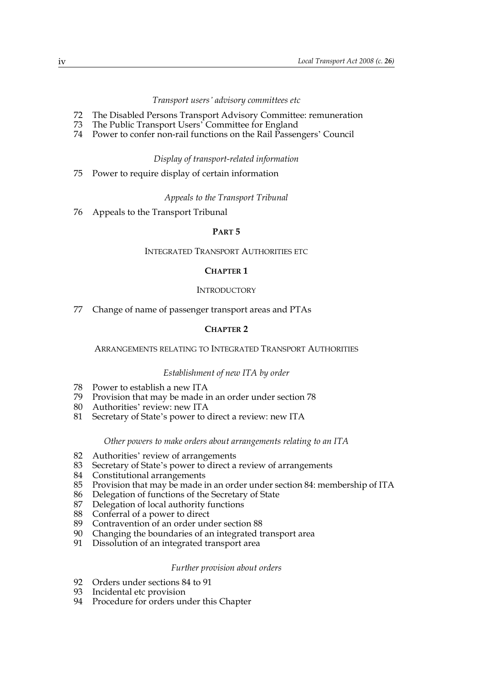#### *Transport users' advisory committees etc*

- 72 The Disabled Persons Transport Advisory Committee: remuneration
- 73 The Public Transport Users' Committee for England
- 74 Power to confer non-rail functions on the Rail Passengers' Council

#### *Display of transport-related information*

75 Power to require display of certain information

#### *Appeals to the Transport Tribunal*

76 Appeals to the Transport Tribunal

#### **PART 5**

#### INTEGRATED TRANSPORT AUTHORITIES ETC

#### **CHAPTER 1**

# **INTRODUCTORY**

77 Change of name of passenger transport areas and PTAs

# **CHAPTER 2**

#### ARRANGEMENTS RELATING TO INTEGRATED TRANSPORT AUTHORITIES

#### *Establishment of new ITA by order*

- 78 Power to establish a new ITA<br>79 Provision that may be made in
- Provision that may be made in an order under section 78
- 80 Authorities' review: new ITA
- 81 Secretary of State's power to direct a review: new ITA

#### *Other powers to make orders about arrangements relating to an ITA*

- 82 Authorities' review of arrangements
- 83 Secretary of State's power to direct a review of arrangements
- 84 Constitutional arrangements
- 85 Provision that may be made in an order under section 84: membership of ITA
- 86 Delegation of functions of the Secretary of State 87 Delegation of local authority functions
- Delegation of local authority functions
- 88 Conferral of a power to direct
- 89 Contravention of an order under section 88
- 90 Changing the boundaries of an integrated transport area
- 91 Dissolution of an integrated transport area

#### *Further provision about orders*

- 92 Orders under sections 84 to 91
- 93 Incidental etc provision
- 94 Procedure for orders under this Chapter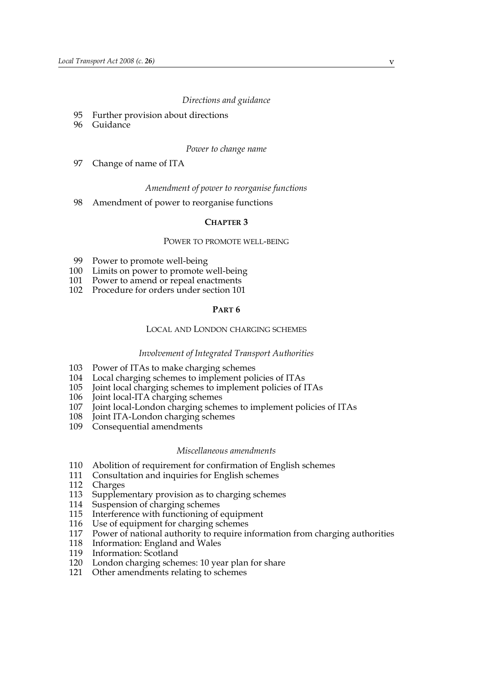#### *Directions and guidance*

- 95 Further provision about directions
- 96 Guidance

#### *Power to change name*

97 Change of name of ITA

#### *Amendment of power to reorganise functions*

98 Amendment of power to reorganise functions

#### **CHAPTER 3**

#### POWER TO PROMOTE WELL-BEING

- 99 Power to promote well-being
- 100 Limits on power to promote well-being
- 101 Power to amend or repeal enactments
- 102 Procedure for orders under section 101

#### **PART 6**

#### LOCAL AND LONDON CHARGING SCHEMES

#### *Involvement of Integrated Transport Authorities*

- 103 Power of ITAs to make charging schemes
- 104 Local charging schemes to implement policies of ITAs
- Joint local charging schemes to implement policies of ITAs
- 106 Joint local-ITA charging schemes
- 107 Joint local-London charging schemes to implement policies of ITAs
- 108 Joint ITA-London charging schemes
- 109 Consequential amendments

#### *Miscellaneous amendments*

- 110 Abolition of requirement for confirmation of English schemes
- 111 Consultation and inquiries for English schemes
- 112 Charges
- 113 Supplementary provision as to charging schemes
- 114 Suspension of charging schemes
- 115 Interference with functioning of equipment
- 116 Use of equipment for charging schemes
- 117 Power of national authority to require information from charging authorities
- 118 Information: England and Wales
- 119 Information: Scotland
- 120 London charging schemes: 10 year plan for share
- 121 Other amendments relating to schemes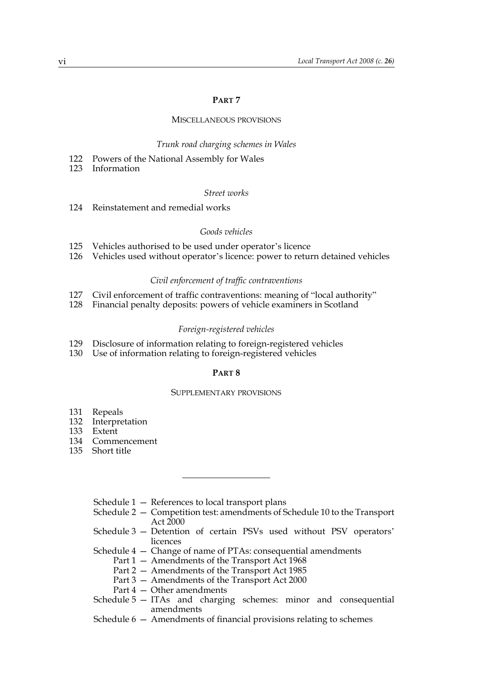#### **PART 7**

#### MISCELLANEOUS PROVISIONS

#### *Trunk road charging schemes in Wales*

- 122 Powers of the National Assembly for Wales
- 123 Information

#### *Street works*

124 Reinstatement and remedial works

#### *Goods vehicles*

- 125 Vehicles authorised to be used under operator's licence
- 126 Vehicles used without operator's licence: power to return detained vehicles

#### *Civil enforcement of traffic contraventions*

- 127 Civil enforcement of traffic contraventions: meaning of "local authority"
- 128 Financial penalty deposits: powers of vehicle examiners in Scotland

#### *Foreign-registered vehicles*

- 129 Disclosure of information relating to foreign-registered vehicles
- 130 Use of information relating to foreign-registered vehicles

#### **PART 8**

#### SUPPLEMENTARY PROVISIONS

- 131 Repeals
- 132 Interpretation
- 133 Extent
- 134 Commencement
- 135 Short title
	- Schedule 1 References to local transport plans
	- Schedule 2 Competition test: amendments of Schedule 10 to the Transport Act 2000
	- Schedule 3 Detention of certain PSVs used without PSV operators' licences
	- Schedule 4 Change of name of PTAs: consequential amendments
		- Part 1 Amendments of the Transport Act 1968
		- Part 2 Amendments of the Transport Act 1985
		- Part 3 Amendments of the Transport Act 2000
		- Part 4 Other amendments
	- Schedule 5 ITAs and charging schemes: minor and consequential amendments
	- Schedule 6 Amendments of financial provisions relating to schemes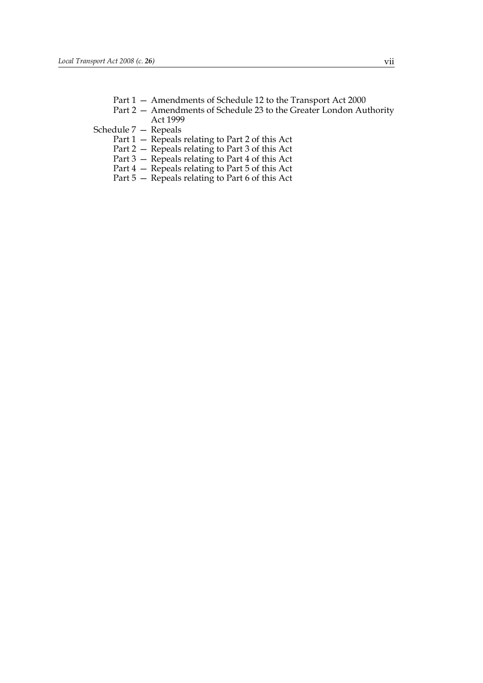- Part 1 Amendments of Schedule 12 to the Transport Act 2000
- Part 2 Amendments of Schedule 23 to the Greater London Authority Act 1999
- Schedule 7 Repeals
	- Part 1 Repeals relating to Part 2 of this Act
	- Part 2 Repeals relating to Part 3 of this Act
	- Part 3 Repeals relating to Part 4 of this Act
	- Part 4 Repeals relating to Part 5 of this Act
	- Part 5 Repeals relating to Part 6 of this Act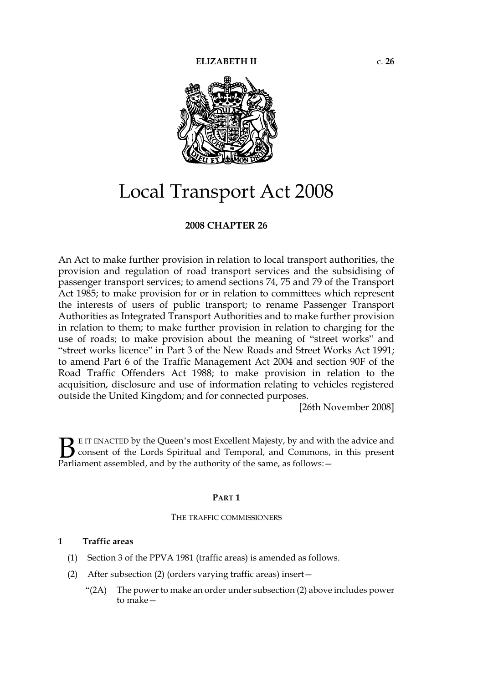

# Local Transport Act 2008

# **2008 CHAPTER 26**

An Act to make further provision in relation to local transport authorities, the provision and regulation of road transport services and the subsidising of passenger transport services; to amend sections 74, 75 and 79 of the Transport Act 1985; to make provision for or in relation to committees which represent the interests of users of public transport; to rename Passenger Transport Authorities as Integrated Transport Authorities and to make further provision in relation to them; to make further provision in relation to charging for the use of roads; to make provision about the meaning of "street works" and "street works licence" in Part 3 of the New Roads and Street Works Act 1991; to amend Part 6 of the Traffic Management Act 2004 and section 90F of the Road Traffic Offenders Act 1988; to make provision in relation to the acquisition, disclosure and use of information relating to vehicles registered outside the United Kingdom; and for connected purposes.

[26th November 2008]

E IT ENACTED by the Queen's most Excellent Majesty, by and with the advice and consent of the Lords Spiritual and Temporal, and Commons, in this present **B** E IT ENACTED by the Queen's most Excellent Majesty, by and with consent of the Lords Spiritual and Temporal, and Commons, Parliament assembled, and by the authority of the same, as follows:

#### **PART 1**

#### THE TRAFFIC COMMISSIONERS

#### **1 Traffic areas**

- (1) Section 3 of the PPVA 1981 (traffic areas) is amended as follows.
- (2) After subsection (2) (orders varying traffic areas) insert—
	- "(2A) The power to make an order under subsection (2) above includes power to make—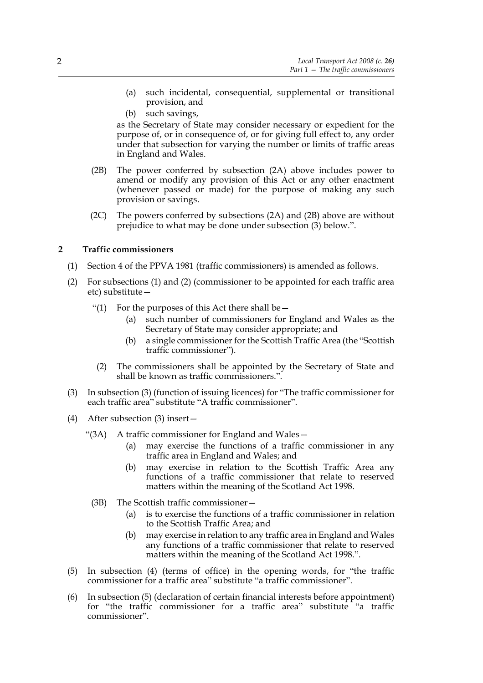- (a) such incidental, consequential, supplemental or transitional provision, and
- (b) such savings,

as the Secretary of State may consider necessary or expedient for the purpose of, or in consequence of, or for giving full effect to, any order under that subsection for varying the number or limits of traffic areas in England and Wales.

- (2B) The power conferred by subsection (2A) above includes power to amend or modify any provision of this Act or any other enactment (whenever passed or made) for the purpose of making any such provision or savings.
- (2C) The powers conferred by subsections (2A) and (2B) above are without prejudice to what may be done under subsection (3) below.".

# **2 Traffic commissioners**

- (1) Section 4 of the PPVA 1981 (traffic commissioners) is amended as follows.
- (2) For subsections (1) and (2) (commissioner to be appointed for each traffic area etc) substitute—
	- "(1) For the purposes of this Act there shall be  $-$ 
		- (a) such number of commissioners for England and Wales as the Secretary of State may consider appropriate; and
		- (b) a single commissioner for the Scottish Traffic Area (the "Scottish traffic commissioner").
		- (2) The commissioners shall be appointed by the Secretary of State and shall be known as traffic commissioners.".
- (3) In subsection (3) (function of issuing licences) for "The traffic commissioner for each traffic area" substitute "A traffic commissioner".
- (4) After subsection (3) insert—
	- "(3A) A traffic commissioner for England and Wales—
		- (a) may exercise the functions of a traffic commissioner in any traffic area in England and Wales; and
		- (b) may exercise in relation to the Scottish Traffic Area any functions of a traffic commissioner that relate to reserved matters within the meaning of the Scotland Act 1998.
	- (3B) The Scottish traffic commissioner—
		- (a) is to exercise the functions of a traffic commissioner in relation to the Scottish Traffic Area; and
		- (b) may exercise in relation to any traffic area in England and Wales any functions of a traffic commissioner that relate to reserved matters within the meaning of the Scotland Act 1998.".
- (5) In subsection (4) (terms of office) in the opening words, for "the traffic commissioner for a traffic area" substitute "a traffic commissioner".
- (6) In subsection (5) (declaration of certain financial interests before appointment) for "the traffic commissioner for a traffic area" substitute "a traffic commissioner".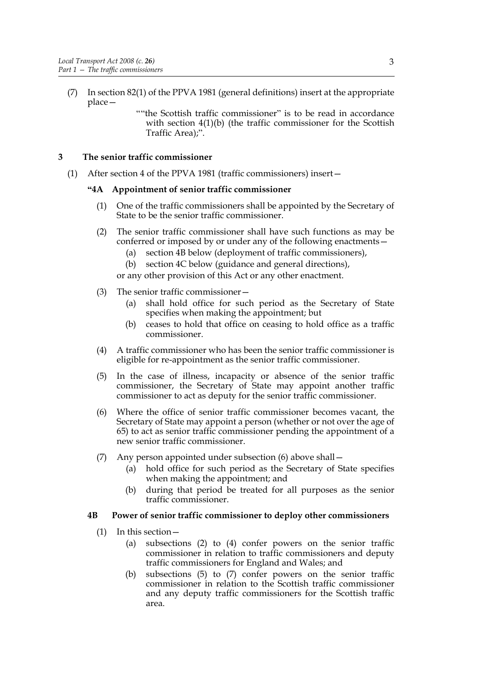- (7) In section 82(1) of the PPVA 1981 (general definitions) insert at the appropriate place—
	- ""the Scottish traffic commissioner" is to be read in accordance with section 4(1)(b) (the traffic commissioner for the Scottish Traffic Area);".

# **3 The senior traffic commissioner**

(1) After section 4 of the PPVA 1981 (traffic commissioners) insert—

#### **"4A Appointment of senior traffic commissioner**

- (1) One of the traffic commissioners shall be appointed by the Secretary of State to be the senior traffic commissioner.
- (2) The senior traffic commissioner shall have such functions as may be conferred or imposed by or under any of the following enactments—
	- (a) section 4B below (deployment of traffic commissioners),
	- (b) section 4C below (guidance and general directions),

or any other provision of this Act or any other enactment.

- (3) The senior traffic commissioner—
	- (a) shall hold office for such period as the Secretary of State specifies when making the appointment; but
	- (b) ceases to hold that office on ceasing to hold office as a traffic commissioner.
- (4) A traffic commissioner who has been the senior traffic commissioner is eligible for re-appointment as the senior traffic commissioner.
- (5) In the case of illness, incapacity or absence of the senior traffic commissioner, the Secretary of State may appoint another traffic commissioner to act as deputy for the senior traffic commissioner.
- (6) Where the office of senior traffic commissioner becomes vacant, the Secretary of State may appoint a person (whether or not over the age of 65) to act as senior traffic commissioner pending the appointment of a new senior traffic commissioner.
- (7) Any person appointed under subsection (6) above shall—
	- (a) hold office for such period as the Secretary of State specifies when making the appointment; and
	- (b) during that period be treated for all purposes as the senior traffic commissioner.

#### **4B Power of senior traffic commissioner to deploy other commissioners**

- (1) In this section—
	- (a) subsections (2) to (4) confer powers on the senior traffic commissioner in relation to traffic commissioners and deputy traffic commissioners for England and Wales; and
	- (b) subsections (5) to (7) confer powers on the senior traffic commissioner in relation to the Scottish traffic commissioner and any deputy traffic commissioners for the Scottish traffic area.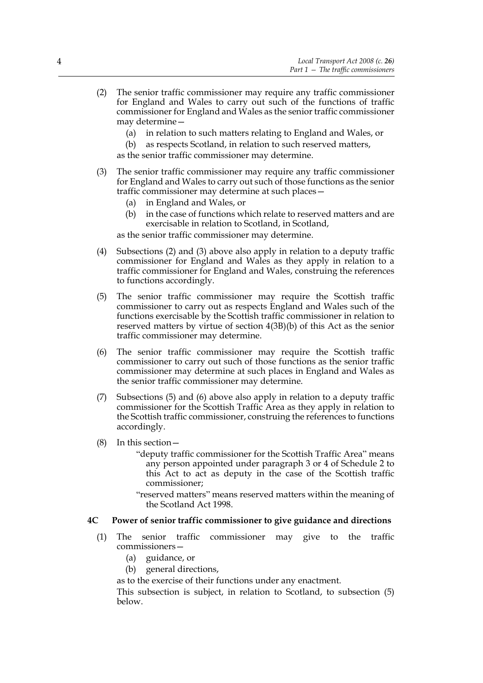- (2) The senior traffic commissioner may require any traffic commissioner for England and Wales to carry out such of the functions of traffic commissioner for England and Wales as the senior traffic commissioner may determine—
	- (a) in relation to such matters relating to England and Wales, or
	- (b) as respects Scotland, in relation to such reserved matters,

as the senior traffic commissioner may determine.

- (3) The senior traffic commissioner may require any traffic commissioner for England and Wales to carry out such of those functions as the senior traffic commissioner may determine at such places—
	- (a) in England and Wales, or
	- (b) in the case of functions which relate to reserved matters and are exercisable in relation to Scotland, in Scotland,

as the senior traffic commissioner may determine.

- (4) Subsections (2) and (3) above also apply in relation to a deputy traffic commissioner for England and Wales as they apply in relation to a traffic commissioner for England and Wales, construing the references to functions accordingly.
- (5) The senior traffic commissioner may require the Scottish traffic commissioner to carry out as respects England and Wales such of the functions exercisable by the Scottish traffic commissioner in relation to reserved matters by virtue of section 4(3B)(b) of this Act as the senior traffic commissioner may determine.
- (6) The senior traffic commissioner may require the Scottish traffic commissioner to carry out such of those functions as the senior traffic commissioner may determine at such places in England and Wales as the senior traffic commissioner may determine.
- (7) Subsections (5) and (6) above also apply in relation to a deputy traffic commissioner for the Scottish Traffic Area as they apply in relation to the Scottish traffic commissioner, construing the references to functions accordingly.
- (8) In this section—
	- "deputy traffic commissioner for the Scottish Traffic Area" means any person appointed under paragraph 3 or 4 of Schedule 2 to this Act to act as deputy in the case of the Scottish traffic commissioner;
	- "reserved matters" means reserved matters within the meaning of the Scotland Act 1998.

# **4C Power of senior traffic commissioner to give guidance and directions**

- (1) The senior traffic commissioner may give to the traffic commissioners—
	- (a) guidance, or
	- (b) general directions,
	- as to the exercise of their functions under any enactment.

This subsection is subject, in relation to Scotland, to subsection (5) below.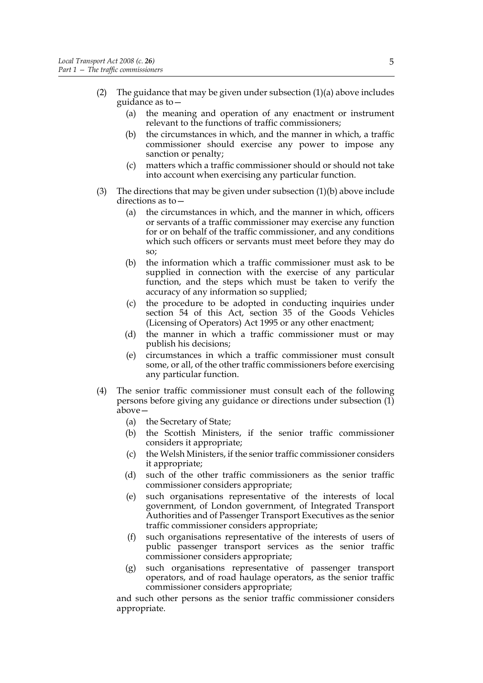- (2) The guidance that may be given under subsection (1)(a) above includes guidance as to—
	- (a) the meaning and operation of any enactment or instrument relevant to the functions of traffic commissioners;
	- (b) the circumstances in which, and the manner in which, a traffic commissioner should exercise any power to impose any sanction or penalty;
	- (c) matters which a traffic commissioner should or should not take into account when exercising any particular function.
- (3) The directions that may be given under subsection (1)(b) above include directions as to—
	- (a) the circumstances in which, and the manner in which, officers or servants of a traffic commissioner may exercise any function for or on behalf of the traffic commissioner, and any conditions which such officers or servants must meet before they may do so;
	- (b) the information which a traffic commissioner must ask to be supplied in connection with the exercise of any particular function, and the steps which must be taken to verify the accuracy of any information so supplied;
	- (c) the procedure to be adopted in conducting inquiries under section 54 of this Act, section 35 of the Goods Vehicles (Licensing of Operators) Act 1995 or any other enactment;
	- (d) the manner in which a traffic commissioner must or may publish his decisions;
	- (e) circumstances in which a traffic commissioner must consult some, or all, of the other traffic commissioners before exercising any particular function.
- (4) The senior traffic commissioner must consult each of the following persons before giving any guidance or directions under subsection  $(1)$ above—
	- (a) the Secretary of State;
	- (b) the Scottish Ministers, if the senior traffic commissioner considers it appropriate;
	- (c) the Welsh Ministers, if the senior traffic commissioner considers it appropriate;
	- (d) such of the other traffic commissioners as the senior traffic commissioner considers appropriate;
	- (e) such organisations representative of the interests of local government, of London government, of Integrated Transport Authorities and of Passenger Transport Executives as the senior traffic commissioner considers appropriate;
	- (f) such organisations representative of the interests of users of public passenger transport services as the senior traffic commissioner considers appropriate;
	- (g) such organisations representative of passenger transport operators, and of road haulage operators, as the senior traffic commissioner considers appropriate;

and such other persons as the senior traffic commissioner considers appropriate.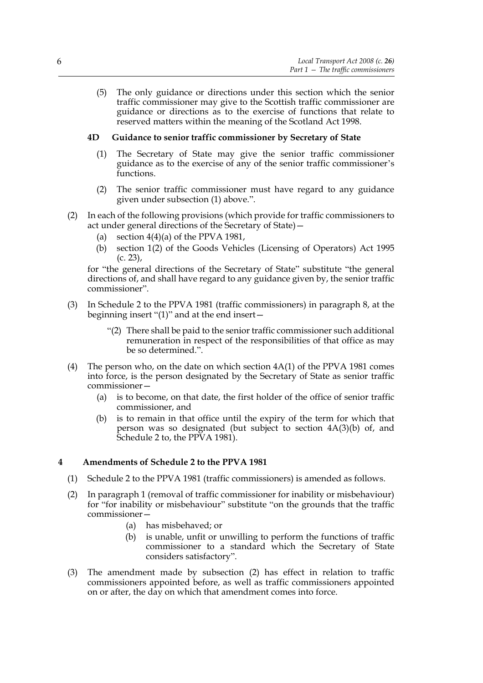(5) The only guidance or directions under this section which the senior traffic commissioner may give to the Scottish traffic commissioner are guidance or directions as to the exercise of functions that relate to reserved matters within the meaning of the Scotland Act 1998.

# **4D Guidance to senior traffic commissioner by Secretary of State**

- (1) The Secretary of State may give the senior traffic commissioner guidance as to the exercise of any of the senior traffic commissioner's functions.
- (2) The senior traffic commissioner must have regard to any guidance given under subsection (1) above.".
- (2) In each of the following provisions (which provide for traffic commissioners to act under general directions of the Secretary of State)—
	- (a) section  $4(4)(a)$  of the PPVA 1981,
	- (b) section 1(2) of the Goods Vehicles (Licensing of Operators) Act 1995 (c. 23),

for "the general directions of the Secretary of State" substitute "the general directions of, and shall have regard to any guidance given by, the senior traffic commissioner".

- (3) In Schedule 2 to the PPVA 1981 (traffic commissioners) in paragraph 8, at the beginning insert "(1)" and at the end insert—
	- "(2) There shall be paid to the senior traffic commissioner such additional remuneration in respect of the responsibilities of that office as may be so determined.".
- (4) The person who, on the date on which section 4A(1) of the PPVA 1981 comes into force, is the person designated by the Secretary of State as senior traffic commissioner—
	- (a) is to become, on that date, the first holder of the office of senior traffic commissioner, and
	- (b) is to remain in that office until the expiry of the term for which that person was so designated (but subject to section 4A(3)(b) of, and Schedule 2 to, the PPVA 1981).

# **4 Amendments of Schedule 2 to the PPVA 1981**

- (1) Schedule 2 to the PPVA 1981 (traffic commissioners) is amended as follows.
- (2) In paragraph 1 (removal of traffic commissioner for inability or misbehaviour) for "for inability or misbehaviour" substitute "on the grounds that the traffic commissioner—
	- (a) has misbehaved; or
	- (b) is unable, unfit or unwilling to perform the functions of traffic commissioner to a standard which the Secretary of State considers satisfactory".
- (3) The amendment made by subsection (2) has effect in relation to traffic commissioners appointed before, as well as traffic commissioners appointed on or after, the day on which that amendment comes into force.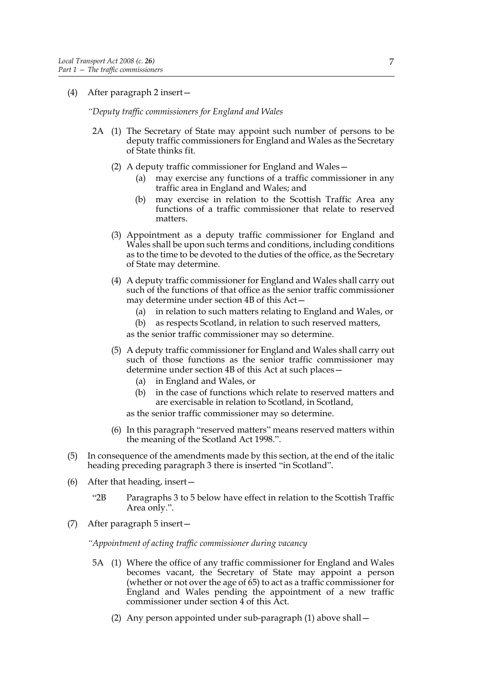# (4) After paragraph 2 insert—

*"Deputy traffic commissioners for England and Wales*

- 2A (1) The Secretary of State may appoint such number of persons to be deputy traffic commissioners for England and Wales as the Secretary of State thinks fit.
	- (2) A deputy traffic commissioner for England and Wales—
		- (a) may exercise any functions of a traffic commissioner in any traffic area in England and Wales; and
		- (b) may exercise in relation to the Scottish Traffic Area any functions of a traffic commissioner that relate to reserved matters.
	- (3) Appointment as a deputy traffic commissioner for England and Wales shall be upon such terms and conditions, including conditions as to the time to be devoted to the duties of the office, as the Secretary of State may determine.
	- (4) A deputy traffic commissioner for England and Wales shall carry out such of the functions of that office as the senior traffic commissioner may determine under section 4B of this Act—
		- (a) in relation to such matters relating to England and Wales, or
		- (b) as respects Scotland, in relation to such reserved matters,

as the senior traffic commissioner may so determine.

- (5) A deputy traffic commissioner for England and Wales shall carry out such of those functions as the senior traffic commissioner may determine under section 4B of this Act at such places—
	- (a) in England and Wales, or
	- (b) in the case of functions which relate to reserved matters and are exercisable in relation to Scotland, in Scotland,
	- as the senior traffic commissioner may so determine.
- (6) In this paragraph "reserved matters" means reserved matters within the meaning of the Scotland Act 1998.".
- (5) In consequence of the amendments made by this section, at the end of the italic heading preceding paragraph 3 there is inserted "in Scotland".
- (6) After that heading, insert—
	- "2B Paragraphs 3 to 5 below have effect in relation to the Scottish Traffic Area only.".
- (7) After paragraph 5 insert—

*"Appointment of acting traffic commissioner during vacancy*

- 5A (1) Where the office of any traffic commissioner for England and Wales becomes vacant, the Secretary of State may appoint a person (whether or not over the age of 65) to act as a traffic commissioner for England and Wales pending the appointment of a new traffic commissioner under section 4 of this Act.
	- (2) Any person appointed under sub-paragraph (1) above shall—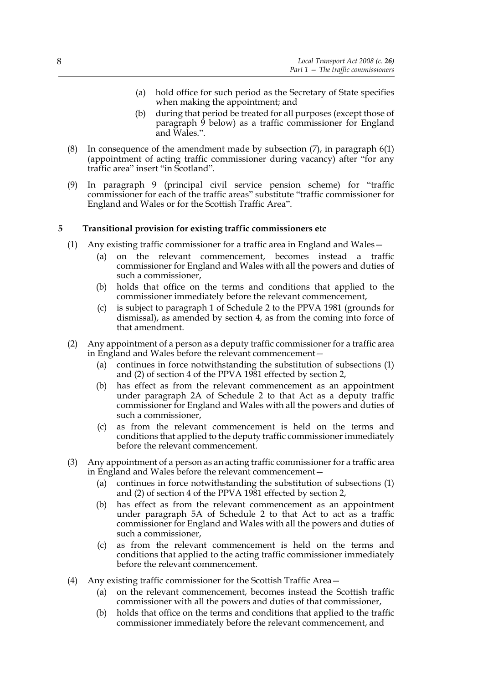- (a) hold office for such period as the Secretary of State specifies when making the appointment; and
- (b) during that period be treated for all purposes (except those of paragraph 9 below) as a traffic commissioner for England and Wales.".
- (8) In consequence of the amendment made by subsection (7), in paragraph 6(1) (appointment of acting traffic commissioner during vacancy) after "for any traffic area" insert "in Scotland".
- (9) In paragraph 9 (principal civil service pension scheme) for "traffic commissioner for each of the traffic areas" substitute "traffic commissioner for England and Wales or for the Scottish Traffic Area".

# **5 Transitional provision for existing traffic commissioners etc**

- (1) Any existing traffic commissioner for a traffic area in England and Wales—
	- (a) on the relevant commencement, becomes instead a traffic commissioner for England and Wales with all the powers and duties of such a commissioner,
	- (b) holds that office on the terms and conditions that applied to the commissioner immediately before the relevant commencement,
	- (c) is subject to paragraph 1 of Schedule 2 to the PPVA 1981 (grounds for dismissal), as amended by section 4, as from the coming into force of that amendment.
- (2) Any appointment of a person as a deputy traffic commissioner for a traffic area in England and Wales before the relevant commencement—
	- (a) continues in force notwithstanding the substitution of subsections (1) and (2) of section 4 of the PPVA 1981 effected by section 2,
	- (b) has effect as from the relevant commencement as an appointment under paragraph 2A of Schedule 2 to that Act as a deputy traffic commissioner for England and Wales with all the powers and duties of such a commissioner,
	- (c) as from the relevant commencement is held on the terms and conditions that applied to the deputy traffic commissioner immediately before the relevant commencement.
- (3) Any appointment of a person as an acting traffic commissioner for a traffic area in England and Wales before the relevant commencement—
	- (a) continues in force notwithstanding the substitution of subsections (1) and (2) of section 4 of the PPVA 1981 effected by section 2,
	- (b) has effect as from the relevant commencement as an appointment under paragraph 5A of Schedule 2 to that Act to act as a traffic commissioner for England and Wales with all the powers and duties of such a commissioner,
	- (c) as from the relevant commencement is held on the terms and conditions that applied to the acting traffic commissioner immediately before the relevant commencement.
- (4) Any existing traffic commissioner for the Scottish Traffic Area—
	- (a) on the relevant commencement, becomes instead the Scottish traffic commissioner with all the powers and duties of that commissioner,
	- (b) holds that office on the terms and conditions that applied to the traffic commissioner immediately before the relevant commencement, and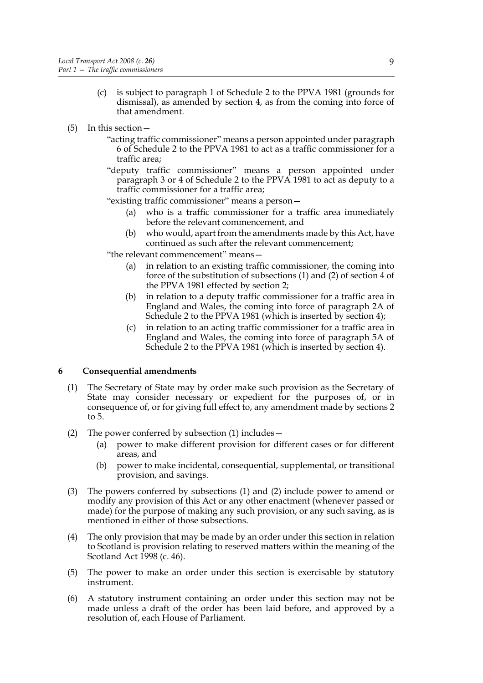- (c) is subject to paragraph 1 of Schedule 2 to the PPVA 1981 (grounds for dismissal), as amended by section 4, as from the coming into force of that amendment.
- (5) In this section—
	- "acting traffic commissioner" means a person appointed under paragraph 6 of Schedule 2 to the PPVA 1981 to act as a traffic commissioner for a traffic area;
	- "deputy traffic commissioner" means a person appointed under paragraph 3 or 4 of Schedule 2 to the PPVA 1981 to act as deputy to a traffic commissioner for a traffic area;
	- "existing traffic commissioner" means a person—
		- (a) who is a traffic commissioner for a traffic area immediately before the relevant commencement, and
		- (b) who would, apart from the amendments made by this Act, have continued as such after the relevant commencement;

"the relevant commencement" means—

- (a) in relation to an existing traffic commissioner, the coming into force of the substitution of subsections (1) and (2) of section 4 of the PPVA 1981 effected by section 2;
- (b) in relation to a deputy traffic commissioner for a traffic area in England and Wales, the coming into force of paragraph 2A of Schedule 2 to the PPVA 1981 (which is inserted by section 4);
- (c) in relation to an acting traffic commissioner for a traffic area in England and Wales, the coming into force of paragraph 5A of Schedule 2 to the PPVA 1981 (which is inserted by section 4).

# **6 Consequential amendments**

- (1) The Secretary of State may by order make such provision as the Secretary of State may consider necessary or expedient for the purposes of, or in consequence of, or for giving full effect to, any amendment made by sections 2 to 5.
- (2) The power conferred by subsection (1) includes—
	- (a) power to make different provision for different cases or for different areas, and
	- (b) power to make incidental, consequential, supplemental, or transitional provision, and savings.
- (3) The powers conferred by subsections (1) and (2) include power to amend or modify any provision of this Act or any other enactment (whenever passed or made) for the purpose of making any such provision, or any such saving, as is mentioned in either of those subsections.
- (4) The only provision that may be made by an order under this section in relation to Scotland is provision relating to reserved matters within the meaning of the Scotland Act 1998 (c. 46).
- (5) The power to make an order under this section is exercisable by statutory instrument.
- (6) A statutory instrument containing an order under this section may not be made unless a draft of the order has been laid before, and approved by a resolution of, each House of Parliament.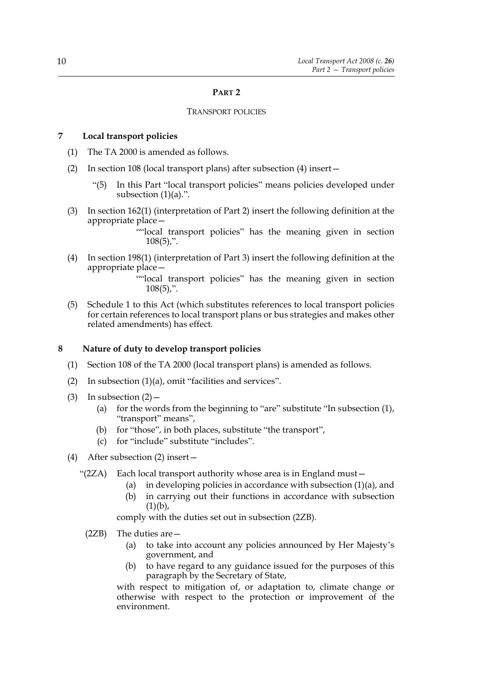#### **PART 2**

#### TRANSPORT POLICIES

# **7 Local transport policies**

- (1) The TA 2000 is amended as follows.
- (2) In section 108 (local transport plans) after subsection (4) insert—
	- "(5) In this Part "local transport policies" means policies developed under subsection  $(1)(a)$ .".
- (3) In section 162(1) (interpretation of Part 2) insert the following definition at the appropriate place—

""local transport policies" has the meaning given in section  $108(5)$ ,".

(4) In section 198(1) (interpretation of Part 3) insert the following definition at the appropriate place—

> ""local transport policies" has the meaning given in section  $108(5)$ ,".

(5) Schedule 1 to this Act (which substitutes references to local transport policies for certain references to local transport plans or bus strategies and makes other related amendments) has effect.

#### **8 Nature of duty to develop transport policies**

- (1) Section 108 of the TA 2000 (local transport plans) is amended as follows.
- (2) In subsection (1)(a), omit "facilities and services".
- (3) In subsection  $(2)$  -
	- (a) for the words from the beginning to "are" substitute "In subsection (1), "transport" means",
	- (b) for "those", in both places, substitute "the transport",
	- (c) for "include" substitute "includes".
- (4) After subsection (2) insert—
	- "(2ZA) Each local transport authority whose area is in England must—
		- (a) in developing policies in accordance with subsection (1)(a), and
		- (b) in carrying out their functions in accordance with subsection  $(1)(b)$ ,

comply with the duties set out in subsection (2ZB).

- (2ZB) The duties are—
	- (a) to take into account any policies announced by Her Majesty's government, and
	- (b) to have regard to any guidance issued for the purposes of this paragraph by the Secretary of State,

with respect to mitigation of, or adaptation to, climate change or otherwise with respect to the protection or improvement of the environment.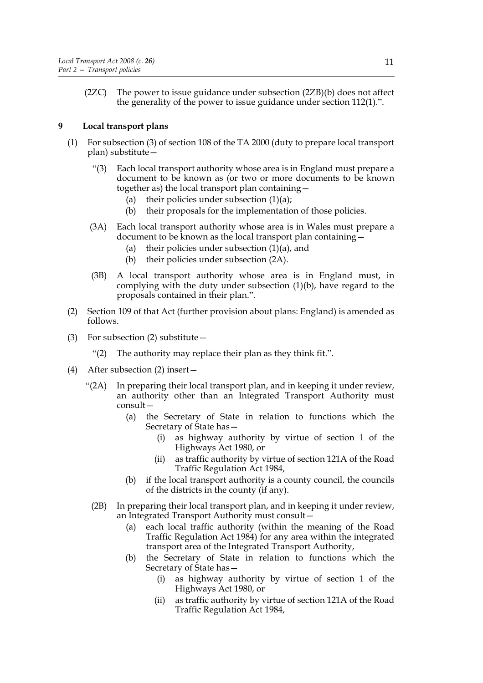(2ZC) The power to issue guidance under subsection (2ZB)(b) does not affect the generality of the power to issue guidance under section 112(1).".

# **9 Local transport plans**

- (1) For subsection (3) of section 108 of the TA 2000 (duty to prepare local transport plan) substitute—
	- "(3) Each local transport authority whose area is in England must prepare a document to be known as (or two or more documents to be known together as) the local transport plan containing—
		- (a) their policies under subsection  $(1)(a)$ ;
		- (b) their proposals for the implementation of those policies.
	- (3A) Each local transport authority whose area is in Wales must prepare a document to be known as the local transport plan containing—
		- (a) their policies under subsection  $(1)(a)$ , and
		- (b) their policies under subsection (2A).
	- (3B) A local transport authority whose area is in England must, in complying with the duty under subsection (1)(b), have regard to the proposals contained in their plan.".
- (2) Section 109 of that Act (further provision about plans: England) is amended as follows.
- (3) For subsection (2) substitute—
	- "(2) The authority may replace their plan as they think fit.".
- (4) After subsection (2) insert—
	- "(2A) In preparing their local transport plan, and in keeping it under review, an authority other than an Integrated Transport Authority must consult—
		- (a) the Secretary of State in relation to functions which the Secretary of State has—
			- (i) as highway authority by virtue of section 1 of the Highways Act 1980, or
			- (ii) as traffic authority by virtue of section 121A of the Road Traffic Regulation Act 1984,
		- (b) if the local transport authority is a county council, the councils of the districts in the county (if any).
	- (2B) In preparing their local transport plan, and in keeping it under review, an Integrated Transport Authority must consult—
		- (a) each local traffic authority (within the meaning of the Road Traffic Regulation Act 1984) for any area within the integrated transport area of the Integrated Transport Authority,
		- (b) the Secretary of State in relation to functions which the Secretary of State has—
			- (i) as highway authority by virtue of section 1 of the Highways Act 1980, or
			- (ii) as traffic authority by virtue of section 121A of the Road Traffic Regulation Act 1984,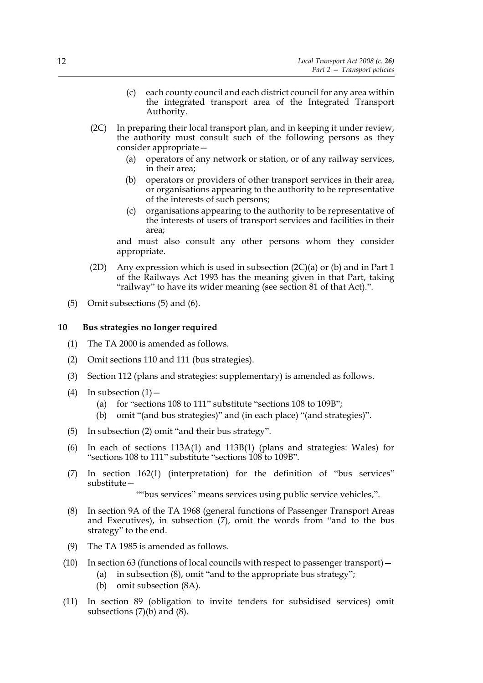- (c) each county council and each district council for any area within the integrated transport area of the Integrated Transport Authority.
- (2C) In preparing their local transport plan, and in keeping it under review, the authority must consult such of the following persons as they consider appropriate—
	- (a) operators of any network or station, or of any railway services, in their area;
	- (b) operators or providers of other transport services in their area, or organisations appearing to the authority to be representative of the interests of such persons;
	- (c) organisations appearing to the authority to be representative of the interests of users of transport services and facilities in their area;

and must also consult any other persons whom they consider appropriate.

- (2D) Any expression which is used in subsection  $(2C)(a)$  or (b) and in Part 1 of the Railways Act 1993 has the meaning given in that Part, taking "railway" to have its wider meaning (see section 81 of that Act).".
- (5) Omit subsections (5) and (6).

# **10 Bus strategies no longer required**

- (1) The TA 2000 is amended as follows.
- (2) Omit sections 110 and 111 (bus strategies).
- (3) Section 112 (plans and strategies: supplementary) is amended as follows.
- (4) In subsection  $(1)$ 
	- (a) for "sections 108 to 111" substitute "sections 108 to 109B";
	- (b) omit "(and bus strategies)" and (in each place) "(and strategies)".
- (5) In subsection (2) omit "and their bus strategy".
- (6) In each of sections 113A(1) and 113B(1) (plans and strategies: Wales) for "sections 108 to 111" substitute "sections 108 to 109B".
- (7) In section 162(1) (interpretation) for the definition of "bus services" substitute—

""bus services" means services using public service vehicles,".

- (8) In section 9A of the TA 1968 (general functions of Passenger Transport Areas and Executives), in subsection (7), omit the words from "and to the bus strategy" to the end.
- (9) The TA 1985 is amended as follows.
- (10) In section 63 (functions of local councils with respect to passenger transport)—
	- (a) in subsection (8), omit "and to the appropriate bus strategy";
	- (b) omit subsection (8A).
- (11) In section 89 (obligation to invite tenders for subsidised services) omit subsections  $(7)(b)$  and  $(8)$ .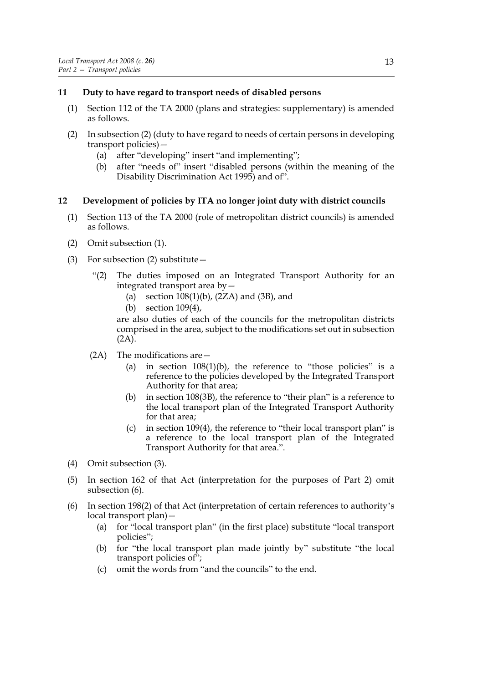# **11 Duty to have regard to transport needs of disabled persons**

- (1) Section 112 of the TA 2000 (plans and strategies: supplementary) is amended as follows.
- (2) In subsection (2) (duty to have regard to needs of certain persons in developing transport policies)—
	- (a) after "developing" insert "and implementing";
	- (b) after "needs of" insert "disabled persons (within the meaning of the Disability Discrimination Act 1995) and of".

# **12 Development of policies by ITA no longer joint duty with district councils**

- (1) Section 113 of the TA 2000 (role of metropolitan district councils) is amended as follows.
- (2) Omit subsection (1).
- (3) For subsection (2) substitute—
	- "(2) The duties imposed on an Integrated Transport Authority for an integrated transport area by—
		- (a) section  $108(1)(b)$ ,  $(2ZA)$  and  $(3B)$ , and
		- (b) section 109(4),

are also duties of each of the councils for the metropolitan districts comprised in the area, subject to the modifications set out in subsection  $(2A)$ .

- (2A) The modifications are—
	- (a) in section  $108(1)(b)$ , the reference to "those policies" is a reference to the policies developed by the Integrated Transport Authority for that area;
	- (b) in section 108(3B), the reference to "their plan" is a reference to the local transport plan of the Integrated Transport Authority for that area;
	- (c) in section 109(4), the reference to "their local transport plan" is a reference to the local transport plan of the Integrated Transport Authority for that area.".
- (4) Omit subsection (3).
- (5) In section 162 of that Act (interpretation for the purposes of Part 2) omit subsection (6).
- (6) In section 198(2) of that Act (interpretation of certain references to authority's local transport plan)—
	- (a) for "local transport plan" (in the first place) substitute "local transport policies";
	- (b) for "the local transport plan made jointly by" substitute "the local transport policies of";
	- (c) omit the words from "and the councils" to the end.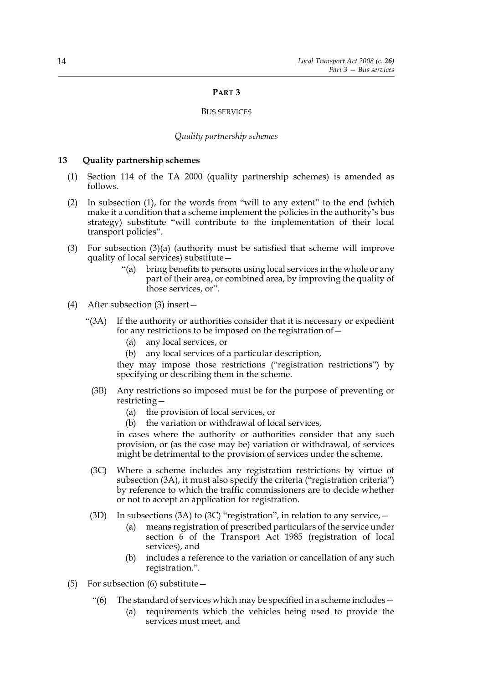#### **PART 3**

#### BUS SERVICES

#### *Quality partnership schemes*

#### **13 Quality partnership schemes**

- (1) Section 114 of the TA 2000 (quality partnership schemes) is amended as follows.
- (2) In subsection (1), for the words from "will to any extent" to the end (which make it a condition that a scheme implement the policies in the authority's bus strategy) substitute "will contribute to the implementation of their local transport policies".
- (3) For subsection (3)(a) (authority must be satisfied that scheme will improve quality of local services) substitute—
	- "(a) bring benefits to persons using local services in the whole or any part of their area, or combined area, by improving the quality of those services, or".
- (4) After subsection (3) insert—
	- "(3A) If the authority or authorities consider that it is necessary or expedient for any restrictions to be imposed on the registration of—
		- (a) any local services, or
		- (b) any local services of a particular description,

they may impose those restrictions ("registration restrictions") by specifying or describing them in the scheme.

- (3B) Any restrictions so imposed must be for the purpose of preventing or restricting—
	- (a) the provision of local services, or
	- (b) the variation or withdrawal of local services,

in cases where the authority or authorities consider that any such provision, or (as the case may be) variation or withdrawal, of services might be detrimental to the provision of services under the scheme.

- (3C) Where a scheme includes any registration restrictions by virtue of subsection (3A), it must also specify the criteria ("registration criteria") by reference to which the traffic commissioners are to decide whether or not to accept an application for registration.
- (3D) In subsections (3A) to (3C) "registration", in relation to any service,  $-$ 
	- (a) means registration of prescribed particulars of the service under section 6 of the Transport Act 1985 (registration of local services), and
	- (b) includes a reference to the variation or cancellation of any such registration.".
- (5) For subsection (6) substitute—
	- " $(6)$  The standard of services which may be specified in a scheme includes  $-$ 
		- (a) requirements which the vehicles being used to provide the services must meet, and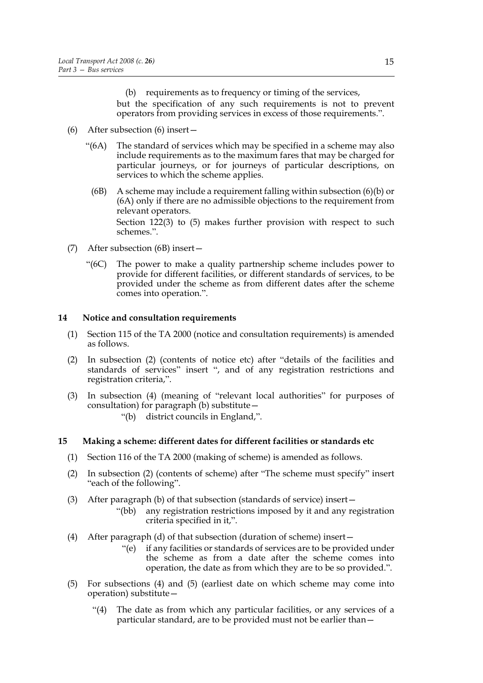(b) requirements as to frequency or timing of the services, but the specification of any such requirements is not to prevent operators from providing services in excess of those requirements.".

- (6) After subsection (6) insert—
	- "(6A) The standard of services which may be specified in a scheme may also include requirements as to the maximum fares that may be charged for particular journeys, or for journeys of particular descriptions, on services to which the scheme applies.
		- (6B) A scheme may include a requirement falling within subsection (6)(b) or (6A) only if there are no admissible objections to the requirement from relevant operators.

Section 122(3) to (5) makes further provision with respect to such schemes.".

- (7) After subsection (6B) insert—
	- "(6C) The power to make a quality partnership scheme includes power to provide for different facilities, or different standards of services, to be provided under the scheme as from different dates after the scheme comes into operation.".

# **14 Notice and consultation requirements**

- (1) Section 115 of the TA 2000 (notice and consultation requirements) is amended as follows.
- (2) In subsection (2) (contents of notice etc) after "details of the facilities and standards of services" insert ", and of any registration restrictions and registration criteria,".
- (3) In subsection (4) (meaning of "relevant local authorities" for purposes of consultation) for paragraph (b) substitute—
	- "(b) district councils in England,".

# **15 Making a scheme: different dates for different facilities or standards etc**

- (1) Section 116 of the TA 2000 (making of scheme) is amended as follows.
- (2) In subsection (2) (contents of scheme) after "The scheme must specify" insert "each of the following".
- (3) After paragraph (b) of that subsection (standards of service) insert—
	- "(bb) any registration restrictions imposed by it and any registration criteria specified in it,".
- (4) After paragraph (d) of that subsection (duration of scheme) insert—
	- "(e) if any facilities or standards of services are to be provided under the scheme as from a date after the scheme comes into operation, the date as from which they are to be so provided.".
- (5) For subsections (4) and (5) (earliest date on which scheme may come into operation) substitute—
	- "(4) The date as from which any particular facilities, or any services of a particular standard, are to be provided must not be earlier than—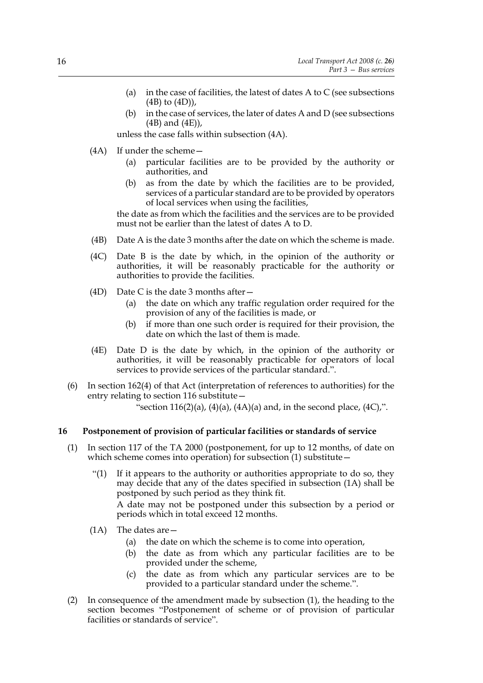- (a) in the case of facilities, the latest of dates A to C (see subsections (4B) to (4D)),
- (b) in the case of services, the later of dates A and D (see subsections (4B) and (4E)),

unless the case falls within subsection (4A).

- (4A) If under the scheme—
	- (a) particular facilities are to be provided by the authority or authorities, and
	- (b) as from the date by which the facilities are to be provided, services of a particular standard are to be provided by operators of local services when using the facilities,

the date as from which the facilities and the services are to be provided must not be earlier than the latest of dates A to D.

- (4B) Date A is the date 3 months after the date on which the scheme is made.
- (4C) Date B is the date by which, in the opinion of the authority or authorities, it will be reasonably practicable for the authority or authorities to provide the facilities.
- (4D) Date C is the date 3 months after  $-$ 
	- (a) the date on which any traffic regulation order required for the provision of any of the facilities is made, or
	- (b) if more than one such order is required for their provision, the date on which the last of them is made.
- (4E) Date D is the date by which, in the opinion of the authority or authorities, it will be reasonably practicable for operators of local services to provide services of the particular standard.".
- (6) In section 162(4) of that Act (interpretation of references to authorities) for the entry relating to section 116 substitute—

"section  $116(2)(a)$ ,  $(4)(a)$ ,  $(4A)(a)$  and, in the second place,  $(4C)$ ,".

#### **16 Postponement of provision of particular facilities or standards of service**

- (1) In section 117 of the TA 2000 (postponement, for up to 12 months, of date on which scheme comes into operation) for subsection (1) substitute –
	- "(1) If it appears to the authority or authorities appropriate to do so, they may decide that any of the dates specified in subsection (1A) shall be postponed by such period as they think fit.

A date may not be postponed under this subsection by a period or periods which in total exceed 12 months.

- (1A) The dates are—
	- (a) the date on which the scheme is to come into operation,
	- (b) the date as from which any particular facilities are to be provided under the scheme,
	- (c) the date as from which any particular services are to be provided to a particular standard under the scheme.".
- (2) In consequence of the amendment made by subsection (1), the heading to the section becomes "Postponement of scheme or of provision of particular facilities or standards of service".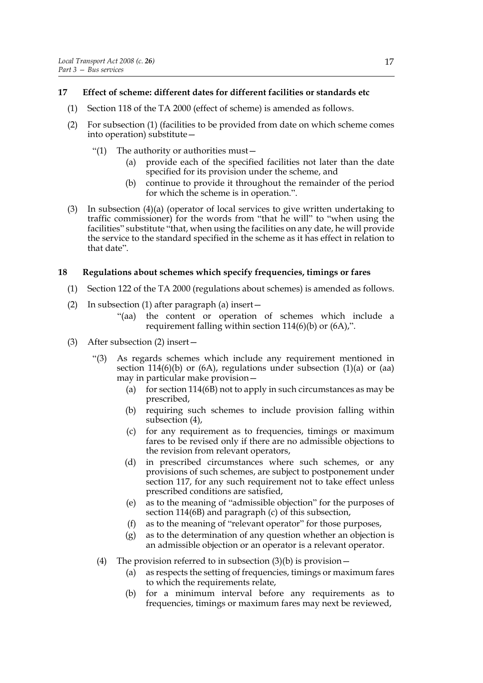# **17 Effect of scheme: different dates for different facilities or standards etc**

- (1) Section 118 of the TA 2000 (effect of scheme) is amended as follows.
- (2) For subsection (1) (facilities to be provided from date on which scheme comes into operation) substitute—
	- "(1) The authority or authorities must—
		- (a) provide each of the specified facilities not later than the date specified for its provision under the scheme, and
		- (b) continue to provide it throughout the remainder of the period for which the scheme is in operation.".
- (3) In subsection (4)(a) (operator of local services to give written undertaking to traffic commissioner) for the words from "that he will" to "when using the facilities" substitute "that, when using the facilities on any date, he will provide the service to the standard specified in the scheme as it has effect in relation to that date".

# **18 Regulations about schemes which specify frequencies, timings or fares**

- (1) Section 122 of the TA 2000 (regulations about schemes) is amended as follows.
- (2) In subsection (1) after paragraph (a) insert—
	- "(aa) the content or operation of schemes which include a requirement falling within section  $114(6)(b)$  or  $(6A)$ ,".
- (3) After subsection (2) insert—
	- "(3) As regards schemes which include any requirement mentioned in section 114(6)(b) or (6A), regulations under subsection (1)(a) or (aa) may in particular make provision—
		- (a) for section  $114(6B)$  not to apply in such circumstances as may be prescribed,
		- (b) requiring such schemes to include provision falling within subsection (4),
		- (c) for any requirement as to frequencies, timings or maximum fares to be revised only if there are no admissible objections to the revision from relevant operators,
		- (d) in prescribed circumstances where such schemes, or any provisions of such schemes, are subject to postponement under section 117, for any such requirement not to take effect unless prescribed conditions are satisfied,
		- (e) as to the meaning of "admissible objection" for the purposes of section 114(6B) and paragraph (c) of this subsection,
		- (f) as to the meaning of "relevant operator" for those purposes,
		- (g) as to the determination of any question whether an objection is an admissible objection or an operator is a relevant operator.
	- (4) The provision referred to in subsection  $(3)(b)$  is provision
		- (a) as respects the setting of frequencies, timings or maximum fares to which the requirements relate,
		- (b) for a minimum interval before any requirements as to frequencies, timings or maximum fares may next be reviewed,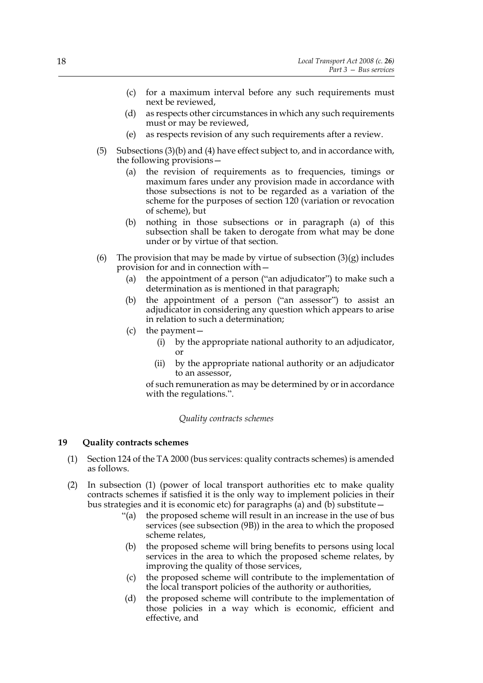- (c) for a maximum interval before any such requirements must next be reviewed,
- (d) as respects other circumstances in which any such requirements must or may be reviewed,
- (e) as respects revision of any such requirements after a review.
- (5) Subsections (3)(b) and (4) have effect subject to, and in accordance with, the following provisions—
	- (a) the revision of requirements as to frequencies, timings or maximum fares under any provision made in accordance with those subsections is not to be regarded as a variation of the scheme for the purposes of section 120 (variation or revocation of scheme), but
	- (b) nothing in those subsections or in paragraph (a) of this subsection shall be taken to derogate from what may be done under or by virtue of that section.
- (6) The provision that may be made by virtue of subsection  $(3)(g)$  includes provision for and in connection with—
	- (a) the appointment of a person ("an adjudicator") to make such a determination as is mentioned in that paragraph;
	- (b) the appointment of a person ("an assessor") to assist an adjudicator in considering any question which appears to arise in relation to such a determination;
	- (c) the payment—
		- (i) by the appropriate national authority to an adjudicator, or
		- (ii) by the appropriate national authority or an adjudicator to an assessor,

of such remuneration as may be determined by or in accordance with the regulations.".

#### *Quality contracts schemes*

# **19 Quality contracts schemes**

- (1) Section 124 of the TA 2000 (bus services: quality contracts schemes) is amended as follows.
- (2) In subsection (1) (power of local transport authorities etc to make quality contracts schemes if satisfied it is the only way to implement policies in their bus strategies and it is economic etc) for paragraphs (a) and (b) substitute—
	- "(a) the proposed scheme will result in an increase in the use of bus services (see subsection (9B)) in the area to which the proposed scheme relates,
	- (b) the proposed scheme will bring benefits to persons using local services in the area to which the proposed scheme relates, by improving the quality of those services,
	- (c) the proposed scheme will contribute to the implementation of the local transport policies of the authority or authorities,
	- (d) the proposed scheme will contribute to the implementation of those policies in a way which is economic, efficient and effective, and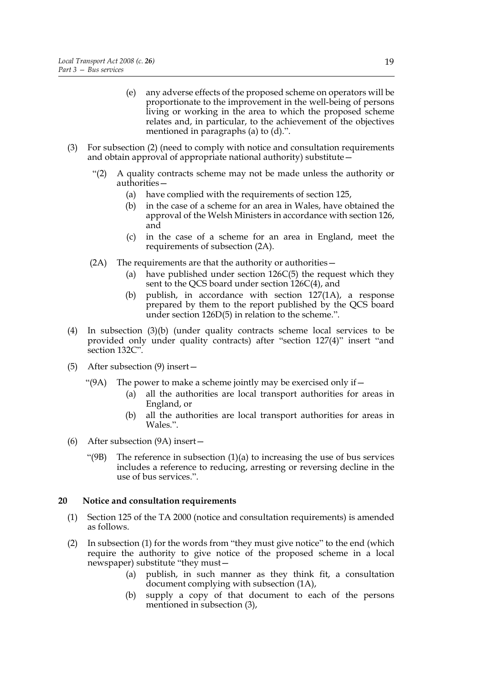- (e) any adverse effects of the proposed scheme on operators will be proportionate to the improvement in the well-being of persons living or working in the area to which the proposed scheme relates and, in particular, to the achievement of the objectives mentioned in paragraphs (a) to (d).".
- (3) For subsection (2) (need to comply with notice and consultation requirements and obtain approval of appropriate national authority) substitute—
	- "(2) A quality contracts scheme may not be made unless the authority or authorities—
		- (a) have complied with the requirements of section 125,
		- (b) in the case of a scheme for an area in Wales, have obtained the approval of the Welsh Ministers in accordance with section 126, and
		- (c) in the case of a scheme for an area in England, meet the requirements of subsection (2A).
	- (2A) The requirements are that the authority or authorities—
		- (a) have published under section 126C(5) the request which they sent to the QCS board under section 126C(4), and
		- (b) publish, in accordance with section 127(1A), a response prepared by them to the report published by the QCS board under section 126D(5) in relation to the scheme.".
- (4) In subsection (3)(b) (under quality contracts scheme local services to be provided only under quality contracts) after "section 127(4)" insert "and section 132C".
- (5) After subsection (9) insert—
	- "(9A) The power to make a scheme jointly may be exercised only if  $-$ 
		- (a) all the authorities are local transport authorities for areas in England, or
		- (b) all the authorities are local transport authorities for areas in Wales.".
- (6) After subsection (9A) insert—
	- "(9B) The reference in subsection  $(1)(a)$  to increasing the use of bus services includes a reference to reducing, arresting or reversing decline in the use of bus services.".

#### **20 Notice and consultation requirements**

- (1) Section 125 of the TA 2000 (notice and consultation requirements) is amended as follows.
- (2) In subsection (1) for the words from "they must give notice" to the end (which require the authority to give notice of the proposed scheme in a local newspaper) substitute "they must—
	- (a) publish, in such manner as they think fit, a consultation document complying with subsection (1A),
	- (b) supply a copy of that document to each of the persons mentioned in subsection (3),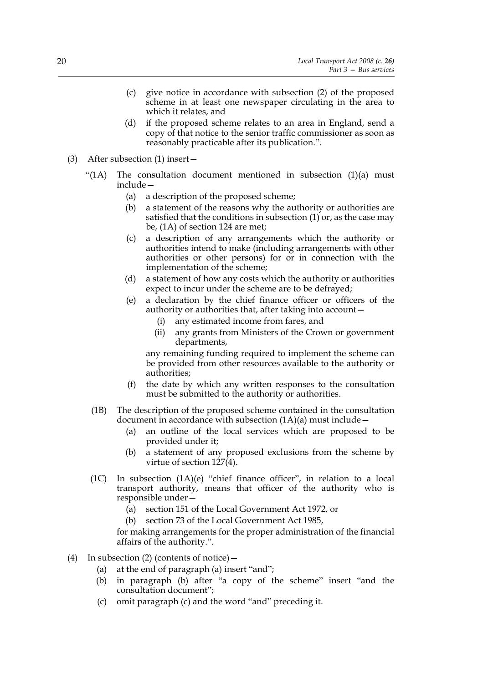- (c) give notice in accordance with subsection (2) of the proposed scheme in at least one newspaper circulating in the area to which it relates, and
- (d) if the proposed scheme relates to an area in England, send a copy of that notice to the senior traffic commissioner as soon as reasonably practicable after its publication.".
- (3) After subsection (1) insert—
	- "(1A) The consultation document mentioned in subsection  $(1)(a)$  must include—
		- (a) a description of the proposed scheme;
		- (b) a statement of the reasons why the authority or authorities are satisfied that the conditions in subsection  $(1)$  or, as the case may be, (1A) of section 124 are met;
		- (c) a description of any arrangements which the authority or authorities intend to make (including arrangements with other authorities or other persons) for or in connection with the implementation of the scheme;
		- (d) a statement of how any costs which the authority or authorities expect to incur under the scheme are to be defrayed;
		- (e) a declaration by the chief finance officer or officers of the authority or authorities that, after taking into account—
			- (i) any estimated income from fares, and
			- (ii) any grants from Ministers of the Crown or government departments,

any remaining funding required to implement the scheme can be provided from other resources available to the authority or authorities;

- (f) the date by which any written responses to the consultation must be submitted to the authority or authorities.
- (1B) The description of the proposed scheme contained in the consultation document in accordance with subsection  $(1A)(a)$  must include –
	- (a) an outline of the local services which are proposed to be provided under it;
	- (b) a statement of any proposed exclusions from the scheme by virtue of section 127(4).
- (1C) In subsection (1A)(e) "chief finance officer", in relation to a local transport authority, means that officer of the authority who is responsible under—
	- (a) section 151 of the Local Government Act 1972, or
	- (b) section 73 of the Local Government Act 1985,

for making arrangements for the proper administration of the financial affairs of the authority.".

- (4) In subsection (2) (contents of notice)—
	- (a) at the end of paragraph (a) insert "and";
	- (b) in paragraph (b) after "a copy of the scheme" insert "and the consultation document";
	- (c) omit paragraph (c) and the word "and" preceding it.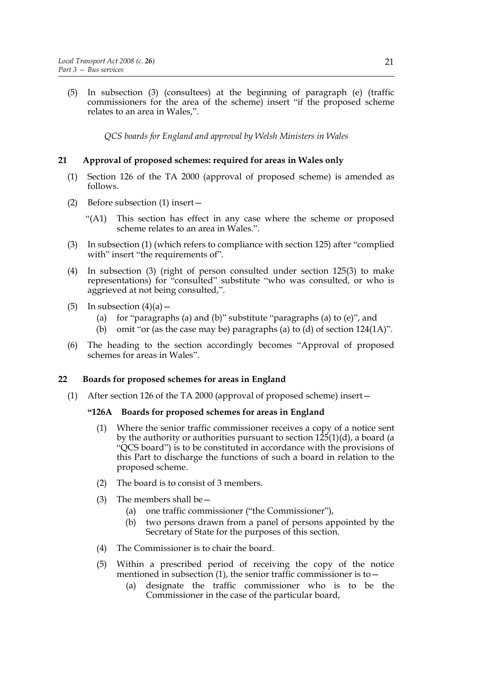(5) In subsection (3) (consultees) at the beginning of paragraph (e) (traffic commissioners for the area of the scheme) insert "if the proposed scheme relates to an area in Wales,".

*QCS boards for England and approval by Welsh Ministers in Wales*

# **21 Approval of proposed schemes: required for areas in Wales only**

- (1) Section 126 of the TA 2000 (approval of proposed scheme) is amended as follows.
- (2) Before subsection (1) insert—
	- "(A1) This section has effect in any case where the scheme or proposed scheme relates to an area in Wales.".
- (3) In subsection (1) (which refers to compliance with section 125) after "complied with" insert "the requirements of".
- (4) In subsection (3) (right of person consulted under section 125(3) to make representations) for "consulted" substitute "who was consulted, or who is aggrieved at not being consulted,".
- (5) In subsection  $(4)(a)$ 
	- (a) for "paragraphs (a) and (b)" substitute "paragraphs (a) to  $(e)$ ", and
	- (b) omit "or (as the case may be) paragraphs (a) to (d) of section  $124(1\text{A})$ ".
- (6) The heading to the section accordingly becomes "Approval of proposed schemes for areas in Wales".

# **22 Boards for proposed schemes for areas in England**

(1) After section 126 of the TA 2000 (approval of proposed scheme) insert—

# **"126A Boards for proposed schemes for areas in England**

- (1) Where the senior traffic commissioner receives a copy of a notice sent by the authority or authorities pursuant to section 125(1)(d), a board (a "QCS board") is to be constituted in accordance with the provisions of this Part to discharge the functions of such a board in relation to the proposed scheme.
- (2) The board is to consist of 3 members.
- (3) The members shall be  $-$ 
	- (a) one traffic commissioner ("the Commissioner"),
	- (b) two persons drawn from a panel of persons appointed by the Secretary of State for the purposes of this section.
- (4) The Commissioner is to chair the board.
- (5) Within a prescribed period of receiving the copy of the notice mentioned in subsection  $(1)$ , the senior traffic commissioner is to  $-$ 
	- (a) designate the traffic commissioner who is to be the Commissioner in the case of the particular board,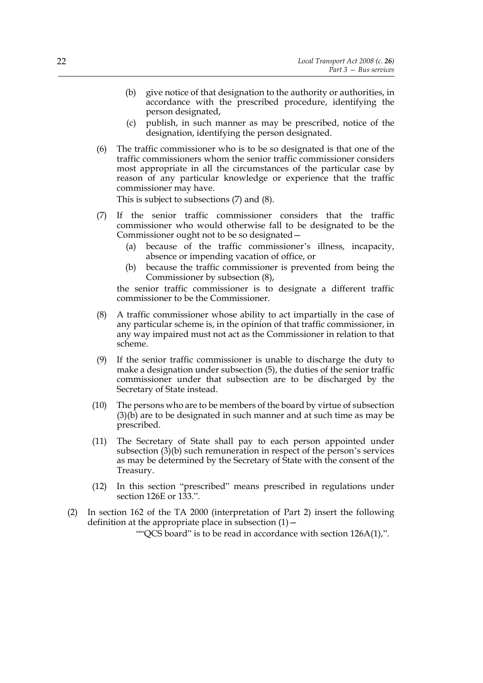- (b) give notice of that designation to the authority or authorities, in accordance with the prescribed procedure, identifying the person designated,
- (c) publish, in such manner as may be prescribed, notice of the designation, identifying the person designated.
- (6) The traffic commissioner who is to be so designated is that one of the traffic commissioners whom the senior traffic commissioner considers most appropriate in all the circumstances of the particular case by reason of any particular knowledge or experience that the traffic commissioner may have.

This is subject to subsections (7) and (8).

- (7) If the senior traffic commissioner considers that the traffic commissioner who would otherwise fall to be designated to be the Commissioner ought not to be so designated—
	- (a) because of the traffic commissioner's illness, incapacity, absence or impending vacation of office, or
	- (b) because the traffic commissioner is prevented from being the Commissioner by subsection (8),

the senior traffic commissioner is to designate a different traffic commissioner to be the Commissioner.

- (8) A traffic commissioner whose ability to act impartially in the case of any particular scheme is, in the opinion of that traffic commissioner, in any way impaired must not act as the Commissioner in relation to that scheme.
- (9) If the senior traffic commissioner is unable to discharge the duty to make a designation under subsection (5), the duties of the senior traffic commissioner under that subsection are to be discharged by the Secretary of State instead.
- (10) The persons who are to be members of the board by virtue of subsection  $(3)(\vec{b})$  are to be designated in such manner and at such time as may be prescribed.
- (11) The Secretary of State shall pay to each person appointed under subsection (3)(b) such remuneration in respect of the person's services as may be determined by the Secretary of State with the consent of the Treasury.
- (12) In this section "prescribed" means prescribed in regulations under section 126E or 133.".
- (2) In section 162 of the TA 2000 (interpretation of Part 2) insert the following definition at the appropriate place in subsection  $(1)$  –

""QCS board" is to be read in accordance with section 126A(1),".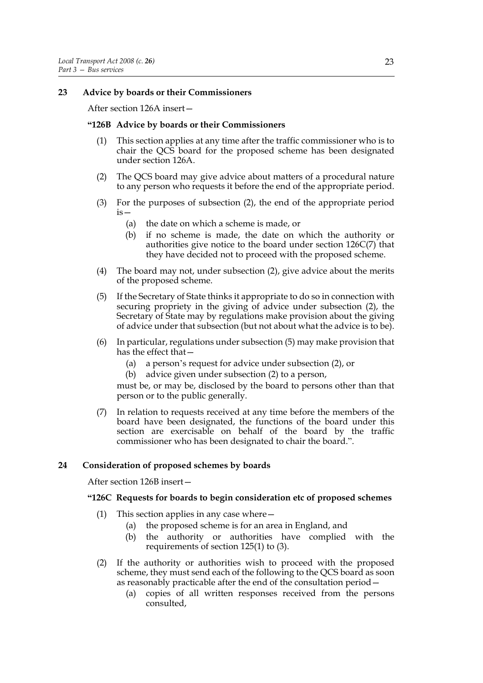# **23 Advice by boards or their Commissioners**

After section 126A insert—

#### **"126B Advice by boards or their Commissioners**

- (1) This section applies at any time after the traffic commissioner who is to chair the QCS board for the proposed scheme has been designated under section 126A.
- (2) The QCS board may give advice about matters of a procedural nature to any person who requests it before the end of the appropriate period.
- (3) For the purposes of subsection (2), the end of the appropriate period  $iS -$ 
	- (a) the date on which a scheme is made, or
	- (b) if no scheme is made, the date on which the authority or authorities give notice to the board under section 126C(7) that they have decided not to proceed with the proposed scheme.
- (4) The board may not, under subsection (2), give advice about the merits of the proposed scheme.
- (5) If the Secretary of State thinks it appropriate to do so in connection with securing propriety in the giving of advice under subsection (2), the Secretary of State may by regulations make provision about the giving of advice under that subsection (but not about what the advice is to be).
- (6) In particular, regulations under subsection (5) may make provision that has the effect that—
	- (a) a person's request for advice under subsection (2), or
	- (b) advice given under subsection (2) to a person,

must be, or may be, disclosed by the board to persons other than that person or to the public generally.

(7) In relation to requests received at any time before the members of the board have been designated, the functions of the board under this section are exercisable on behalf of the board by the traffic commissioner who has been designated to chair the board.".

# **24 Consideration of proposed schemes by boards**

After section 126B insert—

#### **"126C Requests for boards to begin consideration etc of proposed schemes**

- (1) This section applies in any case where  $-$ 
	- (a) the proposed scheme is for an area in England, and
	- (b) the authority or authorities have complied with the requirements of section 125(1) to (3).
- (2) If the authority or authorities wish to proceed with the proposed scheme, they must send each of the following to the QCS board as soon as reasonably practicable after the end of the consultation period—
	- (a) copies of all written responses received from the persons consulted,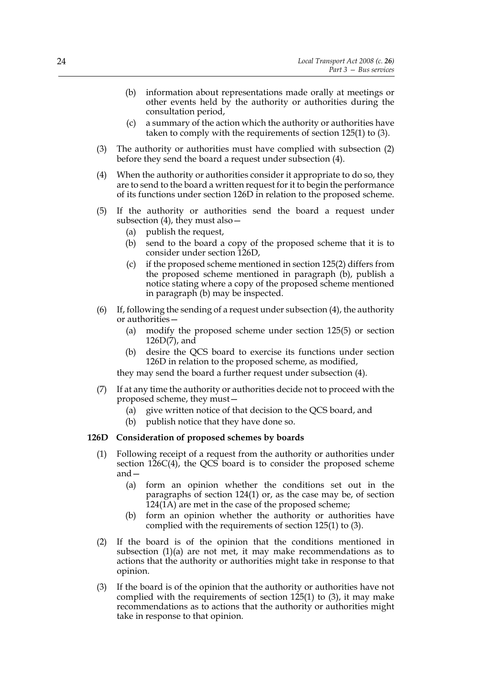- (b) information about representations made orally at meetings or other events held by the authority or authorities during the consultation period,
- (c) a summary of the action which the authority or authorities have taken to comply with the requirements of section 125(1) to (3).
- (3) The authority or authorities must have complied with subsection (2) before they send the board a request under subsection (4).
- (4) When the authority or authorities consider it appropriate to do so, they are to send to the board a written request for it to begin the performance of its functions under section 126D in relation to the proposed scheme.
- (5) If the authority or authorities send the board a request under subsection (4), they must also—
	- (a) publish the request,
	- (b) send to the board a copy of the proposed scheme that it is to consider under section 126D,
	- (c) if the proposed scheme mentioned in section 125(2) differs from the proposed scheme mentioned in paragraph (b), publish a notice stating where a copy of the proposed scheme mentioned in paragraph (b) may be inspected.
- (6) If, following the sending of a request under subsection (4), the authority or authorities—
	- (a) modify the proposed scheme under section 125(5) or section 126D(7), and
	- (b) desire the QCS board to exercise its functions under section 126D in relation to the proposed scheme, as modified,

they may send the board a further request under subsection (4).

- (7) If at any time the authority or authorities decide not to proceed with the proposed scheme, they must—
	- (a) give written notice of that decision to the QCS board, and
	- (b) publish notice that they have done so.

#### **126D Consideration of proposed schemes by boards**

- (1) Following receipt of a request from the authority or authorities under section 126C(4), the QCS board is to consider the proposed scheme and—
	- (a) form an opinion whether the conditions set out in the paragraphs of section 124(1) or, as the case may be, of section 124(1A) are met in the case of the proposed scheme;
	- (b) form an opinion whether the authority or authorities have complied with the requirements of section 125(1) to (3).
- (2) If the board is of the opinion that the conditions mentioned in subsection (1)(a) are not met, it may make recommendations as to actions that the authority or authorities might take in response to that opinion.
- (3) If the board is of the opinion that the authority or authorities have not complied with the requirements of section 125(1) to (3), it may make recommendations as to actions that the authority or authorities might take in response to that opinion.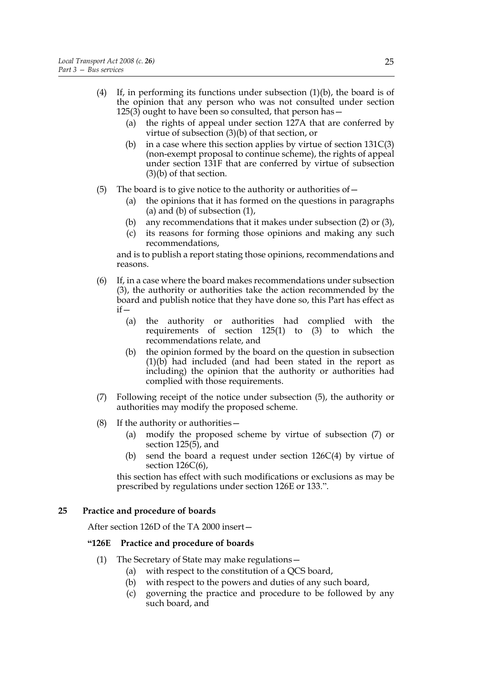- (4) If, in performing its functions under subsection  $(1)(b)$ , the board is of the opinion that any person who was not consulted under section  $125(3)$  ought to have been so consulted, that person has  $-$ 
	- (a) the rights of appeal under section 127A that are conferred by virtue of subsection (3)(b) of that section, or
	- (b) in a case where this section applies by virtue of section  $131C(3)$ (non-exempt proposal to continue scheme), the rights of appeal under section 131F that are conferred by virtue of subsection (3)(b) of that section.
- (5) The board is to give notice to the authority or authorities of—
	- (a) the opinions that it has formed on the questions in paragraphs (a) and (b) of subsection  $(1)$ ,
	- (b) any recommendations that it makes under subsection (2) or (3),
	- (c) its reasons for forming those opinions and making any such recommendations,

and is to publish a report stating those opinions, recommendations and reasons.

- (6) If, in a case where the board makes recommendations under subsection (3), the authority or authorities take the action recommended by the board and publish notice that they have done so, this Part has effect as  $if -$ 
	- (a) the authority or authorities had complied with the requirements of section  $125(1)$  to  $(3)$  to which the recommendations relate, and
	- (b) the opinion formed by the board on the question in subsection (1)(b) had included (and had been stated in the report as including) the opinion that the authority or authorities had complied with those requirements.
- (7) Following receipt of the notice under subsection (5), the authority or authorities may modify the proposed scheme.
- (8) If the authority or authorities—
	- (a) modify the proposed scheme by virtue of subsection (7) or section 125(5), and
	- (b) send the board a request under section 126C(4) by virtue of section 126C(6),

this section has effect with such modifications or exclusions as may be prescribed by regulations under section 126E or 133.".

# **25 Practice and procedure of boards**

After section 126D of the TA 2000 insert—

#### **"126E Practice and procedure of boards**

- (1) The Secretary of State may make regulations—
	- (a) with respect to the constitution of a QCS board,
	- (b) with respect to the powers and duties of any such board,
	- (c) governing the practice and procedure to be followed by any such board, and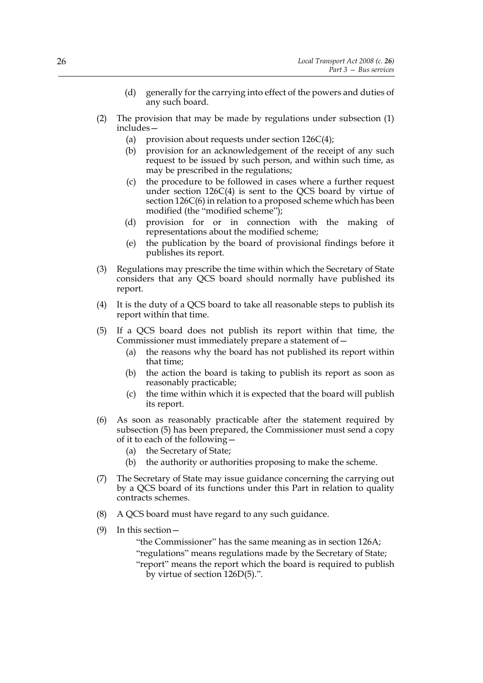- (d) generally for the carrying into effect of the powers and duties of any such board.
- (2) The provision that may be made by regulations under subsection (1) includes—
	- (a) provision about requests under section  $126C(4)$ ;
	- (b) provision for an acknowledgement of the receipt of any such request to be issued by such person, and within such time, as may be prescribed in the regulations;
	- (c) the procedure to be followed in cases where a further request under section 126C(4) is sent to the QCS board by virtue of section 126C(6) in relation to a proposed scheme which has been modified (the "modified scheme");
	- (d) provision for or in connection with the making of representations about the modified scheme;
	- (e) the publication by the board of provisional findings before it publishes its report.
- (3) Regulations may prescribe the time within which the Secretary of State considers that any QCS board should normally have published its report.
- (4) It is the duty of a QCS board to take all reasonable steps to publish its report within that time.
- (5) If a QCS board does not publish its report within that time, the Commissioner must immediately prepare a statement of—
	- (a) the reasons why the board has not published its report within that time;
	- (b) the action the board is taking to publish its report as soon as reasonably practicable;
	- (c) the time within which it is expected that the board will publish its report.
- (6) As soon as reasonably practicable after the statement required by subsection (5) has been prepared, the Commissioner must send a copy of it to each of the following—
	- (a) the Secretary of State;
	- (b) the authority or authorities proposing to make the scheme.
- (7) The Secretary of State may issue guidance concerning the carrying out by a QCS board of its functions under this Part in relation to quality contracts schemes.
- (8) A QCS board must have regard to any such guidance.
- (9) In this section—

"the Commissioner" has the same meaning as in section 126A; "regulations" means regulations made by the Secretary of State; "report" means the report which the board is required to publish by virtue of section 126D(5).".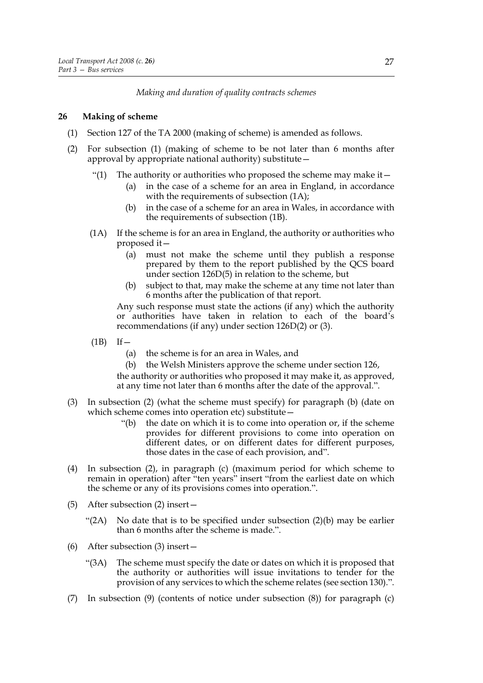# *Making and duration of quality contracts schemes*

# **26 Making of scheme**

- (1) Section 127 of the TA 2000 (making of scheme) is amended as follows.
- (2) For subsection (1) (making of scheme to be not later than 6 months after approval by appropriate national authority) substitute—
	- "(1) The authority or authorities who proposed the scheme may make it  $-$ 
		- (a) in the case of a scheme for an area in England, in accordance with the requirements of subsection  $(1A)$ ;
		- (b) in the case of a scheme for an area in Wales, in accordance with the requirements of subsection (1B).
	- (1A) If the scheme is for an area in England, the authority or authorities who proposed it—
		- (a) must not make the scheme until they publish a response prepared by them to the report published by the QCS board under section 126D(5) in relation to the scheme, but
		- (b) subject to that, may make the scheme at any time not later than 6 months after the publication of that report.

Any such response must state the actions (if any) which the authority or authorities have taken in relation to each of the board's recommendations (if any) under section 126D(2) or (3).

- $(1B)$  If  $-$ 
	- (a) the scheme is for an area in Wales, and
	- (b) the Welsh Ministers approve the scheme under section 126,

the authority or authorities who proposed it may make it, as approved, at any time not later than 6 months after the date of the approval.".

- (3) In subsection (2) (what the scheme must specify) for paragraph (b) (date on which scheme comes into operation etc) substitute—
	- "(b) the date on which it is to come into operation or, if the scheme provides for different provisions to come into operation on different dates, or on different dates for different purposes, those dates in the case of each provision, and".
- (4) In subsection (2), in paragraph (c) (maximum period for which scheme to remain in operation) after "ten years" insert "from the earliest date on which the scheme or any of its provisions comes into operation.".
- (5) After subsection (2) insert—
	- "(2A) No date that is to be specified under subsection  $(2)(b)$  may be earlier than 6 months after the scheme is made.".
- (6) After subsection (3) insert—
	- "(3A) The scheme must specify the date or dates on which it is proposed that the authority or authorities will issue invitations to tender for the provision of any services to which the scheme relates (see section 130).".
- (7) In subsection (9) (contents of notice under subsection (8)) for paragraph (c)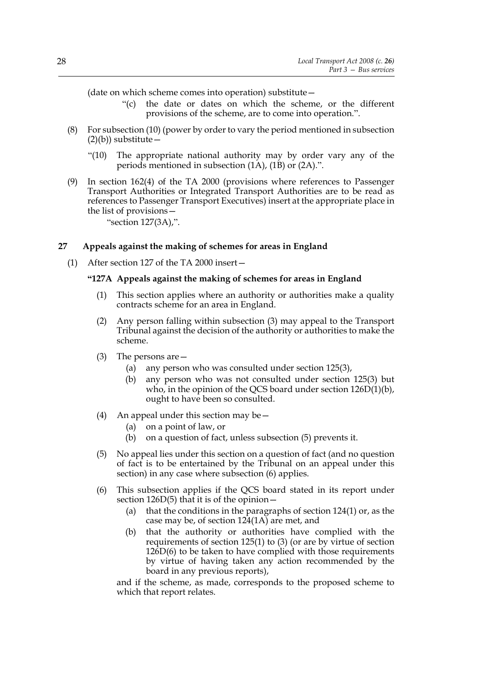(date on which scheme comes into operation) substitute—

- "(c) the date or dates on which the scheme, or the different provisions of the scheme, are to come into operation.".
- (8) For subsection (10) (power by order to vary the period mentioned in subsection  $(2)(b)$ ) substitute –
	- "(10) The appropriate national authority may by order vary any of the periods mentioned in subsection (1A), (1B) or (2A).".
- (9) In section 162(4) of the TA 2000 (provisions where references to Passenger Transport Authorities or Integrated Transport Authorities are to be read as references to Passenger Transport Executives) insert at the appropriate place in the list of provisions—
	- "section 127(3A),".

# **27 Appeals against the making of schemes for areas in England**

(1) After section 127 of the TA 2000 insert—

#### **"127A Appeals against the making of schemes for areas in England**

- (1) This section applies where an authority or authorities make a quality contracts scheme for an area in England.
- (2) Any person falling within subsection (3) may appeal to the Transport Tribunal against the decision of the authority or authorities to make the scheme.
- (3) The persons are—
	- (a) any person who was consulted under section 125(3),
	- (b) any person who was not consulted under section 125(3) but who, in the opinion of the QCS board under section 126D(1)(b), ought to have been so consulted.
- (4) An appeal under this section may be  $-$ 
	- (a) on a point of law, or
	- (b) on a question of fact, unless subsection (5) prevents it.
- (5) No appeal lies under this section on a question of fact (and no question of fact is to be entertained by the Tribunal on an appeal under this section) in any case where subsection (6) applies.
- (6) This subsection applies if the QCS board stated in its report under section 126D(5) that it is of the opinion—
	- (a) that the conditions in the paragraphs of section 124(1) or, as the case may be, of section 124(1A) are met, and
	- (b) that the authority or authorities have complied with the requirements of section 125(1) to (3) (or are by virtue of section 126D(6) to be taken to have complied with those requirements by virtue of having taken any action recommended by the board in any previous reports),

and if the scheme, as made, corresponds to the proposed scheme to which that report relates.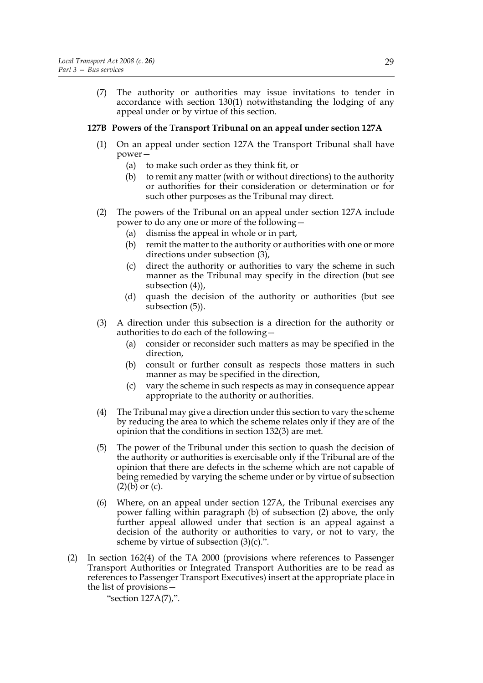(7) The authority or authorities may issue invitations to tender in accordance with section 130(1) notwithstanding the lodging of any appeal under or by virtue of this section.

#### **127B Powers of the Transport Tribunal on an appeal under section 127A**

- (1) On an appeal under section 127A the Transport Tribunal shall have power—
	- (a) to make such order as they think fit, or
	- (b) to remit any matter (with or without directions) to the authority or authorities for their consideration or determination or for such other purposes as the Tribunal may direct.
- (2) The powers of the Tribunal on an appeal under section 127A include power to do any one or more of the following—
	- (a) dismiss the appeal in whole or in part,
	- (b) remit the matter to the authority or authorities with one or more directions under subsection (3),
	- (c) direct the authority or authorities to vary the scheme in such manner as the Tribunal may specify in the direction (but see subsection (4)),
	- (d) quash the decision of the authority or authorities (but see subsection (5)).
- (3) A direction under this subsection is a direction for the authority or authorities to do each of the following—
	- (a) consider or reconsider such matters as may be specified in the direction,
	- (b) consult or further consult as respects those matters in such manner as may be specified in the direction,
	- (c) vary the scheme in such respects as may in consequence appear appropriate to the authority or authorities.
- (4) The Tribunal may give a direction under this section to vary the scheme by reducing the area to which the scheme relates only if they are of the opinion that the conditions in section 132(3) are met.
- (5) The power of the Tribunal under this section to quash the decision of the authority or authorities is exercisable only if the Tribunal are of the opinion that there are defects in the scheme which are not capable of being remedied by varying the scheme under or by virtue of subsection  $(2)(b)$  or  $(c)$ .
- (6) Where, on an appeal under section 127A, the Tribunal exercises any power falling within paragraph (b) of subsection (2) above, the only further appeal allowed under that section is an appeal against a decision of the authority or authorities to vary, or not to vary, the scheme by virtue of subsection  $(3)(c)$ .".
- (2) In section 162(4) of the TA 2000 (provisions where references to Passenger Transport Authorities or Integrated Transport Authorities are to be read as references to Passenger Transport Executives) insert at the appropriate place in the list of provisions—

"section 127A(7),".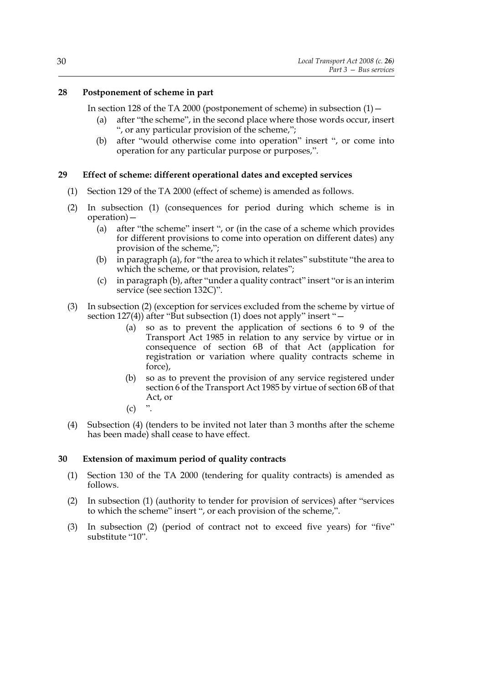# **28 Postponement of scheme in part**

In section 128 of the TA 2000 (postponement of scheme) in subsection  $(1)$  -

- (a) after "the scheme", in the second place where those words occur, insert ", or any particular provision of the scheme,";
- (b) after "would otherwise come into operation" insert ", or come into operation for any particular purpose or purposes,".

# **29 Effect of scheme: different operational dates and excepted services**

- (1) Section 129 of the TA 2000 (effect of scheme) is amended as follows.
- (2) In subsection (1) (consequences for period during which scheme is in operation)—
	- (a) after "the scheme" insert ", or (in the case of a scheme which provides for different provisions to come into operation on different dates) any provision of the scheme,";
	- (b) in paragraph (a), for "the area to which it relates" substitute "the area to which the scheme, or that provision, relates";
	- (c) in paragraph (b), after "under a quality contract" insert "or is an interim service (see section 132C)".
- (3) In subsection (2) (exception for services excluded from the scheme by virtue of section 127(4)) after "But subsection (1) does not apply" insert "—
	- (a) so as to prevent the application of sections 6 to 9 of the Transport Act 1985 in relation to any service by virtue or in consequence of section 6B of that Act (application for registration or variation where quality contracts scheme in force),
	- (b) so as to prevent the provision of any service registered under section 6 of the Transport Act 1985 by virtue of section 6B of that Act, or
	- $(c)$  ".
- (4) Subsection (4) (tenders to be invited not later than 3 months after the scheme has been made) shall cease to have effect.

### **30 Extension of maximum period of quality contracts**

- (1) Section 130 of the TA 2000 (tendering for quality contracts) is amended as follows.
- (2) In subsection (1) (authority to tender for provision of services) after "services to which the scheme" insert ", or each provision of the scheme,".
- (3) In subsection (2) (period of contract not to exceed five years) for "five" substitute "10".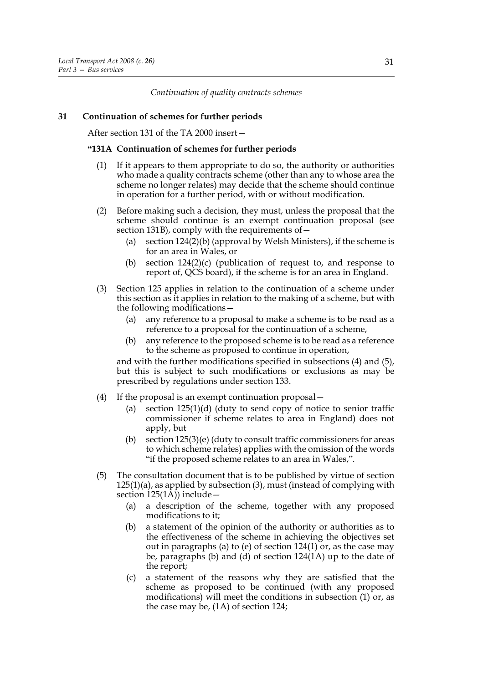### *Continuation of quality contracts schemes*

### **31 Continuation of schemes for further periods**

After section 131 of the TA 2000 insert—

#### **"131A Continuation of schemes for further periods**

- (1) If it appears to them appropriate to do so, the authority or authorities who made a quality contracts scheme (other than any to whose area the scheme no longer relates) may decide that the scheme should continue in operation for a further period, with or without modification.
- (2) Before making such a decision, they must, unless the proposal that the scheme should continue is an exempt continuation proposal (see section 131B), comply with the requirements of—
	- (a) section 124(2)(b) (approval by Welsh Ministers), if the scheme is for an area in Wales, or
	- (b) section 124(2)(c) (publication of request to, and response to report of, QCS board), if the scheme is for an area in England.
- (3) Section 125 applies in relation to the continuation of a scheme under this section as it applies in relation to the making of a scheme, but with the following modifications—
	- (a) any reference to a proposal to make a scheme is to be read as a reference to a proposal for the continuation of a scheme,
	- (b) any reference to the proposed scheme is to be read as a reference to the scheme as proposed to continue in operation,

and with the further modifications specified in subsections (4) and (5), but this is subject to such modifications or exclusions as may be prescribed by regulations under section 133.

- (4) If the proposal is an exempt continuation proposal—
	- (a) section 125(1)(d) (duty to send copy of notice to senior traffic commissioner if scheme relates to area in England) does not apply, but
	- (b) section 125(3)(e) (duty to consult traffic commissioners for areas to which scheme relates) applies with the omission of the words "if the proposed scheme relates to an area in Wales,".
- (5) The consultation document that is to be published by virtue of section 125(1)(a), as applied by subsection (3), must (instead of complying with section  $125(1\overline{A})$  include –
	- (a) a description of the scheme, together with any proposed modifications to it;
	- (b) a statement of the opinion of the authority or authorities as to the effectiveness of the scheme in achieving the objectives set out in paragraphs (a) to (e) of section  $124(1)$  or, as the case may be, paragraphs (b) and (d) of section  $124(1A)$  up to the date of the report;
	- (c) a statement of the reasons why they are satisfied that the scheme as proposed to be continued (with any proposed modifications) will meet the conditions in subsection (1) or, as the case may be, (1A) of section 124;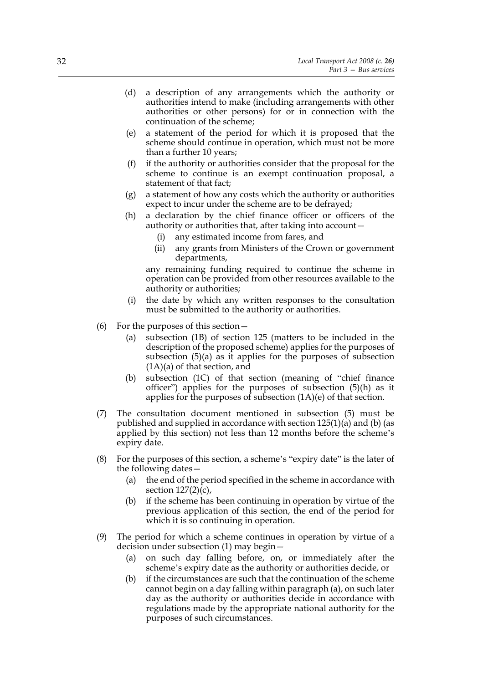- (d) a description of any arrangements which the authority or authorities intend to make (including arrangements with other authorities or other persons) for or in connection with the continuation of the scheme;
- (e) a statement of the period for which it is proposed that the scheme should continue in operation, which must not be more than a further 10 years;
- (f) if the authority or authorities consider that the proposal for the scheme to continue is an exempt continuation proposal, a statement of that fact;
- (g) a statement of how any costs which the authority or authorities expect to incur under the scheme are to be defrayed;
- (h) a declaration by the chief finance officer or officers of the authority or authorities that, after taking into account—
	- (i) any estimated income from fares, and
	- (ii) any grants from Ministers of the Crown or government departments,

any remaining funding required to continue the scheme in operation can be provided from other resources available to the authority or authorities;

- (i) the date by which any written responses to the consultation must be submitted to the authority or authorities.
- (6) For the purposes of this section—
	- (a) subsection (1B) of section 125 (matters to be included in the description of the proposed scheme) applies for the purposes of subsection (5)(a) as it applies for the purposes of subsection (1A)(a) of that section, and
	- (b) subsection (1C) of that section (meaning of "chief finance officer") applies for the purposes of subsection (5)(h) as it applies for the purposes of subsection  $(1A)(e)$  of that section.
- (7) The consultation document mentioned in subsection (5) must be published and supplied in accordance with section 125(1)(a) and (b) (as applied by this section) not less than 12 months before the scheme's expiry date.
- (8) For the purposes of this section, a scheme's "expiry date" is the later of the following dates—
	- (a) the end of the period specified in the scheme in accordance with section  $127(2)(c)$ ,
	- (b) if the scheme has been continuing in operation by virtue of the previous application of this section, the end of the period for which it is so continuing in operation.
- (9) The period for which a scheme continues in operation by virtue of a decision under subsection (1) may begin—
	- (a) on such day falling before, on, or immediately after the scheme's expiry date as the authority or authorities decide, or
	- (b) if the circumstances are such that the continuation of the scheme cannot begin on a day falling within paragraph (a), on such later day as the authority or authorities decide in accordance with regulations made by the appropriate national authority for the purposes of such circumstances.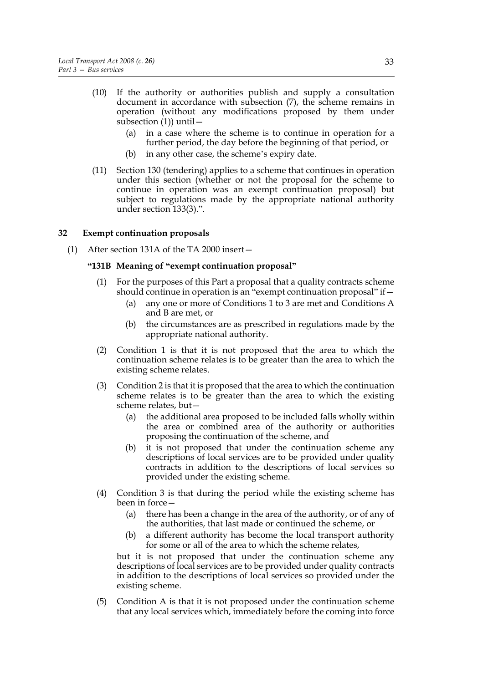- (10) If the authority or authorities publish and supply a consultation document in accordance with subsection (7), the scheme remains in operation (without any modifications proposed by them under subsection  $(1)$ ) until -
	- (a) in a case where the scheme is to continue in operation for a further period, the day before the beginning of that period, or
	- (b) in any other case, the scheme's expiry date.
- (11) Section 130 (tendering) applies to a scheme that continues in operation under this section (whether or not the proposal for the scheme to continue in operation was an exempt continuation proposal) but subject to regulations made by the appropriate national authority under section 133(3).".

#### **32 Exempt continuation proposals**

(1) After section 131A of the TA 2000 insert—

#### **"131B Meaning of "exempt continuation proposal"**

- (1) For the purposes of this Part a proposal that a quality contracts scheme should continue in operation is an "exempt continuation proposal" if—
	- (a) any one or more of Conditions 1 to 3 are met and Conditions A and B are met, or
	- (b) the circumstances are as prescribed in regulations made by the appropriate national authority.
- (2) Condition 1 is that it is not proposed that the area to which the continuation scheme relates is to be greater than the area to which the existing scheme relates.
- (3) Condition 2 is that it is proposed that the area to which the continuation scheme relates is to be greater than the area to which the existing scheme relates, but—
	- (a) the additional area proposed to be included falls wholly within the area or combined area of the authority or authorities proposing the continuation of the scheme, and
	- (b) it is not proposed that under the continuation scheme any descriptions of local services are to be provided under quality contracts in addition to the descriptions of local services so provided under the existing scheme.
- (4) Condition 3 is that during the period while the existing scheme has been in force—
	- (a) there has been a change in the area of the authority, or of any of the authorities, that last made or continued the scheme, or
	- (b) a different authority has become the local transport authority for some or all of the area to which the scheme relates,

but it is not proposed that under the continuation scheme any descriptions of local services are to be provided under quality contracts in addition to the descriptions of local services so provided under the existing scheme.

(5) Condition A is that it is not proposed under the continuation scheme that any local services which, immediately before the coming into force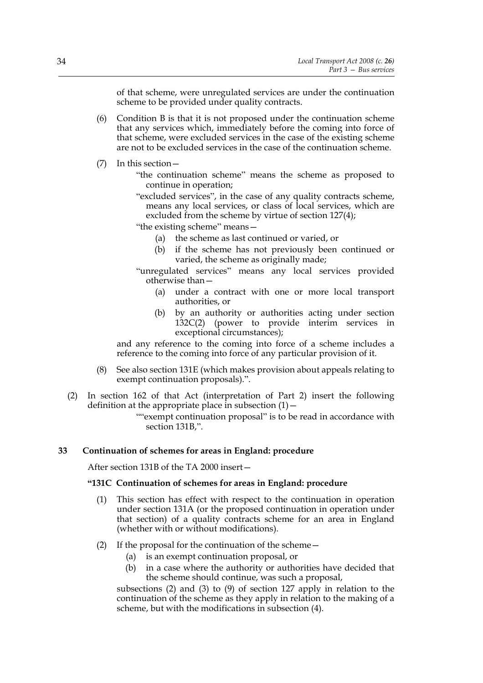of that scheme, were unregulated services are under the continuation scheme to be provided under quality contracts.

- (6) Condition B is that it is not proposed under the continuation scheme that any services which, immediately before the coming into force of that scheme, were excluded services in the case of the existing scheme are not to be excluded services in the case of the continuation scheme.
- (7) In this section—
	- "the continuation scheme" means the scheme as proposed to continue in operation;
	- "excluded services", in the case of any quality contracts scheme, means any local services, or class of local services, which are excluded from the scheme by virtue of section 127(4);

"the existing scheme" means—

- (a) the scheme as last continued or varied, or
- (b) if the scheme has not previously been continued or varied, the scheme as originally made;
- "unregulated services" means any local services provided otherwise than—
	- (a) under a contract with one or more local transport authorities, or
	- (b) by an authority or authorities acting under section 132C(2) (power to provide interim services in exceptional circumstances);

and any reference to the coming into force of a scheme includes a reference to the coming into force of any particular provision of it.

- (8) See also section 131E (which makes provision about appeals relating to exempt continuation proposals).".
- (2) In section 162 of that Act (interpretation of Part 2) insert the following definition at the appropriate place in subsection  $(1)$  –

""exempt continuation proposal" is to be read in accordance with section 131B,".

#### **33 Continuation of schemes for areas in England: procedure**

After section 131B of the TA 2000 insert—

# **"131C Continuation of schemes for areas in England: procedure**

- (1) This section has effect with respect to the continuation in operation under section 131A (or the proposed continuation in operation under that section) of a quality contracts scheme for an area in England (whether with or without modifications).
- (2) If the proposal for the continuation of the scheme—
	- (a) is an exempt continuation proposal, or
	- (b) in a case where the authority or authorities have decided that the scheme should continue, was such a proposal,

subsections (2) and (3) to (9) of section 127 apply in relation to the continuation of the scheme as they apply in relation to the making of a scheme, but with the modifications in subsection (4).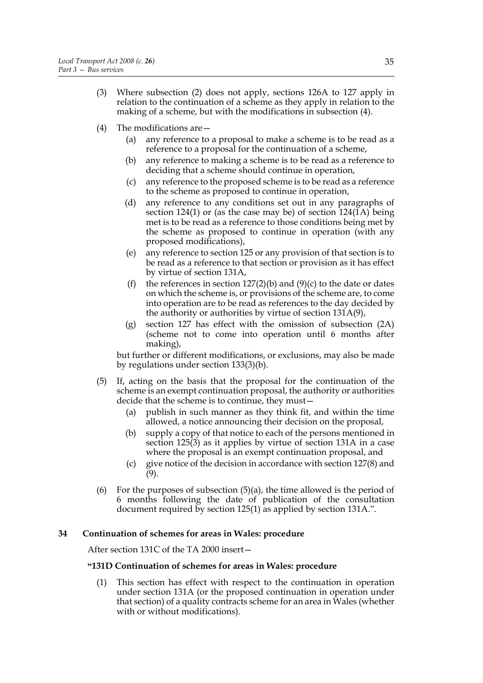- (3) Where subsection (2) does not apply, sections 126A to 127 apply in relation to the continuation of a scheme as they apply in relation to the making of a scheme, but with the modifications in subsection (4).
- (4) The modifications are—
	- (a) any reference to a proposal to make a scheme is to be read as a reference to a proposal for the continuation of a scheme,
	- (b) any reference to making a scheme is to be read as a reference to deciding that a scheme should continue in operation,
	- (c) any reference to the proposed scheme is to be read as a reference to the scheme as proposed to continue in operation,
	- (d) any reference to any conditions set out in any paragraphs of section 124(1) or (as the case may be) of section  $124(1)$  being met is to be read as a reference to those conditions being met by the scheme as proposed to continue in operation (with any proposed modifications),
	- (e) any reference to section 125 or any provision of that section is to be read as a reference to that section or provision as it has effect by virtue of section 131A,
	- (f) the references in section  $127(2)(b)$  and  $(9)(c)$  to the date or dates on which the scheme is, or provisions of the scheme are, to come into operation are to be read as references to the day decided by the authority or authorities by virtue of section 131A(9),
	- (g) section 127 has effect with the omission of subsection (2A) (scheme not to come into operation until 6 months after making),

but further or different modifications, or exclusions, may also be made by regulations under section 133(3)(b).

- (5) If, acting on the basis that the proposal for the continuation of the scheme is an exempt continuation proposal, the authority or authorities decide that the scheme is to continue, they must—
	- (a) publish in such manner as they think fit, and within the time allowed, a notice announcing their decision on the proposal,
	- (b) supply a copy of that notice to each of the persons mentioned in section 125(3) as it applies by virtue of section 131A in a case where the proposal is an exempt continuation proposal, and
	- (c) give notice of the decision in accordance with section 127(8) and  $(9)$ .
- (6) For the purposes of subsection  $(5)(a)$ , the time allowed is the period of 6 months following the date of publication of the consultation document required by section 125(1) as applied by section 131A.".

### **34 Continuation of schemes for areas in Wales: procedure**

After section 131C of the TA 2000 insert—

### **"131D Continuation of schemes for areas in Wales: procedure**

(1) This section has effect with respect to the continuation in operation under section 131A (or the proposed continuation in operation under that section) of a quality contracts scheme for an area in Wales (whether with or without modifications).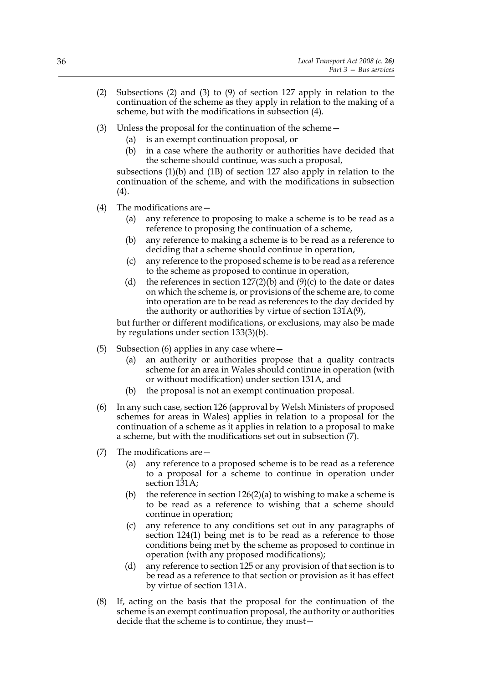- (2) Subsections (2) and (3) to (9) of section 127 apply in relation to the continuation of the scheme as they apply in relation to the making of a scheme, but with the modifications in subsection (4).
- (3) Unless the proposal for the continuation of the scheme—
	- (a) is an exempt continuation proposal, or
	- (b) in a case where the authority or authorities have decided that the scheme should continue, was such a proposal,

subsections (1)(b) and (1B) of section 127 also apply in relation to the continuation of the scheme, and with the modifications in subsection  $(4).$ 

- (4) The modifications are—
	- (a) any reference to proposing to make a scheme is to be read as a reference to proposing the continuation of a scheme,
	- (b) any reference to making a scheme is to be read as a reference to deciding that a scheme should continue in operation,
	- (c) any reference to the proposed scheme is to be read as a reference to the scheme as proposed to continue in operation,
	- (d) the references in section  $127(2)(b)$  and  $(9)(c)$  to the date or dates on which the scheme is, or provisions of the scheme are, to come into operation are to be read as references to the day decided by the authority or authorities by virtue of section 131A(9),

but further or different modifications, or exclusions, may also be made by regulations under section 133(3)(b).

- (5) Subsection (6) applies in any case where—
	- (a) an authority or authorities propose that a quality contracts scheme for an area in Wales should continue in operation (with or without modification) under section 131A, and
	- (b) the proposal is not an exempt continuation proposal.
- (6) In any such case, section 126 (approval by Welsh Ministers of proposed schemes for areas in Wales) applies in relation to a proposal for the continuation of a scheme as it applies in relation to a proposal to make a scheme, but with the modifications set out in subsection (7).
- (7) The modifications are—
	- (a) any reference to a proposed scheme is to be read as a reference to a proposal for a scheme to continue in operation under section 131A;
	- (b) the reference in section  $126(2)(a)$  to wishing to make a scheme is to be read as a reference to wishing that a scheme should continue in operation;
	- (c) any reference to any conditions set out in any paragraphs of section 124(1) being met is to be read as a reference to those conditions being met by the scheme as proposed to continue in operation (with any proposed modifications);
	- (d) any reference to section 125 or any provision of that section is to be read as a reference to that section or provision as it has effect by virtue of section 131A.
- (8) If, acting on the basis that the proposal for the continuation of the scheme is an exempt continuation proposal, the authority or authorities decide that the scheme is to continue, they must—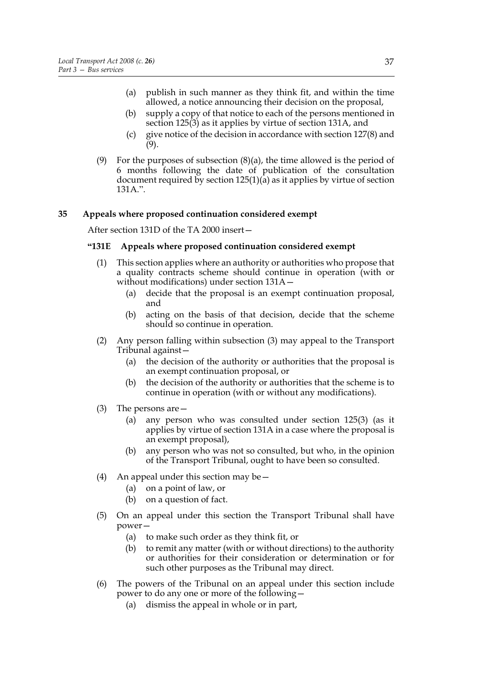- (a) publish in such manner as they think fit, and within the time allowed, a notice announcing their decision on the proposal,
- (b) supply a copy of that notice to each of the persons mentioned in section 125(3) as it applies by virtue of section 131A, and
- (c) give notice of the decision in accordance with section 127(8) and (9).
- (9) For the purposes of subsection  $(8)(a)$ , the time allowed is the period of 6 months following the date of publication of the consultation document required by section 125(1)(a) as it applies by virtue of section 131A.".

#### **35 Appeals where proposed continuation considered exempt**

After section 131D of the TA 2000 insert—

#### **"131E Appeals where proposed continuation considered exempt**

- (1) This section applies where an authority or authorities who propose that a quality contracts scheme should continue in operation (with or without modifications) under section 131A—
	- (a) decide that the proposal is an exempt continuation proposal, and
	- (b) acting on the basis of that decision, decide that the scheme should so continue in operation.
- (2) Any person falling within subsection (3) may appeal to the Transport Tribunal against—
	- (a) the decision of the authority or authorities that the proposal is an exempt continuation proposal, or
	- (b) the decision of the authority or authorities that the scheme is to continue in operation (with or without any modifications).
- (3) The persons are—
	- (a) any person who was consulted under section 125(3) (as it applies by virtue of section 131A in a case where the proposal is an exempt proposal),
	- (b) any person who was not so consulted, but who, in the opinion of the Transport Tribunal, ought to have been so consulted.
- (4) An appeal under this section may be  $-$ 
	- (a) on a point of law, or
	- (b) on a question of fact.
- (5) On an appeal under this section the Transport Tribunal shall have power—
	- (a) to make such order as they think fit, or
	- (b) to remit any matter (with or without directions) to the authority or authorities for their consideration or determination or for such other purposes as the Tribunal may direct.
- (6) The powers of the Tribunal on an appeal under this section include power to do any one or more of the following—
	- (a) dismiss the appeal in whole or in part,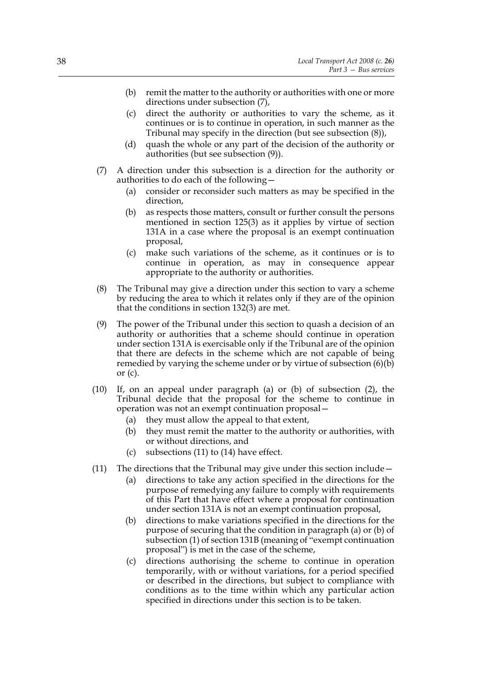- (b) remit the matter to the authority or authorities with one or more directions under subsection  $(7)$ ,
- (c) direct the authority or authorities to vary the scheme, as it continues or is to continue in operation, in such manner as the Tribunal may specify in the direction (but see subsection (8)),
- (d) quash the whole or any part of the decision of the authority or authorities (but see subsection (9)).
- (7) A direction under this subsection is a direction for the authority or authorities to do each of the following—
	- (a) consider or reconsider such matters as may be specified in the direction,
	- (b) as respects those matters, consult or further consult the persons mentioned in section 125(3) as it applies by virtue of section 131A in a case where the proposal is an exempt continuation proposal,
	- (c) make such variations of the scheme, as it continues or is to continue in operation, as may in consequence appear appropriate to the authority or authorities.
- (8) The Tribunal may give a direction under this section to vary a scheme by reducing the area to which it relates only if they are of the opinion that the conditions in section 132(3) are met.
- (9) The power of the Tribunal under this section to quash a decision of an authority or authorities that a scheme should continue in operation under section 131A is exercisable only if the Tribunal are of the opinion that there are defects in the scheme which are not capable of being remedied by varying the scheme under or by virtue of subsection (6)(b) or  $(c)$ .
- (10) If, on an appeal under paragraph (a) or (b) of subsection (2), the Tribunal decide that the proposal for the scheme to continue in operation was not an exempt continuation proposal—
	- (a) they must allow the appeal to that extent,
	- (b) they must remit the matter to the authority or authorities, with or without directions, and
	- (c) subsections (11) to (14) have effect.
- (11) The directions that the Tribunal may give under this section include  $-$ 
	- (a) directions to take any action specified in the directions for the purpose of remedying any failure to comply with requirements of this Part that have effect where a proposal for continuation under section 131A is not an exempt continuation proposal,
	- (b) directions to make variations specified in the directions for the purpose of securing that the condition in paragraph (a) or (b) of subsection (1) of section 131B (meaning of "exempt continuation proposal") is met in the case of the scheme,
	- (c) directions authorising the scheme to continue in operation temporarily, with or without variations, for a period specified or described in the directions, but subject to compliance with conditions as to the time within which any particular action specified in directions under this section is to be taken.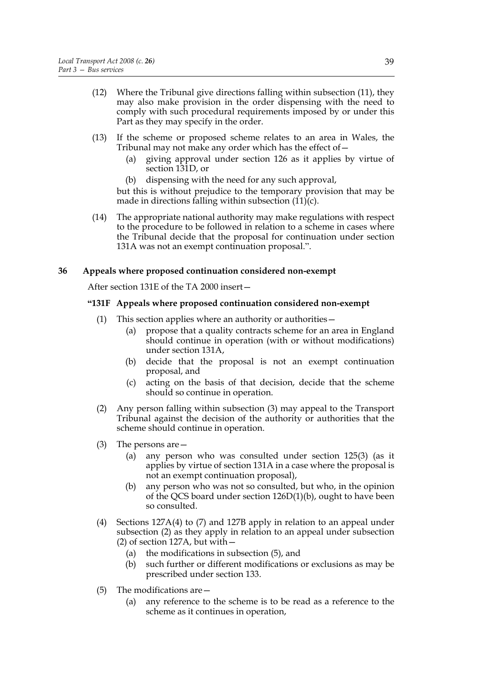- (12) Where the Tribunal give directions falling within subsection (11), they may also make provision in the order dispensing with the need to comply with such procedural requirements imposed by or under this Part as they may specify in the order.
- (13) If the scheme or proposed scheme relates to an area in Wales, the Tribunal may not make any order which has the effect of  $-$ 
	- (a) giving approval under section 126 as it applies by virtue of section 131D, or
	- (b) dispensing with the need for any such approval,

but this is without prejudice to the temporary provision that may be made in directions falling within subsection  $(11)(c)$ .

(14) The appropriate national authority may make regulations with respect to the procedure to be followed in relation to a scheme in cases where the Tribunal decide that the proposal for continuation under section 131A was not an exempt continuation proposal.".

#### **36 Appeals where proposed continuation considered non-exempt**

After section 131E of the TA 2000 insert—

#### **"131F Appeals where proposed continuation considered non-exempt**

- (1) This section applies where an authority or authorities—
	- (a) propose that a quality contracts scheme for an area in England should continue in operation (with or without modifications) under section 131A,
	- (b) decide that the proposal is not an exempt continuation proposal, and
	- (c) acting on the basis of that decision, decide that the scheme should so continue in operation.
- (2) Any person falling within subsection (3) may appeal to the Transport Tribunal against the decision of the authority or authorities that the scheme should continue in operation.
- (3) The persons are—
	- (a) any person who was consulted under section 125(3) (as it applies by virtue of section 131A in a case where the proposal is not an exempt continuation proposal),
	- (b) any person who was not so consulted, but who, in the opinion of the QCS board under section 126D(1)(b), ought to have been so consulted.
- (4) Sections 127A(4) to (7) and 127B apply in relation to an appeal under subsection (2) as they apply in relation to an appeal under subsection (2) of section 127A, but with—
	- (a) the modifications in subsection (5), and
	- (b) such further or different modifications or exclusions as may be prescribed under section 133.
- (5) The modifications are—
	- (a) any reference to the scheme is to be read as a reference to the scheme as it continues in operation,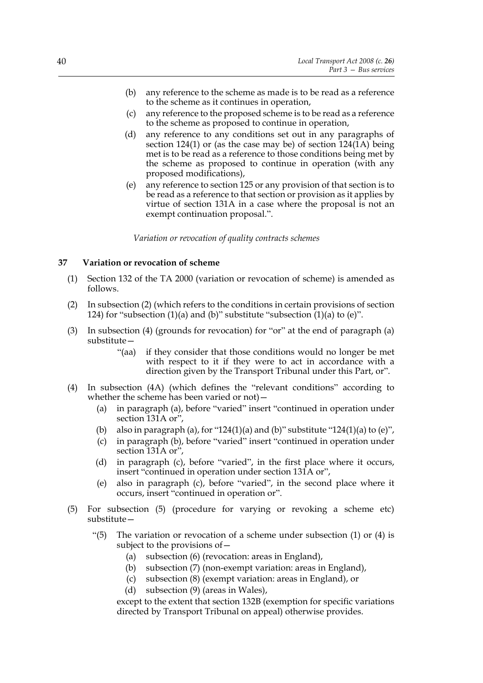- (b) any reference to the scheme as made is to be read as a reference to the scheme as it continues in operation,
- (c) any reference to the proposed scheme is to be read as a reference to the scheme as proposed to continue in operation,
- (d) any reference to any conditions set out in any paragraphs of section 124(1) or (as the case may be) of section  $124(1)$  being met is to be read as a reference to those conditions being met by the scheme as proposed to continue in operation (with any proposed modifications),
- (e) any reference to section 125 or any provision of that section is to be read as a reference to that section or provision as it applies by virtue of section 131A in a case where the proposal is not an exempt continuation proposal.".

*Variation or revocation of quality contracts schemes*

# **37 Variation or revocation of scheme**

- (1) Section 132 of the TA 2000 (variation or revocation of scheme) is amended as follows.
- (2) In subsection (2) (which refers to the conditions in certain provisions of section 124) for "subsection (1)(a) and (b)" substitute "subsection  $(1)(a)$  to (e)".
- (3) In subsection (4) (grounds for revocation) for "or" at the end of paragraph (a) substitute—
	- "(aa) if they consider that those conditions would no longer be met with respect to it if they were to act in accordance with a direction given by the Transport Tribunal under this Part, or".
- (4) In subsection (4A) (which defines the "relevant conditions" according to whether the scheme has been varied or not)—
	- (a) in paragraph (a), before "varied" insert "continued in operation under section 131A or",
	- (b) also in paragraph (a), for "124(1)(a) and (b)" substitute "124(1)(a) to (e)",
	- (c) in paragraph (b), before "varied" insert "continued in operation under section 131A or",
	- (d) in paragraph (c), before "varied", in the first place where it occurs, insert "continued in operation under section 131A or",
	- (e) also in paragraph (c), before "varied", in the second place where it occurs, insert "continued in operation or".
- (5) For subsection (5) (procedure for varying or revoking a scheme etc) substitute—
	- "(5) The variation or revocation of a scheme under subsection  $(1)$  or  $(4)$  is subject to the provisions of—
		- (a) subsection (6) (revocation: areas in England),
		- (b) subsection (7) (non-exempt variation: areas in England),
		- (c) subsection (8) (exempt variation: areas in England), or
		- (d) subsection (9) (areas in Wales),

except to the extent that section 132B (exemption for specific variations directed by Transport Tribunal on appeal) otherwise provides.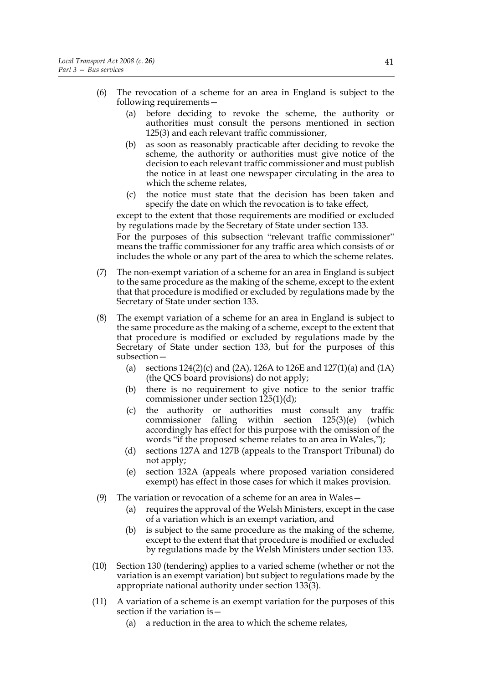- (6) The revocation of a scheme for an area in England is subject to the following requirements—
	- (a) before deciding to revoke the scheme, the authority or authorities must consult the persons mentioned in section 125(3) and each relevant traffic commissioner,
	- (b) as soon as reasonably practicable after deciding to revoke the scheme, the authority or authorities must give notice of the decision to each relevant traffic commissioner and must publish the notice in at least one newspaper circulating in the area to which the scheme relates,
	- (c) the notice must state that the decision has been taken and specify the date on which the revocation is to take effect,

except to the extent that those requirements are modified or excluded by regulations made by the Secretary of State under section 133.

For the purposes of this subsection "relevant traffic commissioner" means the traffic commissioner for any traffic area which consists of or includes the whole or any part of the area to which the scheme relates.

- (7) The non-exempt variation of a scheme for an area in England is subject to the same procedure as the making of the scheme, except to the extent that that procedure is modified or excluded by regulations made by the Secretary of State under section 133.
- (8) The exempt variation of a scheme for an area in England is subject to the same procedure as the making of a scheme, except to the extent that that procedure is modified or excluded by regulations made by the Secretary of State under section 133, but for the purposes of this subsection—
	- (a) sections 124(2)(c) and (2A), 126A to 126E and 127(1)(a) and (1A) (the QCS board provisions) do not apply;
	- (b) there is no requirement to give notice to the senior traffic commissioner under section 125(1)(d);
	- (c) the authority or authorities must consult any traffic commissioner falling within section 125(3)(e) (which accordingly has effect for this purpose with the omission of the words "if the proposed scheme relates to an area in Wales,");
	- (d) sections 127A and 127B (appeals to the Transport Tribunal) do not apply;
	- (e) section 132A (appeals where proposed variation considered exempt) has effect in those cases for which it makes provision.
- (9) The variation or revocation of a scheme for an area in Wales—
	- (a) requires the approval of the Welsh Ministers, except in the case of a variation which is an exempt variation, and
	- (b) is subject to the same procedure as the making of the scheme, except to the extent that that procedure is modified or excluded by regulations made by the Welsh Ministers under section 133.
- (10) Section 130 (tendering) applies to a varied scheme (whether or not the variation is an exempt variation) but subject to regulations made by the appropriate national authority under section 133(3).
- (11) A variation of a scheme is an exempt variation for the purposes of this section if the variation is—
	- (a) a reduction in the area to which the scheme relates,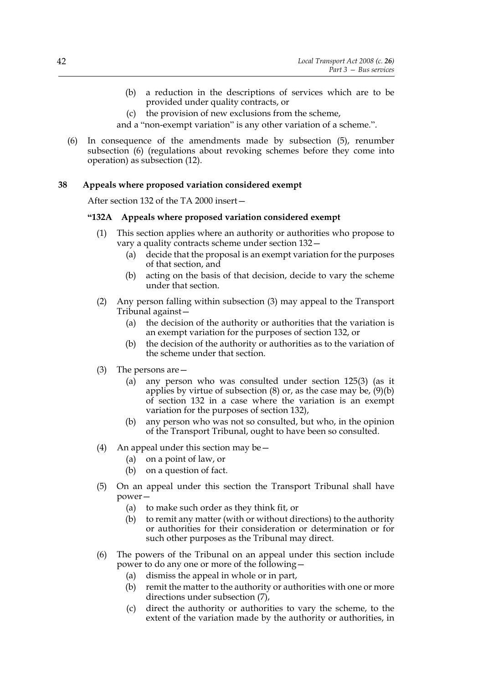- (b) a reduction in the descriptions of services which are to be provided under quality contracts, or
- (c) the provision of new exclusions from the scheme,
- and a "non-exempt variation" is any other variation of a scheme.".
- (6) In consequence of the amendments made by subsection (5), renumber subsection (6) (regulations about revoking schemes before they come into operation) as subsection (12).

### **38 Appeals where proposed variation considered exempt**

After section 132 of the TA 2000 insert—

# **"132A Appeals where proposed variation considered exempt**

- (1) This section applies where an authority or authorities who propose to vary a quality contracts scheme under section 132—
	- (a) decide that the proposal is an exempt variation for the purposes of that section, and
	- (b) acting on the basis of that decision, decide to vary the scheme under that section.
- (2) Any person falling within subsection (3) may appeal to the Transport Tribunal against—
	- (a) the decision of the authority or authorities that the variation is an exempt variation for the purposes of section 132, or
	- (b) the decision of the authority or authorities as to the variation of the scheme under that section.
- (3) The persons are—
	- (a) any person who was consulted under section 125(3) (as it applies by virtue of subsection  $(8)$  or, as the case may be,  $(9)(b)$ of section 132 in a case where the variation is an exempt variation for the purposes of section 132),
	- (b) any person who was not so consulted, but who, in the opinion of the Transport Tribunal, ought to have been so consulted.
- (4) An appeal under this section may be  $-$ 
	- (a) on a point of law, or
	- (b) on a question of fact.
- (5) On an appeal under this section the Transport Tribunal shall have power—
	- (a) to make such order as they think fit, or
	- (b) to remit any matter (with or without directions) to the authority or authorities for their consideration or determination or for such other purposes as the Tribunal may direct.
- (6) The powers of the Tribunal on an appeal under this section include power to do any one or more of the following—
	- (a) dismiss the appeal in whole or in part,
	- (b) remit the matter to the authority or authorities with one or more directions under subsection (7),
	- (c) direct the authority or authorities to vary the scheme, to the extent of the variation made by the authority or authorities, in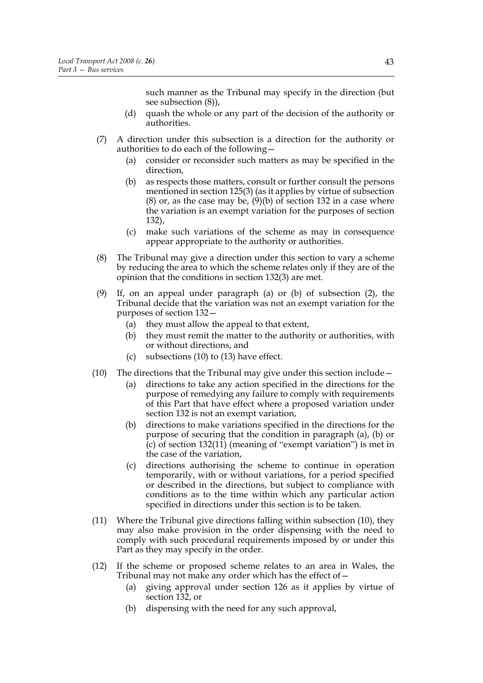such manner as the Tribunal may specify in the direction (but see subsection (8)),

- (d) quash the whole or any part of the decision of the authority or authorities.
- (7) A direction under this subsection is a direction for the authority or authorities to do each of the following—
	- (a) consider or reconsider such matters as may be specified in the direction,
	- (b) as respects those matters, consult or further consult the persons mentioned in section 125(3) (as it applies by virtue of subsection  $(8)$  or, as the case may be,  $(9)(b)$  of section 132 in a case where the variation is an exempt variation for the purposes of section 132),
	- (c) make such variations of the scheme as may in consequence appear appropriate to the authority or authorities.
- (8) The Tribunal may give a direction under this section to vary a scheme by reducing the area to which the scheme relates only if they are of the opinion that the conditions in section 132(3) are met.
- (9) If, on an appeal under paragraph (a) or (b) of subsection (2), the Tribunal decide that the variation was not an exempt variation for the purposes of section 132—
	- (a) they must allow the appeal to that extent,
	- (b) they must remit the matter to the authority or authorities, with or without directions, and
	- (c) subsections (10) to (13) have effect.
- (10) The directions that the Tribunal may give under this section include—
	- (a) directions to take any action specified in the directions for the purpose of remedying any failure to comply with requirements of this Part that have effect where a proposed variation under section 132 is not an exempt variation,
	- (b) directions to make variations specified in the directions for the purpose of securing that the condition in paragraph (a), (b) or  $(c)$  of section 132(11) (meaning of "exempt variation") is met in the case of the variation,
	- (c) directions authorising the scheme to continue in operation temporarily, with or without variations, for a period specified or described in the directions, but subject to compliance with conditions as to the time within which any particular action specified in directions under this section is to be taken.
- (11) Where the Tribunal give directions falling within subsection (10), they may also make provision in the order dispensing with the need to comply with such procedural requirements imposed by or under this Part as they may specify in the order.
- (12) If the scheme or proposed scheme relates to an area in Wales, the Tribunal may not make any order which has the effect of—
	- (a) giving approval under section 126 as it applies by virtue of section 132, or
	- (b) dispensing with the need for any such approval,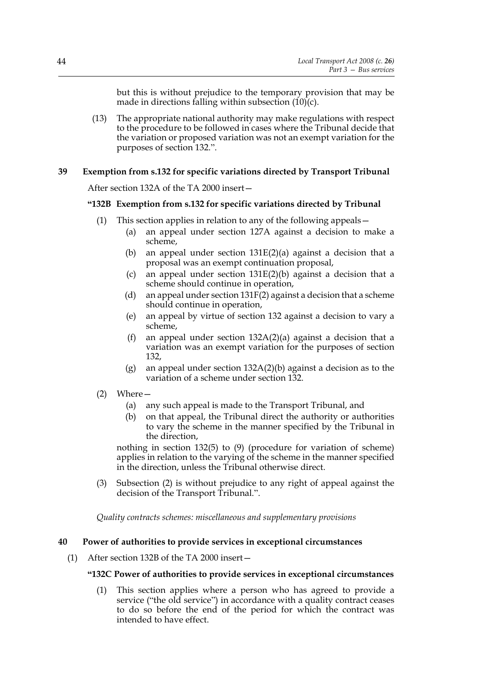but this is without prejudice to the temporary provision that may be made in directions falling within subsection  $(10)(c)$ .

(13) The appropriate national authority may make regulations with respect to the procedure to be followed in cases where the Tribunal decide that the variation or proposed variation was not an exempt variation for the purposes of section 132.".

#### **39 Exemption from s.132 for specific variations directed by Transport Tribunal**

After section 132A of the TA 2000 insert—

#### **"132B Exemption from s.132 for specific variations directed by Tribunal**

- (1) This section applies in relation to any of the following appeals—
	- (a) an appeal under section 127A against a decision to make a scheme,
	- (b) an appeal under section 131E(2)(a) against a decision that a proposal was an exempt continuation proposal,
	- (c) an appeal under section 131E(2)(b) against a decision that a scheme should continue in operation,
	- (d) an appeal under section 131F(2) against a decision that a scheme should continue in operation,
	- (e) an appeal by virtue of section 132 against a decision to vary a scheme,
	- (f) an appeal under section 132A(2)(a) against a decision that a variation was an exempt variation for the purposes of section 132,
	- (g) an appeal under section 132A(2)(b) against a decision as to the variation of a scheme under section 132.
- (2) Where—
	- (a) any such appeal is made to the Transport Tribunal, and
	- (b) on that appeal, the Tribunal direct the authority or authorities to vary the scheme in the manner specified by the Tribunal in the direction,

nothing in section 132(5) to (9) (procedure for variation of scheme) applies in relation to the varying of the scheme in the manner specified in the direction, unless the Tribunal otherwise direct.

(3) Subsection (2) is without prejudice to any right of appeal against the decision of the Transport Tribunal.".

*Quality contracts schemes: miscellaneous and supplementary provisions*

#### **40 Power of authorities to provide services in exceptional circumstances**

(1) After section 132B of the TA 2000 insert—

### **"132C Power of authorities to provide services in exceptional circumstances**

(1) This section applies where a person who has agreed to provide a service ("the old service") in accordance with a quality contract ceases to do so before the end of the period for which the contract was intended to have effect.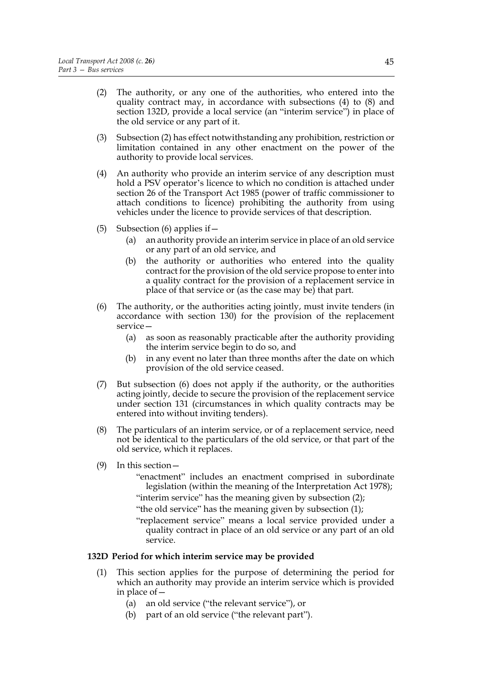- (2) The authority, or any one of the authorities, who entered into the quality contract may, in accordance with subsections (4) to (8) and section 132D, provide a local service (an "interim service") in place of the old service or any part of it.
- (3) Subsection (2) has effect notwithstanding any prohibition, restriction or limitation contained in any other enactment on the power of the authority to provide local services.
- (4) An authority who provide an interim service of any description must hold a PSV operator's licence to which no condition is attached under section 26 of the Transport Act 1985 (power of traffic commissioner to attach conditions to licence) prohibiting the authority from using vehicles under the licence to provide services of that description.
- (5) Subsection (6) applies if  $-$ 
	- (a) an authority provide an interim service in place of an old service or any part of an old service, and
	- (b) the authority or authorities who entered into the quality contract for the provision of the old service propose to enter into a quality contract for the provision of a replacement service in place of that service or (as the case may be) that part.
- (6) The authority, or the authorities acting jointly, must invite tenders (in accordance with section 130) for the provision of the replacement service—
	- (a) as soon as reasonably practicable after the authority providing the interim service begin to do so, and
	- (b) in any event no later than three months after the date on which provision of the old service ceased.
- (7) But subsection (6) does not apply if the authority, or the authorities acting jointly, decide to secure the provision of the replacement service under section 131 (circumstances in which quality contracts may be entered into without inviting tenders).
- (8) The particulars of an interim service, or of a replacement service, need not be identical to the particulars of the old service, or that part of the old service, which it replaces.
- (9) In this section—
	- "enactment" includes an enactment comprised in subordinate legislation (within the meaning of the Interpretation Act 1978);
	- "interim service" has the meaning given by subsection (2);
	- "the old service" has the meaning given by subsection (1);
	- "replacement service" means a local service provided under a quality contract in place of an old service or any part of an old service.

# **132D Period for which interim service may be provided**

- (1) This section applies for the purpose of determining the period for which an authority may provide an interim service which is provided in place of—
	- (a) an old service ("the relevant service"), or
	- (b) part of an old service ("the relevant part").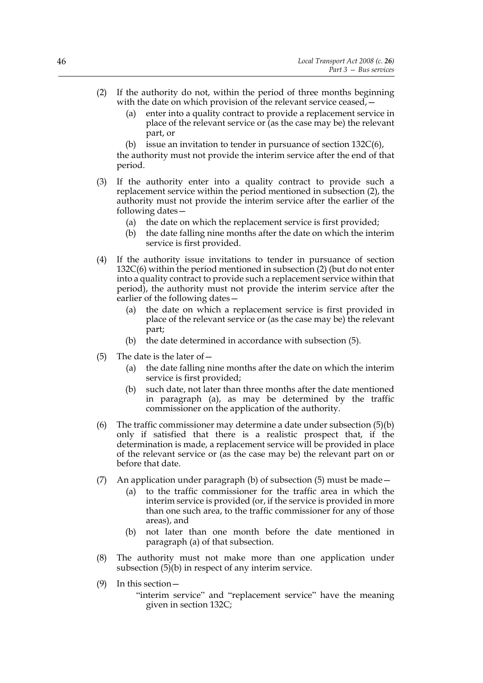- (2) If the authority do not, within the period of three months beginning with the date on which provision of the relevant service ceased,
	- enter into a quality contract to provide a replacement service in place of the relevant service or (as the case may be) the relevant part, or
	- (b) issue an invitation to tender in pursuance of section  $132C(6)$ ,

the authority must not provide the interim service after the end of that period.

- (3) If the authority enter into a quality contract to provide such a replacement service within the period mentioned in subsection (2), the authority must not provide the interim service after the earlier of the following dates—
	- (a) the date on which the replacement service is first provided;
	- (b) the date falling nine months after the date on which the interim service is first provided.
- (4) If the authority issue invitations to tender in pursuance of section 132C(6) within the period mentioned in subsection (2) (but do not enter into a quality contract to provide such a replacement service within that period), the authority must not provide the interim service after the earlier of the following dates—
	- (a) the date on which a replacement service is first provided in place of the relevant service or (as the case may be) the relevant part;
	- (b) the date determined in accordance with subsection (5).
- (5) The date is the later of  $-$ 
	- (a) the date falling nine months after the date on which the interim service is first provided;
	- (b) such date, not later than three months after the date mentioned in paragraph (a), as may be determined by the traffic commissioner on the application of the authority.
- (6) The traffic commissioner may determine a date under subsection (5)(b) only if satisfied that there is a realistic prospect that, if the determination is made, a replacement service will be provided in place of the relevant service or (as the case may be) the relevant part on or before that date.
- (7) An application under paragraph (b) of subsection (5) must be made—
	- (a) to the traffic commissioner for the traffic area in which the interim service is provided (or, if the service is provided in more than one such area, to the traffic commissioner for any of those areas), and
	- (b) not later than one month before the date mentioned in paragraph (a) of that subsection.
- (8) The authority must not make more than one application under subsection (5)(b) in respect of any interim service.
- (9) In this section—
	- "interim service" and "replacement service" have the meaning given in section 132C;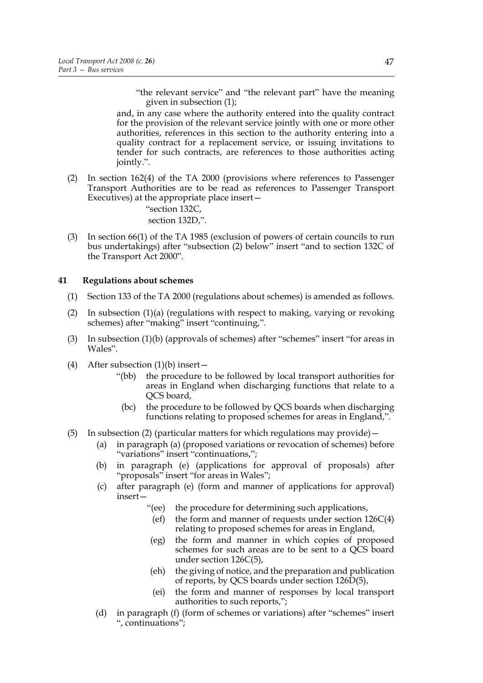"the relevant service" and "the relevant part" have the meaning given in subsection (1);

and, in any case where the authority entered into the quality contract for the provision of the relevant service jointly with one or more other authorities, references in this section to the authority entering into a quality contract for a replacement service, or issuing invitations to tender for such contracts, are references to those authorities acting jointly.".

(2) In section 162(4) of the TA 2000 (provisions where references to Passenger Transport Authorities are to be read as references to Passenger Transport Executives) at the appropriate place insert—

> "section 132C, section 132D,".

(3) In section 66(1) of the TA 1985 (exclusion of powers of certain councils to run bus undertakings) after "subsection (2) below" insert "and to section 132C of the Transport Act 2000".

# **41 Regulations about schemes**

- (1) Section 133 of the TA 2000 (regulations about schemes) is amended as follows.
- (2) In subsection (1)(a) (regulations with respect to making, varying or revoking schemes) after "making" insert "continuing,".
- (3) In subsection (1)(b) (approvals of schemes) after "schemes" insert "for areas in Wales".
- (4) After subsection  $(1)(b)$  insert
	- "(bb) the procedure to be followed by local transport authorities for areas in England when discharging functions that relate to a QCS board,
	- (bc) the procedure to be followed by QCS boards when discharging functions relating to proposed schemes for areas in England,".
- (5) In subsection (2) (particular matters for which regulations may provide)—
	- (a) in paragraph (a) (proposed variations or revocation of schemes) before "variations" insert "continuations,";
	- (b) in paragraph (e) (applications for approval of proposals) after "proposals" insert "for areas in Wales";
	- (c) after paragraph (e) (form and manner of applications for approval) insert—
		- "(ee) the procedure for determining such applications,
		- (ef) the form and manner of requests under section 126C(4) relating to proposed schemes for areas in England,
		- (eg) the form and manner in which copies of proposed schemes for such areas are to be sent to a QCS board under section 126C(5),
		- (eh) the giving of notice, and the preparation and publication of reports, by QCS boards under section 126D(5),
		- (ei) the form and manner of responses by local transport authorities to such reports,";
	- (d) in paragraph (f) (form of schemes or variations) after "schemes" insert ", continuations";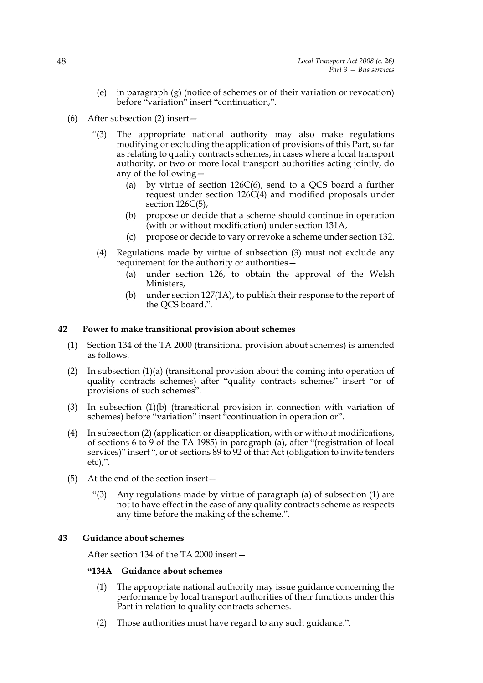- (e) in paragraph (g) (notice of schemes or of their variation or revocation) before "variation" insert "continuation,".
- (6) After subsection (2) insert—
	- "(3) The appropriate national authority may also make regulations modifying or excluding the application of provisions of this Part, so far as relating to quality contracts schemes, in cases where a local transport authority, or two or more local transport authorities acting jointly, do any of the following—
		- (a) by virtue of section  $126C(6)$ , send to a QCS board a further request under section 126C(4) and modified proposals under section  $126C(5)$ ,
		- (b) propose or decide that a scheme should continue in operation (with or without modification) under section 131A,
		- (c) propose or decide to vary or revoke a scheme under section 132.
		- (4) Regulations made by virtue of subsection (3) must not exclude any requirement for the authority or authorities—
			- (a) under section 126, to obtain the approval of the Welsh Ministers,
			- (b) under section 127(1A), to publish their response to the report of the QCS board.".

### **42 Power to make transitional provision about schemes**

- (1) Section 134 of the TA 2000 (transitional provision about schemes) is amended as follows.
- (2) In subsection (1)(a) (transitional provision about the coming into operation of quality contracts schemes) after "quality contracts schemes" insert "or of provisions of such schemes".
- (3) In subsection (1)(b) (transitional provision in connection with variation of schemes) before "variation" insert "continuation in operation or".
- (4) In subsection (2) (application or disapplication, with or without modifications, of sections 6 to 9 of the TA 1985) in paragraph (a), after "(registration of local services)" insert ", or of sections 89 to 92 of that Act (obligation to invite tenders etc),".
- (5) At the end of the section insert—
	- "(3) Any regulations made by virtue of paragraph (a) of subsection (1) are not to have effect in the case of any quality contracts scheme as respects any time before the making of the scheme.".

# **43 Guidance about schemes**

After section 134 of the TA 2000 insert—

# **"134A Guidance about schemes**

- (1) The appropriate national authority may issue guidance concerning the performance by local transport authorities of their functions under this Part in relation to quality contracts schemes.
- (2) Those authorities must have regard to any such guidance.".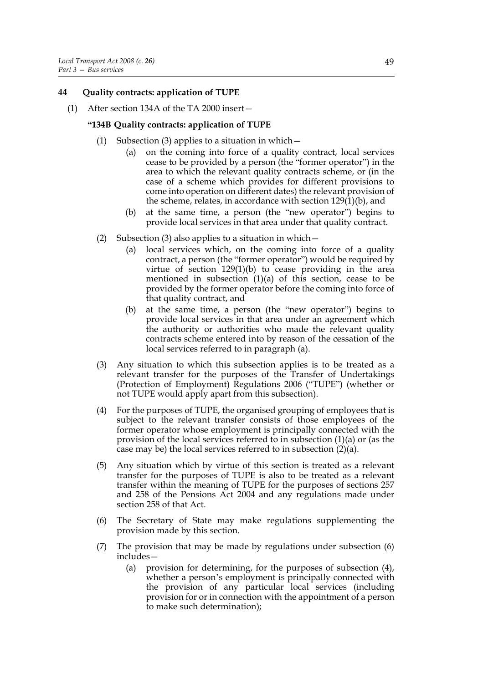# **44 Quality contracts: application of TUPE**

(1) After section 134A of the TA 2000 insert—

#### **"134B Quality contracts: application of TUPE**

- (1) Subsection (3) applies to a situation in which  $-$ 
	- (a) on the coming into force of a quality contract, local services cease to be provided by a person (the "former operator") in the area to which the relevant quality contracts scheme, or (in the case of a scheme which provides for different provisions to come into operation on different dates) the relevant provision of the scheme, relates, in accordance with section  $129(1)(b)$ , and
	- (b) at the same time, a person (the "new operator") begins to provide local services in that area under that quality contract.
- (2) Subsection (3) also applies to a situation in which—
	- (a) local services which, on the coming into force of a quality contract, a person (the "former operator") would be required by virtue of section  $129(1)(b)$  to cease providing in the area mentioned in subsection (1)(a) of this section, cease to be provided by the former operator before the coming into force of that quality contract, and
	- (b) at the same time, a person (the "new operator") begins to provide local services in that area under an agreement which the authority or authorities who made the relevant quality contracts scheme entered into by reason of the cessation of the local services referred to in paragraph (a).
- (3) Any situation to which this subsection applies is to be treated as a relevant transfer for the purposes of the Transfer of Undertakings (Protection of Employment) Regulations 2006 ("TUPE") (whether or not TUPE would apply apart from this subsection).
- (4) For the purposes of TUPE, the organised grouping of employees that is subject to the relevant transfer consists of those employees of the former operator whose employment is principally connected with the provision of the local services referred to in subsection (1)(a) or (as the case may be) the local services referred to in subsection  $(2)(a)$ .
- (5) Any situation which by virtue of this section is treated as a relevant transfer for the purposes of TUPE is also to be treated as a relevant transfer within the meaning of TUPE for the purposes of sections 257 and 258 of the Pensions Act 2004 and any regulations made under section 258 of that Act.
- (6) The Secretary of State may make regulations supplementing the provision made by this section.
- (7) The provision that may be made by regulations under subsection (6)  $includes$ 
	- (a) provision for determining, for the purposes of subsection (4), whether a person's employment is principally connected with the provision of any particular local services (including provision for or in connection with the appointment of a person to make such determination);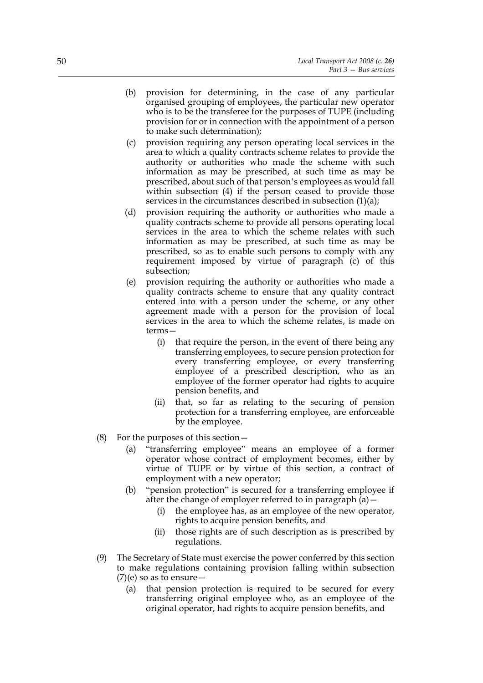- (b) provision for determining, in the case of any particular organised grouping of employees, the particular new operator who is to be the transferee for the purposes of TUPE (including provision for or in connection with the appointment of a person to make such determination);
- (c) provision requiring any person operating local services in the area to which a quality contracts scheme relates to provide the authority or authorities who made the scheme with such information as may be prescribed, at such time as may be prescribed, about such of that person's employees as would fall within subsection (4) if the person ceased to provide those services in the circumstances described in subsection (1)(a);
- (d) provision requiring the authority or authorities who made a quality contracts scheme to provide all persons operating local services in the area to which the scheme relates with such information as may be prescribed, at such time as may be prescribed, so as to enable such persons to comply with any requirement imposed by virtue of paragraph (c) of this subsection;
- (e) provision requiring the authority or authorities who made a quality contracts scheme to ensure that any quality contract entered into with a person under the scheme, or any other agreement made with a person for the provision of local services in the area to which the scheme relates, is made on terms—
	- (i) that require the person, in the event of there being any transferring employees, to secure pension protection for every transferring employee, or every transferring employee of a prescribed description, who as an employee of the former operator had rights to acquire pension benefits, and
	- (ii) that, so far as relating to the securing of pension protection for a transferring employee, are enforceable by the employee.
- (8) For the purposes of this section—
	- (a) "transferring employee" means an employee of a former operator whose contract of employment becomes, either by virtue of TUPE or by virtue of this section, a contract of employment with a new operator;
	- (b) "pension protection" is secured for a transferring employee if after the change of employer referred to in paragraph (a)—
		- (i) the employee has, as an employee of the new operator, rights to acquire pension benefits, and
		- (ii) those rights are of such description as is prescribed by regulations.
- (9) The Secretary of State must exercise the power conferred by this section to make regulations containing provision falling within subsection  $(7)(e)$  so as to ensure  $-$ 
	- (a) that pension protection is required to be secured for every transferring original employee who, as an employee of the original operator, had rights to acquire pension benefits, and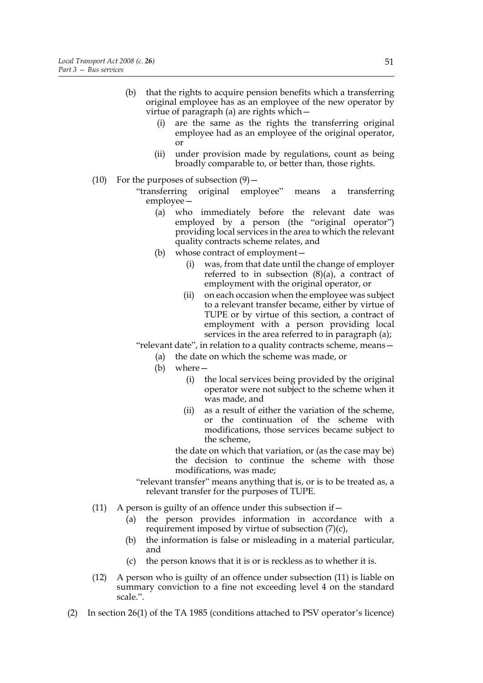- (b) that the rights to acquire pension benefits which a transferring original employee has as an employee of the new operator by virtue of paragraph (a) are rights which—
	- (i) are the same as the rights the transferring original employee had as an employee of the original operator, or
	- (ii) under provision made by regulations, count as being broadly comparable to, or better than, those rights.
- (10) For the purposes of subsection  $(9)$ 
	- "transferring original employee" means a transferring employee—
		- (a) who immediately before the relevant date was employed by a person (the "original operator") providing local services in the area to which the relevant quality contracts scheme relates, and
		- (b) whose contract of employment—
			- (i) was, from that date until the change of employer referred to in subsection  $(8)(a)$ , a contract of employment with the original operator, or
			- (ii) on each occasion when the employee was subject to a relevant transfer became, either by virtue of TUPE or by virtue of this section, a contract of employment with a person providing local services in the area referred to in paragraph (a);

"relevant date", in relation to a quality contracts scheme, means—

- (a) the date on which the scheme was made, or
- (b) where—
	- (i) the local services being provided by the original operator were not subject to the scheme when it was made, and
	- (ii) as a result of either the variation of the scheme, or the continuation of the scheme with modifications, those services became subject to the scheme,

the date on which that variation, or (as the case may be) the decision to continue the scheme with those modifications, was made;

- "relevant transfer" means anything that is, or is to be treated as, a relevant transfer for the purposes of TUPE.
- (11) A person is guilty of an offence under this subsection if  $-$ 
	- (a) the person provides information in accordance with a requirement imposed by virtue of subsection (7)(c),
	- (b) the information is false or misleading in a material particular, and
	- (c) the person knows that it is or is reckless as to whether it is.
- (12) A person who is guilty of an offence under subsection (11) is liable on summary conviction to a fine not exceeding level 4 on the standard scale.".
- (2) In section 26(1) of the TA 1985 (conditions attached to PSV operator's licence)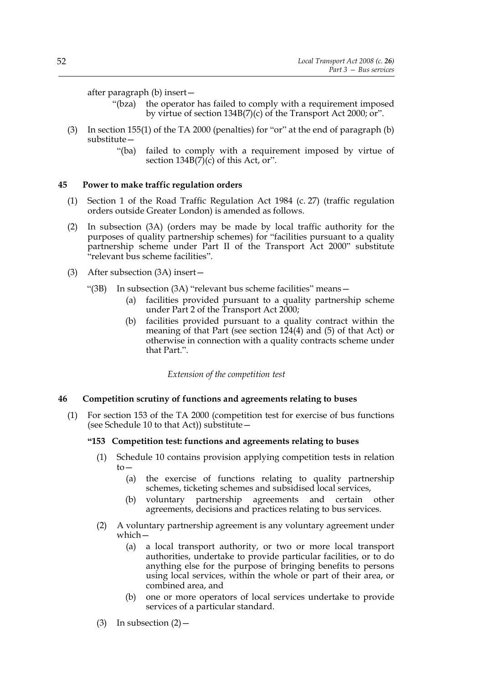after paragraph (b) insert—

- "(bza) the operator has failed to comply with a requirement imposed by virtue of section 134B(7)(c) of the Transport Act 2000; or".
- (3) In section 155(1) of the TA 2000 (penalties) for "or" at the end of paragraph (b) substitute—
	- "(ba) failed to comply with a requirement imposed by virtue of section  $134B(7)(c)$  of this Act, or".

#### **45 Power to make traffic regulation orders**

- (1) Section 1 of the Road Traffic Regulation Act 1984 (c. 27) (traffic regulation orders outside Greater London) is amended as follows.
- (2) In subsection (3A) (orders may be made by local traffic authority for the purposes of quality partnership schemes) for "facilities pursuant to a quality partnership scheme under Part II of the Transport Act 2000" substitute "relevant bus scheme facilities".
- (3) After subsection (3A) insert—
	- "(3B) In subsection (3A) "relevant bus scheme facilities" means—
		- (a) facilities provided pursuant to a quality partnership scheme under Part 2 of the Transport Act 2000;
		- (b) facilities provided pursuant to a quality contract within the meaning of that Part (see section 124(4) and (5) of that Act) or otherwise in connection with a quality contracts scheme under that Part.".

*Extension of the competition test*

#### **46 Competition scrutiny of functions and agreements relating to buses**

(1) For section 153 of the TA 2000 (competition test for exercise of bus functions (see Schedule 10 to that Act)) substitute—

#### **"153 Competition test: functions and agreements relating to buses**

- (1) Schedule 10 contains provision applying competition tests in relation to—
	- (a) the exercise of functions relating to quality partnership schemes, ticketing schemes and subsidised local services,
	- (b) voluntary partnership agreements and certain other agreements, decisions and practices relating to bus services.
- (2) A voluntary partnership agreement is any voluntary agreement under which—
	- (a) a local transport authority, or two or more local transport authorities, undertake to provide particular facilities, or to do anything else for the purpose of bringing benefits to persons using local services, within the whole or part of their area, or combined area, and
	- (b) one or more operators of local services undertake to provide services of a particular standard.

(3) In subsection  $(2)$  –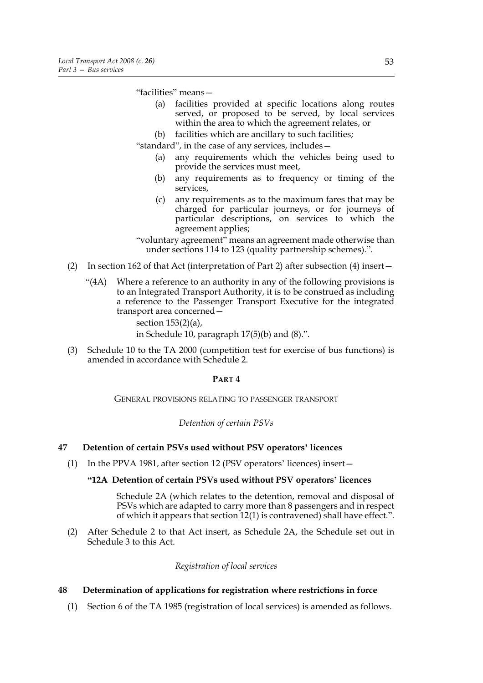"facilities" means—

- (a) facilities provided at specific locations along routes served, or proposed to be served, by local services within the area to which the agreement relates, or
- (b) facilities which are ancillary to such facilities;

"standard", in the case of any services, includes—

- (a) any requirements which the vehicles being used to provide the services must meet,
- (b) any requirements as to frequency or timing of the services,
- (c) any requirements as to the maximum fares that may be charged for particular journeys, or for journeys of particular descriptions, on services to which the agreement applies;

"voluntary agreement" means an agreement made otherwise than under sections 114 to 123 (quality partnership schemes).".

- (2) In section 162 of that Act (interpretation of Part 2) after subsection (4) insert—
	- "(4A) Where a reference to an authority in any of the following provisions is to an Integrated Transport Authority, it is to be construed as including a reference to the Passenger Transport Executive for the integrated transport area concerned section 153(2)(a), in Schedule 10, paragraph 17(5)(b) and (8).".
- (3) Schedule 10 to the TA 2000 (competition test for exercise of bus functions) is amended in accordance with Schedule 2.

#### **PART 4**

GENERAL PROVISIONS RELATING TO PASSENGER TRANSPORT

*Detention of certain PSVs*

# **47 Detention of certain PSVs used without PSV operators' licences**

(1) In the PPVA 1981, after section 12 (PSV operators' licences) insert—

#### **"12A Detention of certain PSVs used without PSV operators' licences**

 Schedule 2A (which relates to the detention, removal and disposal of PSVs which are adapted to carry more than 8 passengers and in respect of which it appears that section 12(1) is contravened) shall have effect.".

(2) After Schedule 2 to that Act insert, as Schedule 2A, the Schedule set out in Schedule 3 to this Act.

*Registration of local services*

# **48 Determination of applications for registration where restrictions in force**

(1) Section 6 of the TA 1985 (registration of local services) is amended as follows.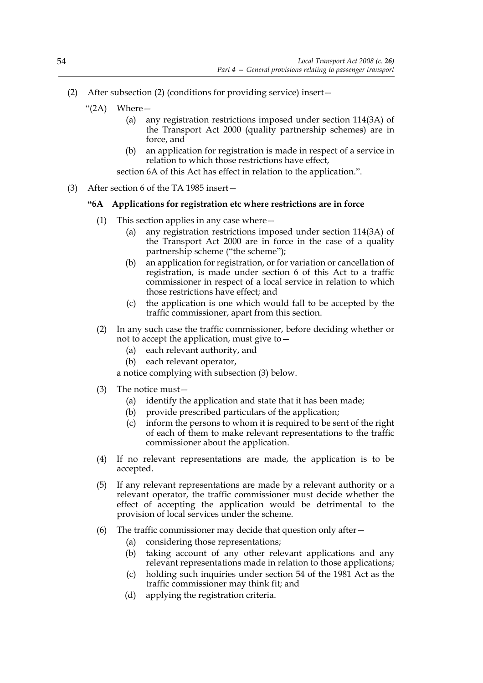- (2) After subsection (2) (conditions for providing service) insert—
	- "(2A) Where—
		- (a) any registration restrictions imposed under section 114(3A) of the Transport Act 2000 (quality partnership schemes) are in force, and
		- (b) an application for registration is made in respect of a service in relation to which those restrictions have effect,

section 6A of this Act has effect in relation to the application.".

(3) After section 6 of the TA 1985 insert—

#### **"6A Applications for registration etc where restrictions are in force**

- (1) This section applies in any case where—
	- (a) any registration restrictions imposed under section 114(3A) of the Transport Act 2000 are in force in the case of a quality partnership scheme ("the scheme");
	- (b) an application for registration, or for variation or cancellation of registration, is made under section 6 of this Act to a traffic commissioner in respect of a local service in relation to which those restrictions have effect; and
	- (c) the application is one which would fall to be accepted by the traffic commissioner, apart from this section.
- (2) In any such case the traffic commissioner, before deciding whether or not to accept the application, must give to—
	- (a) each relevant authority, and
	- (b) each relevant operator,

a notice complying with subsection (3) below.

- (3) The notice must—
	- (a) identify the application and state that it has been made;
	- (b) provide prescribed particulars of the application;
	- (c) inform the persons to whom it is required to be sent of the right of each of them to make relevant representations to the traffic commissioner about the application.
- (4) If no relevant representations are made, the application is to be accepted.
- (5) If any relevant representations are made by a relevant authority or a relevant operator, the traffic commissioner must decide whether the effect of accepting the application would be detrimental to the provision of local services under the scheme.
- (6) The traffic commissioner may decide that question only after—
	- (a) considering those representations;
	- (b) taking account of any other relevant applications and any relevant representations made in relation to those applications;
	- (c) holding such inquiries under section 54 of the 1981 Act as the traffic commissioner may think fit; and
	- (d) applying the registration criteria.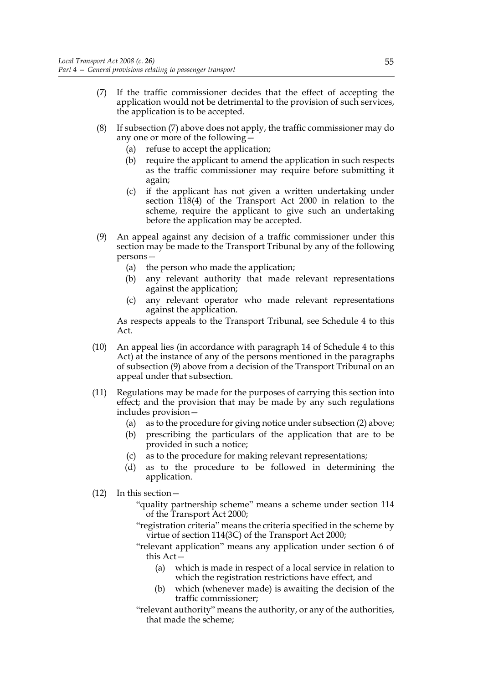- (7) If the traffic commissioner decides that the effect of accepting the application would not be detrimental to the provision of such services, the application is to be accepted.
- (8) If subsection (7) above does not apply, the traffic commissioner may do any one or more of the following—
	- (a) refuse to accept the application;
	- (b) require the applicant to amend the application in such respects as the traffic commissioner may require before submitting it again;
	- (c) if the applicant has not given a written undertaking under section 118(4) of the Transport Act 2000 in relation to the scheme, require the applicant to give such an undertaking before the application may be accepted.
- (9) An appeal against any decision of a traffic commissioner under this section may be made to the Transport Tribunal by any of the following persons—
	- (a) the person who made the application;
	- (b) any relevant authority that made relevant representations against the application;
	- (c) any relevant operator who made relevant representations against the application.

As respects appeals to the Transport Tribunal, see Schedule 4 to this Act.

- (10) An appeal lies (in accordance with paragraph 14 of Schedule 4 to this Act) at the instance of any of the persons mentioned in the paragraphs of subsection (9) above from a decision of the Transport Tribunal on an appeal under that subsection.
- (11) Regulations may be made for the purposes of carrying this section into effect; and the provision that may be made by any such regulations includes provision—
	- (a) as to the procedure for giving notice under subsection (2) above;
	- (b) prescribing the particulars of the application that are to be provided in such a notice;
	- (c) as to the procedure for making relevant representations;
	- (d) as to the procedure to be followed in determining the application.
- (12) In this section—
	- "quality partnership scheme" means a scheme under section 114 of the Transport Act 2000;
	- "registration criteria" means the criteria specified in the scheme by virtue of section 114(3C) of the Transport Act 2000;
	- "relevant application" means any application under section 6 of this Act—
		- (a) which is made in respect of a local service in relation to which the registration restrictions have effect, and
		- which (whenever made) is awaiting the decision of the traffic commissioner;
	- "relevant authority" means the authority, or any of the authorities, that made the scheme;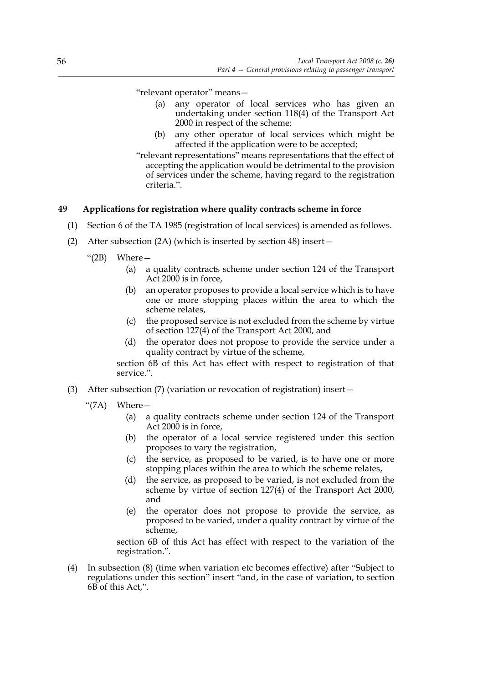"relevant operator" means—

- (a) any operator of local services who has given an undertaking under section 118(4) of the Transport Act 2000 in respect of the scheme;
- (b) any other operator of local services which might be affected if the application were to be accepted;
- "relevant representations" means representations that the effect of accepting the application would be detrimental to the provision of services under the scheme, having regard to the registration criteria.".

## **49 Applications for registration where quality contracts scheme in force**

- (1) Section 6 of the TA 1985 (registration of local services) is amended as follows.
- (2) After subsection (2A) (which is inserted by section 48) insert—
	- " $(2B)$  Where  $-$ 
		- (a) a quality contracts scheme under section 124 of the Transport Act 2000 is in force,
		- (b) an operator proposes to provide a local service which is to have one or more stopping places within the area to which the scheme relates,
		- (c) the proposed service is not excluded from the scheme by virtue of section 127(4) of the Transport Act 2000, and
		- (d) the operator does not propose to provide the service under a quality contract by virtue of the scheme,

section 6B of this Act has effect with respect to registration of that service.".

- (3) After subsection (7) (variation or revocation of registration) insert—
	- "(7A) Where—
		- (a) a quality contracts scheme under section 124 of the Transport Act 2000 is in force,
		- (b) the operator of a local service registered under this section proposes to vary the registration,
		- (c) the service, as proposed to be varied, is to have one or more stopping places within the area to which the scheme relates,
		- (d) the service, as proposed to be varied, is not excluded from the scheme by virtue of section 127(4) of the Transport Act 2000, and
		- (e) the operator does not propose to provide the service, as proposed to be varied, under a quality contract by virtue of the scheme,

section 6B of this Act has effect with respect to the variation of the registration.".

(4) In subsection (8) (time when variation etc becomes effective) after "Subject to regulations under this section" insert "and, in the case of variation, to section 6B of this Act,".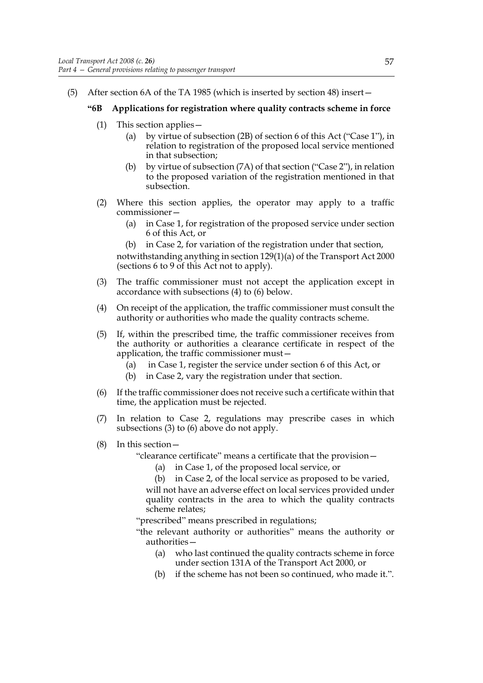(5) After section 6A of the TA 1985 (which is inserted by section 48) insert—

# **"6B Applications for registration where quality contracts scheme in force**

- (1) This section applies—
	- (a) by virtue of subsection (2B) of section 6 of this Act ("Case 1"), in relation to registration of the proposed local service mentioned in that subsection;
	- (b) by virtue of subsection (7A) of that section ("Case 2"), in relation to the proposed variation of the registration mentioned in that subsection.
- (2) Where this section applies, the operator may apply to a traffic commissioner—
	- (a) in Case 1, for registration of the proposed service under section 6 of this Act, or
	- (b) in Case 2, for variation of the registration under that section,

notwithstanding anything in section 129(1)(a) of the Transport Act 2000 (sections 6 to 9 of this Act not to apply).

- (3) The traffic commissioner must not accept the application except in accordance with subsections (4) to (6) below.
- (4) On receipt of the application, the traffic commissioner must consult the authority or authorities who made the quality contracts scheme.
- (5) If, within the prescribed time, the traffic commissioner receives from the authority or authorities a clearance certificate in respect of the application, the traffic commissioner must—
	- (a) in Case 1, register the service under section 6 of this Act, or
	- (b) in Case 2, vary the registration under that section.
- (6) If the traffic commissioner does not receive such a certificate within that time, the application must be rejected.
- (7) In relation to Case 2, regulations may prescribe cases in which subsections (3) to (6) above do not apply.
- (8) In this section—

"clearance certificate" means a certificate that the provision—

- (a) in Case 1, of the proposed local service, or
- (b) in Case 2, of the local service as proposed to be varied, will not have an adverse effect on local services provided under quality contracts in the area to which the quality contracts scheme relates;

"prescribed" means prescribed in regulations;

"the relevant authority or authorities" means the authority or authorities—

- (a) who last continued the quality contracts scheme in force under section 131A of the Transport Act 2000, or
- (b) if the scheme has not been so continued, who made it.".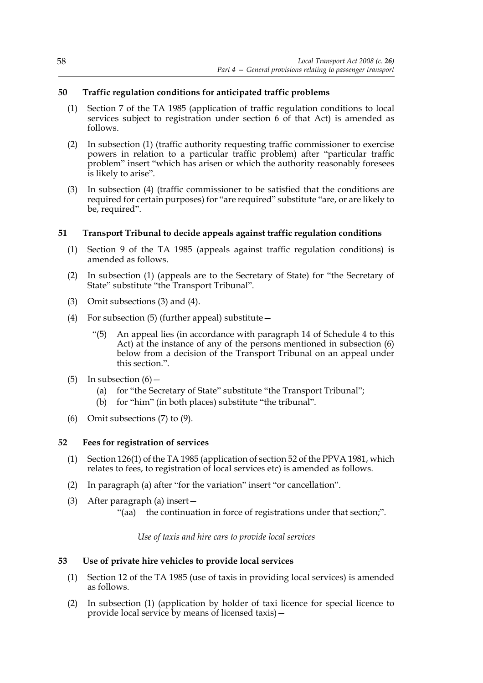# **50 Traffic regulation conditions for anticipated traffic problems**

- (1) Section 7 of the TA 1985 (application of traffic regulation conditions to local services subject to registration under section 6 of that Act) is amended as follows.
- (2) In subsection (1) (traffic authority requesting traffic commissioner to exercise powers in relation to a particular traffic problem) after "particular traffic problem" insert "which has arisen or which the authority reasonably foresees is likely to arise".
- (3) In subsection (4) (traffic commissioner to be satisfied that the conditions are required for certain purposes) for "are required" substitute "are, or are likely to be, required".

# **51 Transport Tribunal to decide appeals against traffic regulation conditions**

- (1) Section 9 of the TA 1985 (appeals against traffic regulation conditions) is amended as follows.
- (2) In subsection (1) (appeals are to the Secretary of State) for "the Secretary of State" substitute "the Transport Tribunal".
- (3) Omit subsections (3) and (4).
- (4) For subsection  $(5)$  (further appeal) substitute  $-$ 
	- "(5) An appeal lies (in accordance with paragraph 14 of Schedule 4 to this Act) at the instance of any of the persons mentioned in subsection (6) below from a decision of the Transport Tribunal on an appeal under this section.".
- (5) In subsection  $(6)$  -
	- (a) for "the Secretary of State" substitute "the Transport Tribunal";
	- (b) for "him" (in both places) substitute "the tribunal".
- (6) Omit subsections (7) to (9).

### **52 Fees for registration of services**

- (1) Section 126(1) of the TA 1985 (application of section 52 of the PPVA 1981, which relates to fees, to registration of local services etc) is amended as follows.
- (2) In paragraph (a) after "for the variation" insert "or cancellation".
- (3) After paragraph (a) insert—
	- "(aa) the continuation in force of registrations under that section;".

*Use of taxis and hire cars to provide local services*

### **53 Use of private hire vehicles to provide local services**

- (1) Section 12 of the TA 1985 (use of taxis in providing local services) is amended as follows.
- (2) In subsection (1) (application by holder of taxi licence for special licence to provide local service by means of licensed taxis)—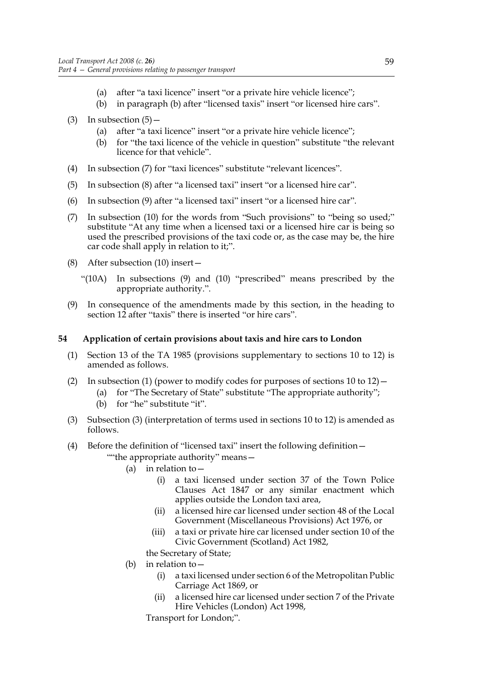- (a) after "a taxi licence" insert "or a private hire vehicle licence";
- (b) in paragraph (b) after "licensed taxis" insert "or licensed hire cars".
- (3) In subsection  $(5)$ 
	- (a) after "a taxi licence" insert "or a private hire vehicle licence";
	- (b) for "the taxi licence of the vehicle in question" substitute "the relevant licence for that vehicle".
- (4) In subsection (7) for "taxi licences" substitute "relevant licences".
- (5) In subsection (8) after "a licensed taxi" insert "or a licensed hire car".
- (6) In subsection (9) after "a licensed taxi" insert "or a licensed hire car".
- (7) In subsection (10) for the words from "Such provisions" to "being so used;" substitute "At any time when a licensed taxi or a licensed hire car is being so used the prescribed provisions of the taxi code or, as the case may be, the hire car code shall apply in relation to it;".
- (8) After subsection (10) insert—
	- "(10A) In subsections (9) and (10) "prescribed" means prescribed by the appropriate authority.".
- (9) In consequence of the amendments made by this section, in the heading to section 12 after "taxis" there is inserted "or hire cars".

# **54 Application of certain provisions about taxis and hire cars to London**

- (1) Section 13 of the TA 1985 (provisions supplementary to sections 10 to 12) is amended as follows.
- (2) In subsection (1) (power to modify codes for purposes of sections  $10$  to  $12$ )
	- (a) for "The Secretary of State" substitute "The appropriate authority";
	- (b) for "he" substitute "it".
- (3) Subsection (3) (interpretation of terms used in sections 10 to 12) is amended as follows.
- (4) Before the definition of "licensed taxi" insert the following definition— ""the appropriate authority" means—
	- (a) in relation to—
		- (i) a taxi licensed under section 37 of the Town Police Clauses Act 1847 or any similar enactment which applies outside the London taxi area,
		- (ii) a licensed hire car licensed under section 48 of the Local Government (Miscellaneous Provisions) Act 1976, or
		- (iii) a taxi or private hire car licensed under section 10 of the Civic Government (Scotland) Act 1982,
		- the Secretary of State;
	- (b) in relation to—
		- (i) a taxi licensed under section 6 of the Metropolitan Public Carriage Act 1869, or
		- (ii) a licensed hire car licensed under section 7 of the Private Hire Vehicles (London) Act 1998,

Transport for London;".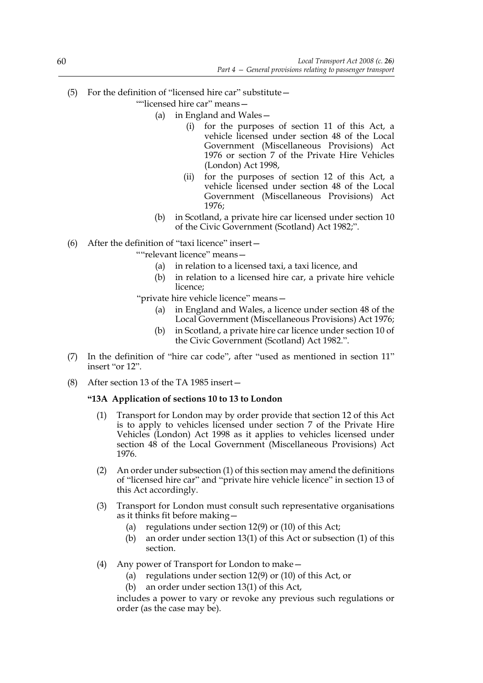- (5) For the definition of "licensed hire car" substitute—
	- ""licensed hire car" means-
		- (a) in England and Wales—
			- (i) for the purposes of section 11 of this Act, a vehicle licensed under section 48 of the Local Government (Miscellaneous Provisions) Act 1976 or section 7 of the Private Hire Vehicles (London) Act 1998,
			- (ii) for the purposes of section 12 of this Act, a vehicle licensed under section 48 of the Local Government (Miscellaneous Provisions) Act 1976;
		- (b) in Scotland, a private hire car licensed under section 10 of the Civic Government (Scotland) Act 1982;".
- (6) After the definition of "taxi licence" insert—

""relevant licence" means—

- (a) in relation to a licensed taxi, a taxi licence, and
- (b) in relation to a licensed hire car, a private hire vehicle licence;
- "private hire vehicle licence" means—
	- (a) in England and Wales, a licence under section 48 of the Local Government (Miscellaneous Provisions) Act 1976;
	- (b) in Scotland, a private hire car licence under section 10 of the Civic Government (Scotland) Act 1982.".
- (7) In the definition of "hire car code", after "used as mentioned in section 11" insert "or 12".
- (8) After section 13 of the TA 1985 insert—

# **"13A Application of sections 10 to 13 to London**

- (1) Transport for London may by order provide that section 12 of this Act is to apply to vehicles licensed under section 7 of the Private Hire Vehicles (London) Act 1998 as it applies to vehicles licensed under section 48 of the Local Government (Miscellaneous Provisions) Act 1976.
- (2) An order under subsection (1) of this section may amend the definitions of "licensed hire car" and "private hire vehicle licence" in section 13 of this Act accordingly.
- (3) Transport for London must consult such representative organisations as it thinks fit before making—
	- (a) regulations under section 12(9) or (10) of this Act;
	- (b) an order under section 13(1) of this Act or subsection (1) of this section.
- (4) Any power of Transport for London to make—
	- (a) regulations under section 12(9) or (10) of this Act, or
	- (b) an order under section 13(1) of this Act,

includes a power to vary or revoke any previous such regulations or order (as the case may be).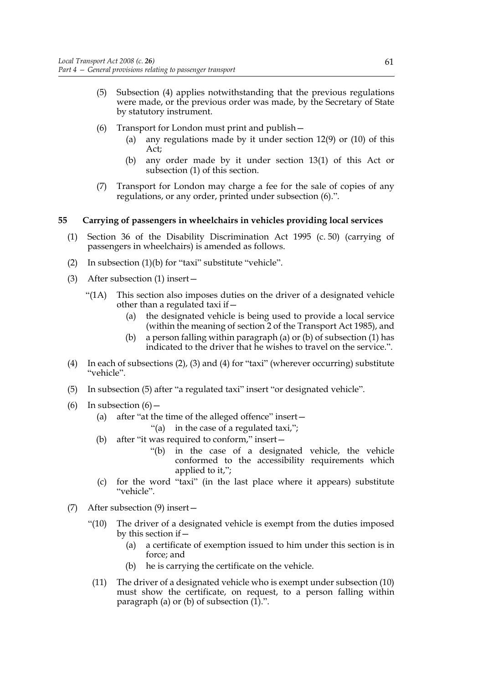- (5) Subsection (4) applies notwithstanding that the previous regulations were made, or the previous order was made, by the Secretary of State by statutory instrument.
- (6) Transport for London must print and publish—
	- (a) any regulations made by it under section 12(9) or (10) of this Act;
	- (b) any order made by it under section 13(1) of this Act or subsection (1) of this section.
- (7) Transport for London may charge a fee for the sale of copies of any regulations, or any order, printed under subsection (6).".

### **55 Carrying of passengers in wheelchairs in vehicles providing local services**

- (1) Section 36 of the Disability Discrimination Act 1995 (c. 50) (carrying of passengers in wheelchairs) is amended as follows.
- (2) In subsection (1)(b) for "taxi" substitute "vehicle".
- (3) After subsection (1) insert—
	- "(1A) This section also imposes duties on the driver of a designated vehicle other than a regulated taxi if—
		- (a) the designated vehicle is being used to provide a local service (within the meaning of section 2 of the Transport Act 1985), and
		- (b) a person falling within paragraph (a) or (b) of subsection (1) has indicated to the driver that he wishes to travel on the service.".
- (4) In each of subsections (2), (3) and (4) for "taxi" (wherever occurring) substitute "vehicle".
- (5) In subsection (5) after "a regulated taxi" insert "or designated vehicle".
- (6) In subsection  $(6)$  -
	- (a) after "at the time of the alleged offence" insert—
		- "(a) in the case of a regulated taxi,";
	- (b) after "it was required to conform," insert—
		- "(b) in the case of a designated vehicle, the vehicle conformed to the accessibility requirements which applied to it,";
	- (c) for the word "taxi" (in the last place where it appears) substitute "vehicle".
- (7) After subsection (9) insert—
	- "(10) The driver of a designated vehicle is exempt from the duties imposed by this section if—
		- (a) a certificate of exemption issued to him under this section is in force; and
		- (b) he is carrying the certificate on the vehicle.
	- (11) The driver of a designated vehicle who is exempt under subsection (10) must show the certificate, on request, to a person falling within paragraph (a) or (b) of subsection  $(1)$ .".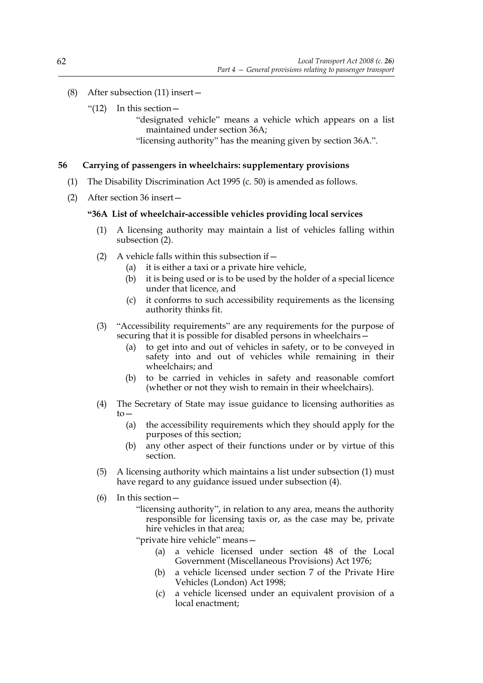- (8) After subsection (11) insert—
	- " $(12)$  In this section —

"designated vehicle" means a vehicle which appears on a list maintained under section 36A;

"licensing authority" has the meaning given by section 36A.".

### **56 Carrying of passengers in wheelchairs: supplementary provisions**

- (1) The Disability Discrimination Act 1995 (c. 50) is amended as follows.
- (2) After section 36 insert—

#### **"36A List of wheelchair-accessible vehicles providing local services**

- (1) A licensing authority may maintain a list of vehicles falling within subsection (2).
- (2) A vehicle falls within this subsection if—
	- (a) it is either a taxi or a private hire vehicle,
	- (b) it is being used or is to be used by the holder of a special licence under that licence, and
	- (c) it conforms to such accessibility requirements as the licensing authority thinks fit.
- (3) "Accessibility requirements" are any requirements for the purpose of securing that it is possible for disabled persons in wheelchairs—
	- (a) to get into and out of vehicles in safety, or to be conveyed in safety into and out of vehicles while remaining in their wheelchairs; and
	- (b) to be carried in vehicles in safety and reasonable comfort (whether or not they wish to remain in their wheelchairs).
- (4) The Secretary of State may issue guidance to licensing authorities as to—
	- (a) the accessibility requirements which they should apply for the purposes of this section;
	- (b) any other aspect of their functions under or by virtue of this section.
- (5) A licensing authority which maintains a list under subsection (1) must have regard to any guidance issued under subsection (4).
- (6) In this section—
	- "licensing authority", in relation to any area, means the authority responsible for licensing taxis or, as the case may be, private hire vehicles in that area;
	- "private hire vehicle" means—
		- (a) a vehicle licensed under section 48 of the Local Government (Miscellaneous Provisions) Act 1976;
		- (b) a vehicle licensed under section 7 of the Private Hire Vehicles (London) Act 1998;
		- (c) a vehicle licensed under an equivalent provision of a local enactment;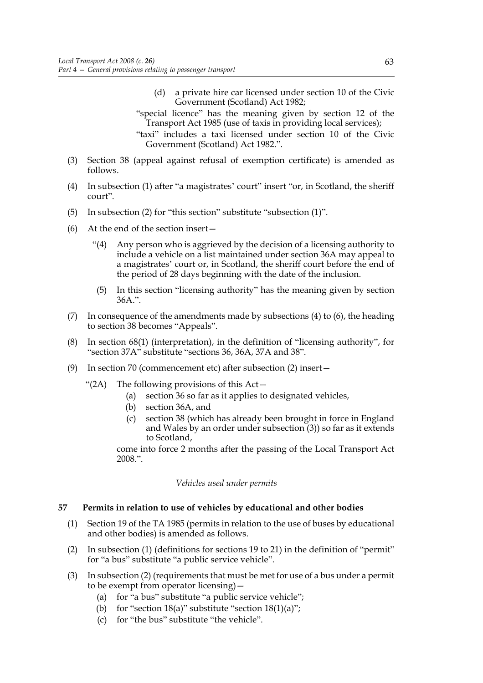- (d) a private hire car licensed under section 10 of the Civic Government (Scotland) Act 1982;
- "special licence" has the meaning given by section 12 of the Transport Act 1985 (use of taxis in providing local services);
- "taxi" includes a taxi licensed under section 10 of the Civic Government (Scotland) Act 1982.".
- (3) Section 38 (appeal against refusal of exemption certificate) is amended as follows.
- (4) In subsection (1) after "a magistrates' court" insert "or, in Scotland, the sheriff court".
- (5) In subsection (2) for "this section" substitute "subsection (1)".
- (6) At the end of the section insert—
	- "(4) Any person who is aggrieved by the decision of a licensing authority to include a vehicle on a list maintained under section 36A may appeal to a magistrates' court or, in Scotland, the sheriff court before the end of the period of 28 days beginning with the date of the inclusion.
	- (5) In this section "licensing authority" has the meaning given by section 36A.".
- (7) In consequence of the amendments made by subsections (4) to (6), the heading to section 38 becomes "Appeals".
- (8) In section 68(1) (interpretation), in the definition of "licensing authority", for "section 37A" substitute "sections 36, 36A, 37A and 38".
- (9) In section 70 (commencement etc) after subsection (2) insert—
	- "(2A) The following provisions of this Act—
		- (a) section 36 so far as it applies to designated vehicles,
		- (b) section 36A, and
		- (c) section 38 (which has already been brought in force in England and Wales by an order under subsection (3)) so far as it extends to Scotland,

come into force 2 months after the passing of the Local Transport Act 2008.".

*Vehicles used under permits*

#### **57 Permits in relation to use of vehicles by educational and other bodies**

- (1) Section 19 of the TA 1985 (permits in relation to the use of buses by educational and other bodies) is amended as follows.
- (2) In subsection (1) (definitions for sections 19 to 21) in the definition of "permit" for "a bus" substitute "a public service vehicle".
- (3) In subsection (2) (requirements that must be met for use of a bus under a permit to be exempt from operator licensing)—
	- (a) for "a bus" substitute "a public service vehicle";
	- (b) for "section  $18(a)$ " substitute "section  $18(1)(a)$ ";
	- (c) for "the bus" substitute "the vehicle".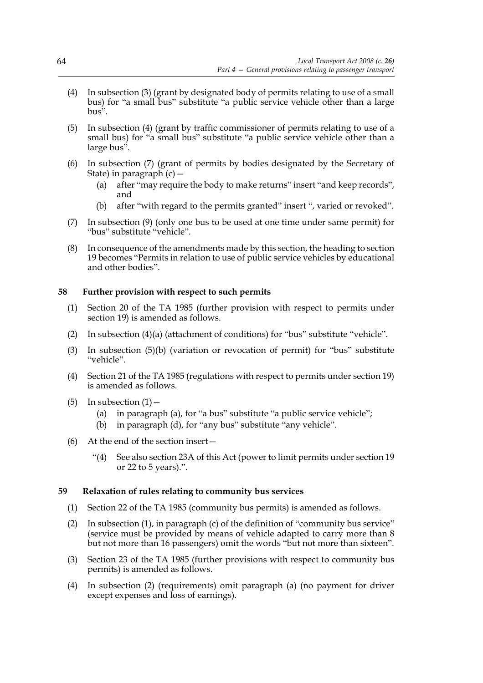- (4) In subsection (3) (grant by designated body of permits relating to use of a small bus) for "a small bus" substitute "a public service vehicle other than a large bus".
- (5) In subsection (4) (grant by traffic commissioner of permits relating to use of a small bus) for "a small bus" substitute "a public service vehicle other than a large bus".
- (6) In subsection (7) (grant of permits by bodies designated by the Secretary of State) in paragraph (c)—
	- (a) after "may require the body to make returns" insert "and keep records", and
	- (b) after "with regard to the permits granted" insert ", varied or revoked".
- (7) In subsection (9) (only one bus to be used at one time under same permit) for "bus" substitute "vehicle".
- (8) In consequence of the amendments made by this section, the heading to section 19 becomes "Permits in relation to use of public service vehicles by educational and other bodies".

### **58 Further provision with respect to such permits**

- (1) Section 20 of the TA 1985 (further provision with respect to permits under section 19) is amended as follows.
- (2) In subsection (4)(a) (attachment of conditions) for "bus" substitute "vehicle".
- (3) In subsection (5)(b) (variation or revocation of permit) for "bus" substitute "vehicle".
- (4) Section 21 of the TA 1985 (regulations with respect to permits under section 19) is amended as follows.
- (5) In subsection  $(1)$ 
	- (a) in paragraph (a), for "a bus" substitute "a public service vehicle";
	- (b) in paragraph (d), for "any bus" substitute "any vehicle".
- (6) At the end of the section insert—
	- "(4) See also section 23A of this Act (power to limit permits under section 19 or 22 to 5 years).".

#### **59 Relaxation of rules relating to community bus services**

- (1) Section 22 of the TA 1985 (community bus permits) is amended as follows.
- (2) In subsection (1), in paragraph (c) of the definition of "community bus service" (service must be provided by means of vehicle adapted to carry more than 8 but not more than 16 passengers) omit the words "but not more than sixteen".
- (3) Section 23 of the TA 1985 (further provisions with respect to community bus permits) is amended as follows.
- (4) In subsection (2) (requirements) omit paragraph (a) (no payment for driver except expenses and loss of earnings).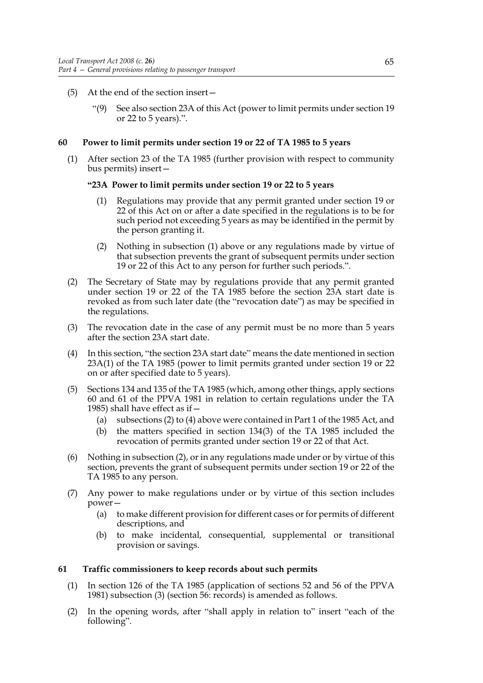- (5) At the end of the section insert—
	- "(9) See also section 23A of this Act (power to limit permits under section 19 or 22 to 5 years).".

#### **60 Power to limit permits under section 19 or 22 of TA 1985 to 5 years**

(1) After section 23 of the TA 1985 (further provision with respect to community bus permits) insert—

#### **"23A Power to limit permits under section 19 or 22 to 5 years**

- (1) Regulations may provide that any permit granted under section 19 or 22 of this Act on or after a date specified in the regulations is to be for such period not exceeding 5 years as may be identified in the permit by the person granting it.
- (2) Nothing in subsection (1) above or any regulations made by virtue of that subsection prevents the grant of subsequent permits under section 19 or 22 of this Act to any person for further such periods.".
- (2) The Secretary of State may by regulations provide that any permit granted under section 19 or 22 of the TA 1985 before the section 23A start date is revoked as from such later date (the "revocation date") as may be specified in the regulations.
- (3) The revocation date in the case of any permit must be no more than 5 years after the section 23A start date.
- (4) In this section, "the section 23A start date" means the date mentioned in section 23A(1) of the TA 1985 (power to limit permits granted under section 19 or 22 on or after specified date to 5 years).
- (5) Sections 134 and 135 of the TA 1985 (which, among other things, apply sections 60 and 61 of the PPVA 1981 in relation to certain regulations under the TA 1985) shall have effect as if—
	- (a) subsections (2) to (4) above were contained in Part 1 of the 1985 Act, and
	- (b) the matters specified in section 134(3) of the TA 1985 included the revocation of permits granted under section 19 or 22 of that Act.
- (6) Nothing in subsection (2), or in any regulations made under or by virtue of this section, prevents the grant of subsequent permits under section 19 or 22 of the TA 1985 to any person.
- (7) Any power to make regulations under or by virtue of this section includes power—
	- (a) to make different provision for different cases or for permits of different descriptions, and
	- (b) to make incidental, consequential, supplemental or transitional provision or savings.

#### **61 Traffic commissioners to keep records about such permits**

- (1) In section 126 of the TA 1985 (application of sections 52 and 56 of the PPVA 1981) subsection (3) (section 56: records) is amended as follows.
- (2) In the opening words, after "shall apply in relation to" insert "each of the following".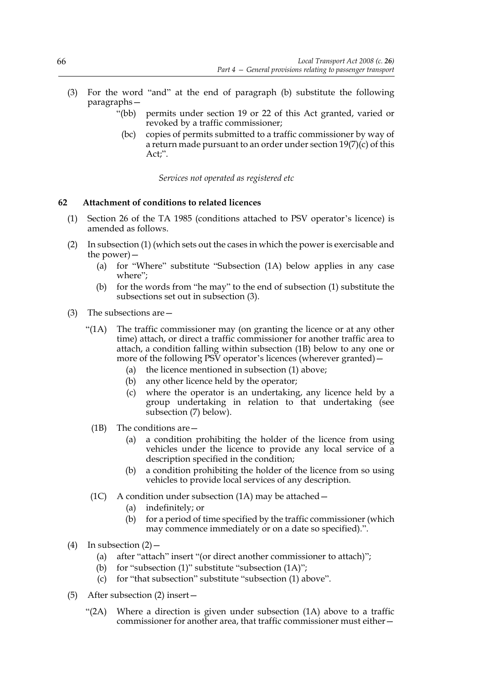- (3) For the word "and" at the end of paragraph (b) substitute the following paragraphs—
	- "(bb) permits under section 19 or 22 of this Act granted, varied or revoked by a traffic commissioner;
		- (bc) copies of permits submitted to a traffic commissioner by way of a return made pursuant to an order under section  $19(7)(c)$  of this Act;".

*Services not operated as registered etc*

## **62 Attachment of conditions to related licences**

- (1) Section 26 of the TA 1985 (conditions attached to PSV operator's licence) is amended as follows.
- (2) In subsection (1) (which sets out the cases in which the power is exercisable and the power)—
	- (a) for "Where" substitute "Subsection (1A) below applies in any case where";
	- (b) for the words from "he may" to the end of subsection (1) substitute the subsections set out in subsection (3).
- (3) The subsections are—
	- "( $1A$ ) The traffic commissioner may (on granting the licence or at any other time) attach, or direct a traffic commissioner for another traffic area to attach, a condition falling within subsection (1B) below to any one or more of the following PSV operator's licences (wherever granted) –
		- (a) the licence mentioned in subsection (1) above;
		- (b) any other licence held by the operator;
		- (c) where the operator is an undertaking, any licence held by a group undertaking in relation to that undertaking (see subsection (7) below).
		- (1B) The conditions are—
			- (a) a condition prohibiting the holder of the licence from using vehicles under the licence to provide any local service of a description specified in the condition;
			- (b) a condition prohibiting the holder of the licence from so using vehicles to provide local services of any description.
	- (1C) A condition under subsection  $(1A)$  may be attached  $-$ 
		- (a) indefinitely; or
		- (b) for a period of time specified by the traffic commissioner (which may commence immediately or on a date so specified).".
- (4) In subsection  $(2)$ 
	- (a) after "attach" insert "(or direct another commissioner to attach)";
	- (b) for "subsection  $(1)$ " substitute "subsection  $(1A)$ ";
	- (c) for "that subsection" substitute "subsection (1) above".
- (5) After subsection (2) insert—
	- "(2A) Where a direction is given under subsection (1A) above to a traffic commissioner for another area, that traffic commissioner must either—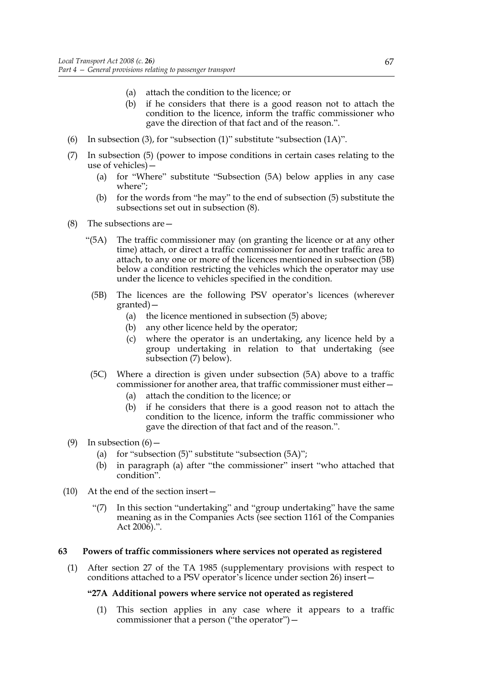- (a) attach the condition to the licence; or
- (b) if he considers that there is a good reason not to attach the condition to the licence, inform the traffic commissioner who gave the direction of that fact and of the reason.".
- (6) In subsection (3), for "subsection (1)" substitute "subsection (1A)".
- (7) In subsection (5) (power to impose conditions in certain cases relating to the use of vehicles)—
	- (a) for "Where" substitute "Subsection (5A) below applies in any case where";
	- (b) for the words from "he may" to the end of subsection (5) substitute the subsections set out in subsection (8).
- (8) The subsections are—
	- "(5A) The traffic commissioner may (on granting the licence or at any other time) attach, or direct a traffic commissioner for another traffic area to attach, to any one or more of the licences mentioned in subsection (5B) below a condition restricting the vehicles which the operator may use under the licence to vehicles specified in the condition.
	- (5B) The licences are the following PSV operator's licences (wherever granted)—
		- (a) the licence mentioned in subsection (5) above;
		- (b) any other licence held by the operator;
		- (c) where the operator is an undertaking, any licence held by a group undertaking in relation to that undertaking (see subsection (7) below).
	- (5C) Where a direction is given under subsection (5A) above to a traffic commissioner for another area, that traffic commissioner must either—
		- (a) attach the condition to the licence; or
		- (b) if he considers that there is a good reason not to attach the condition to the licence, inform the traffic commissioner who gave the direction of that fact and of the reason.".
- (9) In subsection  $(6)$ 
	- (a) for "subsection  $(5)$ " substitute "subsection  $(5A)$ ";
	- (b) in paragraph (a) after "the commissioner" insert "who attached that condition".
- (10) At the end of the section insert—
	- "(7) In this section "undertaking" and "group undertaking" have the same meaning as in the Companies Acts (see section 1161 of the Companies Act 2006).".

## **63 Powers of traffic commissioners where services not operated as registered**

(1) After section 27 of the TA 1985 (supplementary provisions with respect to conditions attached to a PSV operator's licence under section 26) insert—

# **"27A Additional powers where service not operated as registered**

(1) This section applies in any case where it appears to a traffic commissioner that a person ("the operator")—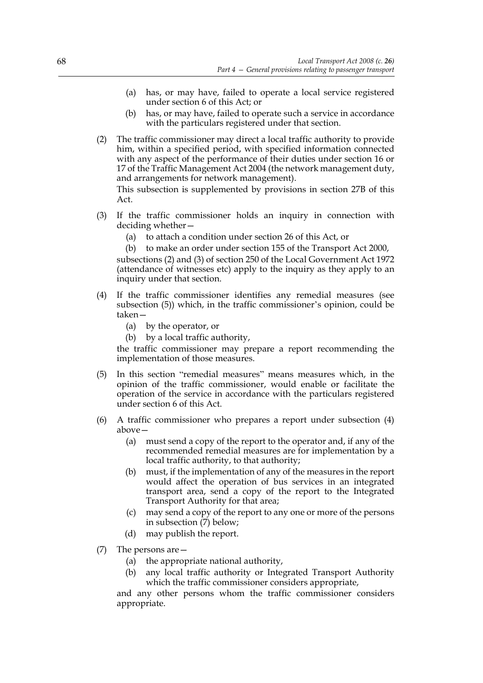- (a) has, or may have, failed to operate a local service registered under section 6 of this Act; or
- (b) has, or may have, failed to operate such a service in accordance with the particulars registered under that section.
- (2) The traffic commissioner may direct a local traffic authority to provide him, within a specified period, with specified information connected with any aspect of the performance of their duties under section 16 or 17 of the Traffic Management Act 2004 (the network management duty, and arrangements for network management).

This subsection is supplemented by provisions in section 27B of this Act.

- (3) If the traffic commissioner holds an inquiry in connection with deciding whether—
	- (a) to attach a condition under section 26 of this Act, or

(b) to make an order under section 155 of the Transport Act 2000,

subsections (2) and (3) of section 250 of the Local Government Act 1972 (attendance of witnesses etc) apply to the inquiry as they apply to an inquiry under that section.

- (4) If the traffic commissioner identifies any remedial measures (see subsection (5)) which, in the traffic commissioner's opinion, could be taken—
	- (a) by the operator, or
	- (b) by a local traffic authority,

the traffic commissioner may prepare a report recommending the implementation of those measures.

- (5) In this section "remedial measures" means measures which, in the opinion of the traffic commissioner, would enable or facilitate the operation of the service in accordance with the particulars registered under section 6 of this Act.
- (6) A traffic commissioner who prepares a report under subsection (4) above—
	- (a) must send a copy of the report to the operator and, if any of the recommended remedial measures are for implementation by a local traffic authority, to that authority;
	- (b) must, if the implementation of any of the measures in the report would affect the operation of bus services in an integrated transport area, send a copy of the report to the Integrated Transport Authority for that area;
	- (c) may send a copy of the report to any one or more of the persons in subsection (7) below;
	- (d) may publish the report.
- (7) The persons are—
	- (a) the appropriate national authority,
	- (b) any local traffic authority or Integrated Transport Authority which the traffic commissioner considers appropriate,

and any other persons whom the traffic commissioner considers appropriate.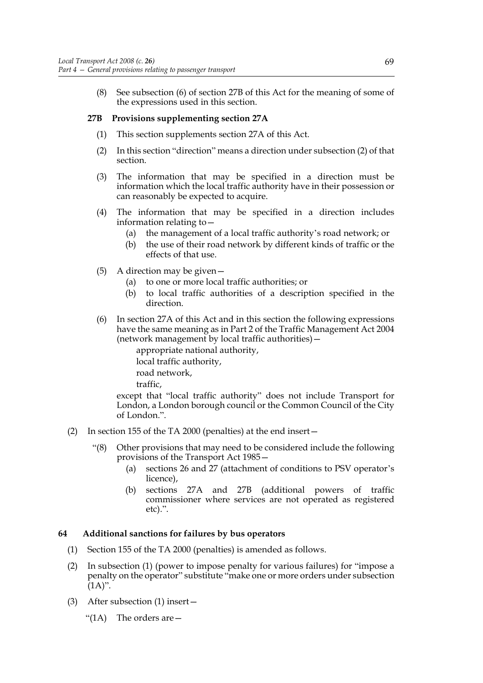(8) See subsection (6) of section 27B of this Act for the meaning of some of the expressions used in this section.

# **27B Provisions supplementing section 27A**

- (1) This section supplements section 27A of this Act.
- (2) In this section "direction" means a direction under subsection (2) of that section.
- (3) The information that may be specified in a direction must be information which the local traffic authority have in their possession or can reasonably be expected to acquire.
- (4) The information that may be specified in a direction includes information relating to—
	- (a) the management of a local traffic authority's road network; or
	- (b) the use of their road network by different kinds of traffic or the effects of that use.
- (5) A direction may be given—
	- (a) to one or more local traffic authorities; or
	- (b) to local traffic authorities of a description specified in the direction.
- (6) In section 27A of this Act and in this section the following expressions have the same meaning as in Part 2 of the Traffic Management Act 2004 (network management by local traffic authorities)—

appropriate national authority, local traffic authority, road network, traffic,

except that "local traffic authority" does not include Transport for London, a London borough council or the Common Council of the City of London.".

- (2) In section 155 of the TA 2000 (penalties) at the end insert—
	- "(8) Other provisions that may need to be considered include the following provisions of the Transport Act 1985—
		- (a) sections 26 and 27 (attachment of conditions to PSV operator's licence),
		- (b) sections 27A and 27B (additional powers of traffic commissioner where services are not operated as registered etc).".

## **64 Additional sanctions for failures by bus operators**

- (1) Section 155 of the TA 2000 (penalties) is amended as follows.
- (2) In subsection (1) (power to impose penalty for various failures) for "impose a penalty on the operator" substitute "make one or more orders under subsection  $(1A)$ ".
- (3) After subsection (1) insert—
	- "(1A) The orders are—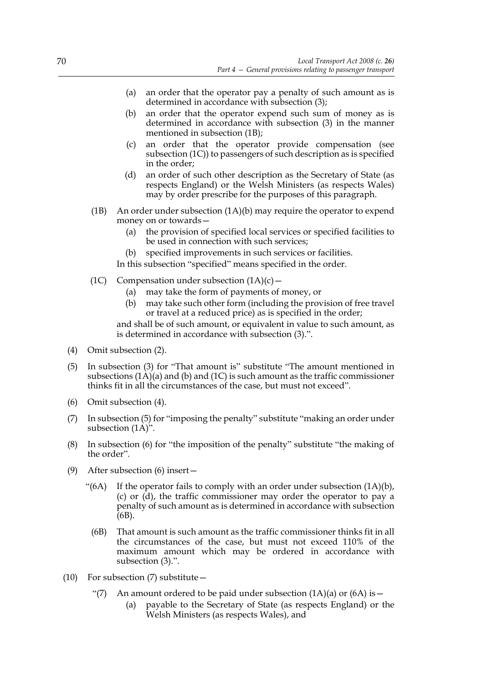- (a) an order that the operator pay a penalty of such amount as is determined in accordance with subsection (3);
- (b) an order that the operator expend such sum of money as is determined in accordance with subsection (3) in the manner mentioned in subsection (1B);
- (c) an order that the operator provide compensation (see subsection (1C)) to passengers of such description as is specified in the order;
- (d) an order of such other description as the Secretary of State (as respects England) or the Welsh Ministers (as respects Wales) may by order prescribe for the purposes of this paragraph.
- (1B) An order under subsection (1A)(b) may require the operator to expend money on or towards—
	- (a) the provision of specified local services or specified facilities to be used in connection with such services;
	- (b) specified improvements in such services or facilities.

In this subsection "specified" means specified in the order.

- (1C) Compensation under subsection  $(1A)(c)$ 
	- (a) may take the form of payments of money, or
	- (b) may take such other form (including the provision of free travel or travel at a reduced price) as is specified in the order;

and shall be of such amount, or equivalent in value to such amount, as is determined in accordance with subsection (3).".

- (4) Omit subsection (2).
- (5) In subsection (3) for "That amount is" substitute "The amount mentioned in subsections  $(1\text{A})(a)$  and  $(b)$  and  $(1\text{C})$  is such amount as the traffic commissioner thinks fit in all the circumstances of the case, but must not exceed".
- (6) Omit subsection (4).
- (7) In subsection (5) for "imposing the penalty" substitute "making an order under subsection (1A)".
- (8) In subsection (6) for "the imposition of the penalty" substitute "the making of the order".
- (9) After subsection (6) insert—
	- "(6A) If the operator fails to comply with an order under subsection  $(1A)(b)$ , (c) or (d), the traffic commissioner may order the operator to pay a penalty of such amount as is determined in accordance with subsection (6B).
		- (6B) That amount is such amount as the traffic commissioner thinks fit in all the circumstances of the case, but must not exceed 110% of the maximum amount which may be ordered in accordance with subsection (3).".
- (10) For subsection (7) substitute—
	- "(7) An amount ordered to be paid under subsection  $(1A)(a)$  or  $(6A)$  is  $-$ 
		- (a) payable to the Secretary of State (as respects England) or the Welsh Ministers (as respects Wales), and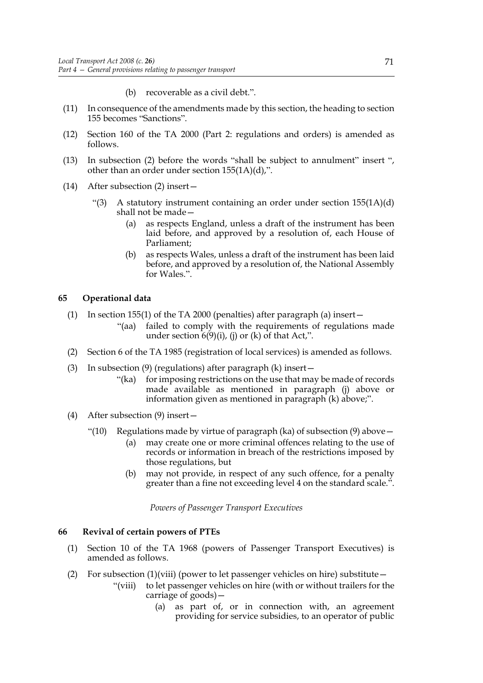- (b) recoverable as a civil debt.".
- (11) In consequence of the amendments made by this section, the heading to section 155 becomes "Sanctions".
- (12) Section 160 of the TA 2000 (Part 2: regulations and orders) is amended as follows.
- (13) In subsection (2) before the words "shall be subject to annulment" insert ", other than an order under section 155(1A)(d),".
- (14) After subsection (2) insert—
	- "(3) A statutory instrument containing an order under section 155(1A)(d) shall not be made—
		- (a) as respects England, unless a draft of the instrument has been laid before, and approved by a resolution of, each House of Parliament;
		- (b) as respects Wales, unless a draft of the instrument has been laid before, and approved by a resolution of, the National Assembly for Wales.".

## **65 Operational data**

- (1) In section 155(1) of the TA 2000 (penalties) after paragraph (a) insert—
	- "(aa) failed to comply with the requirements of regulations made under section  $6(9)(i)$ , (j) or (k) of that Act,".
- (2) Section 6 of the TA 1985 (registration of local services) is amended as follows.
- (3) In subsection (9) (regulations) after paragraph (k) insert—
	- "(ka) for imposing restrictions on the use that may be made of records made available as mentioned in paragraph (j) above or information given as mentioned in paragraph (k) above;".
- (4) After subsection (9) insert—
	- "(10) Regulations made by virtue of paragraph (ka) of subsection (9) above  $-$ 
		- (a) may create one or more criminal offences relating to the use of records or information in breach of the restrictions imposed by those regulations, but
		- (b) may not provide, in respect of any such offence, for a penalty greater than a fine not exceeding level 4 on the standard scale.".

*Powers of Passenger Transport Executives*

#### **66 Revival of certain powers of PTEs**

- (1) Section 10 of the TA 1968 (powers of Passenger Transport Executives) is amended as follows.
- (2) For subsection  $(1)(viii)$  (power to let passenger vehicles on hire) substitute  $-$ 
	- "(viii) to let passenger vehicles on hire (with or without trailers for the carriage of goods)—
		- (a) as part of, or in connection with, an agreement providing for service subsidies, to an operator of public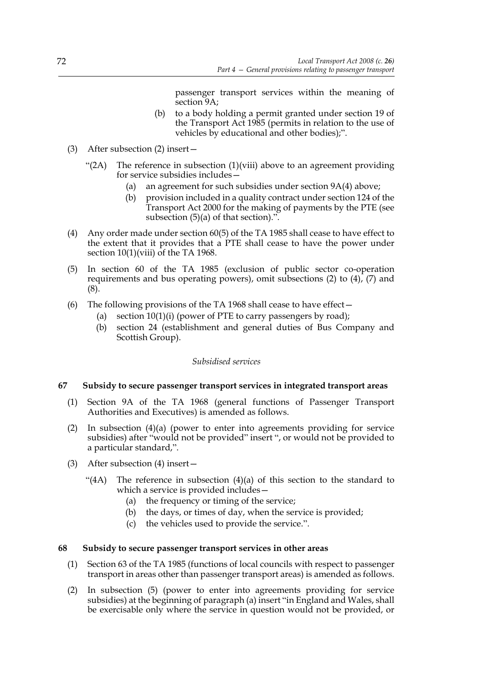passenger transport services within the meaning of section<sub>9A</sub>;

- (b) to a body holding a permit granted under section 19 of the Transport Act 1985 (permits in relation to the use of vehicles by educational and other bodies);".
- (3) After subsection (2) insert—
	- "(2A) The reference in subsection  $(1)(viii)$  above to an agreement providing for service subsidies includes—
		- (a) an agreement for such subsidies under section 9A(4) above;
		- (b) provision included in a quality contract under section 124 of the Transport Act 2000 for the making of payments by the PTE (see subsection  $(5)(a)$  of that section).".
- (4) Any order made under section 60(5) of the TA 1985 shall cease to have effect to the extent that it provides that a PTE shall cease to have the power under section  $10(1)$ (viii) of the TA 1968.
- (5) In section 60 of the TA 1985 (exclusion of public sector co-operation requirements and bus operating powers), omit subsections (2) to (4), (7) and (8).
- (6) The following provisions of the TA 1968 shall cease to have effect—
	- (a) section  $10(1)(i)$  (power of PTE to carry passengers by road);
	- (b) section 24 (establishment and general duties of Bus Company and Scottish Group).

## *Subsidised services*

# **67 Subsidy to secure passenger transport services in integrated transport areas**

- (1) Section 9A of the TA 1968 (general functions of Passenger Transport Authorities and Executives) is amended as follows.
- (2) In subsection (4)(a) (power to enter into agreements providing for service subsidies) after "would not be provided" insert ", or would not be provided to a particular standard,".
- (3) After subsection (4) insert—
	- "(4A) The reference in subsection  $(4)(a)$  of this section to the standard to which a service is provided includes—
		- (a) the frequency or timing of the service;
		- (b) the days, or times of day, when the service is provided;
		- (c) the vehicles used to provide the service.".

## **68 Subsidy to secure passenger transport services in other areas**

- (1) Section 63 of the TA 1985 (functions of local councils with respect to passenger transport in areas other than passenger transport areas) is amended as follows.
- (2) In subsection (5) (power to enter into agreements providing for service subsidies) at the beginning of paragraph (a) insert "in England and Wales, shall be exercisable only where the service in question would not be provided, or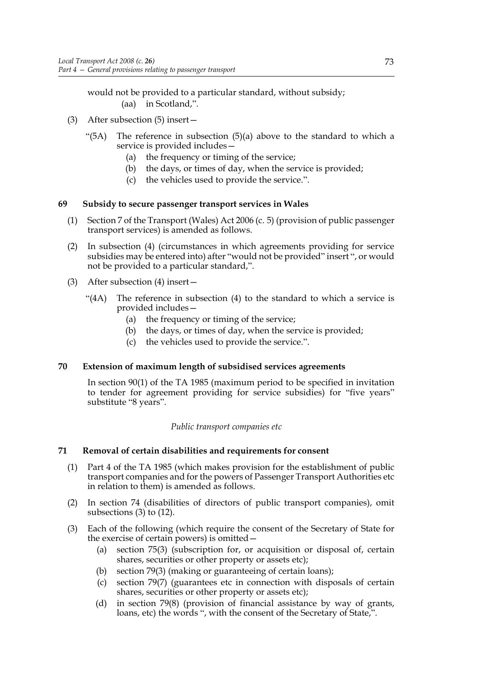would not be provided to a particular standard, without subsidy; (aa) in Scotland,".

- (3) After subsection (5) insert—
	- "(5A) The reference in subsection  $(5)(a)$  above to the standard to which a service is provided includes—
		- (a) the frequency or timing of the service;
		- (b) the days, or times of day, when the service is provided;
		- (c) the vehicles used to provide the service.".

## **69 Subsidy to secure passenger transport services in Wales**

- (1) Section 7 of the Transport (Wales) Act 2006 (c. 5) (provision of public passenger transport services) is amended as follows.
- (2) In subsection (4) (circumstances in which agreements providing for service subsidies may be entered into) after "would not be provided" insert ", or would not be provided to a particular standard,".
- (3) After subsection (4) insert—
	- "(4A) The reference in subsection (4) to the standard to which a service is provided includes—
		- (a) the frequency or timing of the service;
		- (b) the days, or times of day, when the service is provided;
		- (c) the vehicles used to provide the service.".

## **70 Extension of maximum length of subsidised services agreements**

In section 90(1) of the TA 1985 (maximum period to be specified in invitation to tender for agreement providing for service subsidies) for "five years" substitute "8 years".

## *Public transport companies etc*

## **71 Removal of certain disabilities and requirements for consent**

- (1) Part 4 of the TA 1985 (which makes provision for the establishment of public transport companies and for the powers of Passenger Transport Authorities etc in relation to them) is amended as follows.
- (2) In section 74 (disabilities of directors of public transport companies), omit subsections  $(3)$  to  $(12)$ .
- (3) Each of the following (which require the consent of the Secretary of State for the exercise of certain powers) is omitted—
	- (a) section 75(3) (subscription for, or acquisition or disposal of, certain shares, securities or other property or assets etc);
	- (b) section 79(3) (making or guaranteeing of certain loans);
	- (c) section 79(7) (guarantees etc in connection with disposals of certain shares, securities or other property or assets etc);
	- (d) in section 79(8) (provision of financial assistance by way of grants, loans, etc) the words ", with the consent of the Secretary of State,".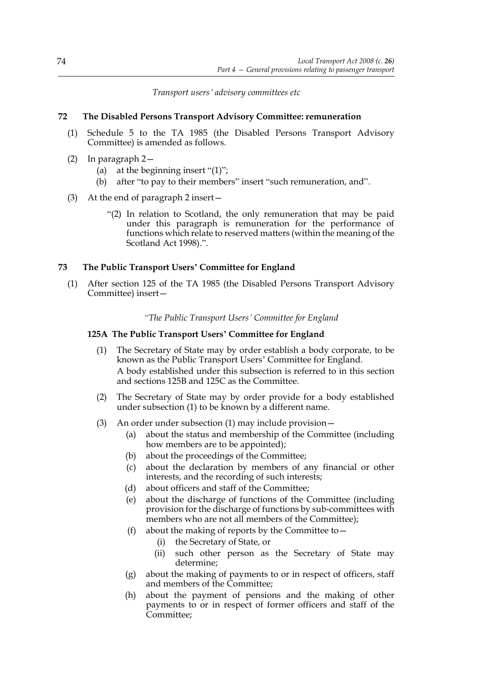*Transport users' advisory committees etc*

# **72 The Disabled Persons Transport Advisory Committee: remuneration**

- (1) Schedule 5 to the TA 1985 (the Disabled Persons Transport Advisory Committee) is amended as follows.
- (2) In paragraph 2—
	- (a) at the beginning insert " $(1)$ ";
	- (b) after "to pay to their members" insert "such remuneration, and".
- (3) At the end of paragraph 2 insert—
	- "(2) In relation to Scotland, the only remuneration that may be paid under this paragraph is remuneration for the performance of functions which relate to reserved matters (within the meaning of the Scotland Act 1998).".

## **73 The Public Transport Users' Committee for England**

(1) After section 125 of the TA 1985 (the Disabled Persons Transport Advisory Committee) insert—

*"The Public Transport Users' Committee for England*

# **125A The Public Transport Users' Committee for England**

- (1) The Secretary of State may by order establish a body corporate, to be known as the Public Transport Users' Committee for England. A body established under this subsection is referred to in this section and sections 125B and 125C as the Committee.
- (2) The Secretary of State may by order provide for a body established under subsection (1) to be known by a different name.
- (3) An order under subsection (1) may include provision—
	- (a) about the status and membership of the Committee (including how members are to be appointed);
	- (b) about the proceedings of the Committee;
	- (c) about the declaration by members of any financial or other interests, and the recording of such interests;
	- (d) about officers and staff of the Committee;
	- (e) about the discharge of functions of the Committee (including provision for the discharge of functions by sub-committees with members who are not all members of the Committee);
	- (f) about the making of reports by the Committee to  $-$ 
		- (i) the Secretary of State, or
		- (ii) such other person as the Secretary of State may determine;
	- (g) about the making of payments to or in respect of officers, staff and members of the Committee;
	- (h) about the payment of pensions and the making of other payments to or in respect of former officers and staff of the Committee;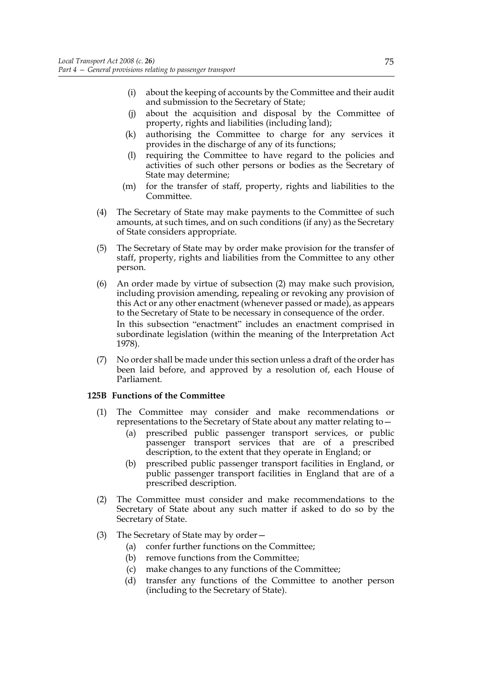- (i) about the keeping of accounts by the Committee and their audit and submission to the Secretary of State;
- (j) about the acquisition and disposal by the Committee of property, rights and liabilities (including land);
- (k) authorising the Committee to charge for any services it provides in the discharge of any of its functions;
- (l) requiring the Committee to have regard to the policies and activities of such other persons or bodies as the Secretary of State may determine;
- (m) for the transfer of staff, property, rights and liabilities to the Committee.
- (4) The Secretary of State may make payments to the Committee of such amounts, at such times, and on such conditions (if any) as the Secretary of State considers appropriate.
- (5) The Secretary of State may by order make provision for the transfer of staff, property, rights and liabilities from the Committee to any other person.
- (6) An order made by virtue of subsection (2) may make such provision, including provision amending, repealing or revoking any provision of this Act or any other enactment (whenever passed or made), as appears to the Secretary of State to be necessary in consequence of the order. In this subsection "enactment" includes an enactment comprised in subordinate legislation (within the meaning of the Interpretation Act 1978).
- (7) No order shall be made under this section unless a draft of the order has been laid before, and approved by a resolution of, each House of Parliament.

## **125B Functions of the Committee**

- (1) The Committee may consider and make recommendations or representations to the Secretary of State about any matter relating to—
	- (a) prescribed public passenger transport services, or public passenger transport services that are of a prescribed description, to the extent that they operate in England; or
	- (b) prescribed public passenger transport facilities in England, or public passenger transport facilities in England that are of a prescribed description.
- (2) The Committee must consider and make recommendations to the Secretary of State about any such matter if asked to do so by the Secretary of State.
- (3) The Secretary of State may by order—
	- (a) confer further functions on the Committee;
	- (b) remove functions from the Committee;
	- (c) make changes to any functions of the Committee;
	- (d) transfer any functions of the Committee to another person (including to the Secretary of State).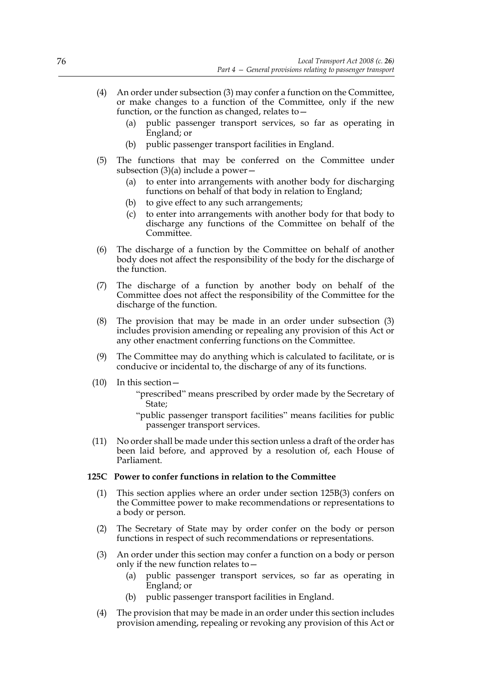- (4) An order under subsection (3) may confer a function on the Committee, or make changes to a function of the Committee, only if the new function, or the function as changed, relates to—
	- (a) public passenger transport services, so far as operating in England; or
	- (b) public passenger transport facilities in England.
- (5) The functions that may be conferred on the Committee under subsection  $(3)(a)$  include a power –
	- (a) to enter into arrangements with another body for discharging functions on behalf of that body in relation to England;
	- (b) to give effect to any such arrangements;
	- (c) to enter into arrangements with another body for that body to discharge any functions of the Committee on behalf of the Committee.
- (6) The discharge of a function by the Committee on behalf of another body does not affect the responsibility of the body for the discharge of the function.
- (7) The discharge of a function by another body on behalf of the Committee does not affect the responsibility of the Committee for the discharge of the function.
- (8) The provision that may be made in an order under subsection (3) includes provision amending or repealing any provision of this Act or any other enactment conferring functions on the Committee.
- (9) The Committee may do anything which is calculated to facilitate, or is conducive or incidental to, the discharge of any of its functions.
- (10) In this section—
	- "prescribed" means prescribed by order made by the Secretary of State;
	- "public passenger transport facilities" means facilities for public passenger transport services.
- (11) No order shall be made under this section unless a draft of the order has been laid before, and approved by a resolution of, each House of Parliament.

## **125C Power to confer functions in relation to the Committee**

- (1) This section applies where an order under section 125B(3) confers on the Committee power to make recommendations or representations to a body or person.
- (2) The Secretary of State may by order confer on the body or person functions in respect of such recommendations or representations.
- (3) An order under this section may confer a function on a body or person only if the new function relates to—
	- (a) public passenger transport services, so far as operating in England; or
	- (b) public passenger transport facilities in England.
- (4) The provision that may be made in an order under this section includes provision amending, repealing or revoking any provision of this Act or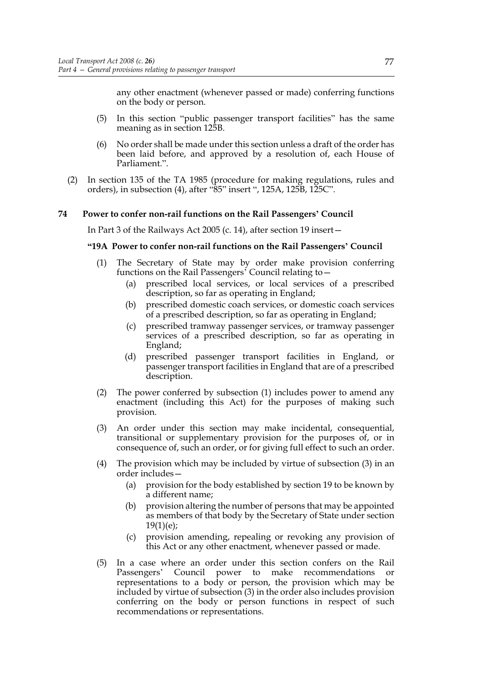any other enactment (whenever passed or made) conferring functions on the body or person.

- (5) In this section "public passenger transport facilities" has the same meaning as in section 125B.
- (6) No order shall be made under this section unless a draft of the order has been laid before, and approved by a resolution of, each House of Parliament.".
- (2) In section 135 of the TA 1985 (procedure for making regulations, rules and orders), in subsection (4), after "85" insert ", 125A, 125B, 125C".

#### **74 Power to confer non-rail functions on the Rail Passengers' Council**

In Part 3 of the Railways Act 2005 (c. 14), after section 19 insert—

#### **"19A Power to confer non-rail functions on the Rail Passengers' Council**

- (1) The Secretary of State may by order make provision conferring functions on the Rail Passengers' Council relating to—
	- (a) prescribed local services, or local services of a prescribed description, so far as operating in England;
	- (b) prescribed domestic coach services, or domestic coach services of a prescribed description, so far as operating in England;
	- (c) prescribed tramway passenger services, or tramway passenger services of a prescribed description, so far as operating in England;
	- (d) prescribed passenger transport facilities in England, or passenger transport facilities in England that are of a prescribed description.
- (2) The power conferred by subsection (1) includes power to amend any enactment (including this Act) for the purposes of making such provision.
- (3) An order under this section may make incidental, consequential, transitional or supplementary provision for the purposes of, or in consequence of, such an order, or for giving full effect to such an order.
- (4) The provision which may be included by virtue of subsection (3) in an order includes—
	- (a) provision for the body established by section 19 to be known by a different name;
	- (b) provision altering the number of persons that may be appointed as members of that body by the Secretary of State under section  $19(1)(e);$
	- (c) provision amending, repealing or revoking any provision of this Act or any other enactment, whenever passed or made.
- (5) In a case where an order under this section confers on the Rail Passengers' Council power to make recommendations or representations to a body or person, the provision which may be included by virtue of subsection (3) in the order also includes provision conferring on the body or person functions in respect of such recommendations or representations.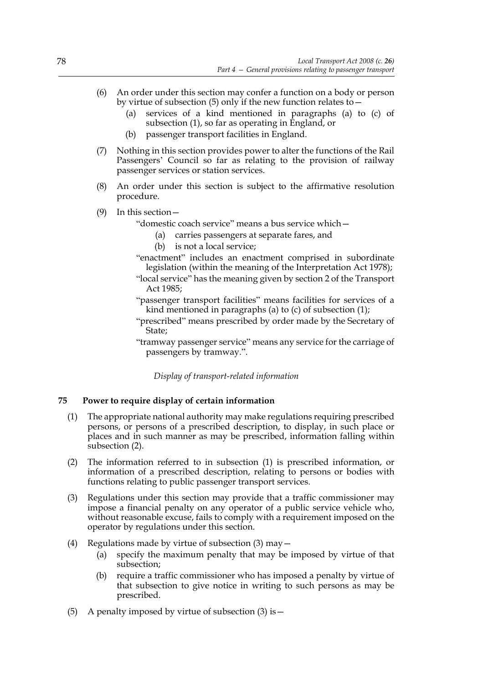- (6) An order under this section may confer a function on a body or person by virtue of subsection (5) only if the new function relates to—
	- (a) services of a kind mentioned in paragraphs (a) to (c) of subsection (1), so far as operating in England, or
	- (b) passenger transport facilities in England.
- (7) Nothing in this section provides power to alter the functions of the Rail Passengers' Council so far as relating to the provision of railway passenger services or station services.
- (8) An order under this section is subject to the affirmative resolution procedure.
- (9) In this section—
	- "domestic coach service" means a bus service which—
		- (a) carries passengers at separate fares, and
		- (b) is not a local service;
	- "enactment" includes an enactment comprised in subordinate legislation (within the meaning of the Interpretation Act 1978);
	- "local service" has the meaning given by section 2 of the Transport Act 1985;
	- "passenger transport facilities" means facilities for services of a kind mentioned in paragraphs (a) to (c) of subsection (1);
	- "prescribed" means prescribed by order made by the Secretary of State;
	- "tramway passenger service" means any service for the carriage of passengers by tramway.".

*Display of transport-related information*

## **75 Power to require display of certain information**

- (1) The appropriate national authority may make regulations requiring prescribed persons, or persons of a prescribed description, to display, in such place or places and in such manner as may be prescribed, information falling within subsection (2).
- (2) The information referred to in subsection (1) is prescribed information, or information of a prescribed description, relating to persons or bodies with functions relating to public passenger transport services.
- (3) Regulations under this section may provide that a traffic commissioner may impose a financial penalty on any operator of a public service vehicle who, without reasonable excuse, fails to comply with a requirement imposed on the operator by regulations under this section.
- (4) Regulations made by virtue of subsection (3) may—
	- (a) specify the maximum penalty that may be imposed by virtue of that subsection;
	- (b) require a traffic commissioner who has imposed a penalty by virtue of that subsection to give notice in writing to such persons as may be prescribed.
- (5) A penalty imposed by virtue of subsection  $(3)$  is  $-$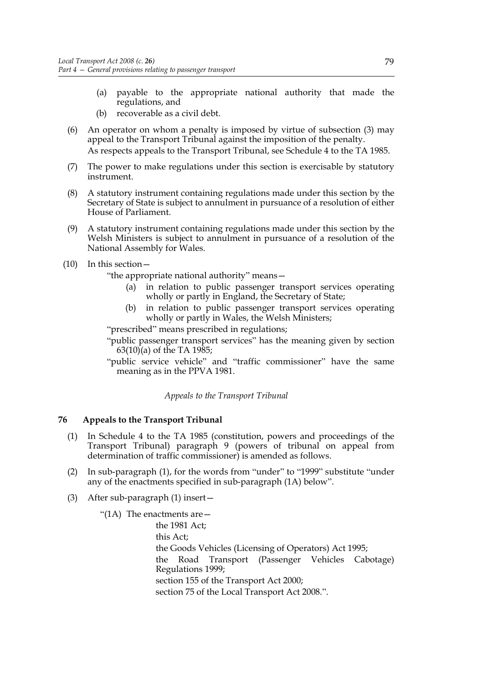- (a) payable to the appropriate national authority that made the regulations, and
- (b) recoverable as a civil debt.
- (6) An operator on whom a penalty is imposed by virtue of subsection (3) may appeal to the Transport Tribunal against the imposition of the penalty. As respects appeals to the Transport Tribunal, see Schedule 4 to the TA 1985.
- (7) The power to make regulations under this section is exercisable by statutory instrument.
- (8) A statutory instrument containing regulations made under this section by the Secretary of State is subject to annulment in pursuance of a resolution of either House of Parliament.
- (9) A statutory instrument containing regulations made under this section by the Welsh Ministers is subject to annulment in pursuance of a resolution of the National Assembly for Wales.
- (10) In this section—

"the appropriate national authority" means—

- (a) in relation to public passenger transport services operating wholly or partly in England, the Secretary of State;
- (b) in relation to public passenger transport services operating wholly or partly in Wales, the Welsh Ministers;

"prescribed" means prescribed in regulations;

- "public passenger transport services" has the meaning given by section 63(10)(a) of the TA 1985;
- "public service vehicle" and "traffic commissioner" have the same meaning as in the PPVA 1981.

*Appeals to the Transport Tribunal*

## **76 Appeals to the Transport Tribunal**

- (1) In Schedule 4 to the TA 1985 (constitution, powers and proceedings of the Transport Tribunal) paragraph 9 (powers of tribunal on appeal from determination of traffic commissioner) is amended as follows.
- (2) In sub-paragraph (1), for the words from "under" to "1999" substitute "under any of the enactments specified in sub-paragraph (1A) below".
- (3) After sub-paragraph (1) insert—

"(1A) The enactments are  $-$ 

 the 1981 Act; this Act; the Goods Vehicles (Licensing of Operators) Act 1995; the Road Transport (Passenger Vehicles Cabotage) Regulations 1999; section 155 of the Transport Act 2000; section 75 of the Local Transport Act 2008.".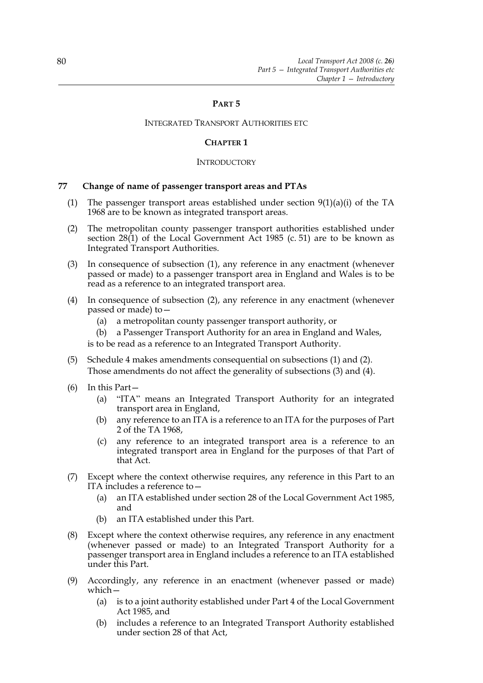# **PART 5**

#### INTEGRATED TRANSPORT AUTHORITIES ETC

#### **CHAPTER 1**

#### **INTRODUCTORY**

#### **77 Change of name of passenger transport areas and PTAs**

- (1) The passenger transport areas established under section  $9(1)(a)(i)$  of the TA 1968 are to be known as integrated transport areas.
- (2) The metropolitan county passenger transport authorities established under section 28(1) of the Local Government Act 1985 (c. 51) are to be known as Integrated Transport Authorities.
- (3) In consequence of subsection (1), any reference in any enactment (whenever passed or made) to a passenger transport area in England and Wales is to be read as a reference to an integrated transport area.
- (4) In consequence of subsection (2), any reference in any enactment (whenever passed or made) to—
	- (a) a metropolitan county passenger transport authority, or
	- (b) a Passenger Transport Authority for an area in England and Wales,

is to be read as a reference to an Integrated Transport Authority.

- (5) Schedule 4 makes amendments consequential on subsections (1) and (2). Those amendments do not affect the generality of subsections (3) and (4).
- (6) In this Part—
	- (a) "ITA" means an Integrated Transport Authority for an integrated transport area in England,
	- (b) any reference to an ITA is a reference to an ITA for the purposes of Part 2 of the TA 1968,
	- (c) any reference to an integrated transport area is a reference to an integrated transport area in England for the purposes of that Part of that Act.
- (7) Except where the context otherwise requires, any reference in this Part to an ITA includes a reference to—
	- (a) an ITA established under section 28 of the Local Government Act 1985, and
	- (b) an ITA established under this Part.
- (8) Except where the context otherwise requires, any reference in any enactment (whenever passed or made) to an Integrated Transport Authority for a passenger transport area in England includes a reference to an ITA established under this Part.
- (9) Accordingly, any reference in an enactment (whenever passed or made) which—
	- (a) is to a joint authority established under Part 4 of the Local Government Act 1985, and
	- (b) includes a reference to an Integrated Transport Authority established under section 28 of that Act,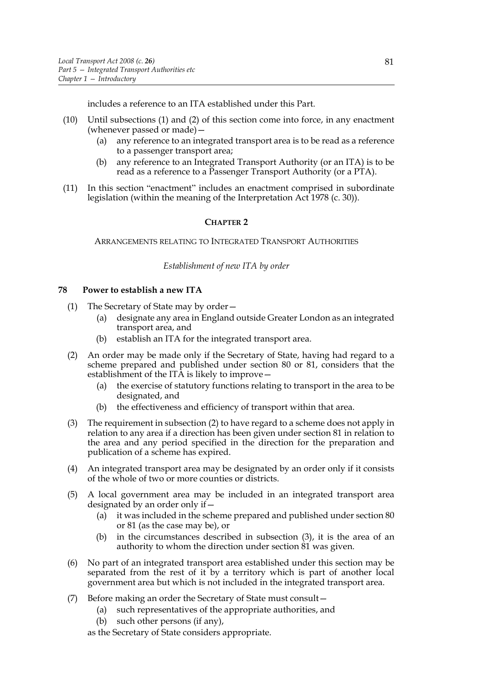includes a reference to an ITA established under this Part.

- (10) Until subsections (1) and (2) of this section come into force, in any enactment (whenever passed or made)—
	- (a) any reference to an integrated transport area is to be read as a reference to a passenger transport area;
	- (b) any reference to an Integrated Transport Authority (or an ITA) is to be read as a reference to a Passenger Transport Authority (or a PTA).
- (11) In this section "enactment" includes an enactment comprised in subordinate legislation (within the meaning of the Interpretation Act 1978 (c. 30)).

# **CHAPTER 2**

ARRANGEMENTS RELATING TO INTEGRATED TRANSPORT AUTHORITIES

#### *Establishment of new ITA by order*

#### **78 Power to establish a new ITA**

- (1) The Secretary of State may by order—
	- (a) designate any area in England outside Greater London as an integrated transport area, and
	- (b) establish an ITA for the integrated transport area.
- (2) An order may be made only if the Secretary of State, having had regard to a scheme prepared and published under section 80 or 81, considers that the establishment of the ITA is likely to improve—
	- (a) the exercise of statutory functions relating to transport in the area to be designated, and
	- (b) the effectiveness and efficiency of transport within that area.
- (3) The requirement in subsection (2) to have regard to a scheme does not apply in relation to any area if a direction has been given under section 81 in relation to the area and any period specified in the direction for the preparation and publication of a scheme has expired.
- (4) An integrated transport area may be designated by an order only if it consists of the whole of two or more counties or districts.
- (5) A local government area may be included in an integrated transport area designated by an order only if—
	- (a) it was included in the scheme prepared and published under section 80 or 81 (as the case may be), or
	- (b) in the circumstances described in subsection (3), it is the area of an authority to whom the direction under section 81 was given.
- (6) No part of an integrated transport area established under this section may be separated from the rest of it by a territory which is part of another local government area but which is not included in the integrated transport area.
- (7) Before making an order the Secretary of State must consult—
	- (a) such representatives of the appropriate authorities, and
	- (b) such other persons (if any),

as the Secretary of State considers appropriate.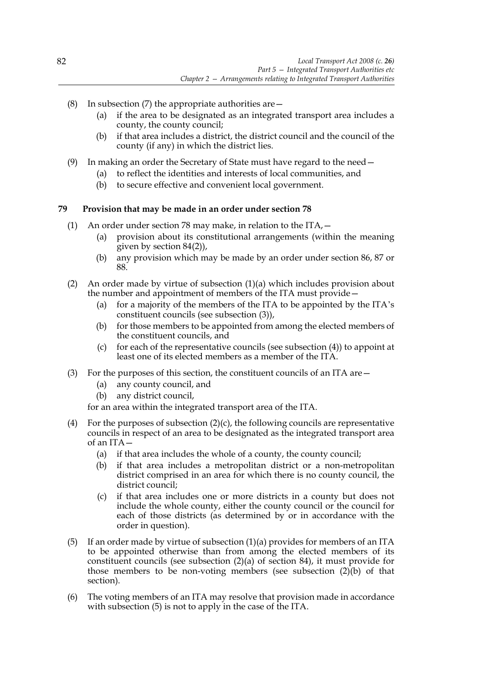- (8) In subsection (7) the appropriate authorities are  $-$ 
	- (a) if the area to be designated as an integrated transport area includes a county, the county council;
	- (b) if that area includes a district, the district council and the council of the county (if any) in which the district lies.
- (9) In making an order the Secretary of State must have regard to the need—
	- (a) to reflect the identities and interests of local communities, and
	- (b) to secure effective and convenient local government.

# **79 Provision that may be made in an order under section 78**

- (1) An order under section 78 may make, in relation to the  $\text{ITA}$ ,  $-$ 
	- (a) provision about its constitutional arrangements (within the meaning given by section 84(2)),
	- (b) any provision which may be made by an order under section 86, 87 or 88.
- (2) An order made by virtue of subsection (1)(a) which includes provision about the number and appointment of members of the ITA must provide—
	- (a) for a majority of the members of the ITA to be appointed by the ITA's constituent councils (see subsection (3)),
	- (b) for those members to be appointed from among the elected members of the constituent councils, and
	- (c) for each of the representative councils (see subsection  $(4)$ ) to appoint at least one of its elected members as a member of the ITA.
- (3) For the purposes of this section, the constituent councils of an ITA are—
	- (a) any county council, and
	- (b) any district council,

for an area within the integrated transport area of the ITA.

- (4) For the purposes of subsection  $(2)(c)$ , the following councils are representative councils in respect of an area to be designated as the integrated transport area of an ITA—
	- (a) if that area includes the whole of a county, the county council;
	- (b) if that area includes a metropolitan district or a non-metropolitan district comprised in an area for which there is no county council, the district council;
	- (c) if that area includes one or more districts in a county but does not include the whole county, either the county council or the council for each of those districts (as determined by or in accordance with the order in question).
- (5) If an order made by virtue of subsection (1)(a) provides for members of an ITA to be appointed otherwise than from among the elected members of its constituent councils (see subsection (2)(a) of section 84), it must provide for those members to be non-voting members (see subsection (2)(b) of that section).
- (6) The voting members of an ITA may resolve that provision made in accordance with subsection (5) is not to apply in the case of the ITA.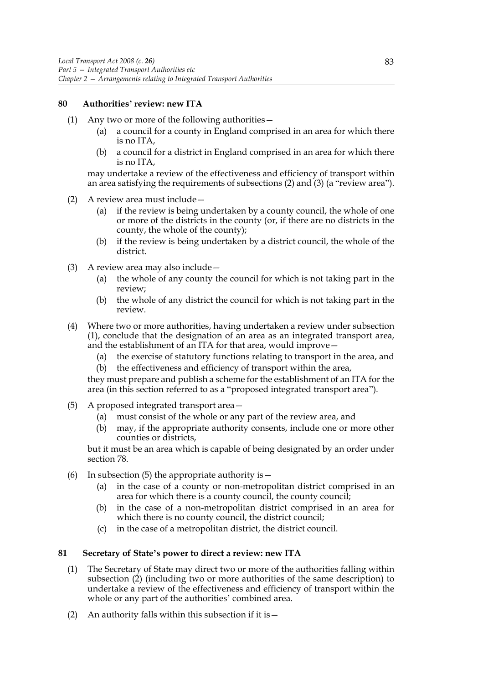## **80 Authorities' review: new ITA**

- (1) Any two or more of the following authorities—
	- (a) a council for a county in England comprised in an area for which there is no ITA,
	- (b) a council for a district in England comprised in an area for which there is no ITA,

may undertake a review of the effectiveness and efficiency of transport within an area satisfying the requirements of subsections (2) and (3) (a "review area").

- (2) A review area must include—
	- (a) if the review is being undertaken by a county council, the whole of one or more of the districts in the county (or, if there are no districts in the county, the whole of the county);
	- (b) if the review is being undertaken by a district council, the whole of the district.
- (3) A review area may also include—
	- (a) the whole of any county the council for which is not taking part in the review;
	- (b) the whole of any district the council for which is not taking part in the review.
- (4) Where two or more authorities, having undertaken a review under subsection (1), conclude that the designation of an area as an integrated transport area, and the establishment of an ITA for that area, would improve—
	- (a) the exercise of statutory functions relating to transport in the area, and
	- (b) the effectiveness and efficiency of transport within the area,

they must prepare and publish a scheme for the establishment of an ITA for the area (in this section referred to as a "proposed integrated transport area").

- (5) A proposed integrated transport area—
	- (a) must consist of the whole or any part of the review area, and
	- (b) may, if the appropriate authority consents, include one or more other counties or districts,

but it must be an area which is capable of being designated by an order under section 78.

- (6) In subsection (5) the appropriate authority is  $-$ 
	- (a) in the case of a county or non-metropolitan district comprised in an area for which there is a county council, the county council;
	- (b) in the case of a non-metropolitan district comprised in an area for which there is no county council, the district council;
	- (c) in the case of a metropolitan district, the district council.

#### **81 Secretary of State's power to direct a review: new ITA**

- (1) The Secretary of State may direct two or more of the authorities falling within subsection (2) (including two or more authorities of the same description) to undertake a review of the effectiveness and efficiency of transport within the whole or any part of the authorities' combined area.
- (2) An authority falls within this subsection if it is  $-$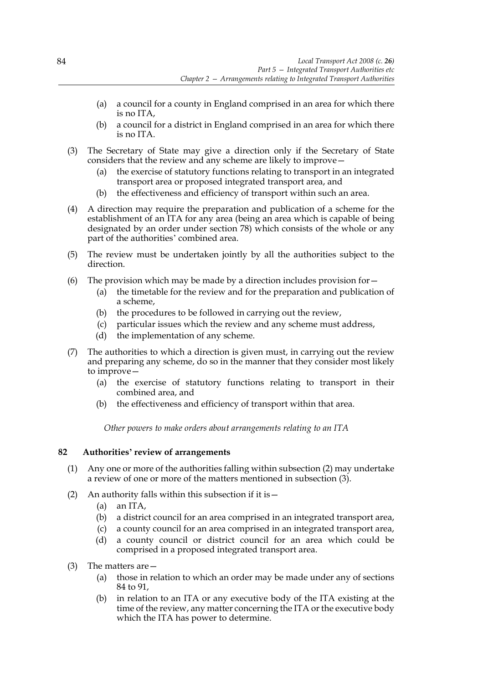- (a) a council for a county in England comprised in an area for which there is no ITA,
- (b) a council for a district in England comprised in an area for which there is no ITA.
- (3) The Secretary of State may give a direction only if the Secretary of State considers that the review and any scheme are likely to improve—
	- (a) the exercise of statutory functions relating to transport in an integrated transport area or proposed integrated transport area, and
	- (b) the effectiveness and efficiency of transport within such an area.
- (4) A direction may require the preparation and publication of a scheme for the establishment of an ITA for any area (being an area which is capable of being designated by an order under section 78) which consists of the whole or any part of the authorities' combined area.
- (5) The review must be undertaken jointly by all the authorities subject to the direction.
- (6) The provision which may be made by a direction includes provision for  $-$ 
	- (a) the timetable for the review and for the preparation and publication of a scheme,
	- (b) the procedures to be followed in carrying out the review,
	- (c) particular issues which the review and any scheme must address,
	- (d) the implementation of any scheme.
- (7) The authorities to which a direction is given must, in carrying out the review and preparing any scheme, do so in the manner that they consider most likely to improve—
	- (a) the exercise of statutory functions relating to transport in their combined area, and
	- (b) the effectiveness and efficiency of transport within that area.

*Other powers to make orders about arrangements relating to an ITA*

# **82 Authorities' review of arrangements**

- (1) Any one or more of the authorities falling within subsection (2) may undertake a review of one or more of the matters mentioned in subsection (3).
- (2) An authority falls within this subsection if it is—
	- (a) an ITA,
	- (b) a district council for an area comprised in an integrated transport area,
	- (c) a county council for an area comprised in an integrated transport area,
	- (d) a county council or district council for an area which could be comprised in a proposed integrated transport area.
- (3) The matters are—
	- (a) those in relation to which an order may be made under any of sections 84 to 91,
	- (b) in relation to an ITA or any executive body of the ITA existing at the time of the review, any matter concerning the ITA or the executive body which the ITA has power to determine.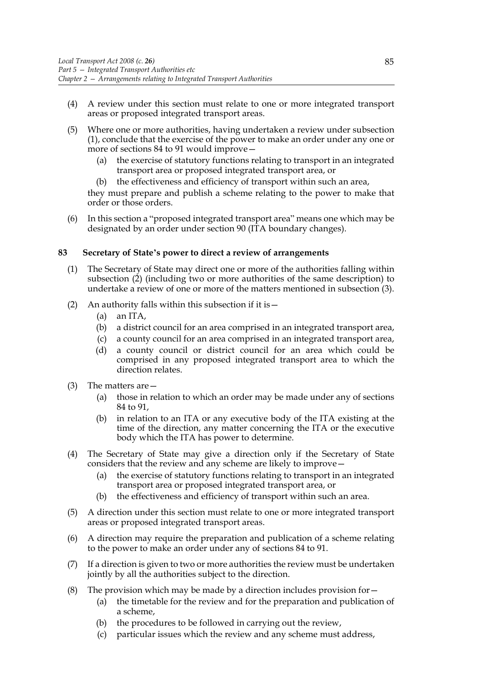- (4) A review under this section must relate to one or more integrated transport areas or proposed integrated transport areas.
- (5) Where one or more authorities, having undertaken a review under subsection (1), conclude that the exercise of the power to make an order under any one or more of sections 84 to 91 would improve—
	- (a) the exercise of statutory functions relating to transport in an integrated transport area or proposed integrated transport area, or
	- (b) the effectiveness and efficiency of transport within such an area,

they must prepare and publish a scheme relating to the power to make that order or those orders.

(6) In this section a "proposed integrated transport area" means one which may be designated by an order under section 90 (ITA boundary changes).

## **83 Secretary of State's power to direct a review of arrangements**

- (1) The Secretary of State may direct one or more of the authorities falling within subsection (2) (including two or more authorities of the same description) to undertake a review of one or more of the matters mentioned in subsection (3).
- (2) An authority falls within this subsection if it is—
	- (a) an ITA,
	- (b) a district council for an area comprised in an integrated transport area,
	- (c) a county council for an area comprised in an integrated transport area,
	- (d) a county council or district council for an area which could be comprised in any proposed integrated transport area to which the direction relates.
- (3) The matters are—
	- (a) those in relation to which an order may be made under any of sections 84 to 91,
	- (b) in relation to an ITA or any executive body of the ITA existing at the time of the direction, any matter concerning the ITA or the executive body which the ITA has power to determine.
- (4) The Secretary of State may give a direction only if the Secretary of State considers that the review and any scheme are likely to improve—
	- (a) the exercise of statutory functions relating to transport in an integrated transport area or proposed integrated transport area, or
	- (b) the effectiveness and efficiency of transport within such an area.
- (5) A direction under this section must relate to one or more integrated transport areas or proposed integrated transport areas.
- (6) A direction may require the preparation and publication of a scheme relating to the power to make an order under any of sections 84 to 91.
- (7) If a direction is given to two or more authorities the review must be undertaken jointly by all the authorities subject to the direction.
- (8) The provision which may be made by a direction includes provision for  $-$ 
	- (a) the timetable for the review and for the preparation and publication of a scheme,
	- (b) the procedures to be followed in carrying out the review,
	- (c) particular issues which the review and any scheme must address,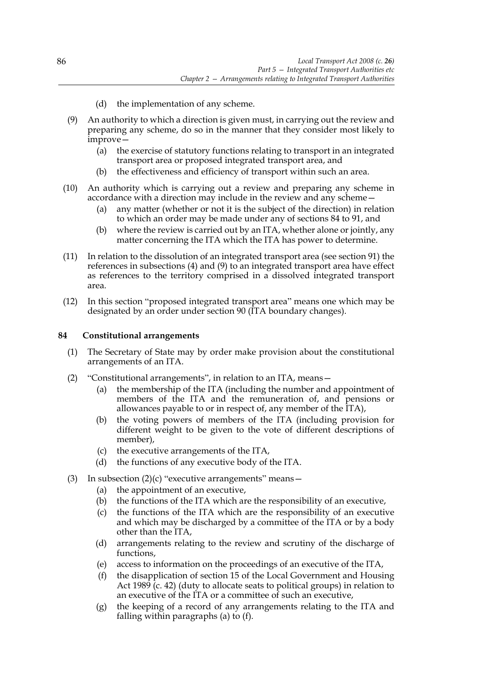- (d) the implementation of any scheme.
- (9) An authority to which a direction is given must, in carrying out the review and preparing any scheme, do so in the manner that they consider most likely to improve—
	- (a) the exercise of statutory functions relating to transport in an integrated transport area or proposed integrated transport area, and
	- (b) the effectiveness and efficiency of transport within such an area.
- (10) An authority which is carrying out a review and preparing any scheme in accordance with a direction may include in the review and any scheme—
	- (a) any matter (whether or not it is the subject of the direction) in relation to which an order may be made under any of sections 84 to 91, and
	- (b) where the review is carried out by an ITA, whether alone or jointly, any matter concerning the ITA which the ITA has power to determine.
- (11) In relation to the dissolution of an integrated transport area (see section 91) the references in subsections (4) and (9) to an integrated transport area have effect as references to the territory comprised in a dissolved integrated transport area.
- (12) In this section "proposed integrated transport area" means one which may be designated by an order under section 90 (ITA boundary changes).

# **84 Constitutional arrangements**

- (1) The Secretary of State may by order make provision about the constitutional arrangements of an ITA.
- (2) "Constitutional arrangements", in relation to an ITA, means—
	- (a) the membership of the ITA (including the number and appointment of members of the ITA and the remuneration of, and pensions or allowances payable to or in respect of, any member of the ITA),
	- (b) the voting powers of members of the ITA (including provision for different weight to be given to the vote of different descriptions of member),
	- (c) the executive arrangements of the ITA,
	- (d) the functions of any executive body of the ITA.
- (3) In subsection  $(2)(c)$  "executive arrangements" means -
	- (a) the appointment of an executive,
	- (b) the functions of the ITA which are the responsibility of an executive,
	- (c) the functions of the ITA which are the responsibility of an executive and which may be discharged by a committee of the ITA or by a body other than the ITA,
	- (d) arrangements relating to the review and scrutiny of the discharge of functions,
	- (e) access to information on the proceedings of an executive of the ITA,
	- (f) the disapplication of section 15 of the Local Government and Housing Act 1989 (c. 42) (duty to allocate seats to political groups) in relation to an executive of the ITA or a committee of such an executive,
	- (g) the keeping of a record of any arrangements relating to the ITA and falling within paragraphs (a) to (f).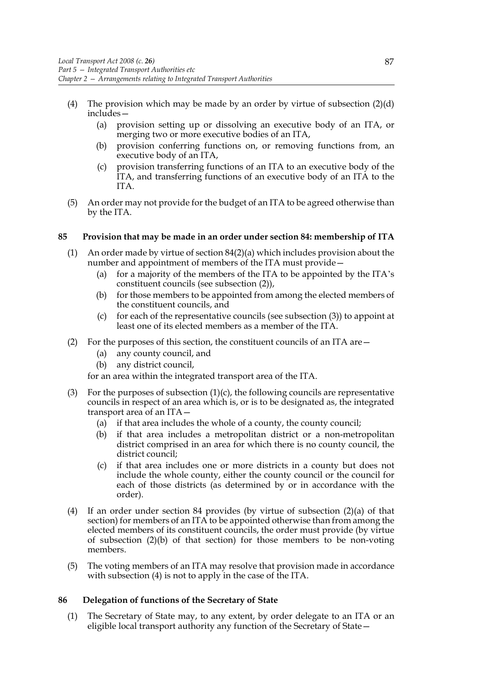- (4) The provision which may be made by an order by virtue of subsection  $(2)(d)$ includes—
	- (a) provision setting up or dissolving an executive body of an ITA, or merging two or more executive bodies of an ITA,
	- (b) provision conferring functions on, or removing functions from, an executive body of an ITA,
	- (c) provision transferring functions of an ITA to an executive body of the ITA, and transferring functions of an executive body of an ITA to the ITA.
- (5) An order may not provide for the budget of an ITA to be agreed otherwise than by the ITA.

## **85 Provision that may be made in an order under section 84: membership of ITA**

- (1) An order made by virtue of section 84(2)(a) which includes provision about the number and appointment of members of the ITA must provide—
	- (a) for a majority of the members of the ITA to be appointed by the ITA's constituent councils (see subsection (2)),
	- (b) for those members to be appointed from among the elected members of the constituent councils, and
	- (c) for each of the representative councils (see subsection  $(3)$ ) to appoint at least one of its elected members as a member of the ITA.
- (2) For the purposes of this section, the constituent councils of an ITA are  $-$ 
	- (a) any county council, and
	- (b) any district council,

for an area within the integrated transport area of the ITA.

- (3) For the purposes of subsection  $(1)(c)$ , the following councils are representative councils in respect of an area which is, or is to be designated as, the integrated transport area of an ITA—
	- (a) if that area includes the whole of a county, the county council;
	- (b) if that area includes a metropolitan district or a non-metropolitan district comprised in an area for which there is no county council, the district council;
	- (c) if that area includes one or more districts in a county but does not include the whole county, either the county council or the council for each of those districts (as determined by or in accordance with the order).
- (4) If an order under section 84 provides (by virtue of subsection (2)(a) of that section) for members of an ITA to be appointed otherwise than from among the elected members of its constituent councils, the order must provide (by virtue of subsection (2)(b) of that section) for those members to be non-voting members.
- (5) The voting members of an ITA may resolve that provision made in accordance with subsection (4) is not to apply in the case of the ITA.

## **86 Delegation of functions of the Secretary of State**

(1) The Secretary of State may, to any extent, by order delegate to an ITA or an eligible local transport authority any function of the Secretary of State—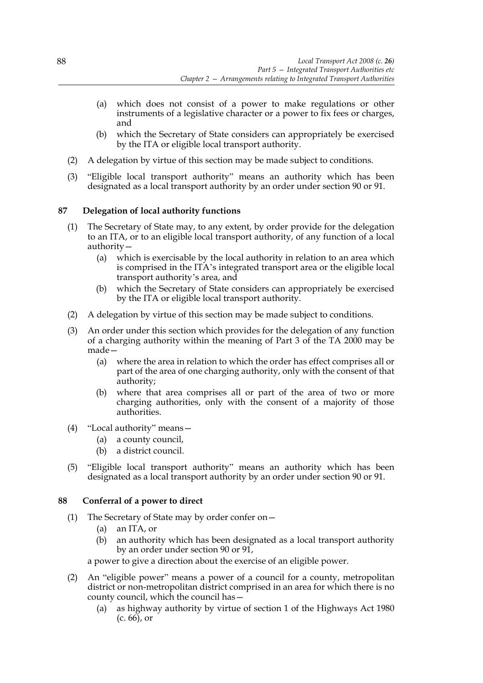- (a) which does not consist of a power to make regulations or other instruments of a legislative character or a power to fix fees or charges, and
- (b) which the Secretary of State considers can appropriately be exercised by the ITA or eligible local transport authority.
- (2) A delegation by virtue of this section may be made subject to conditions.
- (3) "Eligible local transport authority" means an authority which has been designated as a local transport authority by an order under section 90 or 91.

# **87 Delegation of local authority functions**

- (1) The Secretary of State may, to any extent, by order provide for the delegation to an ITA, or to an eligible local transport authority, of any function of a local authority—
	- (a) which is exercisable by the local authority in relation to an area which is comprised in the ITA's integrated transport area or the eligible local transport authority's area, and
	- (b) which the Secretary of State considers can appropriately be exercised by the ITA or eligible local transport authority.
- (2) A delegation by virtue of this section may be made subject to conditions.
- (3) An order under this section which provides for the delegation of any function of a charging authority within the meaning of Part 3 of the TA 2000 may be made—
	- (a) where the area in relation to which the order has effect comprises all or part of the area of one charging authority, only with the consent of that authority;
	- (b) where that area comprises all or part of the area of two or more charging authorities, only with the consent of a majority of those authorities.
- (4) "Local authority" means—
	- (a) a county council,
	- (b) a district council.
- (5) "Eligible local transport authority" means an authority which has been designated as a local transport authority by an order under section 90 or 91.

## **88 Conferral of a power to direct**

- (1) The Secretary of State may by order confer on—
	- (a) an ITA, or
	- (b) an authority which has been designated as a local transport authority by an order under section 90 or 91,

a power to give a direction about the exercise of an eligible power.

- (2) An "eligible power" means a power of a council for a county, metropolitan district or non-metropolitan district comprised in an area for which there is no county council, which the council has—
	- (a) as highway authority by virtue of section 1 of the Highways Act 1980  $(c. 66)$ , or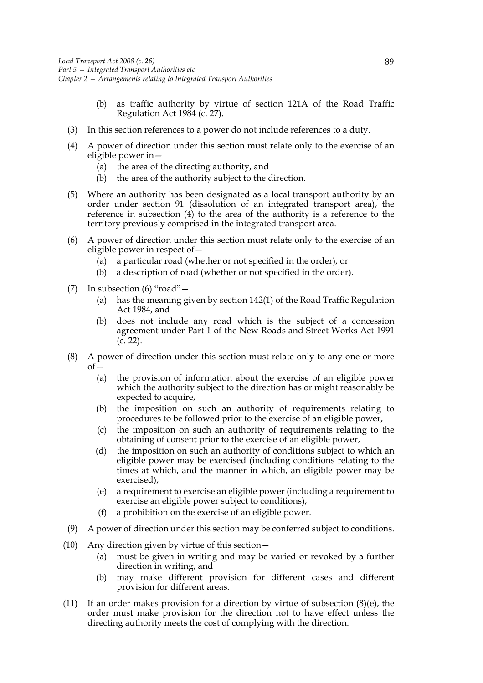- (b) as traffic authority by virtue of section 121A of the Road Traffic Regulation Act 1984 (c. 27).
- (3) In this section references to a power do not include references to a duty.
- (4) A power of direction under this section must relate only to the exercise of an eligible power in—
	- (a) the area of the directing authority, and
	- (b) the area of the authority subject to the direction.
- (5) Where an authority has been designated as a local transport authority by an order under section 91 (dissolution of an integrated transport area), the reference in subsection (4) to the area of the authority is a reference to the territory previously comprised in the integrated transport area.
- (6) A power of direction under this section must relate only to the exercise of an eligible power in respect of—
	- (a) a particular road (whether or not specified in the order), or
	- (b) a description of road (whether or not specified in the order).
- (7) In subsection (6) "road"—
	- (a) has the meaning given by section 142(1) of the Road Traffic Regulation Act 1984, and
	- (b) does not include any road which is the subject of a concession agreement under Part 1 of the New Roads and Street Works Act 1991 (c. 22).
- (8) A power of direction under this section must relate only to any one or more  $of$ 
	- (a) the provision of information about the exercise of an eligible power which the authority subject to the direction has or might reasonably be expected to acquire,
	- (b) the imposition on such an authority of requirements relating to procedures to be followed prior to the exercise of an eligible power,
	- (c) the imposition on such an authority of requirements relating to the obtaining of consent prior to the exercise of an eligible power,
	- (d) the imposition on such an authority of conditions subject to which an eligible power may be exercised (including conditions relating to the times at which, and the manner in which, an eligible power may be exercised),
	- (e) a requirement to exercise an eligible power (including a requirement to exercise an eligible power subject to conditions),
	- (f) a prohibition on the exercise of an eligible power.
- (9) A power of direction under this section may be conferred subject to conditions.
- (10) Any direction given by virtue of this section—
	- (a) must be given in writing and may be varied or revoked by a further direction in writing, and
	- (b) may make different provision for different cases and different provision for different areas.
- (11) If an order makes provision for a direction by virtue of subsection  $(8)(e)$ , the order must make provision for the direction not to have effect unless the directing authority meets the cost of complying with the direction.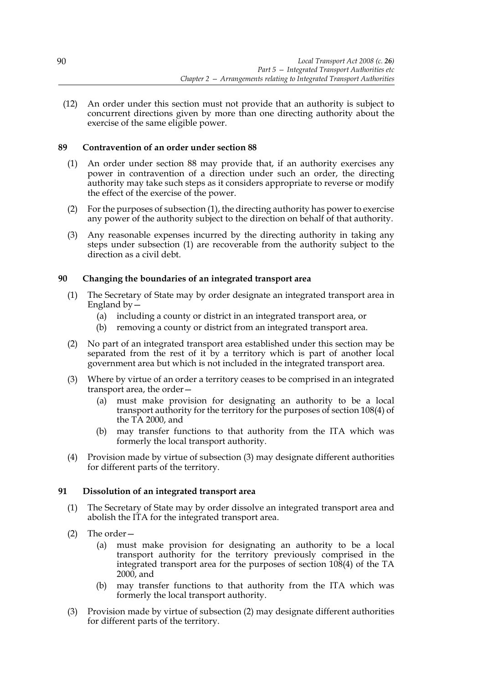(12) An order under this section must not provide that an authority is subject to concurrent directions given by more than one directing authority about the exercise of the same eligible power.

# **89 Contravention of an order under section 88**

- (1) An order under section 88 may provide that, if an authority exercises any power in contravention of a direction under such an order, the directing authority may take such steps as it considers appropriate to reverse or modify the effect of the exercise of the power.
- (2) For the purposes of subsection (1), the directing authority has power to exercise any power of the authority subject to the direction on behalf of that authority.
- (3) Any reasonable expenses incurred by the directing authority in taking any steps under subsection (1) are recoverable from the authority subject to the direction as a civil debt.

# **90 Changing the boundaries of an integrated transport area**

- (1) The Secretary of State may by order designate an integrated transport area in England by  $-$ 
	- (a) including a county or district in an integrated transport area, or
	- (b) removing a county or district from an integrated transport area.
- (2) No part of an integrated transport area established under this section may be separated from the rest of it by a territory which is part of another local government area but which is not included in the integrated transport area.
- (3) Where by virtue of an order a territory ceases to be comprised in an integrated transport area, the order—
	- (a) must make provision for designating an authority to be a local transport authority for the territory for the purposes of section 108(4) of the TA 2000, and
	- (b) may transfer functions to that authority from the ITA which was formerly the local transport authority.
- (4) Provision made by virtue of subsection (3) may designate different authorities for different parts of the territory.

## **91 Dissolution of an integrated transport area**

- (1) The Secretary of State may by order dissolve an integrated transport area and abolish the ITA for the integrated transport area.
- (2) The order—
	- (a) must make provision for designating an authority to be a local transport authority for the territory previously comprised in the integrated transport area for the purposes of section 108(4) of the TA 2000, and
	- (b) may transfer functions to that authority from the ITA which was formerly the local transport authority.
- (3) Provision made by virtue of subsection (2) may designate different authorities for different parts of the territory.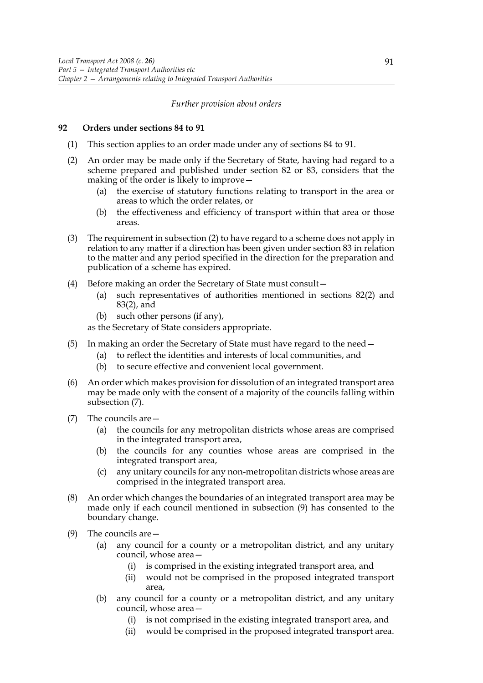#### *Further provision about orders*

#### **92 Orders under sections 84 to 91**

- (1) This section applies to an order made under any of sections 84 to 91.
- (2) An order may be made only if the Secretary of State, having had regard to a scheme prepared and published under section 82 or 83, considers that the making of the order is likely to improve—
	- (a) the exercise of statutory functions relating to transport in the area or areas to which the order relates, or
	- (b) the effectiveness and efficiency of transport within that area or those areas.
- (3) The requirement in subsection (2) to have regard to a scheme does not apply in relation to any matter if a direction has been given under section 83 in relation to the matter and any period specified in the direction for the preparation and publication of a scheme has expired.
- (4) Before making an order the Secretary of State must consult—
	- (a) such representatives of authorities mentioned in sections 82(2) and 83(2), and
	- (b) such other persons (if any),

as the Secretary of State considers appropriate.

- (5) In making an order the Secretary of State must have regard to the need—
	- (a) to reflect the identities and interests of local communities, and
	- (b) to secure effective and convenient local government.
- (6) An order which makes provision for dissolution of an integrated transport area may be made only with the consent of a majority of the councils falling within subsection (7).
- (7) The councils are—
	- (a) the councils for any metropolitan districts whose areas are comprised in the integrated transport area,
	- (b) the councils for any counties whose areas are comprised in the integrated transport area,
	- (c) any unitary councils for any non-metropolitan districts whose areas are comprised in the integrated transport area.
- (8) An order which changes the boundaries of an integrated transport area may be made only if each council mentioned in subsection (9) has consented to the boundary change.
- (9) The councils are—
	- (a) any council for a county or a metropolitan district, and any unitary council, whose area—
		- (i) is comprised in the existing integrated transport area, and
		- (ii) would not be comprised in the proposed integrated transport area,
	- (b) any council for a county or a metropolitan district, and any unitary council, whose area—
		- (i) is not comprised in the existing integrated transport area, and
		- (ii) would be comprised in the proposed integrated transport area.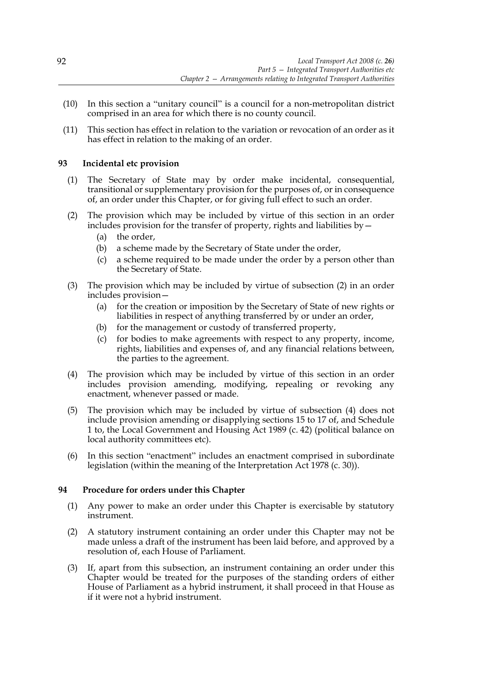- (10) In this section a "unitary council" is a council for a non-metropolitan district comprised in an area for which there is no county council.
- (11) This section has effect in relation to the variation or revocation of an order as it has effect in relation to the making of an order.

## **93 Incidental etc provision**

- (1) The Secretary of State may by order make incidental, consequential, transitional or supplementary provision for the purposes of, or in consequence of, an order under this Chapter, or for giving full effect to such an order.
- (2) The provision which may be included by virtue of this section in an order includes provision for the transfer of property, rights and liabilities by—
	- (a) the order,
	- (b) a scheme made by the Secretary of State under the order,
	- (c) a scheme required to be made under the order by a person other than the Secretary of State.
- (3) The provision which may be included by virtue of subsection (2) in an order includes provision—
	- (a) for the creation or imposition by the Secretary of State of new rights or liabilities in respect of anything transferred by or under an order,
	- (b) for the management or custody of transferred property,
	- (c) for bodies to make agreements with respect to any property, income, rights, liabilities and expenses of, and any financial relations between, the parties to the agreement.
- (4) The provision which may be included by virtue of this section in an order includes provision amending, modifying, repealing or revoking any enactment, whenever passed or made.
- (5) The provision which may be included by virtue of subsection (4) does not include provision amending or disapplying sections 15 to 17 of, and Schedule 1 to, the Local Government and Housing Act 1989 (c. 42) (political balance on local authority committees etc).
- (6) In this section "enactment" includes an enactment comprised in subordinate legislation (within the meaning of the Interpretation Act 1978 (c. 30)).

## **94 Procedure for orders under this Chapter**

- (1) Any power to make an order under this Chapter is exercisable by statutory instrument.
- (2) A statutory instrument containing an order under this Chapter may not be made unless a draft of the instrument has been laid before, and approved by a resolution of, each House of Parliament.
- (3) If, apart from this subsection, an instrument containing an order under this Chapter would be treated for the purposes of the standing orders of either House of Parliament as a hybrid instrument, it shall proceed in that House as if it were not a hybrid instrument.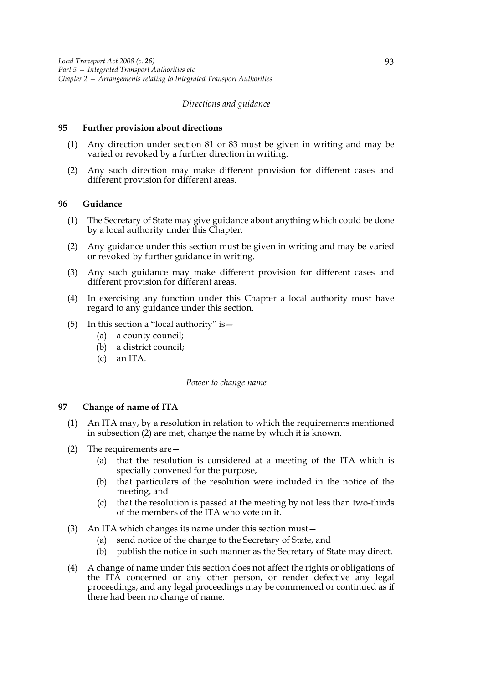#### *Directions and guidance*

#### **95 Further provision about directions**

- (1) Any direction under section 81 or 83 must be given in writing and may be varied or revoked by a further direction in writing.
- (2) Any such direction may make different provision for different cases and different provision for different areas.

#### **96 Guidance**

- (1) The Secretary of State may give guidance about anything which could be done by a local authority under this Chapter.
- (2) Any guidance under this section must be given in writing and may be varied or revoked by further guidance in writing.
- (3) Any such guidance may make different provision for different cases and different provision for different areas.
- (4) In exercising any function under this Chapter a local authority must have regard to any guidance under this section.
- (5) In this section a "local authority" is—
	- (a) a county council;
	- (b) a district council;
	- (c) an ITA.

#### *Power to change name*

#### **97 Change of name of ITA**

- (1) An ITA may, by a resolution in relation to which the requirements mentioned in subsection (2) are met, change the name by which it is known.
- (2) The requirements are—
	- (a) that the resolution is considered at a meeting of the ITA which is specially convened for the purpose,
	- (b) that particulars of the resolution were included in the notice of the meeting, and
	- (c) that the resolution is passed at the meeting by not less than two-thirds of the members of the ITA who vote on it.
- (3) An ITA which changes its name under this section must—
	- (a) send notice of the change to the Secretary of State, and
	- (b) publish the notice in such manner as the Secretary of State may direct.
- (4) A change of name under this section does not affect the rights or obligations of the ITA concerned or any other person, or render defective any legal proceedings; and any legal proceedings may be commenced or continued as if there had been no change of name.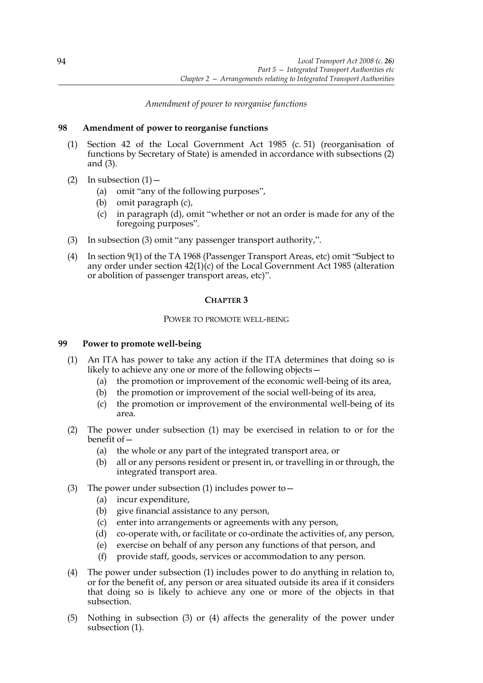# *Amendment of power to reorganise functions*

# **98 Amendment of power to reorganise functions**

- (1) Section 42 of the Local Government Act 1985 (c. 51) (reorganisation of functions by Secretary of State) is amended in accordance with subsections (2) and (3).
- (2) In subsection  $(1)$ 
	- (a) omit "any of the following purposes",
	- (b) omit paragraph (c),
	- (c) in paragraph (d), omit "whether or not an order is made for any of the foregoing purposes".
- (3) In subsection (3) omit "any passenger transport authority,".
- (4) In section 9(1) of the TA 1968 (Passenger Transport Areas, etc) omit "Subject to any order under section 42(1)(c) of the Local Government Act 1985 (alteration or abolition of passenger transport areas, etc)".

# **CHAPTER 3**

## POWER TO PROMOTE WELL-BEING

# **99 Power to promote well-being**

- (1) An ITA has power to take any action if the ITA determines that doing so is likely to achieve any one or more of the following objects—
	- (a) the promotion or improvement of the economic well-being of its area,
	- (b) the promotion or improvement of the social well-being of its area,
	- (c) the promotion or improvement of the environmental well-being of its area.
- (2) The power under subsection (1) may be exercised in relation to or for the benefit of—
	- (a) the whole or any part of the integrated transport area, or
	- (b) all or any persons resident or present in, or travelling in or through, the integrated transport area.
- (3) The power under subsection (1) includes power to  $-$ 
	- (a) incur expenditure,
	- (b) give financial assistance to any person,
	- (c) enter into arrangements or agreements with any person,
	- (d) co-operate with, or facilitate or co-ordinate the activities of, any person,
	- (e) exercise on behalf of any person any functions of that person, and
	- (f) provide staff, goods, services or accommodation to any person.
- (4) The power under subsection (1) includes power to do anything in relation to, or for the benefit of, any person or area situated outside its area if it considers that doing so is likely to achieve any one or more of the objects in that subsection.
- (5) Nothing in subsection (3) or (4) affects the generality of the power under subsection (1).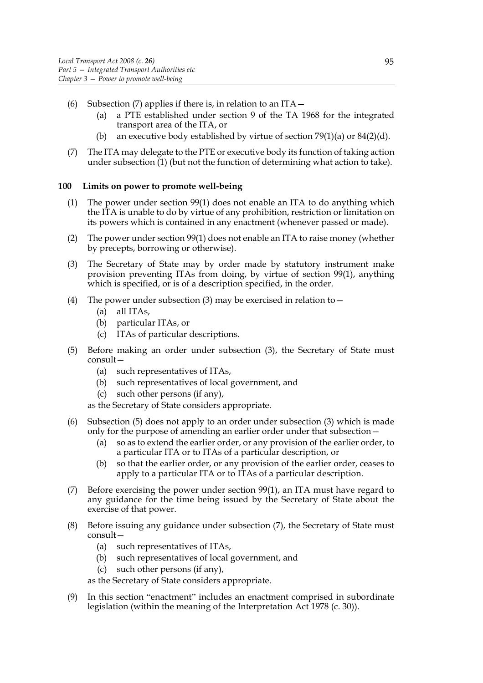- (6) Subsection (7) applies if there is, in relation to an  $ITA$ 
	- (a) a PTE established under section 9 of the TA 1968 for the integrated transport area of the ITA, or
	- (b) an executive body established by virtue of section  $79(1)(a)$  or  $84(2)(d)$ .
- (7) The ITA may delegate to the PTE or executive body its function of taking action under subsection (1) (but not the function of determining what action to take).

## **100 Limits on power to promote well-being**

- (1) The power under section 99(1) does not enable an ITA to do anything which the ITA is unable to do by virtue of any prohibition, restriction or limitation on its powers which is contained in any enactment (whenever passed or made).
- (2) The power under section 99(1) does not enable an ITA to raise money (whether by precepts, borrowing or otherwise).
- (3) The Secretary of State may by order made by statutory instrument make provision preventing ITAs from doing, by virtue of section 99(1), anything which is specified, or is of a description specified, in the order.
- (4) The power under subsection (3) may be exercised in relation to  $-$ 
	- (a) all ITAs,
	- (b) particular ITAs, or
	- (c) ITAs of particular descriptions.
- (5) Before making an order under subsection (3), the Secretary of State must consult—
	- (a) such representatives of ITAs,
	- (b) such representatives of local government, and
	- (c) such other persons (if any),
	- as the Secretary of State considers appropriate.
- (6) Subsection (5) does not apply to an order under subsection (3) which is made only for the purpose of amending an earlier order under that subsection—
	- (a) so as to extend the earlier order, or any provision of the earlier order, to a particular ITA or to ITAs of a particular description, or
	- (b) so that the earlier order, or any provision of the earlier order, ceases to apply to a particular ITA or to ITAs of a particular description.
- (7) Before exercising the power under section 99(1), an ITA must have regard to any guidance for the time being issued by the Secretary of State about the exercise of that power.
- (8) Before issuing any guidance under subsection (7), the Secretary of State must consult—
	- (a) such representatives of ITAs,
	- (b) such representatives of local government, and
	- (c) such other persons (if any),
	- as the Secretary of State considers appropriate.
- (9) In this section "enactment" includes an enactment comprised in subordinate legislation (within the meaning of the Interpretation Act 1978 (c. 30)).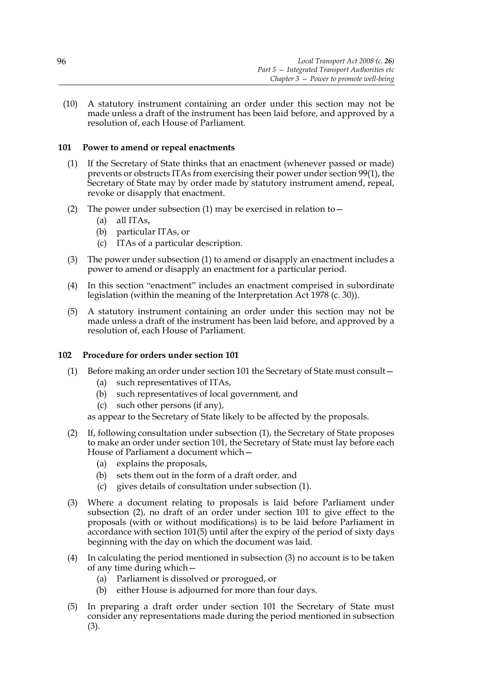(10) A statutory instrument containing an order under this section may not be made unless a draft of the instrument has been laid before, and approved by a resolution of, each House of Parliament.

# **101 Power to amend or repeal enactments**

- (1) If the Secretary of State thinks that an enactment (whenever passed or made) prevents or obstructs ITAs from exercising their power under section 99(1), the Secretary of State may by order made by statutory instrument amend, repeal, revoke or disapply that enactment.
- (2) The power under subsection (1) may be exercised in relation to  $-$ 
	- (a) all ITAs,
	- (b) particular ITAs, or
	- (c) ITAs of a particular description.
- (3) The power under subsection (1) to amend or disapply an enactment includes a power to amend or disapply an enactment for a particular period.
- (4) In this section "enactment" includes an enactment comprised in subordinate legislation (within the meaning of the Interpretation Act 1978 (c. 30)).
- (5) A statutory instrument containing an order under this section may not be made unless a draft of the instrument has been laid before, and approved by a resolution of, each House of Parliament.

## **102 Procedure for orders under section 101**

- (1) Before making an order under section 101 the Secretary of State must consult—
	- (a) such representatives of ITAs,
	- (b) such representatives of local government, and
	- (c) such other persons (if any),

as appear to the Secretary of State likely to be affected by the proposals.

- (2) If, following consultation under subsection (1), the Secretary of State proposes to make an order under section 101, the Secretary of State must lay before each House of Parliament a document which—
	- (a) explains the proposals,
	- (b) sets them out in the form of a draft order, and
	- (c) gives details of consultation under subsection (1).
- (3) Where a document relating to proposals is laid before Parliament under subsection (2), no draft of an order under section 101 to give effect to the proposals (with or without modifications) is to be laid before Parliament in accordance with section 101(5) until after the expiry of the period of sixty days beginning with the day on which the document was laid.
- (4) In calculating the period mentioned in subsection (3) no account is to be taken of any time during which—
	- (a) Parliament is dissolved or prorogued, or
	- (b) either House is adjourned for more than four days.
- (5) In preparing a draft order under section 101 the Secretary of State must consider any representations made during the period mentioned in subsection (3).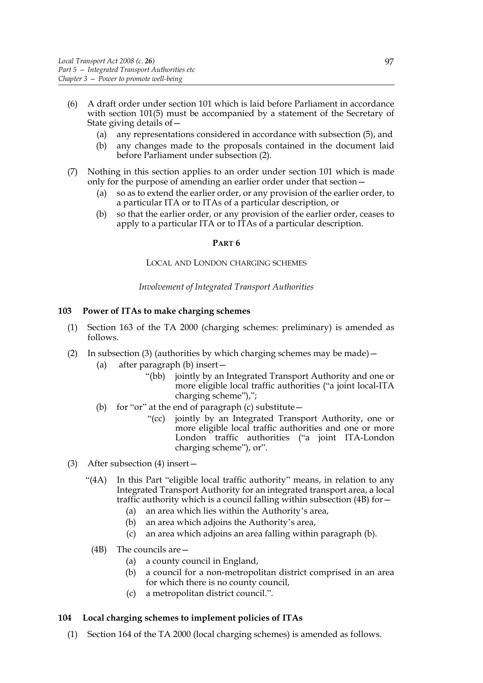- (6) A draft order under section 101 which is laid before Parliament in accordance with section 101(5) must be accompanied by a statement of the Secretary of State giving details of—
	- (a) any representations considered in accordance with subsection (5), and
	- (b) any changes made to the proposals contained in the document laid before Parliament under subsection (2).
- (7) Nothing in this section applies to an order under section 101 which is made only for the purpose of amending an earlier order under that section—
	- (a) so as to extend the earlier order, or any provision of the earlier order, to a particular ITA or to ITAs of a particular description, or
	- (b) so that the earlier order, or any provision of the earlier order, ceases to apply to a particular ITA or to ITAs of a particular description.

#### **PART 6**

#### LOCAL AND LONDON CHARGING SCHEMES

#### *Involvement of Integrated Transport Authorities*

#### **103 Power of ITAs to make charging schemes**

- (1) Section 163 of the TA 2000 (charging schemes: preliminary) is amended as follows.
- (2) In subsection (3) (authorities by which charging schemes may be made)  $-$ 
	- (a) after paragraph (b) insert—
		- "(bb) jointly by an Integrated Transport Authority and one or more eligible local traffic authorities ("a joint local-ITA charging scheme"),";
	- (b) for "or" at the end of paragraph (c) substitute  $-$ 
		- "(cc) jointly by an Integrated Transport Authority, one or more eligible local traffic authorities and one or more London traffic authorities ("a joint ITA-London charging scheme"), or".
- (3) After subsection (4) insert—
	- "(4A) In this Part "eligible local traffic authority" means, in relation to any Integrated Transport Authority for an integrated transport area, a local traffic authority which is a council falling within subsection (4B) for—
		- (a) an area which lies within the Authority's area,
		- (b) an area which adjoins the Authority's area,
		- (c) an area which adjoins an area falling within paragraph (b).
		- (4B) The councils are—
			- (a) a county council in England,
			- (b) a council for a non-metropolitan district comprised in an area for which there is no county council,
			- (c) a metropolitan district council.".

#### **104 Local charging schemes to implement policies of ITAs**

(1) Section 164 of the TA 2000 (local charging schemes) is amended as follows.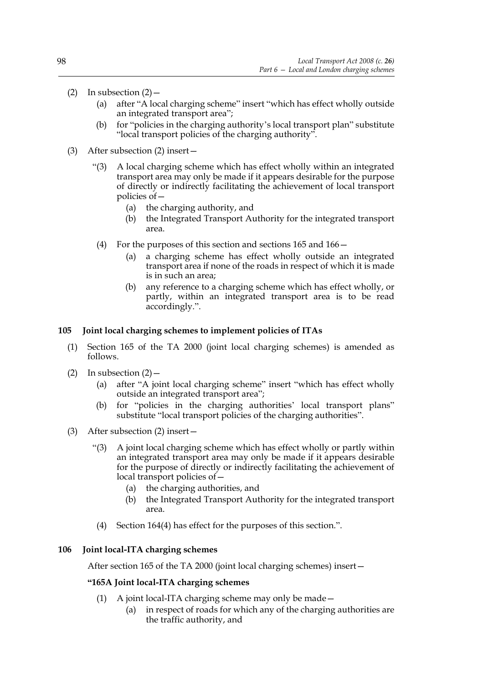- (2) In subsection  $(2)$ 
	- (a) after "A local charging scheme" insert "which has effect wholly outside an integrated transport area";
	- (b) for "policies in the charging authority's local transport plan" substitute "local transport policies of the charging authority".
- (3) After subsection (2) insert—
	- "(3) A local charging scheme which has effect wholly within an integrated transport area may only be made if it appears desirable for the purpose of directly or indirectly facilitating the achievement of local transport policies of—
		- (a) the charging authority, and
		- (b) the Integrated Transport Authority for the integrated transport area.
	- (4) For the purposes of this section and sections 165 and 166—
		- (a) a charging scheme has effect wholly outside an integrated transport area if none of the roads in respect of which it is made is in such an area;
		- (b) any reference to a charging scheme which has effect wholly, or partly, within an integrated transport area is to be read accordingly.".

## **105 Joint local charging schemes to implement policies of ITAs**

- (1) Section 165 of the TA 2000 (joint local charging schemes) is amended as follows.
- (2) In subsection  $(2)$ 
	- after "A joint local charging scheme" insert "which has effect wholly outside an integrated transport area";
	- (b) for "policies in the charging authorities' local transport plans" substitute "local transport policies of the charging authorities".
- (3) After subsection (2) insert—
	- "(3) A joint local charging scheme which has effect wholly or partly within an integrated transport area may only be made if it appears desirable for the purpose of directly or indirectly facilitating the achievement of local transport policies of—
		- (a) the charging authorities, and
		- (b) the Integrated Transport Authority for the integrated transport area.
		- (4) Section 164(4) has effect for the purposes of this section.".

#### **106 Joint local-ITA charging schemes**

After section 165 of the TA 2000 (joint local charging schemes) insert—

#### **"165A Joint local-ITA charging schemes**

- (1) A joint local-ITA charging scheme may only be made—
	- (a) in respect of roads for which any of the charging authorities are the traffic authority, and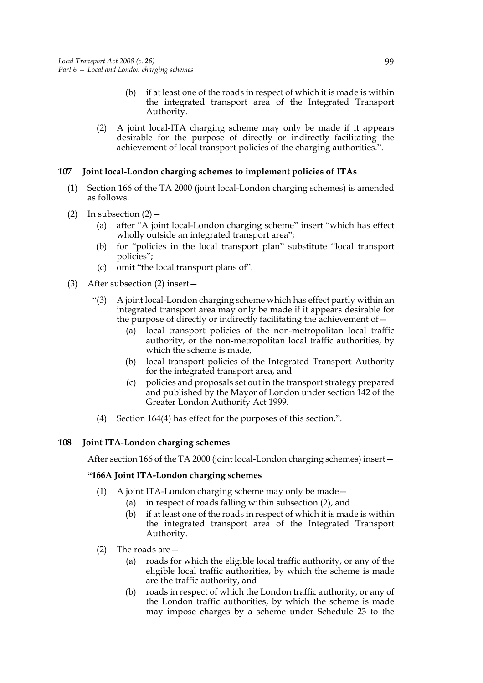- (b) if at least one of the roads in respect of which it is made is within the integrated transport area of the Integrated Transport Authority.
- (2) A joint local-ITA charging scheme may only be made if it appears desirable for the purpose of directly or indirectly facilitating the achievement of local transport policies of the charging authorities.".

# **107 Joint local-London charging schemes to implement policies of ITAs**

- (1) Section 166 of the TA 2000 (joint local-London charging schemes) is amended as follows.
- (2) In subsection  $(2)$ 
	- (a) after "A joint local-London charging scheme" insert "which has effect wholly outside an integrated transport area";
	- (b) for "policies in the local transport plan" substitute "local transport policies";
	- (c) omit "the local transport plans of".
- (3) After subsection (2) insert—
	- "(3) A joint local-London charging scheme which has effect partly within an integrated transport area may only be made if it appears desirable for the purpose of directly or indirectly facilitating the achievement of—
		- (a) local transport policies of the non-metropolitan local traffic authority, or the non-metropolitan local traffic authorities, by which the scheme is made,
		- (b) local transport policies of the Integrated Transport Authority for the integrated transport area, and
		- (c) policies and proposals set out in the transport strategy prepared and published by the Mayor of London under section 142 of the Greater London Authority Act 1999.
	- (4) Section 164(4) has effect for the purposes of this section.".

## **108 Joint ITA-London charging schemes**

After section 166 of the TA 2000 (joint local-London charging schemes) insert—

# **"166A Joint ITA-London charging schemes**

- (1) A joint ITA-London charging scheme may only be made—
	- (a) in respect of roads falling within subsection (2), and
	- (b) if at least one of the roads in respect of which it is made is within the integrated transport area of the Integrated Transport Authority.
- (2) The roads are—
	- (a) roads for which the eligible local traffic authority, or any of the eligible local traffic authorities, by which the scheme is made are the traffic authority, and
	- (b) roads in respect of which the London traffic authority, or any of the London traffic authorities, by which the scheme is made may impose charges by a scheme under Schedule 23 to the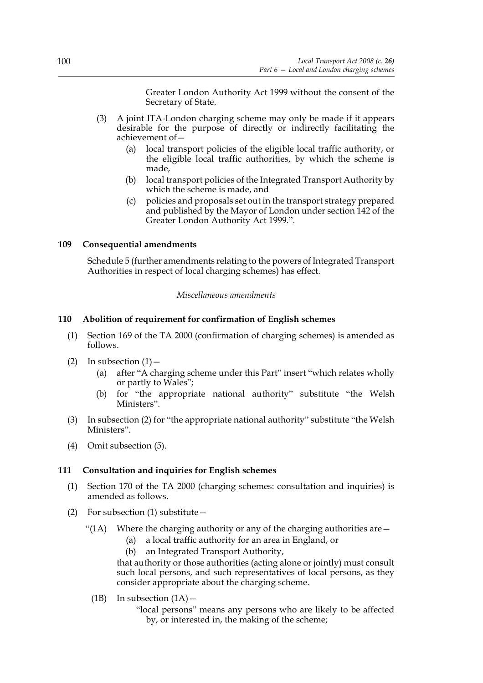Greater London Authority Act 1999 without the consent of the Secretary of State.

- (3) A joint ITA-London charging scheme may only be made if it appears desirable for the purpose of directly or indirectly facilitating the achievement of—
	- (a) local transport policies of the eligible local traffic authority, or the eligible local traffic authorities, by which the scheme is made,
	- (b) local transport policies of the Integrated Transport Authority by which the scheme is made, and
	- (c) policies and proposals set out in the transport strategy prepared and published by the Mayor of London under section 142 of the Greater London Authority Act 1999.".

## **109 Consequential amendments**

Schedule 5 (further amendments relating to the powers of Integrated Transport Authorities in respect of local charging schemes) has effect.

#### *Miscellaneous amendments*

# **110 Abolition of requirement for confirmation of English schemes**

- (1) Section 169 of the TA 2000 (confirmation of charging schemes) is amended as follows.
- (2) In subsection  $(1)$ 
	- (a) after "A charging scheme under this Part" insert "which relates wholly or partly to Wales";
	- (b) for "the appropriate national authority" substitute "the Welsh Ministers".
- (3) In subsection (2) for "the appropriate national authority" substitute "the Welsh Ministers".
- (4) Omit subsection (5).

#### **111 Consultation and inquiries for English schemes**

- (1) Section 170 of the TA 2000 (charging schemes: consultation and inquiries) is amended as follows.
- (2) For subsection (1) substitute—
	- "(1A) Where the charging authority or any of the charging authorities are  $-$ 
		- (a) a local traffic authority for an area in England, or
		- (b) an Integrated Transport Authority,

that authority or those authorities (acting alone or jointly) must consult such local persons, and such representatives of local persons, as they consider appropriate about the charging scheme.

- (1B) In subsection  $(1A)$ 
	- "local persons" means any persons who are likely to be affected by, or interested in, the making of the scheme;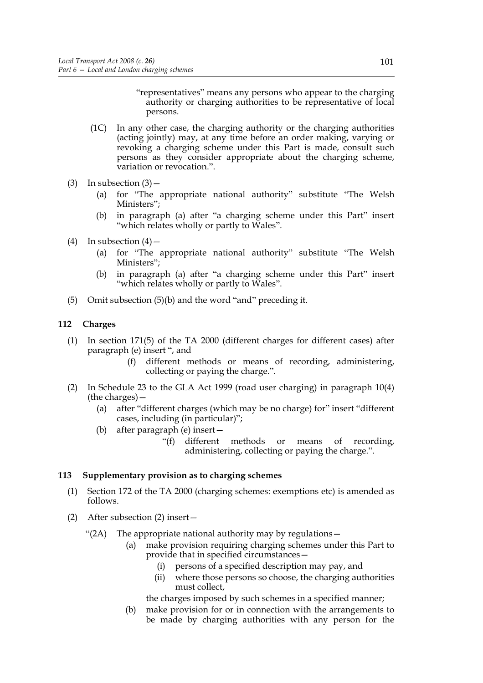"representatives" means any persons who appear to the charging authority or charging authorities to be representative of local persons.

- (1C) In any other case, the charging authority or the charging authorities (acting jointly) may, at any time before an order making, varying or revoking a charging scheme under this Part is made, consult such persons as they consider appropriate about the charging scheme, variation or revocation.".
- (3) In subsection  $(3)$  -
	- (a) for "The appropriate national authority" substitute "The Welsh Ministers";
	- (b) in paragraph (a) after "a charging scheme under this Part" insert "which relates wholly or partly to Wales".
- (4) In subsection  $(4)$ 
	- (a) for "The appropriate national authority" substitute "The Welsh Ministers";
	- (b) in paragraph (a) after "a charging scheme under this Part" insert "which relates wholly or partly to Wales".
- (5) Omit subsection (5)(b) and the word "and" preceding it.

### **112 Charges**

- (1) In section 171(5) of the TA 2000 (different charges for different cases) after paragraph (e) insert ", and
	- (f) different methods or means of recording, administering, collecting or paying the charge.".
- (2) In Schedule 23 to the GLA Act 1999 (road user charging) in paragraph 10(4) (the charges)—
	- (a) after "different charges (which may be no charge) for" insert "different cases, including (in particular)";
	- (b) after paragraph (e) insert—
		- "(f) different methods or means of recording, administering, collecting or paying the charge.".

### **113 Supplementary provision as to charging schemes**

- (1) Section 172 of the TA 2000 (charging schemes: exemptions etc) is amended as follows.
- (2) After subsection (2) insert—
	- "(2A) The appropriate national authority may by regulations—
		- (a) make provision requiring charging schemes under this Part to provide that in specified circumstances—
			- (i) persons of a specified description may pay, and
			- (ii) where those persons so choose, the charging authorities must collect,

the charges imposed by such schemes in a specified manner;

(b) make provision for or in connection with the arrangements to be made by charging authorities with any person for the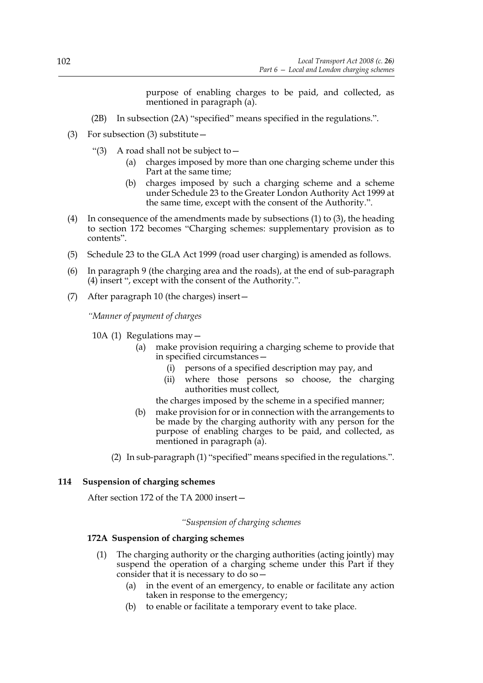purpose of enabling charges to be paid, and collected, as mentioned in paragraph (a).

- (2B) In subsection (2A) "specified" means specified in the regulations.".
- (3) For subsection (3) substitute—
	- "(3) A road shall not be subject to  $-$ 
		- (a) charges imposed by more than one charging scheme under this Part at the same time;
		- (b) charges imposed by such a charging scheme and a scheme under Schedule 23 to the Greater London Authority Act 1999 at the same time, except with the consent of the Authority.".
- (4) In consequence of the amendments made by subsections (1) to (3), the heading to section 172 becomes "Charging schemes: supplementary provision as to contents".
- (5) Schedule 23 to the GLA Act 1999 (road user charging) is amended as follows.
- (6) In paragraph 9 (the charging area and the roads), at the end of sub-paragraph (4) insert ", except with the consent of the Authority.".
- (7) After paragraph 10 (the charges) insert—

*"Manner of payment of charges*

10A (1) Regulations may—

- (a) make provision requiring a charging scheme to provide that in specified circumstances—
	- (i) persons of a specified description may pay, and
	- (ii) where those persons so choose, the charging authorities must collect,

the charges imposed by the scheme in a specified manner;

- (b) make provision for or in connection with the arrangements to be made by the charging authority with any person for the purpose of enabling charges to be paid, and collected, as mentioned in paragraph (a).
- (2) In sub-paragraph (1) "specified" means specified in the regulations.".

#### **114 Suspension of charging schemes**

After section 172 of the TA 2000 insert—

*"Suspension of charging schemes*

# **172A Suspension of charging schemes**

- (1) The charging authority or the charging authorities (acting jointly) may suspend the operation of a charging scheme under this Part if they consider that it is necessary to do so  $-$ 
	- (a) in the event of an emergency, to enable or facilitate any action taken in response to the emergency;
	- (b) to enable or facilitate a temporary event to take place.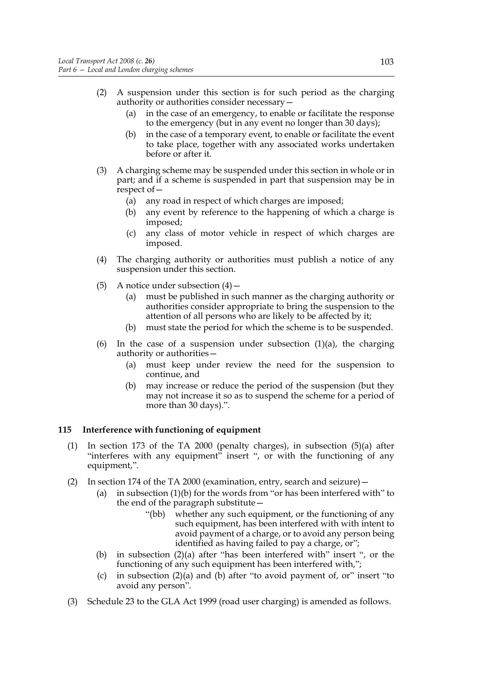- (2) A suspension under this section is for such period as the charging authority or authorities consider necessary—
	- (a) in the case of an emergency, to enable or facilitate the response to the emergency (but in any event no longer than 30 days);
	- (b) in the case of a temporary event, to enable or facilitate the event to take place, together with any associated works undertaken before or after it.
- (3) A charging scheme may be suspended under this section in whole or in part; and if a scheme is suspended in part that suspension may be in respect of—
	- (a) any road in respect of which charges are imposed;
	- (b) any event by reference to the happening of which a charge is imposed;
	- (c) any class of motor vehicle in respect of which charges are imposed.
- (4) The charging authority or authorities must publish a notice of any suspension under this section.
- (5) A notice under subsection  $(4)$ 
	- (a) must be published in such manner as the charging authority or authorities consider appropriate to bring the suspension to the attention of all persons who are likely to be affected by it;
	- (b) must state the period for which the scheme is to be suspended.
- (6) In the case of a suspension under subsection  $(1)(a)$ , the charging authority or authorities—
	- (a) must keep under review the need for the suspension to continue, and
	- (b) may increase or reduce the period of the suspension (but they may not increase it so as to suspend the scheme for a period of more than 30 days).".

### **115 Interference with functioning of equipment**

- (1) In section 173 of the TA 2000 (penalty charges), in subsection (5)(a) after "interferes with any equipment" insert ", or with the functioning of any equipment,".
- (2) In section 174 of the TA 2000 (examination, entry, search and seizure)—
	- (a) in subsection (1)(b) for the words from "or has been interfered with" to the end of the paragraph substitute—
		- "(bb) whether any such equipment, or the functioning of any such equipment, has been interfered with with intent to avoid payment of a charge, or to avoid any person being identified as having failed to pay a charge, or";
	- (b) in subsection (2)(a) after "has been interfered with" insert ", or the functioning of any such equipment has been interfered with,";
	- (c) in subsection (2)(a) and (b) after "to avoid payment of, or" insert "to avoid any person".
- (3) Schedule 23 to the GLA Act 1999 (road user charging) is amended as follows.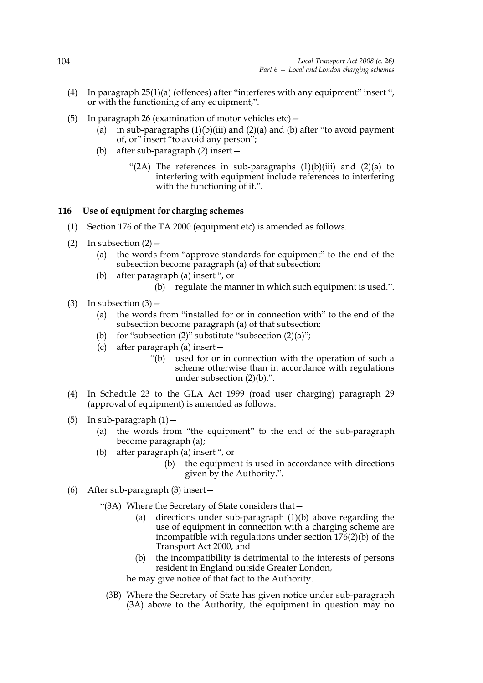- (4) In paragraph 25(1)(a) (offences) after "interferes with any equipment" insert ", or with the functioning of any equipment,".
- (5) In paragraph 26 (examination of motor vehicles etc)—
	- (a) in sub-paragraphs  $(1)(b)(iii)$  and  $(2)(a)$  and  $(b)$  after "to avoid payment of, or" insert "to avoid any person";
	- (b) after sub-paragraph (2) insert—
		- "(2A) The references in sub-paragraphs  $(1)(b)(iii)$  and  $(2)(a)$  to interfering with equipment include references to interfering with the functioning of it.".

#### **116 Use of equipment for charging schemes**

- (1) Section 176 of the TA 2000 (equipment etc) is amended as follows.
- (2) In subsection  $(2)$ 
	- (a) the words from "approve standards for equipment" to the end of the subsection become paragraph (a) of that subsection;
	- (b) after paragraph (a) insert ", or
		- (b) regulate the manner in which such equipment is used.".
- (3) In subsection  $(3)$ 
	- (a) the words from "installed for or in connection with" to the end of the subsection become paragraph (a) of that subsection;
	- (b) for "subsection  $(2)$ " substitute "subsection  $(2)(a)$ ";
	- (c) after paragraph (a) insert—
		- "(b) used for or in connection with the operation of such a scheme otherwise than in accordance with regulations under subsection (2)(b).".
- (4) In Schedule 23 to the GLA Act 1999 (road user charging) paragraph 29 (approval of equipment) is amended as follows.
- (5) In sub-paragraph  $(1)$  -
	- (a) the words from "the equipment" to the end of the sub-paragraph become paragraph (a);
	- (b) after paragraph (a) insert ", or
		- (b) the equipment is used in accordance with directions given by the Authority.".
- (6) After sub-paragraph (3) insert—
	- "(3A) Where the Secretary of State considers that—
		- (a) directions under sub-paragraph (1)(b) above regarding the use of equipment in connection with a charging scheme are incompatible with regulations under section  $176(2)(b)$  of the Transport Act 2000, and
		- (b) the incompatibility is detrimental to the interests of persons resident in England outside Greater London,

he may give notice of that fact to the Authority.

(3B) Where the Secretary of State has given notice under sub-paragraph (3A) above to the Authority, the equipment in question may no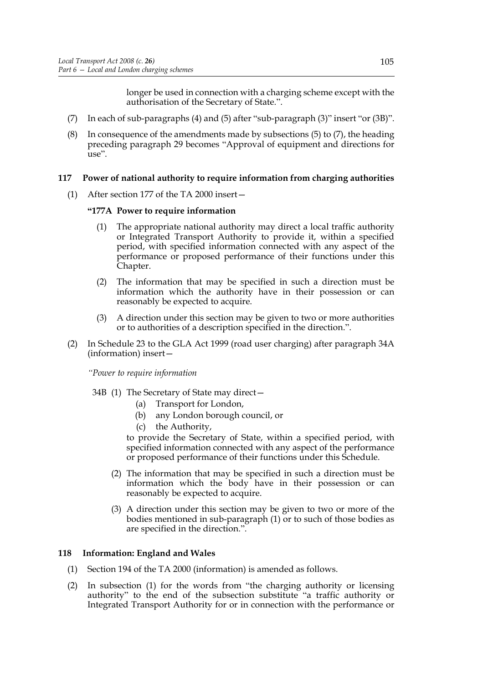longer be used in connection with a charging scheme except with the authorisation of the Secretary of State.".

- (7) In each of sub-paragraphs (4) and (5) after "sub-paragraph (3)" insert "or (3B)".
- (8) In consequence of the amendments made by subsections (5) to (7), the heading preceding paragraph 29 becomes "Approval of equipment and directions for use".

### **117 Power of national authority to require information from charging authorities**

(1) After section 177 of the TA 2000 insert—

#### **"177A Power to require information**

- (1) The appropriate national authority may direct a local traffic authority or Integrated Transport Authority to provide it, within a specified period, with specified information connected with any aspect of the performance or proposed performance of their functions under this Chapter.
- (2) The information that may be specified in such a direction must be information which the authority have in their possession or can reasonably be expected to acquire.
- (3) A direction under this section may be given to two or more authorities or to authorities of a description specified in the direction.".
- (2) In Schedule 23 to the GLA Act 1999 (road user charging) after paragraph 34A (information) insert—

*"Power to require information*

- 34B (1) The Secretary of State may direct—
	- (a) Transport for London,
	- (b) any London borough council, or
	- (c) the Authority,

to provide the Secretary of State, within a specified period, with specified information connected with any aspect of the performance or proposed performance of their functions under this Schedule.

- (2) The information that may be specified in such a direction must be information which the body have in their possession or can reasonably be expected to acquire.
- (3) A direction under this section may be given to two or more of the bodies mentioned in sub-paragraph (1) or to such of those bodies as are specified in the direction.".

### **118 Information: England and Wales**

- (1) Section 194 of the TA 2000 (information) is amended as follows.
- (2) In subsection (1) for the words from "the charging authority or licensing authority" to the end of the subsection substitute "a traffic authority or Integrated Transport Authority for or in connection with the performance or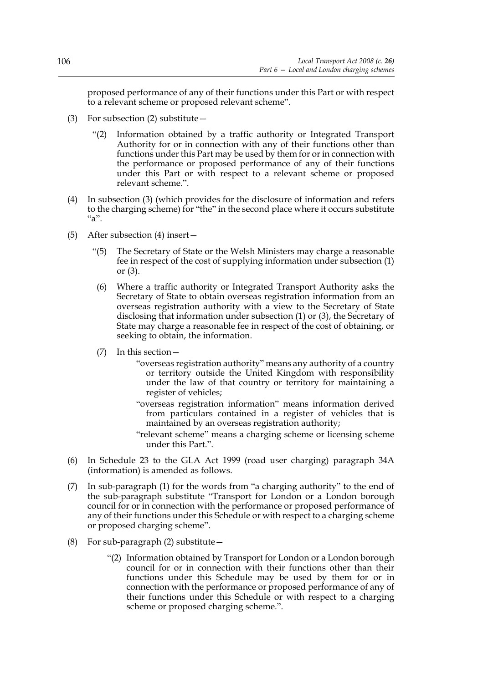proposed performance of any of their functions under this Part or with respect to a relevant scheme or proposed relevant scheme".

- (3) For subsection (2) substitute  $-$ 
	- "(2) Information obtained by a traffic authority or Integrated Transport Authority for or in connection with any of their functions other than functions under this Part may be used by them for or in connection with the performance or proposed performance of any of their functions under this Part or with respect to a relevant scheme or proposed relevant scheme.".
- (4) In subsection (3) (which provides for the disclosure of information and refers to the charging scheme) for "the" in the second place where it occurs substitute "a".
- (5) After subsection (4) insert—
	- "(5) The Secretary of State or the Welsh Ministers may charge a reasonable fee in respect of the cost of supplying information under subsection (1) or (3).
		- (6) Where a traffic authority or Integrated Transport Authority asks the Secretary of State to obtain overseas registration information from an overseas registration authority with a view to the Secretary of State disclosing that information under subsection (1) or (3), the Secretary of State may charge a reasonable fee in respect of the cost of obtaining, or seeking to obtain, the information.
	- (7) In this section—
		- "overseas registration authority" means any authority of a country or territory outside the United Kingdom with responsibility under the law of that country or territory for maintaining a register of vehicles;
		- "overseas registration information" means information derived from particulars contained in a register of vehicles that is maintained by an overseas registration authority;
		- "relevant scheme" means a charging scheme or licensing scheme under this Part.".
- (6) In Schedule 23 to the GLA Act 1999 (road user charging) paragraph 34A (information) is amended as follows.
- (7) In sub-paragraph (1) for the words from "a charging authority" to the end of the sub-paragraph substitute "Transport for London or a London borough council for or in connection with the performance or proposed performance of any of their functions under this Schedule or with respect to a charging scheme or proposed charging scheme".
- (8) For sub-paragraph (2) substitute—
	- "(2) Information obtained by Transport for London or a London borough council for or in connection with their functions other than their functions under this Schedule may be used by them for or in connection with the performance or proposed performance of any of their functions under this Schedule or with respect to a charging scheme or proposed charging scheme.".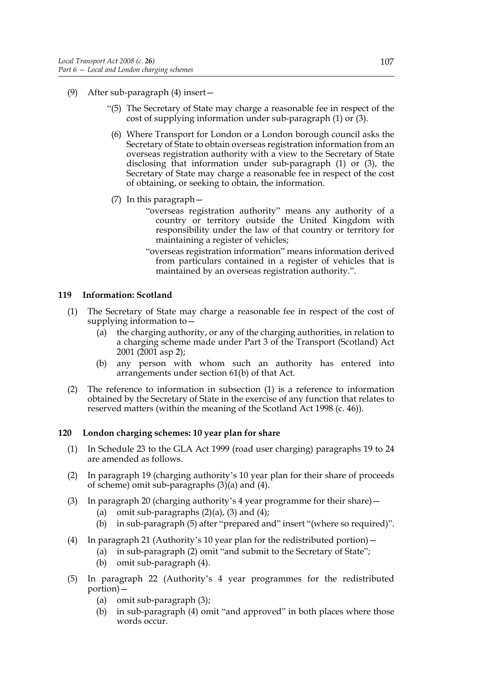- (9) After sub-paragraph (4) insert—
	- "(5) The Secretary of State may charge a reasonable fee in respect of the cost of supplying information under sub-paragraph (1) or (3).
	- (6) Where Transport for London or a London borough council asks the Secretary of State to obtain overseas registration information from an overseas registration authority with a view to the Secretary of State disclosing that information under sub-paragraph (1) or (3), the Secretary of State may charge a reasonable fee in respect of the cost of obtaining, or seeking to obtain, the information.
	- (7) In this paragraph—
		- "overseas registration authority" means any authority of a country or territory outside the United Kingdom with responsibility under the law of that country or territory for maintaining a register of vehicles;
		- "overseas registration information" means information derived from particulars contained in a register of vehicles that is maintained by an overseas registration authority.".

### **119 Information: Scotland**

- (1) The Secretary of State may charge a reasonable fee in respect of the cost of supplying information to—
	- (a) the charging authority, or any of the charging authorities, in relation to a charging scheme made under Part 3 of the Transport (Scotland) Act 2001 (2001 asp 2);
	- (b) any person with whom such an authority has entered into arrangements under section 61(b) of that Act.
- (2) The reference to information in subsection (1) is a reference to information obtained by the Secretary of State in the exercise of any function that relates to reserved matters (within the meaning of the Scotland Act 1998 (c. 46)).

### **120 London charging schemes: 10 year plan for share**

- (1) In Schedule 23 to the GLA Act 1999 (road user charging) paragraphs 19 to 24 are amended as follows.
- (2) In paragraph 19 (charging authority's 10 year plan for their share of proceeds of scheme) omit sub-paragraphs (3)(a) and (4).
- (3) In paragraph 20 (charging authority's 4 year programme for their share)—
	- (a) omit sub-paragraphs  $(2)(a)$ ,  $(3)$  and  $(4)$ ;
	- (b) in sub-paragraph (5) after "prepared and" insert "(where so required)".
- (4) In paragraph 21 (Authority's 10 year plan for the redistributed portion)—
	- (a) in sub-paragraph (2) omit "and submit to the Secretary of State";
		- (b) omit sub-paragraph (4).
- (5) In paragraph 22 (Authority's 4 year programmes for the redistributed portion)—
	- (a) omit sub-paragraph (3);
	- (b) in sub-paragraph (4) omit "and approved" in both places where those words occur.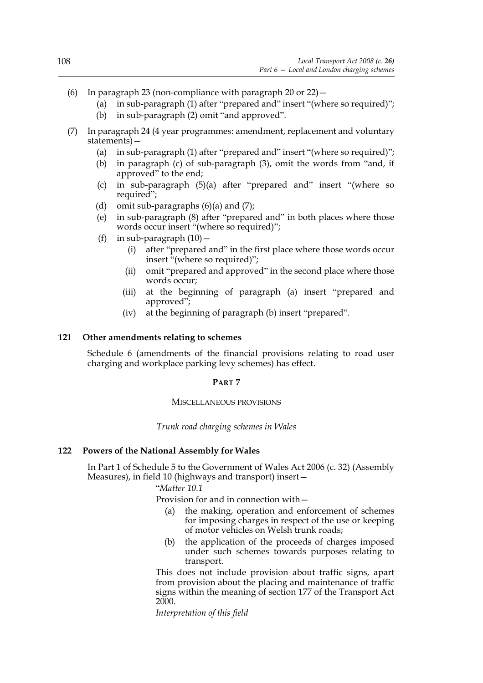- (6) In paragraph 23 (non-compliance with paragraph 20 or  $22$ )  $-$ 
	- (a) in sub-paragraph (1) after "prepared and" insert "(where so required)";
	- (b) in sub-paragraph (2) omit "and approved".
- (7) In paragraph 24 (4 year programmes: amendment, replacement and voluntary statements)—
	- (a) in sub-paragraph (1) after "prepared and" insert "(where so required)";
	- (b) in paragraph (c) of sub-paragraph (3), omit the words from "and, if approved" to the end;
	- (c) in sub-paragraph (5)(a) after "prepared and" insert "(where so required";
	- (d) omit sub-paragraphs  $(6)(a)$  and  $(7)$ ;
	- (e) in sub-paragraph (8) after "prepared and" in both places where those words occur insert "(where so required)";
	- (f) in sub-paragraph  $(10)$  -
		- (i) after "prepared and" in the first place where those words occur insert "(where so required)";
		- (ii) omit "prepared and approved" in the second place where those words occur;
		- (iii) at the beginning of paragraph (a) insert "prepared and approved";
		- (iv) at the beginning of paragraph (b) insert "prepared".

### **121 Other amendments relating to schemes**

Schedule 6 (amendments of the financial provisions relating to road user charging and workplace parking levy schemes) has effect.

### **PART 7**

#### MISCELLANEOUS PROVISIONS

*Trunk road charging schemes in Wales*

### **122 Powers of the National Assembly for Wales**

In Part 1 of Schedule 5 to the Government of Wales Act 2006 (c. 32) (Assembly Measures), in field 10 (highways and transport) insert—

### "*Matter 10.1*

Provision for and in connection with—

- (a) the making, operation and enforcement of schemes for imposing charges in respect of the use or keeping of motor vehicles on Welsh trunk roads;
- (b) the application of the proceeds of charges imposed under such schemes towards purposes relating to transport.

 This does not include provision about traffic signs, apart from provision about the placing and maintenance of traffic signs within the meaning of section 177 of the Transport Act 2000.

*Interpretation of this field*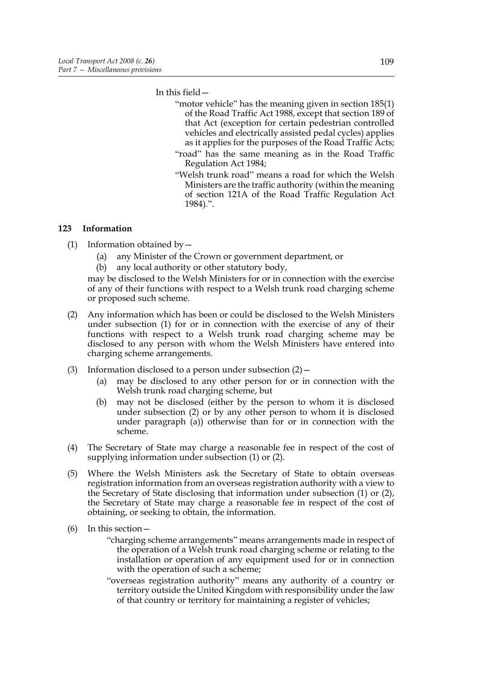In this field—

- "motor vehicle" has the meaning given in section 185(1) of the Road Traffic Act 1988, except that section 189 of that Act (exception for certain pedestrian controlled vehicles and electrically assisted pedal cycles) applies as it applies for the purposes of the Road Traffic Acts;
- "road" has the same meaning as in the Road Traffic Regulation Act 1984;
- "Welsh trunk road" means a road for which the Welsh Ministers are the traffic authority (within the meaning of section 121A of the Road Traffic Regulation Act 1984).".

### **123 Information**

- (1) Information obtained by—
	- (a) any Minister of the Crown or government department, or
	- (b) any local authority or other statutory body,

may be disclosed to the Welsh Ministers for or in connection with the exercise of any of their functions with respect to a Welsh trunk road charging scheme or proposed such scheme.

- (2) Any information which has been or could be disclosed to the Welsh Ministers under subsection (1) for or in connection with the exercise of any of their functions with respect to a Welsh trunk road charging scheme may be disclosed to any person with whom the Welsh Ministers have entered into charging scheme arrangements.
- (3) Information disclosed to a person under subsection  $(2)$  -
	- (a) may be disclosed to any other person for or in connection with the Welsh trunk road charging scheme, but
	- (b) may not be disclosed (either by the person to whom it is disclosed under subsection (2) or by any other person to whom it is disclosed under paragraph (a)) otherwise than for or in connection with the scheme.
- (4) The Secretary of State may charge a reasonable fee in respect of the cost of supplying information under subsection (1) or (2).
- (5) Where the Welsh Ministers ask the Secretary of State to obtain overseas registration information from an overseas registration authority with a view to the Secretary of State disclosing that information under subsection (1) or (2), the Secretary of State may charge a reasonable fee in respect of the cost of obtaining, or seeking to obtain, the information.
- (6) In this section—
	- "charging scheme arrangements" means arrangements made in respect of the operation of a Welsh trunk road charging scheme or relating to the installation or operation of any equipment used for or in connection with the operation of such a scheme;
	- "overseas registration authority" means any authority of a country or territory outside the United Kingdom with responsibility under the law of that country or territory for maintaining a register of vehicles;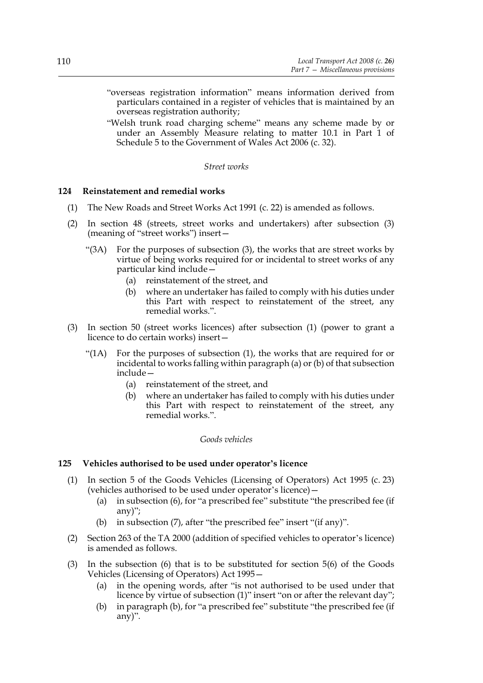- "overseas registration information" means information derived from particulars contained in a register of vehicles that is maintained by an overseas registration authority;
- "Welsh trunk road charging scheme" means any scheme made by or under an Assembly Measure relating to matter 10.1 in Part 1 of Schedule 5 to the Government of Wales Act 2006 (c. 32).

#### *Street works*

#### **124 Reinstatement and remedial works**

- (1) The New Roads and Street Works Act 1991 (c. 22) is amended as follows.
- (2) In section 48 (streets, street works and undertakers) after subsection (3) (meaning of "street works") insert—
	- "(3A) For the purposes of subsection (3), the works that are street works by virtue of being works required for or incidental to street works of any particular kind include—
		- (a) reinstatement of the street, and
		- (b) where an undertaker has failed to comply with his duties under this Part with respect to reinstatement of the street, any remedial works.".
- (3) In section 50 (street works licences) after subsection (1) (power to grant a licence to do certain works) insert—
	- "(1A) For the purposes of subsection (1), the works that are required for or incidental to works falling within paragraph (a) or (b) of that subsection include—
		- (a) reinstatement of the street, and
		- (b) where an undertaker has failed to comply with his duties under this Part with respect to reinstatement of the street, any remedial works."

### *Goods vehicles*

#### **125 Vehicles authorised to be used under operator's licence**

- (1) In section 5 of the Goods Vehicles (Licensing of Operators) Act 1995 (c. 23) (vehicles authorised to be used under operator's licence)—
	- (a) in subsection (6), for "a prescribed fee" substitute "the prescribed fee (if any)";
	- (b) in subsection (7), after "the prescribed fee" insert "(if any)".
- (2) Section 263 of the TA 2000 (addition of specified vehicles to operator's licence) is amended as follows.
- (3) In the subsection (6) that is to be substituted for section 5(6) of the Goods Vehicles (Licensing of Operators) Act 1995—
	- (a) in the opening words, after "is not authorised to be used under that licence by virtue of subsection (1)" insert "on or after the relevant day";
	- (b) in paragraph (b), for "a prescribed fee" substitute "the prescribed fee (if any)".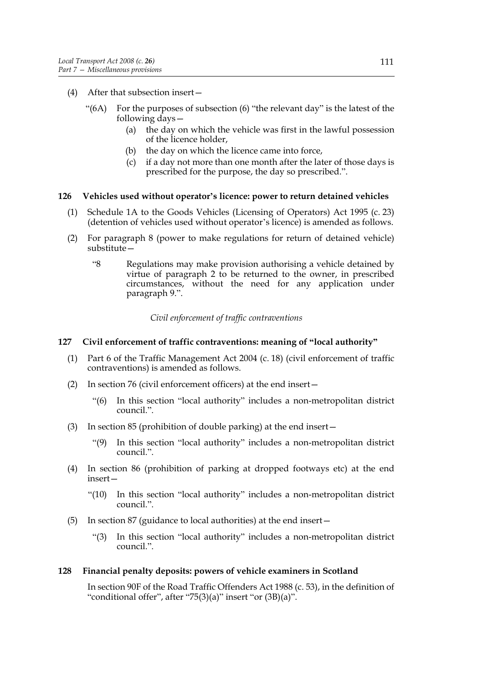- (4) After that subsection insert—
	- " $(6A)$  For the purposes of subsection  $(6)$  "the relevant day" is the latest of the following days—
		- (a) the day on which the vehicle was first in the lawful possession of the licence holder,
		- (b) the day on which the licence came into force,
		- (c) if a day not more than one month after the later of those days is prescribed for the purpose, the day so prescribed.".

#### **126 Vehicles used without operator's licence: power to return detained vehicles**

- (1) Schedule 1A to the Goods Vehicles (Licensing of Operators) Act 1995 (c. 23) (detention of vehicles used without operator's licence) is amended as follows.
- (2) For paragraph 8 (power to make regulations for return of detained vehicle) substitute—
	- "8 Regulations may make provision authorising a vehicle detained by virtue of paragraph 2 to be returned to the owner, in prescribed circumstances, without the need for any application under paragraph 9.".

*Civil enforcement of traffic contraventions*

#### **127 Civil enforcement of traffic contraventions: meaning of "local authority"**

- (1) Part 6 of the Traffic Management Act 2004 (c. 18) (civil enforcement of traffic contraventions) is amended as follows.
- (2) In section 76 (civil enforcement officers) at the end insert—
	- "(6) In this section "local authority" includes a non-metropolitan district council.".
- (3) In section 85 (prohibition of double parking) at the end insert—
	- "(9) In this section "local authority" includes a non-metropolitan district council.".
- (4) In section 86 (prohibition of parking at dropped footways etc) at the end insert—
	- "(10) In this section "local authority" includes a non-metropolitan district council.".
- (5) In section 87 (guidance to local authorities) at the end insert—
	- "(3) In this section "local authority" includes a non-metropolitan district council.".

#### **128 Financial penalty deposits: powers of vehicle examiners in Scotland**

In section 90F of the Road Traffic Offenders Act 1988 (c. 53), in the definition of "conditional offer", after "75(3)(a)" insert "or (3B)(a)".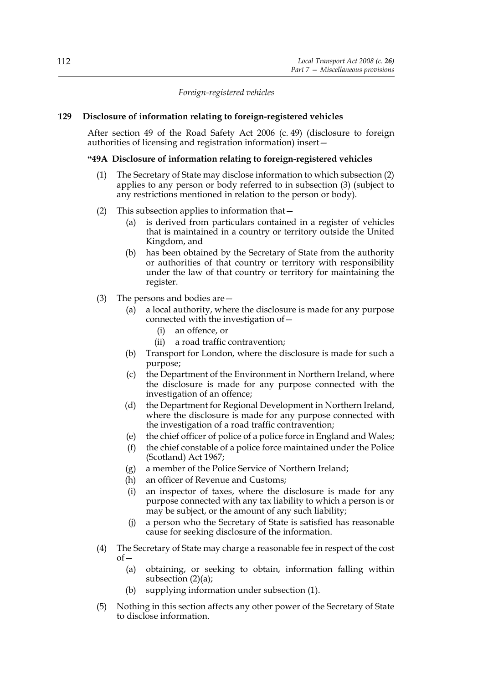*Foreign-registered vehicles*

### **129 Disclosure of information relating to foreign-registered vehicles**

After section 49 of the Road Safety Act 2006 (c. 49) (disclosure to foreign authorities of licensing and registration information) insert—

### **"49A Disclosure of information relating to foreign-registered vehicles**

- (1) The Secretary of State may disclose information to which subsection (2) applies to any person or body referred to in subsection (3) (subject to any restrictions mentioned in relation to the person or body).
- (2) This subsection applies to information that—
	- (a) is derived from particulars contained in a register of vehicles that is maintained in a country or territory outside the United Kingdom, and
	- (b) has been obtained by the Secretary of State from the authority or authorities of that country or territory with responsibility under the law of that country or territory for maintaining the register.
- (3) The persons and bodies are—
	- (a) a local authority, where the disclosure is made for any purpose connected with the investigation of—
		- (i) an offence, or
		- (ii) a road traffic contravention;
	- (b) Transport for London, where the disclosure is made for such a purpose;
	- (c) the Department of the Environment in Northern Ireland, where the disclosure is made for any purpose connected with the investigation of an offence;
	- (d) the Department for Regional Development in Northern Ireland, where the disclosure is made for any purpose connected with the investigation of a road traffic contravention;
	- (e) the chief officer of police of a police force in England and Wales;
	- (f) the chief constable of a police force maintained under the Police (Scotland) Act 1967;
	- (g) a member of the Police Service of Northern Ireland;
	- (h) an officer of Revenue and Customs;
	- (i) an inspector of taxes, where the disclosure is made for any purpose connected with any tax liability to which a person is or may be subject, or the amount of any such liability;
	- (j) a person who the Secretary of State is satisfied has reasonable cause for seeking disclosure of the information.
- (4) The Secretary of State may charge a reasonable fee in respect of the cost  $of$ 
	- (a) obtaining, or seeking to obtain, information falling within subsection  $(2)(a)$ ;
	- (b) supplying information under subsection (1).
- (5) Nothing in this section affects any other power of the Secretary of State to disclose information.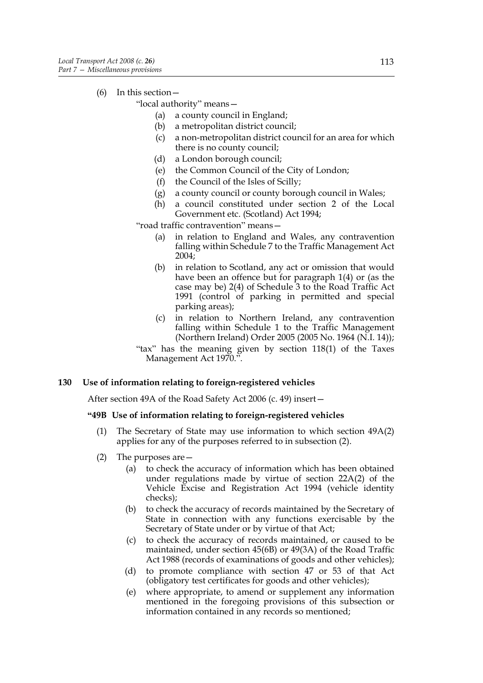(6) In this section—

"local authority" means—

- (a) a county council in England;
- (b) a metropolitan district council;
- (c) a non-metropolitan district council for an area for which there is no county council;
- (d) a London borough council;
- (e) the Common Council of the City of London;
- (f) the Council of the Isles of Scilly;
- (g) a county council or county borough council in Wales;
- (h) a council constituted under section 2 of the Local Government etc. (Scotland) Act 1994;

"road traffic contravention" means—

- (a) in relation to England and Wales, any contravention falling within Schedule 7 to the Traffic Management Act 2004;
- (b) in relation to Scotland, any act or omission that would have been an offence but for paragraph 1(4) or (as the case may be) 2(4) of Schedule 3 to the Road Traffic Act 1991 (control of parking in permitted and special parking areas);
- (c) in relation to Northern Ireland, any contravention falling within Schedule 1 to the Traffic Management (Northern Ireland) Order 2005 (2005 No. 1964 (N.I. 14));

"tax" has the meaning given by section 118(1) of the Taxes Management Act 1970.".

#### **130 Use of information relating to foreign-registered vehicles**

After section 49A of the Road Safety Act 2006 (c. 49) insert—

### **"49B Use of information relating to foreign-registered vehicles**

- (1) The Secretary of State may use information to which section 49A(2) applies for any of the purposes referred to in subsection (2).
- (2) The purposes are—
	- (a) to check the accuracy of information which has been obtained under regulations made by virtue of section 22A(2) of the Vehicle Excise and Registration Act 1994 (vehicle identity checks);
	- (b) to check the accuracy of records maintained by the Secretary of State in connection with any functions exercisable by the Secretary of State under or by virtue of that Act;
	- (c) to check the accuracy of records maintained, or caused to be maintained, under section 45(6B) or 49(3A) of the Road Traffic Act 1988 (records of examinations of goods and other vehicles);
	- (d) to promote compliance with section 47 or 53 of that Act (obligatory test certificates for goods and other vehicles);
	- (e) where appropriate, to amend or supplement any information mentioned in the foregoing provisions of this subsection or information contained in any records so mentioned;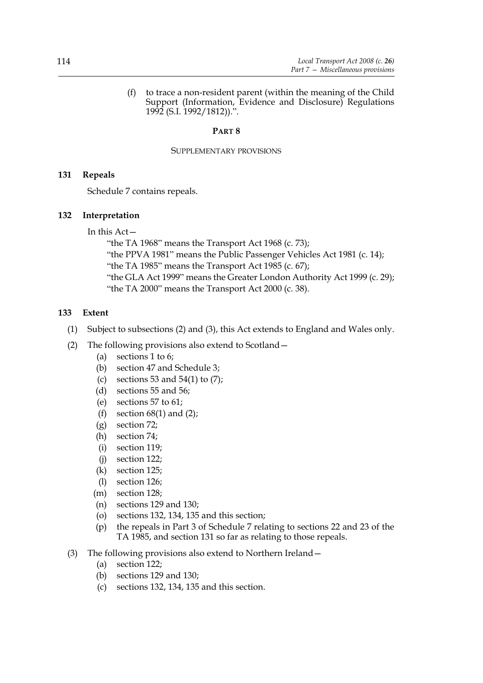(f) to trace a non-resident parent (within the meaning of the Child Support (Information, Evidence and Disclosure) Regulations 1992 (S.I. 1992/1812)).".

### **PART 8**

#### SUPPLEMENTARY PROVISIONS

### **131 Repeals**

Schedule 7 contains repeals.

### **132 Interpretation**

In this Act—

"the TA 1968" means the Transport Act 1968 (c. 73); "the PPVA 1981" means the Public Passenger Vehicles Act 1981 (c. 14); "the TA 1985" means the Transport Act 1985 (c. 67); "the GLA Act 1999" means the Greater London Authority Act 1999 (c. 29); "the TA 2000" means the Transport Act 2000 (c. 38).

### **133 Extent**

- (1) Subject to subsections (2) and (3), this Act extends to England and Wales only.
- (2) The following provisions also extend to Scotland—
	- (a) sections 1 to 6;
	- (b) section 47 and Schedule 3;
	- (c) sections 53 and 54(1) to  $(7)$ ;
	- (d) sections 55 and 56;
	- (e) sections 57 to 61;
	- (f) section  $68(1)$  and  $(2)$ ;
	- (g) section 72;
	- (h) section 74;
	- (i) section 119;
	- (j) section 122;
	- (k) section 125;
	- (l) section 126;
	- (m) section 128;
	- (n) sections 129 and 130;
	- (o) sections 132, 134, 135 and this section;
	- (p) the repeals in Part 3 of Schedule 7 relating to sections 22 and 23 of the TA 1985, and section 131 so far as relating to those repeals.
- (3) The following provisions also extend to Northern Ireland—
	- (a) section 122;
	- (b) sections 129 and 130;
	- (c) sections 132, 134, 135 and this section.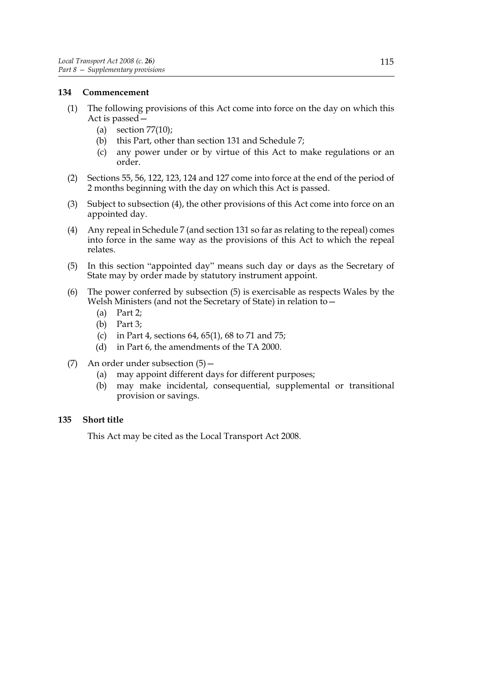### **134 Commencement**

- (1) The following provisions of this Act come into force on the day on which this Act is passed—
	- (a) section  $77(10)$ ;
	- (b) this Part, other than section 131 and Schedule 7;
	- (c) any power under or by virtue of this Act to make regulations or an order.
- (2) Sections 55, 56, 122, 123, 124 and 127 come into force at the end of the period of 2 months beginning with the day on which this Act is passed.
- (3) Subject to subsection (4), the other provisions of this Act come into force on an appointed day.
- (4) Any repeal in Schedule 7 (and section 131 so far as relating to the repeal) comes into force in the same way as the provisions of this Act to which the repeal relates.
- (5) In this section "appointed day" means such day or days as the Secretary of State may by order made by statutory instrument appoint.
- (6) The power conferred by subsection (5) is exercisable as respects Wales by the Welsh Ministers (and not the Secretary of State) in relation to—
	- (a) Part 2;
	- (b) Part 3;
	- (c) in Part 4, sections 64, 65(1), 68 to 71 and 75;
	- (d) in Part 6, the amendments of the TA 2000.
- (7) An order under subsection (5)—
	- (a) may appoint different days for different purposes;
	- (b) may make incidental, consequential, supplemental or transitional provision or savings.

### **135 Short title**

This Act may be cited as the Local Transport Act 2008.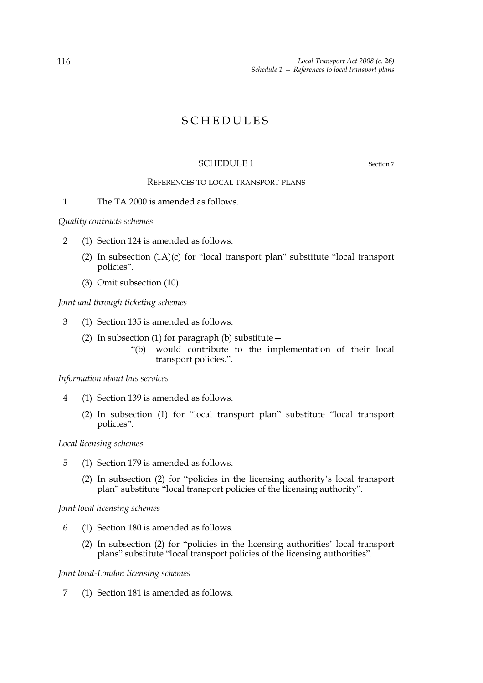# SCHEDULES

# SCHEDULE 1 Section 7

# REFERENCES TO LOCAL TRANSPORT PLANS

1 The TA 2000 is amended as follows.

*Quality contracts schemes*

- 2 (1) Section 124 is amended as follows.
	- (2) In subsection (1A)(c) for "local transport plan" substitute "local transport policies".
	- (3) Omit subsection (10).

*Joint and through ticketing schemes*

- 3 (1) Section 135 is amended as follows.
	- (2) In subsection (1) for paragraph (b) substitute  $-$ 
		- "(b) would contribute to the implementation of their local transport policies.".

#### *Information about bus services*

- 4 (1) Section 139 is amended as follows.
	- (2) In subsection (1) for "local transport plan" substitute "local transport policies".

#### *Local licensing schemes*

- 5 (1) Section 179 is amended as follows.
	- (2) In subsection (2) for "policies in the licensing authority's local transport plan" substitute "local transport policies of the licensing authority".

#### *Joint local licensing schemes*

- 6 (1) Section 180 is amended as follows.
	- (2) In subsection (2) for "policies in the licensing authorities' local transport plans" substitute "local transport policies of the licensing authorities".

#### *Joint local-London licensing schemes*

7 (1) Section 181 is amended as follows.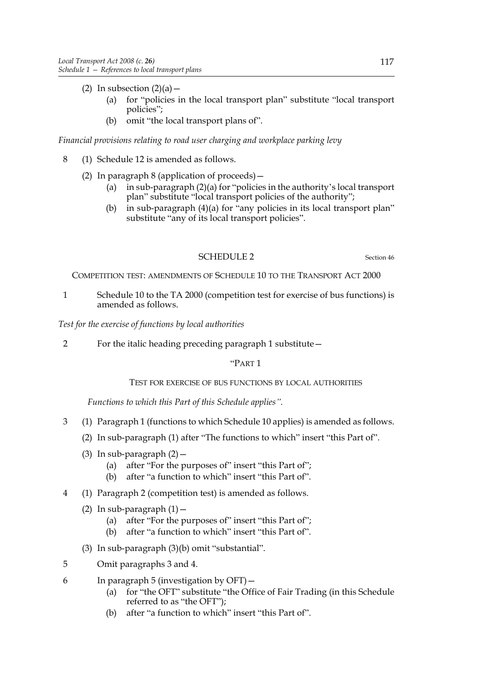- (2) In subsection  $(2)(a)$ 
	- (a) for "policies in the local transport plan" substitute "local transport policies";
	- (b) omit "the local transport plans of".

# *Financial provisions relating to road user charging and workplace parking levy*

- 8 (1) Schedule 12 is amended as follows.
	- (2) In paragraph 8 (application of proceeds)—
		- (a) in sub-paragraph (2)(a) for "policies in the authority's local transport plan" substitute "local transport policies of the authority";
		- (b) in sub-paragraph (4)(a) for "any policies in its local transport plan" substitute "any of its local transport policies".

### SCHEDULE 2 Section 46

COMPETITION TEST: AMENDMENTS OF SCHEDULE 10 TO THE TRANSPORT ACT 2000

1 Schedule 10 to the TA 2000 (competition test for exercise of bus functions) is amended as follows.

*Test for the exercise of functions by local authorities*

2 For the italic heading preceding paragraph 1 substitute—

# "PART 1

### TEST FOR EXERCISE OF BUS FUNCTIONS BY LOCAL AUTHORITIES

*Functions to which this Part of this Schedule applies".*

- 3 (1) Paragraph 1 (functions to which Schedule 10 applies) is amended as follows.
	- (2) In sub-paragraph (1) after "The functions to which" insert "this Part of".
	- (3) In sub-paragraph  $(2)$  -
		- (a) after "For the purposes of" insert "this Part of";
		- (b) after "a function to which" insert "this Part of".
- 4 (1) Paragraph 2 (competition test) is amended as follows.
	- (2) In sub-paragraph  $(1)$  -
		- (a) after "For the purposes of" insert "this Part of";
		- (b) after "a function to which" insert "this Part of".
	- (3) In sub-paragraph (3)(b) omit "substantial".
- 5 Omit paragraphs 3 and 4.
- 6 In paragraph 5 (investigation by OFT)—
	- (a) for "the OFT" substitute "the Office of Fair Trading (in this Schedule referred to as "the OFT");
	- (b) after "a function to which" insert "this Part of".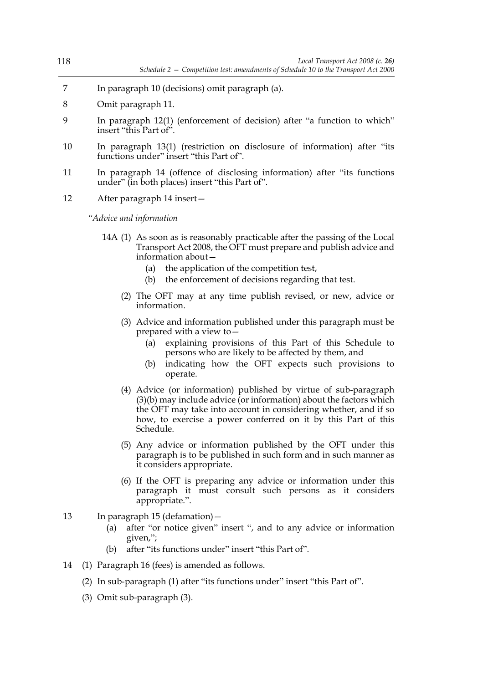- 7 In paragraph 10 (decisions) omit paragraph (a).
- 8 Omit paragraph 11.
- 9 In paragraph 12(1) (enforcement of decision) after "a function to which" insert "this Part of".
- 10 In paragraph 13(1) (restriction on disclosure of information) after "its functions under" insert "this Part of".
- 11 In paragraph 14 (offence of disclosing information) after "its functions under" (in both places) insert "this Part of".
- 12 After paragraph 14 insert—

*"Advice and information*

- 14A (1) As soon as is reasonably practicable after the passing of the Local Transport Act 2008, the OFT must prepare and publish advice and information about—
	- (a) the application of the competition test,
	- (b) the enforcement of decisions regarding that test.
	- (2) The OFT may at any time publish revised, or new, advice or information.
	- (3) Advice and information published under this paragraph must be prepared with a view to—
		- (a) explaining provisions of this Part of this Schedule to persons who are likely to be affected by them, and
		- (b) indicating how the OFT expects such provisions to operate.
	- (4) Advice (or information) published by virtue of sub-paragraph (3)(b) may include advice (or information) about the factors which the OFT may take into account in considering whether, and if so how, to exercise a power conferred on it by this Part of this Schedule.
	- (5) Any advice or information published by the OFT under this paragraph is to be published in such form and in such manner as it considers appropriate.
	- (6) If the OFT is preparing any advice or information under this paragraph it must consult such persons as it considers appropriate.".
- 13 In paragraph 15 (defamation)—
	- (a) after "or notice given" insert ", and to any advice or information given,";
	- (b) after "its functions under" insert "this Part of".
- 14 (1) Paragraph 16 (fees) is amended as follows.
	- (2) In sub-paragraph (1) after "its functions under" insert "this Part of".
	- (3) Omit sub-paragraph (3).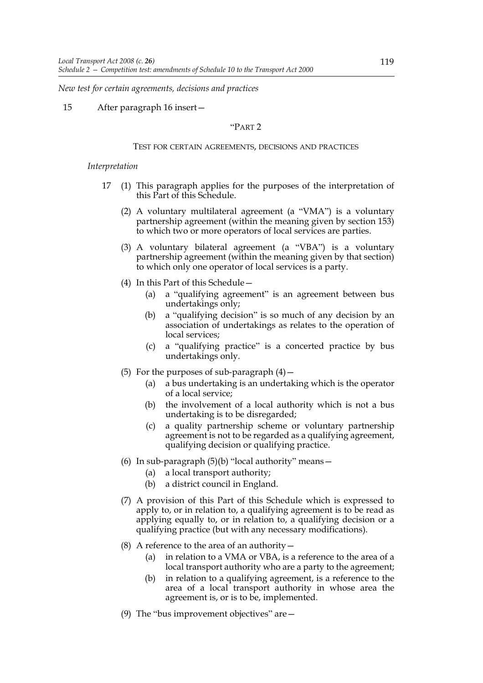*New test for certain agreements, decisions and practices*

15 After paragraph 16 insert—

#### "PART 2

#### TEST FOR CERTAIN AGREEMENTS, DECISIONS AND PRACTICES

#### *Interpretation*

- 17 (1) This paragraph applies for the purposes of the interpretation of this Part of this Schedule.
	- (2) A voluntary multilateral agreement (a "VMA") is a voluntary partnership agreement (within the meaning given by section 153) to which two or more operators of local services are parties.
	- (3) A voluntary bilateral agreement (a "VBA") is a voluntary partnership agreement (within the meaning given by that section) to which only one operator of local services is a party.
	- (4) In this Part of this Schedule—
		- (a) a "qualifying agreement" is an agreement between bus undertakings only;
		- (b) a "qualifying decision" is so much of any decision by an association of undertakings as relates to the operation of local services;
		- (c) a "qualifying practice" is a concerted practice by bus undertakings only.
	- (5) For the purposes of sub-paragraph  $(4)$  -
		- (a) a bus undertaking is an undertaking which is the operator of a local service;
		- (b) the involvement of a local authority which is not a bus undertaking is to be disregarded;
		- (c) a quality partnership scheme or voluntary partnership agreement is not to be regarded as a qualifying agreement, qualifying decision or qualifying practice.
	- (6) In sub-paragraph  $(5)(b)$  "local authority" means -
		- (a) a local transport authority;
		- (b) a district council in England.
	- (7) A provision of this Part of this Schedule which is expressed to apply to, or in relation to, a qualifying agreement is to be read as applying equally to, or in relation to, a qualifying decision or a qualifying practice (but with any necessary modifications).
	- (8) A reference to the area of an authority  $-$ 
		- (a) in relation to a VMA or VBA, is a reference to the area of a local transport authority who are a party to the agreement;
		- (b) in relation to a qualifying agreement, is a reference to the area of a local transport authority in whose area the agreement is, or is to be, implemented.
	- (9) The "bus improvement objectives" are $-$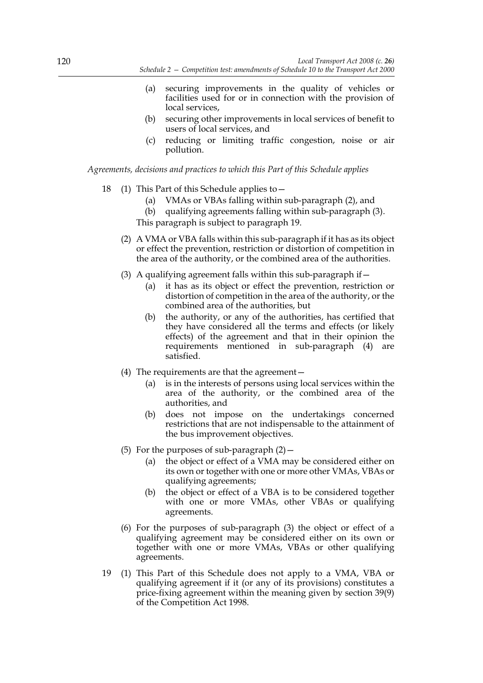- (a) securing improvements in the quality of vehicles or facilities used for or in connection with the provision of local services,
- (b) securing other improvements in local services of benefit to users of local services, and
- (c) reducing or limiting traffic congestion, noise or air pollution.

*Agreements, decisions and practices to which this Part of this Schedule applies*

- 18 (1) This Part of this Schedule applies to—
	- (a) VMAs or VBAs falling within sub-paragraph (2), and
	- (b) qualifying agreements falling within sub-paragraph (3).

This paragraph is subject to paragraph 19.

- (2) A VMA or VBA falls within this sub-paragraph if it has as its object or effect the prevention, restriction or distortion of competition in the area of the authority, or the combined area of the authorities.
- (3) A qualifying agreement falls within this sub-paragraph if  $-$ 
	- (a) it has as its object or effect the prevention, restriction or distortion of competition in the area of the authority, or the combined area of the authorities, but
	- (b) the authority, or any of the authorities, has certified that they have considered all the terms and effects (or likely effects) of the agreement and that in their opinion the requirements mentioned in sub-paragraph (4) are satisfied.
- (4) The requirements are that the agreement—
	- (a) is in the interests of persons using local services within the area of the authority, or the combined area of the authorities, and
	- (b) does not impose on the undertakings concerned restrictions that are not indispensable to the attainment of the bus improvement objectives.
- (5) For the purposes of sub-paragraph  $(2)$  -
	- (a) the object or effect of a VMA may be considered either on its own or together with one or more other VMAs, VBAs or qualifying agreements;
	- (b) the object or effect of a VBA is to be considered together with one or more VMAs, other VBAs or qualifying agreements.
- (6) For the purposes of sub-paragraph (3) the object or effect of a qualifying agreement may be considered either on its own or together with one or more VMAs, VBAs or other qualifying agreements.
- 19 (1) This Part of this Schedule does not apply to a VMA, VBA or qualifying agreement if it (or any of its provisions) constitutes a price-fixing agreement within the meaning given by section 39(9) of the Competition Act 1998.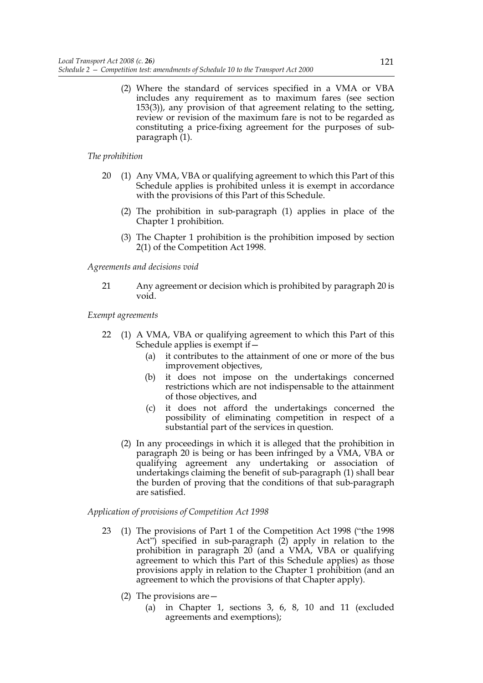(2) Where the standard of services specified in a VMA or VBA includes any requirement as to maximum fares (see section 153(3)), any provision of that agreement relating to the setting, review or revision of the maximum fare is not to be regarded as constituting a price-fixing agreement for the purposes of subparagraph (1).

#### *The prohibition*

- 20 (1) Any VMA, VBA or qualifying agreement to which this Part of this Schedule applies is prohibited unless it is exempt in accordance with the provisions of this Part of this Schedule.
	- (2) The prohibition in sub-paragraph (1) applies in place of the Chapter 1 prohibition.
	- (3) The Chapter 1 prohibition is the prohibition imposed by section 2(1) of the Competition Act 1998.

*Agreements and decisions void*

21 Any agreement or decision which is prohibited by paragraph 20 is void.

*Exempt agreements*

- 22 (1) A VMA, VBA or qualifying agreement to which this Part of this Schedule applies is exempt if—
	- (a) it contributes to the attainment of one or more of the bus improvement objectives,
	- (b) it does not impose on the undertakings concerned restrictions which are not indispensable to the attainment of those objectives, and
	- (c) it does not afford the undertakings concerned the possibility of eliminating competition in respect of a substantial part of the services in question.
	- (2) In any proceedings in which it is alleged that the prohibition in paragraph 20 is being or has been infringed by a VMA, VBA or qualifying agreement any undertaking or association of undertakings claiming the benefit of sub-paragraph (1) shall bear the burden of proving that the conditions of that sub-paragraph are satisfied.

*Application of provisions of Competition Act 1998*

- 23 (1) The provisions of Part 1 of the Competition Act 1998 ("the 1998 Act") specified in sub-paragraph (2) apply in relation to the prohibition in paragraph 20 (and a VMA, VBA or qualifying agreement to which this Part of this Schedule applies) as those provisions apply in relation to the Chapter 1 prohibition (and an agreement to which the provisions of that Chapter apply).
	- (2) The provisions are—
		- (a) in Chapter 1, sections 3, 6, 8, 10 and 11 (excluded agreements and exemptions);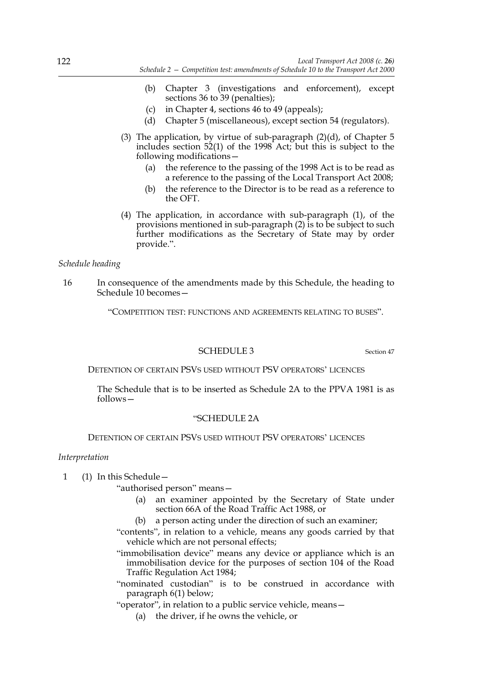- (b) Chapter 3 (investigations and enforcement), except sections 36 to 39 (penalties);
- (c) in Chapter 4, sections 46 to 49 (appeals);
- (d) Chapter 5 (miscellaneous), except section 54 (regulators).
- (3) The application, by virtue of sub-paragraph  $(2)(d)$ , of Chapter 5 includes section 52(1) of the 1998 Act; but this is subject to the following modifications—
	- (a) the reference to the passing of the 1998 Act is to be read as a reference to the passing of the Local Transport Act 2008;
	- (b) the reference to the Director is to be read as a reference to the OFT.
- (4) The application, in accordance with sub-paragraph (1), of the provisions mentioned in sub-paragraph (2) is to be subject to such further modifications as the Secretary of State may by order provide.".

#### *Schedule heading*

16 In consequence of the amendments made by this Schedule, the heading to Schedule 10 becomes—

"COMPETITION TEST: FUNCTIONS AND AGREEMENTS RELATING TO BUSES".

### SCHEDULE 3 Section 47

DETENTION OF CERTAIN PSVS USED WITHOUT PSV OPERATORS' LICENCES

The Schedule that is to be inserted as Schedule 2A to the PPVA 1981 is as follows—

#### "SCHEDULE 2A

DETENTION OF CERTAIN PSVS USED WITHOUT PSV OPERATORS' LICENCES

#### *Interpretation*

- 1 (1) In this Schedule—
	- "authorised person" means—
		- (a) an examiner appointed by the Secretary of State under section 66A of the Road Traffic Act 1988, or
		- (b) a person acting under the direction of such an examiner;
	- "contents", in relation to a vehicle, means any goods carried by that vehicle which are not personal effects;
	- "immobilisation device" means any device or appliance which is an immobilisation device for the purposes of section 104 of the Road Traffic Regulation Act 1984;
	- "nominated custodian" is to be construed in accordance with paragraph 6(1) below;
	- "operator", in relation to a public service vehicle, means—
		- (a) the driver, if he owns the vehicle, or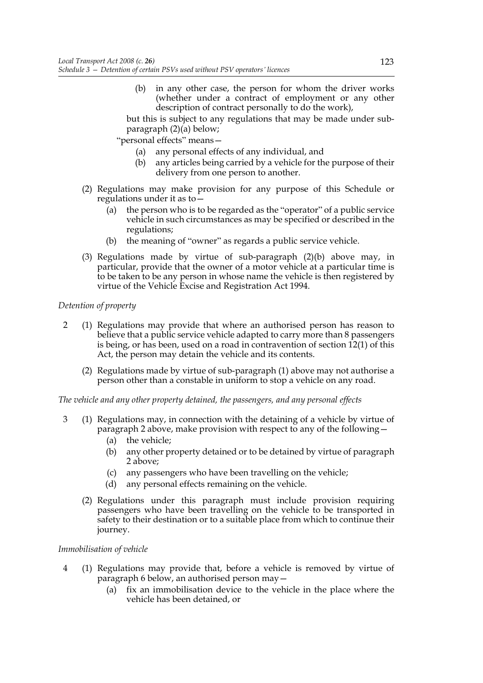(b) in any other case, the person for whom the driver works (whether under a contract of employment or any other description of contract personally to do the work),

but this is subject to any regulations that may be made under subparagraph  $(2)(a)$  below;

- "personal effects" means—
	- (a) any personal effects of any individual, and
	- (b) any articles being carried by a vehicle for the purpose of their delivery from one person to another.
- (2) Regulations may make provision for any purpose of this Schedule or regulations under it as to—
	- (a) the person who is to be regarded as the "operator" of a public service vehicle in such circumstances as may be specified or described in the regulations;
	- (b) the meaning of "owner" as regards a public service vehicle.
- (3) Regulations made by virtue of sub-paragraph (2)(b) above may, in particular, provide that the owner of a motor vehicle at a particular time is to be taken to be any person in whose name the vehicle is then registered by virtue of the Vehicle Excise and Registration Act 1994.

### *Detention of property*

- 2 (1) Regulations may provide that where an authorised person has reason to believe that a public service vehicle adapted to carry more than 8 passengers is being, or has been, used on a road in contravention of section 12(1) of this Act, the person may detain the vehicle and its contents.
	- (2) Regulations made by virtue of sub-paragraph (1) above may not authorise a person other than a constable in uniform to stop a vehicle on any road.

*The vehicle and any other property detained, the passengers, and any personal effects*

- 3 (1) Regulations may, in connection with the detaining of a vehicle by virtue of paragraph 2 above, make provision with respect to any of the following—
	- (a) the vehicle;
	- (b) any other property detained or to be detained by virtue of paragraph 2 above;
	- (c) any passengers who have been travelling on the vehicle;
	- (d) any personal effects remaining on the vehicle.
	- (2) Regulations under this paragraph must include provision requiring passengers who have been travelling on the vehicle to be transported in safety to their destination or to a suitable place from which to continue their journey.

### *Immobilisation of vehicle*

- 4 (1) Regulations may provide that, before a vehicle is removed by virtue of paragraph 6 below, an authorised person may—
	- (a) fix an immobilisation device to the vehicle in the place where the vehicle has been detained, or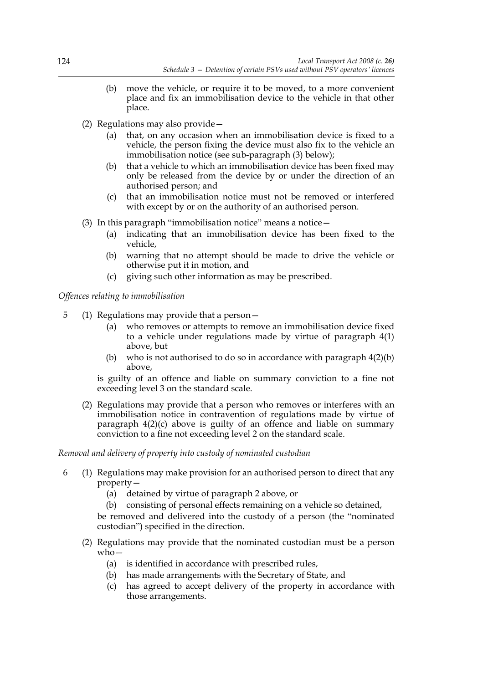- (b) move the vehicle, or require it to be moved, to a more convenient place and fix an immobilisation device to the vehicle in that other place.
- (2) Regulations may also provide—
	- (a) that, on any occasion when an immobilisation device is fixed to a vehicle, the person fixing the device must also fix to the vehicle an immobilisation notice (see sub-paragraph (3) below);
	- (b) that a vehicle to which an immobilisation device has been fixed may only be released from the device by or under the direction of an authorised person; and
	- (c) that an immobilisation notice must not be removed or interfered with except by or on the authority of an authorised person.
- (3) In this paragraph "immobilisation notice" means a notice  $-$ 
	- (a) indicating that an immobilisation device has been fixed to the vehicle,
	- (b) warning that no attempt should be made to drive the vehicle or otherwise put it in motion, and
	- (c) giving such other information as may be prescribed.

*Offences relating to immobilisation*

- 5 (1) Regulations may provide that a person—
	- (a) who removes or attempts to remove an immobilisation device fixed to a vehicle under regulations made by virtue of paragraph 4(1) above, but
	- (b) who is not authorised to do so in accordance with paragraph  $4(2)(b)$ above,

is guilty of an offence and liable on summary conviction to a fine not exceeding level 3 on the standard scale.

(2) Regulations may provide that a person who removes or interferes with an immobilisation notice in contravention of regulations made by virtue of paragraph 4(2)(c) above is guilty of an offence and liable on summary conviction to a fine not exceeding level 2 on the standard scale.

### *Removal and delivery of property into custody of nominated custodian*

- 6 (1) Regulations may make provision for an authorised person to direct that any property—
	- (a) detained by virtue of paragraph 2 above, or

(b) consisting of personal effects remaining on a vehicle so detained,

be removed and delivered into the custody of a person (the "nominated custodian") specified in the direction.

- (2) Regulations may provide that the nominated custodian must be a person who—
	- (a) is identified in accordance with prescribed rules,
	- (b) has made arrangements with the Secretary of State, and
	- (c) has agreed to accept delivery of the property in accordance with those arrangements.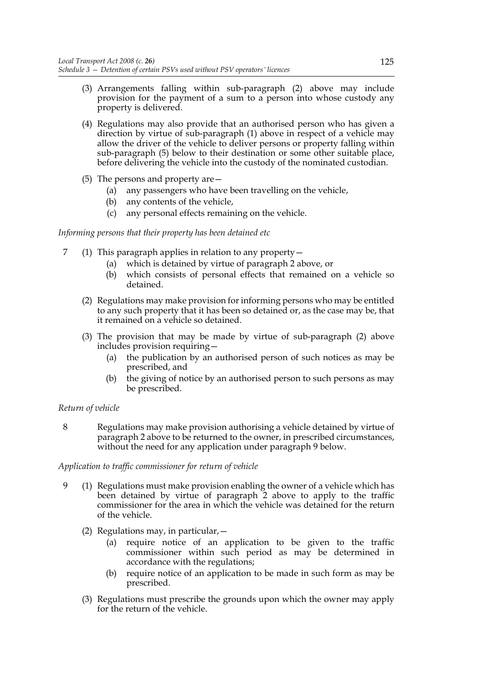- (3) Arrangements falling within sub-paragraph (2) above may include provision for the payment of a sum to a person into whose custody any property is delivered.
- (4) Regulations may also provide that an authorised person who has given a direction by virtue of sub-paragraph (1) above in respect of a vehicle may allow the driver of the vehicle to deliver persons or property falling within sub-paragraph (5) below to their destination or some other suitable place, before delivering the vehicle into the custody of the nominated custodian.
- (5) The persons and property are—
	- (a) any passengers who have been travelling on the vehicle,
	- (b) any contents of the vehicle,
	- (c) any personal effects remaining on the vehicle.

### *Informing persons that their property has been detained etc*

- 7 (1) This paragraph applies in relation to any property—
	- (a) which is detained by virtue of paragraph 2 above, or
	- (b) which consists of personal effects that remained on a vehicle so detained.
	- (2) Regulations may make provision for informing persons who may be entitled to any such property that it has been so detained or, as the case may be, that it remained on a vehicle so detained.
	- (3) The provision that may be made by virtue of sub-paragraph (2) above includes provision requiring—
		- (a) the publication by an authorised person of such notices as may be prescribed, and
		- (b) the giving of notice by an authorised person to such persons as may be prescribed.

### *Return of vehicle*

8 Regulations may make provision authorising a vehicle detained by virtue of paragraph 2 above to be returned to the owner, in prescribed circumstances, without the need for any application under paragraph 9 below.

### *Application to traffic commissioner for return of vehicle*

- 9 (1) Regulations must make provision enabling the owner of a vehicle which has been detained by virtue of paragraph 2 above to apply to the traffic commissioner for the area in which the vehicle was detained for the return of the vehicle.
	- (2) Regulations may, in particular,—
		- (a) require notice of an application to be given to the traffic commissioner within such period as may be determined in accordance with the regulations;
		- (b) require notice of an application to be made in such form as may be prescribed.
	- (3) Regulations must prescribe the grounds upon which the owner may apply for the return of the vehicle.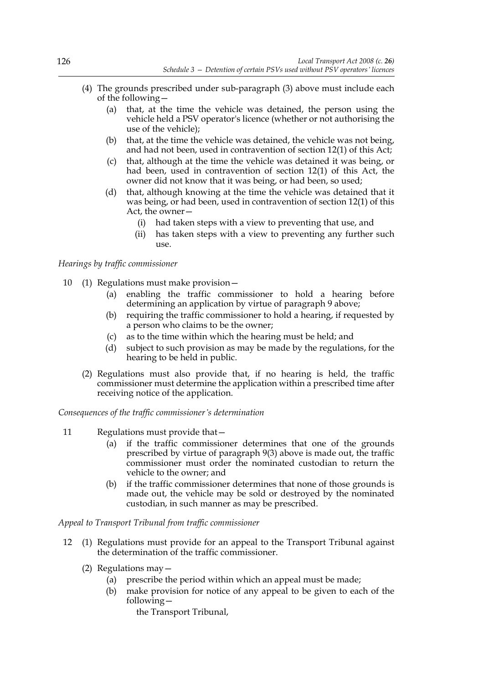- (4) The grounds prescribed under sub-paragraph (3) above must include each of the following—
	- (a) that, at the time the vehicle was detained, the person using the vehicle held a PSV operator's licence (whether or not authorising the use of the vehicle);
	- (b) that, at the time the vehicle was detained, the vehicle was not being, and had not been, used in contravention of section 12(1) of this Act;
	- (c) that, although at the time the vehicle was detained it was being, or had been, used in contravention of section 12(1) of this Act, the owner did not know that it was being, or had been, so used;
	- (d) that, although knowing at the time the vehicle was detained that it was being, or had been, used in contravention of section 12(1) of this Act, the owner—
		- (i) had taken steps with a view to preventing that use, and
		- (ii) has taken steps with a view to preventing any further such  $11$ Se.

### *Hearings by traffic commissioner*

- 10 (1) Regulations must make provision—
	- (a) enabling the traffic commissioner to hold a hearing before determining an application by virtue of paragraph 9 above;
	- (b) requiring the traffic commissioner to hold a hearing, if requested by a person who claims to be the owner;
	- (c) as to the time within which the hearing must be held; and
	- (d) subject to such provision as may be made by the regulations, for the hearing to be held in public.
	- (2) Regulations must also provide that, if no hearing is held, the traffic commissioner must determine the application within a prescribed time after receiving notice of the application.

### *Consequences of the traffic commissioner's determination*

- 11 Regulations must provide that—
	- (a) if the traffic commissioner determines that one of the grounds prescribed by virtue of paragraph 9(3) above is made out, the traffic commissioner must order the nominated custodian to return the vehicle to the owner; and
	- (b) if the traffic commissioner determines that none of those grounds is made out, the vehicle may be sold or destroyed by the nominated custodian, in such manner as may be prescribed.

### *Appeal to Transport Tribunal from traffic commissioner*

- 12 (1) Regulations must provide for an appeal to the Transport Tribunal against the determination of the traffic commissioner.
	- (2) Regulations may—
		- (a) prescribe the period within which an appeal must be made;
		- (b) make provision for notice of any appeal to be given to each of the following
			- the Transport Tribunal,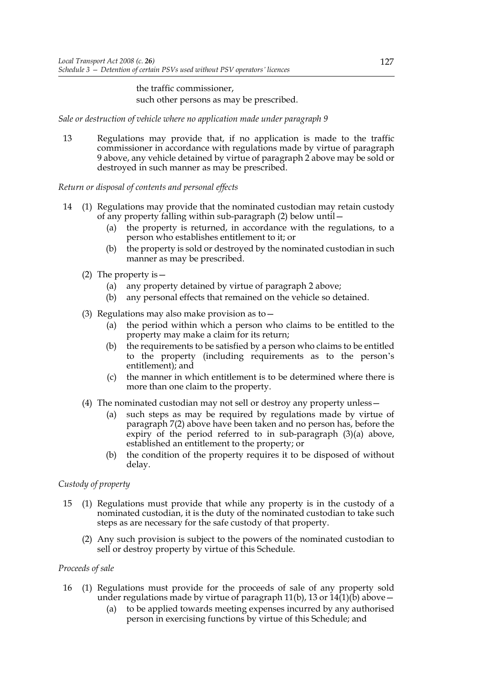### the traffic commissioner, such other persons as may be prescribed.

*Sale or destruction of vehicle where no application made under paragraph 9*

13 Regulations may provide that, if no application is made to the traffic commissioner in accordance with regulations made by virtue of paragraph 9 above, any vehicle detained by virtue of paragraph 2 above may be sold or destroyed in such manner as may be prescribed.

### *Return or disposal of contents and personal effects*

- 14 (1) Regulations may provide that the nominated custodian may retain custody of any property falling within sub-paragraph (2) below until—
	- (a) the property is returned, in accordance with the regulations, to a person who establishes entitlement to it; or
	- (b) the property is sold or destroyed by the nominated custodian in such manner as may be prescribed.
	- (2) The property is—
		- (a) any property detained by virtue of paragraph 2 above;
		- (b) any personal effects that remained on the vehicle so detained.
	- (3) Regulations may also make provision as to  $-$ 
		- (a) the period within which a person who claims to be entitled to the property may make a claim for its return;
		- (b) the requirements to be satisfied by a person who claims to be entitled to the property (including requirements as to the person's entitlement); and
		- (c) the manner in which entitlement is to be determined where there is more than one claim to the property.
	- (4) The nominated custodian may not sell or destroy any property unless—
		- (a) such steps as may be required by regulations made by virtue of paragraph 7(2) above have been taken and no person has, before the expiry of the period referred to in sub-paragraph (3)(a) above, established an entitlement to the property; or
		- (b) the condition of the property requires it to be disposed of without delay.

### *Custody of property*

- 15 (1) Regulations must provide that while any property is in the custody of a nominated custodian, it is the duty of the nominated custodian to take such steps as are necessary for the safe custody of that property.
	- (2) Any such provision is subject to the powers of the nominated custodian to sell or destroy property by virtue of this Schedule.

### *Proceeds of sale*

- 16 (1) Regulations must provide for the proceeds of sale of any property sold under regulations made by virtue of paragraph 11(b), 13 or  $14(1)(b)$  above –
	- (a) to be applied towards meeting expenses incurred by any authorised person in exercising functions by virtue of this Schedule; and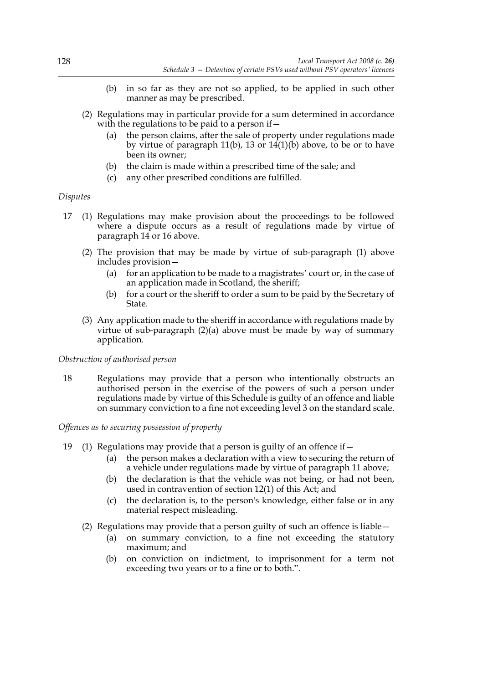- (b) in so far as they are not so applied, to be applied in such other manner as may be prescribed.
- (2) Regulations may in particular provide for a sum determined in accordance with the regulations to be paid to a person if  $-$ 
	- (a) the person claims, after the sale of property under regulations made by virtue of paragraph 11(b), 13 or  $14(1)(b)$  above, to be or to have been its owner;
	- (b) the claim is made within a prescribed time of the sale; and
	- (c) any other prescribed conditions are fulfilled.

#### *Disputes*

- 17 (1) Regulations may make provision about the proceedings to be followed where a dispute occurs as a result of regulations made by virtue of paragraph 14 or 16 above.
	- (2) The provision that may be made by virtue of sub-paragraph (1) above includes provision—
		- (a) for an application to be made to a magistrates' court or, in the case of an application made in Scotland, the sheriff;
		- (b) for a court or the sheriff to order a sum to be paid by the Secretary of State.
	- (3) Any application made to the sheriff in accordance with regulations made by virtue of sub-paragraph (2)(a) above must be made by way of summary application.

### *Obstruction of authorised person*

18 Regulations may provide that a person who intentionally obstructs an authorised person in the exercise of the powers of such a person under regulations made by virtue of this Schedule is guilty of an offence and liable on summary conviction to a fine not exceeding level 3 on the standard scale.

#### *Offences as to securing possession of property*

- 19 (1) Regulations may provide that a person is guilty of an offence if—
	- (a) the person makes a declaration with a view to securing the return of a vehicle under regulations made by virtue of paragraph 11 above;
	- (b) the declaration is that the vehicle was not being, or had not been, used in contravention of section 12(1) of this Act; and
	- (c) the declaration is, to the person's knowledge, either false or in any material respect misleading.
	- (2) Regulations may provide that a person guilty of such an offence is liable—
		- (a) on summary conviction, to a fine not exceeding the statutory maximum; and
		- (b) on conviction on indictment, to imprisonment for a term not exceeding two years or to a fine or to both.".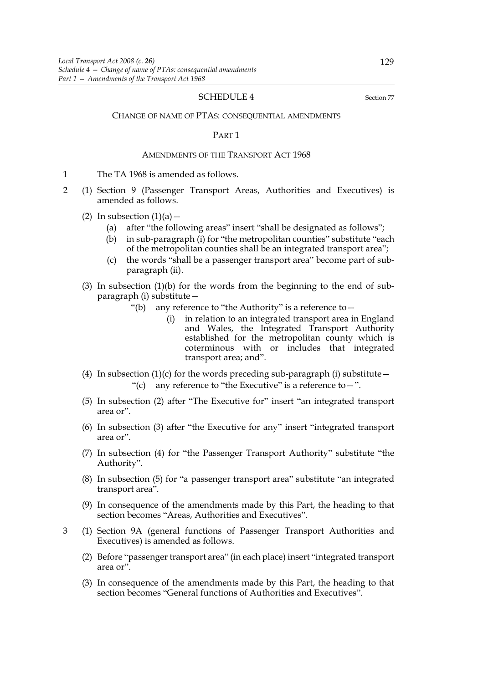#### SCHEDULE 4 Section 77

CHANGE OF NAME OF PTAS: CONSEQUENTIAL AMENDMENTS

#### PART 1

#### AMENDMENTS OF THE TRANSPORT ACT 1968

- 1 The TA 1968 is amended as follows.
- 2 (1) Section 9 (Passenger Transport Areas, Authorities and Executives) is amended as follows.
	- (2) In subsection  $(1)(a)$ 
		- (a) after "the following areas" insert "shall be designated as follows";
		- (b) in sub-paragraph (i) for "the metropolitan counties" substitute "each of the metropolitan counties shall be an integrated transport area";
		- (c) the words "shall be a passenger transport area" become part of subparagraph (ii).
	- (3) In subsection  $(1)(b)$  for the words from the beginning to the end of subparagraph (i) substitute—
		- "(b) any reference to "the Authority" is a reference to  $-$ 
			- (i) in relation to an integrated transport area in England and Wales, the Integrated Transport Authority established for the metropolitan county which is coterminous with or includes that integrated transport area; and".
	- (4) In subsection  $(1)(c)$  for the words preceding sub-paragraph (i) substitute -"(c) any reference to "the Executive" is a reference to  $-$ ".
	- (5) In subsection (2) after "The Executive for" insert "an integrated transport area or".
	- (6) In subsection (3) after "the Executive for any" insert "integrated transport area or".
	- (7) In subsection (4) for "the Passenger Transport Authority" substitute "the Authority".
	- (8) In subsection (5) for "a passenger transport area" substitute "an integrated transport area".
	- (9) In consequence of the amendments made by this Part, the heading to that section becomes "Areas, Authorities and Executives".
- 3 (1) Section 9A (general functions of Passenger Transport Authorities and Executives) is amended as follows.
	- (2) Before "passenger transport area" (in each place) insert "integrated transport area or".
	- (3) In consequence of the amendments made by this Part, the heading to that section becomes "General functions of Authorities and Executives".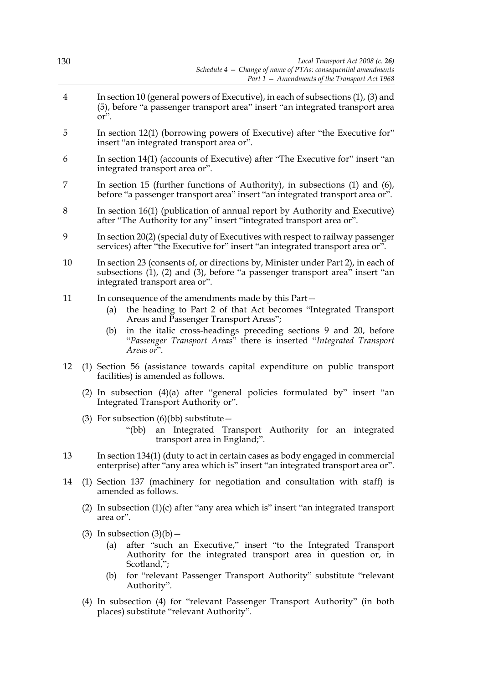| 130 |                                                                                                                                                                                                    | Local Transport Act 2008 (c. 26)<br>Schedule 4 - Change of name of PTAs: consequential amendments<br>Part 1 - Amendments of the Transport Act 1968                                                                                                                                                                         |  |
|-----|----------------------------------------------------------------------------------------------------------------------------------------------------------------------------------------------------|----------------------------------------------------------------------------------------------------------------------------------------------------------------------------------------------------------------------------------------------------------------------------------------------------------------------------|--|
| 4   | In section 10 (general powers of Executive), in each of subsections $(1)$ , $(3)$ and<br>(5), before "a passenger transport area" insert "an integrated transport area<br>or".                     |                                                                                                                                                                                                                                                                                                                            |  |
| 5   | In section 12(1) (borrowing powers of Executive) after "the Executive for"<br>insert "an integrated transport area or".                                                                            |                                                                                                                                                                                                                                                                                                                            |  |
| 6   | In section 14(1) (accounts of Executive) after "The Executive for" insert "an<br>integrated transport area or".                                                                                    |                                                                                                                                                                                                                                                                                                                            |  |
| 7   | In section 15 (further functions of Authority), in subsections $(1)$ and $(6)$ ,<br>before "a passenger transport area" insert "an integrated transport area or".                                  |                                                                                                                                                                                                                                                                                                                            |  |
| 8   | In section 16(1) (publication of annual report by Authority and Executive)<br>after "The Authority for any" insert "integrated transport area or".                                                 |                                                                                                                                                                                                                                                                                                                            |  |
| 9   | In section 20(2) (special duty of Executives with respect to railway passenger<br>services) after "the Executive for" insert "an integrated transport area or".                                    |                                                                                                                                                                                                                                                                                                                            |  |
| 10  | In section 23 (consents of, or directions by, Minister under Part 2), in each of<br>subsections (1), (2) and (3), before "a passenger transport area" insert "an<br>integrated transport area or". |                                                                                                                                                                                                                                                                                                                            |  |
| 11  | (a)<br>(b)                                                                                                                                                                                         | In consequence of the amendments made by this Part –<br>the heading to Part 2 of that Act becomes "Integrated Transport<br>Areas and Passenger Transport Areas";<br>in the italic cross-headings preceding sections 9 and 20, before<br>"Passenger Transport Areas" there is inserted "Integrated Transport"<br>Areas or". |  |
| 12  |                                                                                                                                                                                                    | (1) Section 56 (assistance towards capital expenditure on public transport<br>facilities) is amended as follows.                                                                                                                                                                                                           |  |
|     |                                                                                                                                                                                                    | (2) In subsection $(4)(a)$ after "general policies formulated by" insert "an<br>Integrated Transport Authority or".                                                                                                                                                                                                        |  |
|     |                                                                                                                                                                                                    | (3) For subsection $(6)(bb)$ substitute –<br>"(bb)<br>an Integrated Transport Authority for an integrated<br>transport area in England;".                                                                                                                                                                                  |  |
| 13  | In section 134(1) (duty to act in certain cases as body engaged in commercial<br>enterprise) after "any area which is" insert "an integrated transport area or".                                   |                                                                                                                                                                                                                                                                                                                            |  |
| 14  | (1) Section 137 (machinery for negotiation and consultation with staff) is<br>amended as follows.                                                                                                  |                                                                                                                                                                                                                                                                                                                            |  |
|     | (2) In subsection $(1)(c)$ after "any area which is" insert "an integrated transport"<br>area or".                                                                                                 |                                                                                                                                                                                                                                                                                                                            |  |
|     | (a)                                                                                                                                                                                                | $(3)$ In subsection $(3)(b)$ –<br>after "such an Executive," insert "to the Integrated Transport<br>Authority for the integrated transport area in question or, in<br>Scotland,";                                                                                                                                          |  |
|     | (b)                                                                                                                                                                                                | for "relevant Passenger Transport Authority" substitute "relevant<br>Authority".                                                                                                                                                                                                                                           |  |

(4) In subsection (4) for "relevant Passenger Transport Authority" (in both places) substitute "relevant Authority".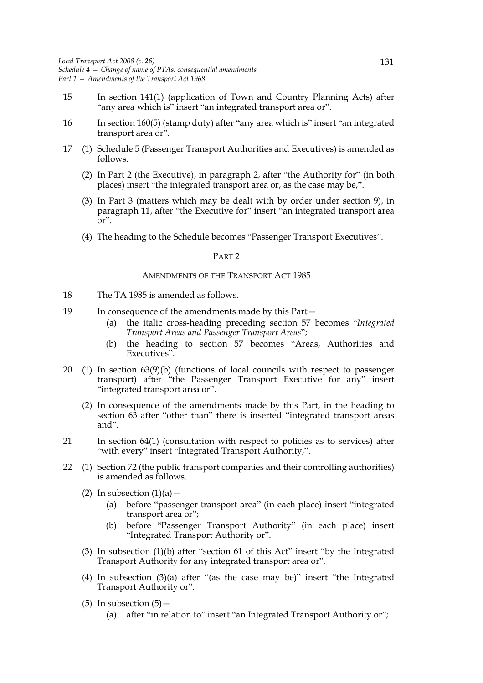- 15 In section 141(1) (application of Town and Country Planning Acts) after "any area which is" insert "an integrated transport area or".
- 16 In section 160(5) (stamp duty) after "any area which is" insert "an integrated transport area or".
- 17 (1) Schedule 5 (Passenger Transport Authorities and Executives) is amended as follows.
	- (2) In Part 2 (the Executive), in paragraph 2, after "the Authority for" (in both places) insert "the integrated transport area or, as the case may be,".
	- (3) In Part 3 (matters which may be dealt with by order under section 9), in paragraph 11, after "the Executive for" insert "an integrated transport area or".
	- (4) The heading to the Schedule becomes "Passenger Transport Executives".

#### PART 2

#### AMENDMENTS OF THE TRANSPORT ACT 1985

- 18 The TA 1985 is amended as follows.
- 19 In consequence of the amendments made by this Part—
	- (a) the italic cross-heading preceding section 57 becomes "*Integrated Transport Areas and Passenger Transport Areas*";
	- (b) the heading to section 57 becomes "Areas, Authorities and Executives".
- 20 (1) In section 63(9)(b) (functions of local councils with respect to passenger transport) after "the Passenger Transport Executive for any" insert "integrated transport area or".
	- (2) In consequence of the amendments made by this Part, in the heading to section 63 after "other than" there is inserted "integrated transport areas and".
- 21 In section 64(1) (consultation with respect to policies as to services) after "with every" insert "Integrated Transport Authority,".
- 22 (1) Section 72 (the public transport companies and their controlling authorities) is amended as follows.
	- (2) In subsection  $(1)(a)$ 
		- (a) before "passenger transport area" (in each place) insert "integrated transport area or";
		- (b) before "Passenger Transport Authority" (in each place) insert "Integrated Transport Authority or".
	- (3) In subsection (1)(b) after "section 61 of this Act" insert "by the Integrated Transport Authority for any integrated transport area or".
	- (4) In subsection (3)(a) after "(as the case may be)" insert "the Integrated Transport Authority or".
	- (5) In subsection  $(5)$ 
		- (a) after "in relation to" insert "an Integrated Transport Authority or";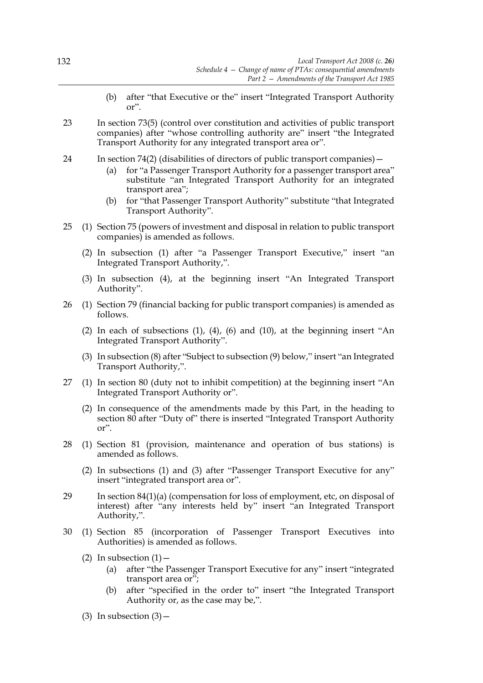- (b) after "that Executive or the" insert "Integrated Transport Authority or".
- 23 In section 73(5) (control over constitution and activities of public transport companies) after "whose controlling authority are" insert "the Integrated Transport Authority for any integrated transport area or".
- 24 In section 74(2) (disabilities of directors of public transport companies)
	- for "a Passenger Transport Authority for a passenger transport area" substitute "an Integrated Transport Authority for an integrated transport area";
	- (b) for "that Passenger Transport Authority" substitute "that Integrated Transport Authority".
- 25 (1) Section 75 (powers of investment and disposal in relation to public transport companies) is amended as follows.
	- (2) In subsection (1) after "a Passenger Transport Executive," insert "an Integrated Transport Authority,".
	- (3) In subsection (4), at the beginning insert "An Integrated Transport Authority".
- 26 (1) Section 79 (financial backing for public transport companies) is amended as follows.
	- (2) In each of subsections (1), (4), (6) and (10), at the beginning insert "An Integrated Transport Authority".
	- (3) In subsection (8) after "Subject to subsection (9) below," insert "an Integrated Transport Authority,".
- 27 (1) In section 80 (duty not to inhibit competition) at the beginning insert "An Integrated Transport Authority or".
	- (2) In consequence of the amendments made by this Part, in the heading to section 80 after "Duty of" there is inserted "Integrated Transport Authority or".
- 28 (1) Section 81 (provision, maintenance and operation of bus stations) is amended as follows.
	- (2) In subsections (1) and (3) after "Passenger Transport Executive for any" insert "integrated transport area or".
- 29 In section 84(1)(a) (compensation for loss of employment, etc, on disposal of interest) after "any interests held by" insert "an Integrated Transport Authority,".
- 30 (1) Section 85 (incorporation of Passenger Transport Executives into Authorities) is amended as follows.
	- (2) In subsection  $(1)$  -
		- (a) after "the Passenger Transport Executive for any" insert "integrated transport area or";
		- (b) after "specified in the order to" insert "the Integrated Transport Authority or, as the case may be,".
	- (3) In subsection  $(3)$  –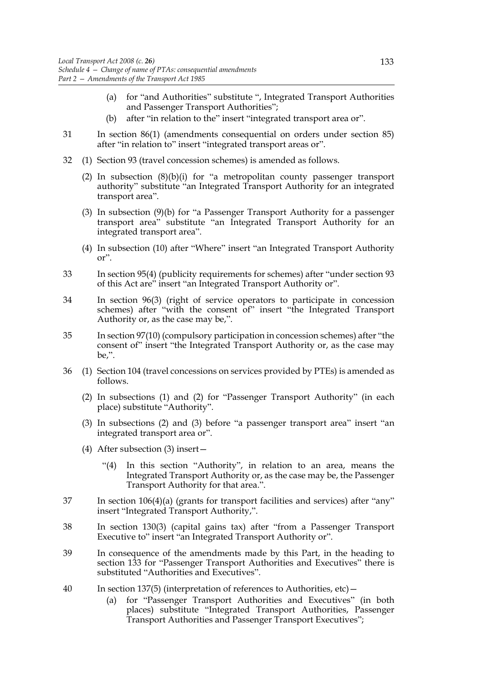- (a) for "and Authorities" substitute ", Integrated Transport Authorities and Passenger Transport Authorities";
- (b) after "in relation to the" insert "integrated transport area or".
- 31 In section 86(1) (amendments consequential on orders under section 85) after "in relation to" insert "integrated transport areas or".
- 32 (1) Section 93 (travel concession schemes) is amended as follows.
	- (2) In subsection (8)(b)(i) for "a metropolitan county passenger transport authority" substitute "an Integrated Transport Authority for an integrated transport area".
	- (3) In subsection (9)(b) for "a Passenger Transport Authority for a passenger transport area" substitute "an Integrated Transport Authority for an integrated transport area".
	- (4) In subsection (10) after "Where" insert "an Integrated Transport Authority or".
- 33 In section 95(4) (publicity requirements for schemes) after "under section 93 of this Act are" insert "an Integrated Transport Authority or".
- 34 In section 96(3) (right of service operators to participate in concession schemes) after "with the consent of" insert "the Integrated Transport Authority or, as the case may be,".
- 35 In section 97(10) (compulsory participation in concession schemes) after "the consent of" insert "the Integrated Transport Authority or, as the case may be,".
- 36 (1) Section 104 (travel concessions on services provided by PTEs) is amended as follows.
	- (2) In subsections (1) and (2) for "Passenger Transport Authority" (in each place) substitute "Authority".
	- (3) In subsections (2) and (3) before "a passenger transport area" insert "an integrated transport area or".
	- (4) After subsection (3) insert—
		- "(4) In this section "Authority", in relation to an area, means the Integrated Transport Authority or, as the case may be, the Passenger Transport Authority for that area.".
- 37 In section 106(4)(a) (grants for transport facilities and services) after "any" insert "Integrated Transport Authority,".
- 38 In section 130(3) (capital gains tax) after "from a Passenger Transport Executive to" insert "an Integrated Transport Authority or".
- 39 In consequence of the amendments made by this Part, in the heading to section 133 for "Passenger Transport Authorities and Executives" there is substituted "Authorities and Executives".
- 40 In section 137(5) (interpretation of references to Authorities, etc)—
	- (a) for "Passenger Transport Authorities and Executives" (in both places) substitute "Integrated Transport Authorities, Passenger Transport Authorities and Passenger Transport Executives";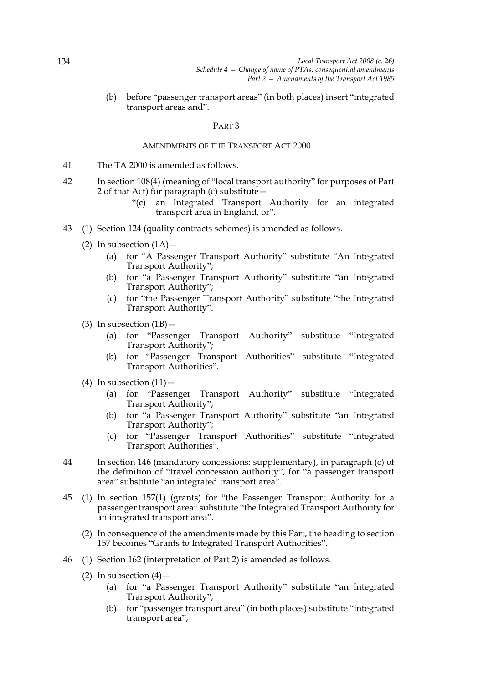(b) before "passenger transport areas" (in both places) insert "integrated transport areas and".

#### PART 3

#### AMENDMENTS OF THE TRANSPORT ACT 2000

- 41 The TA 2000 is amended as follows.
- 42 In section 108(4) (meaning of "local transport authority" for purposes of Part 2 of that Act) for paragraph (c) substitute—
	- "(c) an Integrated Transport Authority for an integrated transport area in England, or".
- 43 (1) Section 124 (quality contracts schemes) is amended as follows.
	- (2) In subsection  $(1A)$ 
		- (a) for "A Passenger Transport Authority" substitute "An Integrated Transport Authority";
		- (b) for "a Passenger Transport Authority" substitute "an Integrated Transport Authority";
		- (c) for "the Passenger Transport Authority" substitute "the Integrated Transport Authority".
	- (3) In subsection  $(1B)$  -
		- (a) for "Passenger Transport Authority" substitute "Integrated Transport Authority";
		- (b) for "Passenger Transport Authorities" substitute "Integrated Transport Authorities".
	- (4) In subsection  $(11)$  -
		- (a) for "Passenger Transport Authority" substitute "Integrated Transport Authority";
		- (b) for "a Passenger Transport Authority" substitute "an Integrated Transport Authority";
		- (c) for "Passenger Transport Authorities" substitute "Integrated Transport Authorities".
- 44 In section 146 (mandatory concessions: supplementary), in paragraph (c) of the definition of "travel concession authority", for "a passenger transport area" substitute "an integrated transport area".
- 45 (1) In section 157(1) (grants) for "the Passenger Transport Authority for a passenger transport area" substitute "the Integrated Transport Authority for an integrated transport area".
	- (2) In consequence of the amendments made by this Part, the heading to section 157 becomes "Grants to Integrated Transport Authorities".
- 46 (1) Section 162 (interpretation of Part 2) is amended as follows.
	- (2) In subsection  $(4)$  -
		- (a) for "a Passenger Transport Authority" substitute "an Integrated Transport Authority";
		- (b) for "passenger transport area" (in both places) substitute "integrated transport area";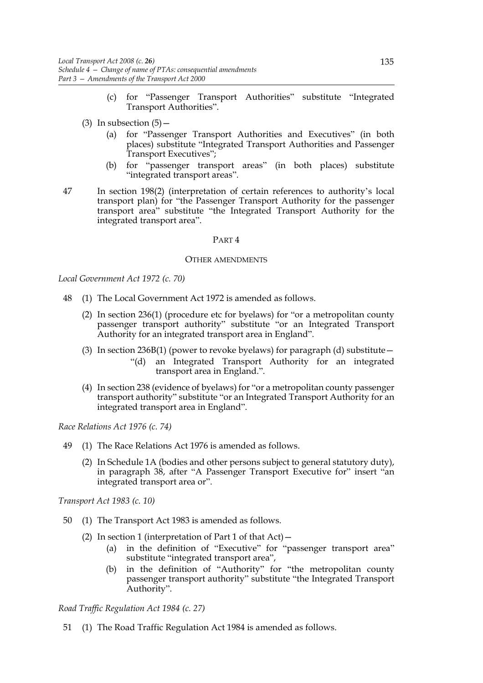- (c) for "Passenger Transport Authorities" substitute "Integrated Transport Authorities".
- (3) In subsection  $(5)$ 
	- (a) for "Passenger Transport Authorities and Executives" (in both places) substitute "Integrated Transport Authorities and Passenger Transport Executives";
	- (b) for "passenger transport areas" (in both places) substitute "integrated transport areas".
- 47 In section 198(2) (interpretation of certain references to authority's local transport plan) for "the Passenger Transport Authority for the passenger transport area" substitute "the Integrated Transport Authority for the integrated transport area".

#### PART 4

#### OTHER AMENDMENTS

*Local Government Act 1972 (c. 70)*

- 48 (1) The Local Government Act 1972 is amended as follows.
	- (2) In section 236(1) (procedure etc for byelaws) for "or a metropolitan county passenger transport authority" substitute "or an Integrated Transport Authority for an integrated transport area in England".
	- (3) In section 236B(1) (power to revoke byelaws) for paragraph (d) substitute  $-$ "(d) an Integrated Transport Authority for an integrated transport area in England.".
	- (4) In section 238 (evidence of byelaws) for "or a metropolitan county passenger transport authority" substitute "or an Integrated Transport Authority for an integrated transport area in England".

*Race Relations Act 1976 (c. 74)*

- 49 (1) The Race Relations Act 1976 is amended as follows.
	- (2) In Schedule 1A (bodies and other persons subject to general statutory duty), in paragraph 38, after "A Passenger Transport Executive for" insert "an integrated transport area or".

*Transport Act 1983 (c. 10)*

- 50 (1) The Transport Act 1983 is amended as follows.
	- (2) In section 1 (interpretation of Part 1 of that  $Act$ )
		- (a) in the definition of "Executive" for "passenger transport area" substitute "integrated transport area",
		- (b) in the definition of "Authority" for "the metropolitan county passenger transport authority" substitute "the Integrated Transport Authority".

*Road Traffic Regulation Act 1984 (c. 27)*

51 (1) The Road Traffic Regulation Act 1984 is amended as follows.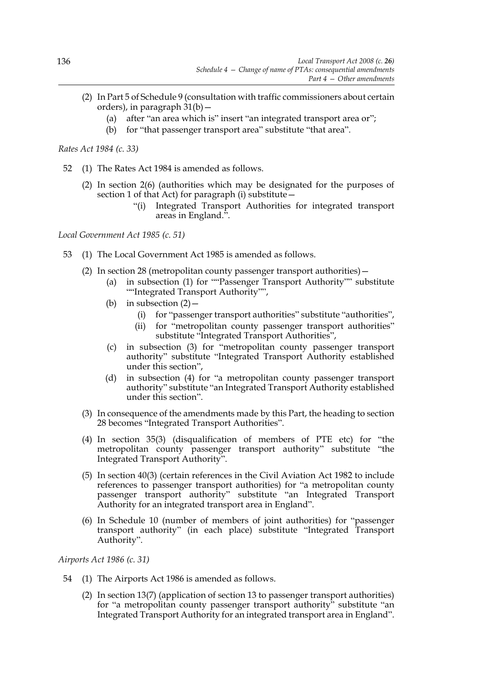- (2) In Part 5 of Schedule 9 (consultation with traffic commissioners about certain orders), in paragraph 31(b)—
	- (a) after "an area which is" insert "an integrated transport area or";
	- (b) for "that passenger transport area" substitute "that area".

*Rates Act 1984 (c. 33)*

- 52 (1) The Rates Act 1984 is amended as follows.
	- (2) In section 2(6) (authorities which may be designated for the purposes of section 1 of that Act) for paragraph (i) substitute—
		- "(i) Integrated Transport Authorities for integrated transport areas in England.".

*Local Government Act 1985 (c. 51)*

- 53 (1) The Local Government Act 1985 is amended as follows.
	- (2) In section 28 (metropolitan county passenger transport authorities)—
		- (a) in subsection (1) for ""Passenger Transport Authority"" substitute ""Integrated Transport Authority"",
		- (b) in subsection  $(2)$  -
			- (i) for "passenger transport authorities" substitute "authorities",
			- (ii) for "metropolitan county passenger transport authorities" substitute "Integrated Transport Authorities",
		- (c) in subsection (3) for "metropolitan county passenger transport authority" substitute "Integrated Transport Authority established under this section",
		- (d) in subsection (4) for "a metropolitan county passenger transport authority" substitute "an Integrated Transport Authority established under this section".
	- (3) In consequence of the amendments made by this Part, the heading to section 28 becomes "Integrated Transport Authorities".
	- (4) In section 35(3) (disqualification of members of PTE etc) for "the metropolitan county passenger transport authority" substitute "the Integrated Transport Authority".
	- (5) In section 40(3) (certain references in the Civil Aviation Act 1982 to include references to passenger transport authorities) for "a metropolitan county passenger transport authority" substitute "an Integrated Transport Authority for an integrated transport area in England".
	- (6) In Schedule 10 (number of members of joint authorities) for "passenger transport authority" (in each place) substitute "Integrated Transport Authority".

*Airports Act 1986 (c. 31)*

- 54 (1) The Airports Act 1986 is amended as follows.
	- (2) In section 13(7) (application of section 13 to passenger transport authorities) for "a metropolitan county passenger transport authority" substitute "an Integrated Transport Authority for an integrated transport area in England".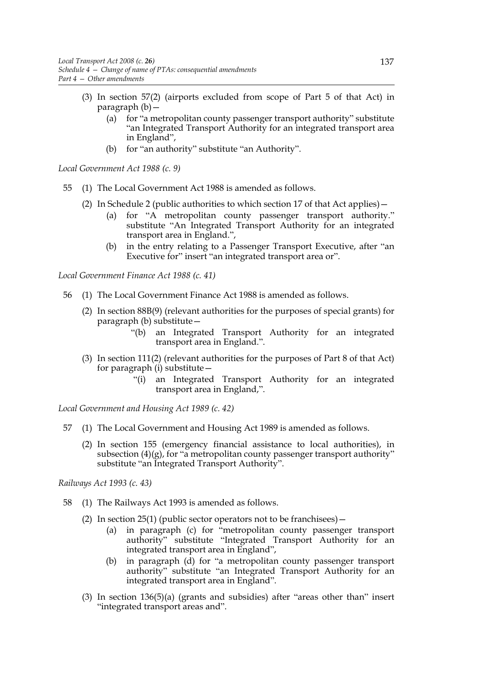- (3) In section 57(2) (airports excluded from scope of Part 5 of that Act) in paragraph (b)—
	- (a) for "a metropolitan county passenger transport authority" substitute "an Integrated Transport Authority for an integrated transport area in England",
	- (b) for "an authority" substitute "an Authority".

*Local Government Act 1988 (c. 9)*

- 55 (1) The Local Government Act 1988 is amended as follows.
	- (2) In Schedule 2 (public authorities to which section 17 of that Act applies)—
		- (a) for "A metropolitan county passenger transport authority." substitute "An Integrated Transport Authority for an integrated transport area in England.",
		- (b) in the entry relating to a Passenger Transport Executive, after "an Executive for" insert "an integrated transport area or".

*Local Government Finance Act 1988 (c. 41)*

- 56 (1) The Local Government Finance Act 1988 is amended as follows.
	- (2) In section 88B(9) (relevant authorities for the purposes of special grants) for paragraph (b) substitute—
		- "(b) an Integrated Transport Authority for an integrated transport area in England.".
	- (3) In section 111(2) (relevant authorities for the purposes of Part 8 of that Act) for paragraph (i) substitute—
		- "(i) an Integrated Transport Authority for an integrated transport area in England,".

*Local Government and Housing Act 1989 (c. 42)*

- 57 (1) The Local Government and Housing Act 1989 is amended as follows.
	- (2) In section 155 (emergency financial assistance to local authorities), in subsection  $(4)(g)$ , for "a metropolitan county passenger transport authority" substitute "an Integrated Transport Authority".

*Railways Act 1993 (c. 43)*

- 58 (1) The Railways Act 1993 is amended as follows.
	- (2) In section  $25(1)$  (public sector operators not to be franchisees)
		- (a) in paragraph (c) for "metropolitan county passenger transport authority" substitute "Integrated Transport Authority for an integrated transport area in England",
		- (b) in paragraph (d) for "a metropolitan county passenger transport authority" substitute "an Integrated Transport Authority for an integrated transport area in England".
	- (3) In section 136(5)(a) (grants and subsidies) after "areas other than" insert "integrated transport areas and".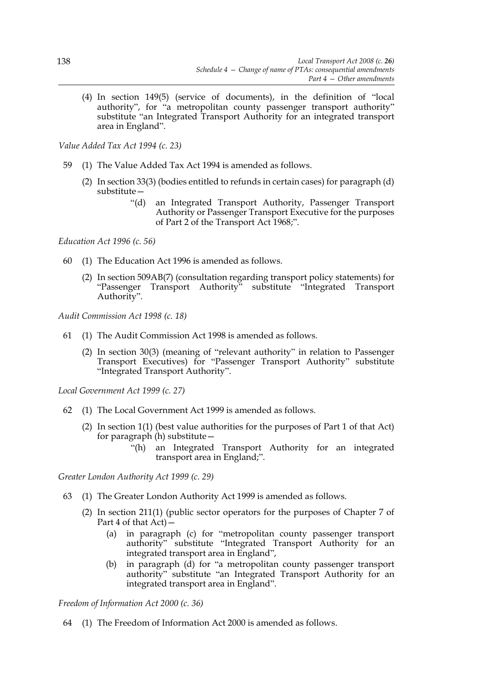(4) In section 149(5) (service of documents), in the definition of "local authority", for "a metropolitan county passenger transport authority" substitute "an Integrated Transport Authority for an integrated transport area in England".

*Value Added Tax Act 1994 (c. 23)*

- 59 (1) The Value Added Tax Act 1994 is amended as follows.
	- (2) In section 33(3) (bodies entitled to refunds in certain cases) for paragraph (d) substitute—
		- "(d) an Integrated Transport Authority, Passenger Transport Authority or Passenger Transport Executive for the purposes of Part 2 of the Transport Act 1968;".

*Education Act 1996 (c. 56)*

- 60 (1) The Education Act 1996 is amended as follows.
	- (2) In section 509AB(7) (consultation regarding transport policy statements) for "Passenger Transport Authority" substitute "Integrated Transport Authority".

*Audit Commission Act 1998 (c. 18)*

- 61 (1) The Audit Commission Act 1998 is amended as follows.
	- (2) In section 30(3) (meaning of "relevant authority" in relation to Passenger Transport Executives) for "Passenger Transport Authority" substitute "Integrated Transport Authority".

*Local Government Act 1999 (c. 27)*

- 62 (1) The Local Government Act 1999 is amended as follows.
	- (2) In section 1(1) (best value authorities for the purposes of Part 1 of that Act) for paragraph (h) substitute—
		- "(h) an Integrated Transport Authority for an integrated transport area in England;".

*Greater London Authority Act 1999 (c. 29)*

- 63 (1) The Greater London Authority Act 1999 is amended as follows.
	- (2) In section 211(1) (public sector operators for the purposes of Chapter 7 of Part 4 of that  $\overrightarrow{Act)}$  –
		- (a) in paragraph (c) for "metropolitan county passenger transport authority" substitute "Integrated Transport Authority for an integrated transport area in England",
		- (b) in paragraph (d) for "a metropolitan county passenger transport authority" substitute "an Integrated Transport Authority for an integrated transport area in England".

*Freedom of Information Act 2000 (c. 36)*

64 (1) The Freedom of Information Act 2000 is amended as follows.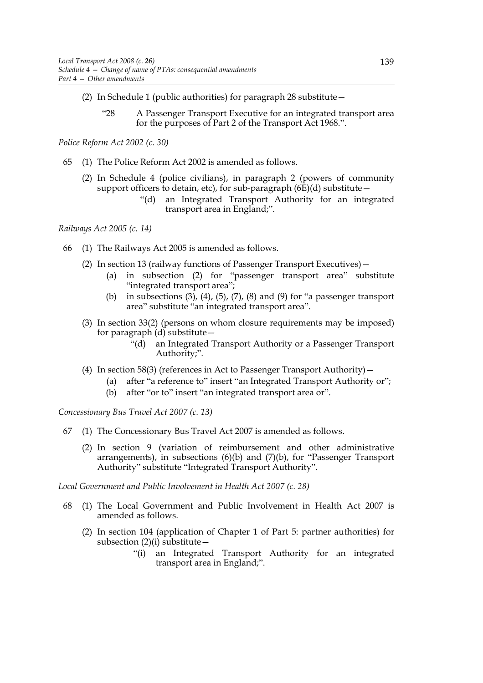- (2) In Schedule 1 (public authorities) for paragraph 28 substitute—
	- "28 A Passenger Transport Executive for an integrated transport area for the purposes of Part 2 of the Transport Act 1968.".

*Police Reform Act 2002 (c. 30)*

- 65 (1) The Police Reform Act 2002 is amended as follows.
	- (2) In Schedule 4 (police civilians), in paragraph 2 (powers of community support officers to detain, etc), for sub-paragraph  $(6E)(d)$  substitute –
		- "(d) an Integrated Transport Authority for an integrated transport area in England;".

*Railways Act 2005 (c. 14)*

- 66 (1) The Railways Act 2005 is amended as follows.
	- (2) In section 13 (railway functions of Passenger Transport Executives)—
		- (a) in subsection (2) for "passenger transport area" substitute "integrated transport area";
		- (b) in subsections  $(3)$ ,  $(4)$ ,  $(5)$ ,  $(7)$ ,  $(8)$  and  $(9)$  for "a passenger transport area" substitute "an integrated transport area".
	- (3) In section 33(2) (persons on whom closure requirements may be imposed) for paragraph  $(d)$  substitute –
		- "(d) an Integrated Transport Authority or a Passenger Transport Authority;".
	- (4) In section 58(3) (references in Act to Passenger Transport Authority)—
		- (a) after "a reference to" insert "an Integrated Transport Authority or";
		- (b) after "or to" insert "an integrated transport area or".

*Concessionary Bus Travel Act 2007 (c. 13)*

- 67 (1) The Concessionary Bus Travel Act 2007 is amended as follows.
	- (2) In section 9 (variation of reimbursement and other administrative arrangements), in subsections (6)(b) and (7)(b), for "Passenger Transport Authority" substitute "Integrated Transport Authority".

*Local Government and Public Involvement in Health Act 2007 (c. 28)* 

- 68 (1) The Local Government and Public Involvement in Health Act 2007 is amended as follows.
	- (2) In section 104 (application of Chapter 1 of Part 5: partner authorities) for subsection  $(2)(i)$  substitute –
		- "(i) an Integrated Transport Authority for an integrated transport area in England;".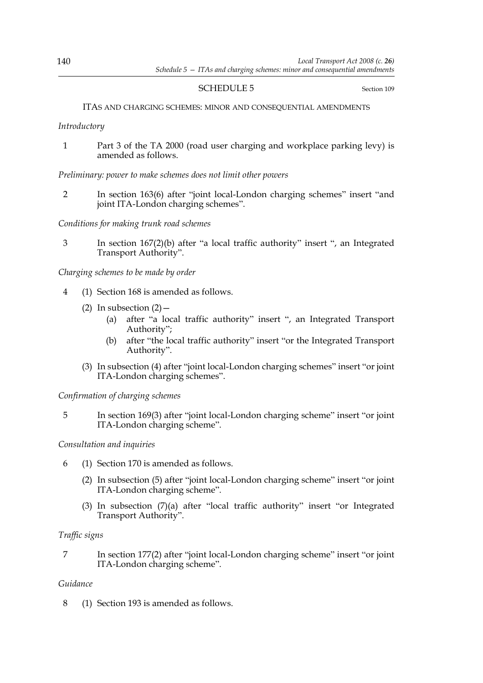## SCHEDULE 5 Section 109

### ITAS AND CHARGING SCHEMES: MINOR AND CONSEQUENTIAL AMENDMENTS

*Introductory*

1 Part 3 of the TA 2000 (road user charging and workplace parking levy) is amended as follows.

*Preliminary: power to make schemes does not limit other powers*

2 In section 163(6) after "joint local-London charging schemes" insert "and joint ITA-London charging schemes".

*Conditions for making trunk road schemes*

3 In section 167(2)(b) after "a local traffic authority" insert ", an Integrated Transport Authority".

*Charging schemes to be made by order*

- 4 (1) Section 168 is amended as follows.
	- (2) In subsection  $(2)$  -
		- (a) after "a local traffic authority" insert ", an Integrated Transport Authority";
		- (b) after "the local traffic authority" insert "or the Integrated Transport Authority".
	- (3) In subsection (4) after "joint local-London charging schemes" insert "or joint ITA-London charging schemes".

*Confirmation of charging schemes*

5 In section 169(3) after "joint local-London charging scheme" insert "or joint ITA-London charging scheme".

# *Consultation and inquiries*

- 6 (1) Section 170 is amended as follows.
	- (2) In subsection (5) after "joint local-London charging scheme" insert "or joint ITA-London charging scheme".
	- (3) In subsection (7)(a) after "local traffic authority" insert "or Integrated Transport Authority".

# *Traffic signs*

7 In section 177(2) after "joint local-London charging scheme" insert "or joint ITA-London charging scheme".

# *Guidance*

8 (1) Section 193 is amended as follows.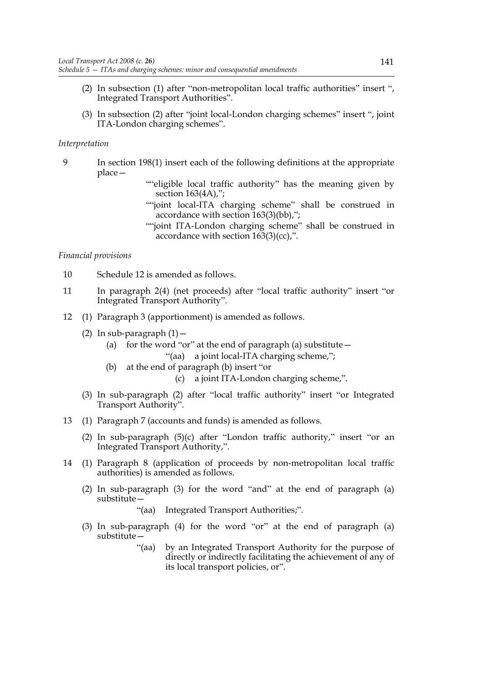- (2) In subsection (1) after "non-metropolitan local traffic authorities" insert ", Integrated Transport Authorities".
- (3) In subsection (2) after "joint local-London charging schemes" insert ", joint ITA-London charging schemes".

#### *Interpretation*

- 9 In section 198(1) insert each of the following definitions at the appropriate place—
	- ""eligible local traffic authority" has the meaning given by section 163(4A),";
	- ""joint local-ITA charging scheme" shall be construed in accordance with section 163(3)(bb),";
	- ""joint ITA-London charging scheme" shall be construed in accordance with section 163(3)(cc),".

*Financial provisions*

- 10 Schedule 12 is amended as follows.
- 11 In paragraph 2(4) (net proceeds) after "local traffic authority" insert "or Integrated Transport Authority".
- 12 (1) Paragraph 3 (apportionment) is amended as follows.
	- (2) In sub-paragraph  $(1)$  -
		- (a) for the word "or" at the end of paragraph (a) substitute  $-$ "(aa) a joint local-ITA charging scheme,";
		- (b) at the end of paragraph (b) insert "or
			- (c) a joint ITA-London charging scheme,".
	- (3) In sub-paragraph (2) after "local traffic authority" insert "or Integrated Transport Authority".
- 13 (1) Paragraph 7 (accounts and funds) is amended as follows.
	- (2) In sub-paragraph (5)(c) after "London traffic authority," insert "or an Integrated Transport Authority,".
- 14 (1) Paragraph 8 (application of proceeds by non-metropolitan local traffic authorities) is amended as follows.
	- (2) In sub-paragraph (3) for the word "and" at the end of paragraph (a) substitute—

"(aa) Integrated Transport Authorities;".

- (3) In sub-paragraph (4) for the word "or" at the end of paragraph (a) substitute—
	- "(aa) by an Integrated Transport Authority for the purpose of directly or indirectly facilitating the achievement of any of its local transport policies, or".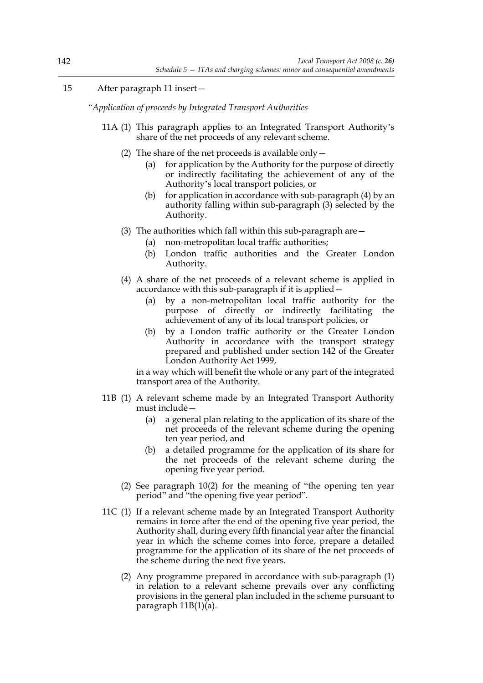# 15 After paragraph 11 insert—

*"Application of proceeds by Integrated Transport Authorities*

- 11A (1) This paragraph applies to an Integrated Transport Authority's share of the net proceeds of any relevant scheme.
	- (2) The share of the net proceeds is available only—
		- (a) for application by the Authority for the purpose of directly or indirectly facilitating the achievement of any of the Authority's local transport policies, or
		- (b) for application in accordance with sub-paragraph  $(4)$  by an authority falling within sub-paragraph (3) selected by the Authority.
	- (3) The authorities which fall within this sub-paragraph are—
		- (a) non-metropolitan local traffic authorities;
		- (b) London traffic authorities and the Greater London Authority.
	- (4) A share of the net proceeds of a relevant scheme is applied in accordance with this sub-paragraph if it is applied—
		- (a) by a non-metropolitan local traffic authority for the purpose of directly or indirectly facilitating the achievement of any of its local transport policies, or
		- (b) by a London traffic authority or the Greater London Authority in accordance with the transport strategy prepared and published under section 142 of the Greater London Authority Act 1999,

in a way which will benefit the whole or any part of the integrated transport area of the Authority.

- 11B (1) A relevant scheme made by an Integrated Transport Authority must include—
	- (a) a general plan relating to the application of its share of the net proceeds of the relevant scheme during the opening ten year period, and
	- (b) a detailed programme for the application of its share for the net proceeds of the relevant scheme during the opening five year period.
	- (2) See paragraph 10(2) for the meaning of "the opening ten year period" and "the opening five year period".
- 11C (1) If a relevant scheme made by an Integrated Transport Authority remains in force after the end of the opening five year period, the Authority shall, during every fifth financial year after the financial year in which the scheme comes into force, prepare a detailed programme for the application of its share of the net proceeds of the scheme during the next five years.
	- (2) Any programme prepared in accordance with sub-paragraph (1) in relation to a relevant scheme prevails over any conflicting provisions in the general plan included in the scheme pursuant to paragraph 11B(1)(a).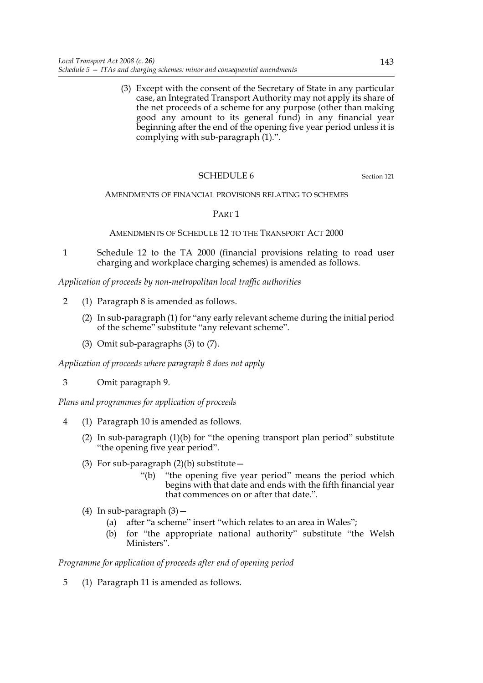(3) Except with the consent of the Secretary of State in any particular case, an Integrated Transport Authority may not apply its share of the net proceeds of a scheme for any purpose (other than making good any amount to its general fund) in any financial year beginning after the end of the opening five year period unless it is complying with sub-paragraph (1).".

## SCHEDULE 6 Section 121

AMENDMENTS OF FINANCIAL PROVISIONS RELATING TO SCHEMES

PART 1

#### AMENDMENTS OF SCHEDULE 12 TO THE TRANSPORT ACT 2000

1 Schedule 12 to the TA 2000 (financial provisions relating to road user charging and workplace charging schemes) is amended as follows.

*Application of proceeds by non-metropolitan local traffic authorities*

- 2 (1) Paragraph 8 is amended as follows.
	- (2) In sub-paragraph (1) for "any early relevant scheme during the initial period of the scheme" substitute "any relevant scheme".
	- (3) Omit sub-paragraphs (5) to (7).

*Application of proceeds where paragraph 8 does not apply*

3 Omit paragraph 9.

*Plans and programmes for application of proceeds*

- 4 (1) Paragraph 10 is amended as follows.
	- (2) In sub-paragraph (1)(b) for "the opening transport plan period" substitute "the opening five year period".
	- (3) For sub-paragraph  $(2)(b)$  substitute
		- "(b) "the opening five year period" means the period which begins with that date and ends with the fifth financial year that commences on or after that date.".
	- (4) In sub-paragraph  $(3)$  -
		- (a) after "a scheme" insert "which relates to an area in Wales";
		- (b) for "the appropriate national authority" substitute "the Welsh Ministers".

### *Programme for application of proceeds after end of opening period*

5 (1) Paragraph 11 is amended as follows.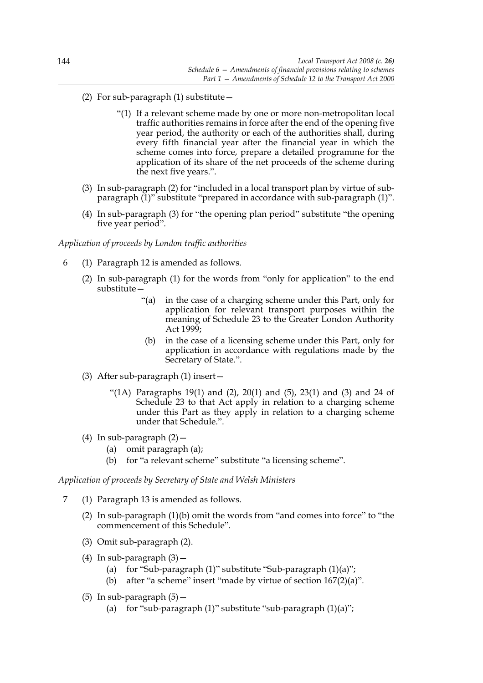- (2) For sub-paragraph  $(1)$  substitute  $-$ 
	- "(1) If a relevant scheme made by one or more non-metropolitan local traffic authorities remains in force after the end of the opening five year period, the authority or each of the authorities shall, during every fifth financial year after the financial year in which the scheme comes into force, prepare a detailed programme for the application of its share of the net proceeds of the scheme during the next five years.".
- (3) In sub-paragraph (2) for "included in a local transport plan by virtue of subparagraph (1)" substitute "prepared in accordance with sub-paragraph (1)".
- (4) In sub-paragraph (3) for "the opening plan period" substitute "the opening five year period".

#### *Application of proceeds by London traffic authorities*

- 6 (1) Paragraph 12 is amended as follows.
	- (2) In sub-paragraph (1) for the words from "only for application" to the end substitute—
		- "(a) in the case of a charging scheme under this Part, only for application for relevant transport purposes within the meaning of Schedule 23 to the Greater London Authority Act 1999;
		- (b) in the case of a licensing scheme under this Part, only for application in accordance with regulations made by the Secretary of State.".
	- (3) After sub-paragraph (1) insert—
		- "(1A) Paragraphs 19(1) and (2), 20(1) and (5), 23(1) and (3) and 24 of Schedule 23 to that Act apply in relation to a charging scheme under this Part as they apply in relation to a charging scheme under that Schedule.".
	- (4) In sub-paragraph (2)—
		- (a) omit paragraph (a);
		- (b) for "a relevant scheme" substitute "a licensing scheme".

*Application of proceeds by Secretary of State and Welsh Ministers*

- 7 (1) Paragraph 13 is amended as follows.
	- (2) In sub-paragraph (1)(b) omit the words from "and comes into force" to "the commencement of this Schedule".
	- (3) Omit sub-paragraph (2).
	- (4) In sub-paragraph  $(3)$  -
		- (a) for "Sub-paragraph  $(1)$ " substitute "Sub-paragraph  $(1)(a)$ ";
		- (b) after "a scheme" insert "made by virtue of section 167(2)(a)".
	- (5) In sub-paragraph  $(5)$  -
		- (a) for "sub-paragraph  $(1)$ " substitute "sub-paragraph  $(1)(a)$ ";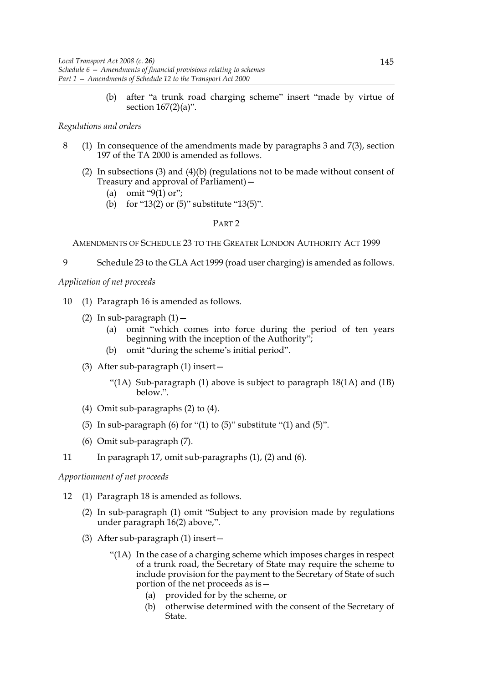(b) after "a trunk road charging scheme" insert "made by virtue of section 167(2)(a)".

### *Regulations and orders*

- 8 (1) In consequence of the amendments made by paragraphs 3 and 7(3), section 197 of the TA 2000 is amended as follows.
	- (2) In subsections (3) and (4)(b) (regulations not to be made without consent of Treasury and approval of Parliament)—
		- (a) omit "9(1) or";
		- (b) for "13(2) or (5)" substitute "13(5)".

#### PART 2

AMENDMENTS OF SCHEDULE 23 TO THE GREATER LONDON AUTHORITY ACT 1999

9 Schedule 23 to the GLA Act 1999 (road user charging) is amended as follows.

## *Application of net proceeds*

- 10 (1) Paragraph 16 is amended as follows.
	- (2) In sub-paragraph  $(1)$  -
		- (a) omit "which comes into force during the period of ten years beginning with the inception of the Authority";
		- (b) omit "during the scheme's initial period".
	- (3) After sub-paragraph (1) insert—
		- "(1A) Sub-paragraph (1) above is subject to paragraph  $18(1A)$  and  $(1B)$ below.".
	- (4) Omit sub-paragraphs (2) to (4).
	- (5) In sub-paragraph  $(6)$  for " $(1)$  to  $(5)$ " substitute " $(1)$  and  $(5)$ ".
	- (6) Omit sub-paragraph (7).
- 11 In paragraph 17, omit sub-paragraphs (1), (2) and (6).

# *Apportionment of net proceeds*

- 12 (1) Paragraph 18 is amended as follows.
	- (2) In sub-paragraph (1) omit "Subject to any provision made by regulations under paragraph 16(2) above,".
	- (3) After sub-paragraph (1) insert—
		- "(1A) In the case of a charging scheme which imposes charges in respect of a trunk road, the Secretary of State may require the scheme to include provision for the payment to the Secretary of State of such portion of the net proceeds as is—
			- (a) provided for by the scheme, or
			- (b) otherwise determined with the consent of the Secretary of State.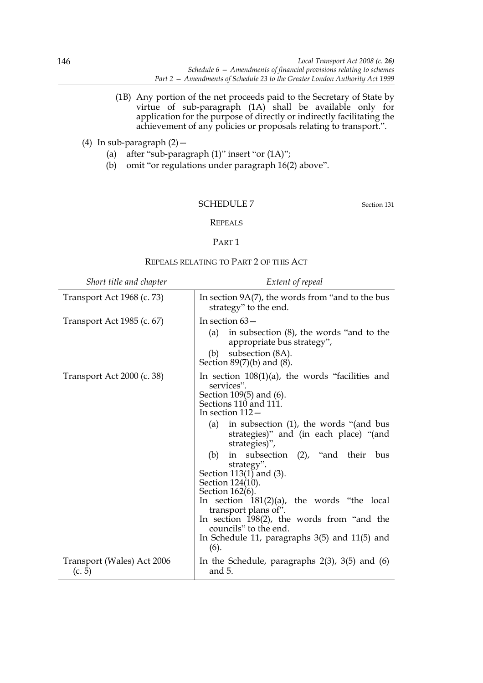- (1B) Any portion of the net proceeds paid to the Secretary of State by virtue of sub-paragraph (1A) shall be available only for application for the purpose of directly or indirectly facilitating the achievement of any policies or proposals relating to transport.".
- (4) In sub-paragraph  $(2)$  -
	- (a) after "sub-paragraph (1)" insert "or (1A)";
	- (b) omit "or regulations under paragraph 16(2) above".

#### SCHEDULE 7 Section 131

#### REPEALS

#### PART 1

#### REPEALS RELATING TO PART 2 OF THIS ACT

| Short title and chapter              | Extent of repeal                                                                                                                                                                                                                                                                                                                                                                                                                                                                                                                                                                                      |
|--------------------------------------|-------------------------------------------------------------------------------------------------------------------------------------------------------------------------------------------------------------------------------------------------------------------------------------------------------------------------------------------------------------------------------------------------------------------------------------------------------------------------------------------------------------------------------------------------------------------------------------------------------|
| Transport Act 1968 (c. 73)           | In section $9A(7)$ , the words from "and to the bus<br>strategy" to the end.                                                                                                                                                                                                                                                                                                                                                                                                                                                                                                                          |
| Transport Act 1985 (c. 67)           | In section $63-$<br>(a)<br>in subsection (8), the words "and to the<br>appropriate bus strategy",<br>subsection (8A).<br>(b)<br>Section $89(7)(b)$ and $(8)$ .                                                                                                                                                                                                                                                                                                                                                                                                                                        |
| Transport Act 2000 (c. 38)           | In section $108(1)(a)$ , the words "facilities and<br>services".<br>Section 109(5) and (6).<br>Sections 110 and 111.<br>In section $112-$<br>in subsection $(1)$ , the words "(and bus<br>(a)<br>strategies)" and (in each place) "(and<br>strategies)",<br>in subsection (2), "and their<br>(b)<br>bus<br>strategy".<br>Section $113(1)$ and (3).<br>Section 124(10).<br>Section 162(6).<br>In section $181(2)(a)$ , the words "the local<br>transport plans of".<br>In section $198(2)$ , the words from "and the<br>councils" to the end.<br>In Schedule 11, paragraphs 3(5) and 11(5) and<br>(6). |
| Transport (Wales) Act 2006<br>(c. 5) | In the Schedule, paragraphs $2(3)$ , $3(5)$ and $(6)$<br>and 5.                                                                                                                                                                                                                                                                                                                                                                                                                                                                                                                                       |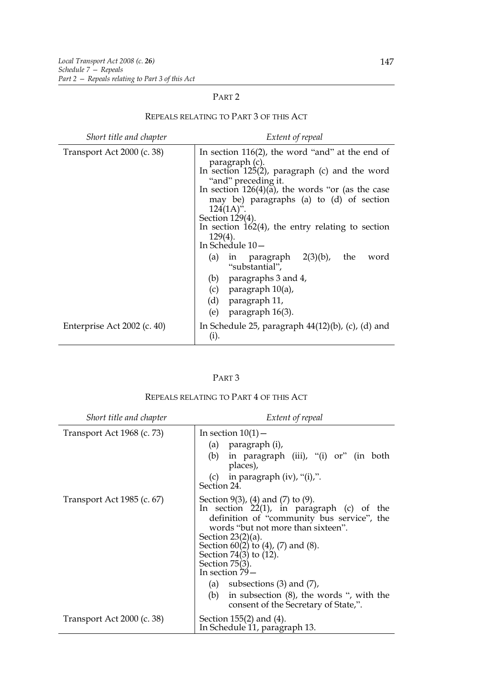## PART 2

| Short title and chapter     | Extent of repeal                                                                                                                                                                                                                                                                                                                                                                      |
|-----------------------------|---------------------------------------------------------------------------------------------------------------------------------------------------------------------------------------------------------------------------------------------------------------------------------------------------------------------------------------------------------------------------------------|
| Transport Act 2000 (c. 38)  | In section $116(2)$ , the word "and" at the end of<br>paragraph (c).<br>In section $125(2)$ , paragraph (c) and the word<br>"and" preceding it.<br>In section $126(4)(\tilde{a})$ , the words "or (as the case<br>may be) paragraphs (a) to (d) of section<br>$124(1A)$ ".<br>Section 129(4).<br>In section $162(4)$ , the entry relating to section<br>$129(4)$ .<br>In Schedule 10- |
|                             | (a) in paragraph $2(3)(b)$ ,<br>the<br>word<br>"substantial",<br>(b) paragraphs $3$ and $4$ ,<br>(c) paragraph $10(a)$ ,<br>(d) paragraph 11,<br>paragraph 16(3).<br>(e)                                                                                                                                                                                                              |
| Enterprise Act 2002 (c. 40) | In Schedule 25, paragraph $44(12)(b)$ , (c), (d) and<br>(i).                                                                                                                                                                                                                                                                                                                          |

# REPEALS RELATING TO PART 3 OF THIS ACT

|--|--|

## REPEALS RELATING TO PART 4 OF THIS ACT

| Short title and chapter    | Extent of repeal                                                                                                                                                                                                                                                                                                                                                                                                      |
|----------------------------|-----------------------------------------------------------------------------------------------------------------------------------------------------------------------------------------------------------------------------------------------------------------------------------------------------------------------------------------------------------------------------------------------------------------------|
| Transport Act 1968 (c. 73) | In section $10(1)$ –<br>(a) paragraph (i),<br>(b)<br>in paragraph (iii), "(i) or" (in both<br>places),<br>in paragraph $(iv)$ , " $(i)$ ,".<br>(c)<br>Section 24.                                                                                                                                                                                                                                                     |
| Transport Act 1985 (c. 67) | Section $9(3)$ , $(4)$ and $(7)$ to $(9)$ .<br>In section $22(1)$ , in paragraph (c) of the<br>definition of "community bus service", the<br>words "but not more than sixteen".<br>Section $23(2)(a)$ .<br>Section $60(2)$ to $(4)$ , $(7)$ and $(8)$ .<br>Section 74(3) to (12).<br>Section $75(3)$ .<br>In section $79-$<br>(a) subsections $(3)$ and $(7)$ ,<br>in subsection $(8)$ , the words ", with the<br>(b) |
| Transport Act 2000 (c. 38) | consent of the Secretary of State,".<br>Section $155(2)$ and $(4)$ .<br>In Schedule 11, paragraph 13.                                                                                                                                                                                                                                                                                                                 |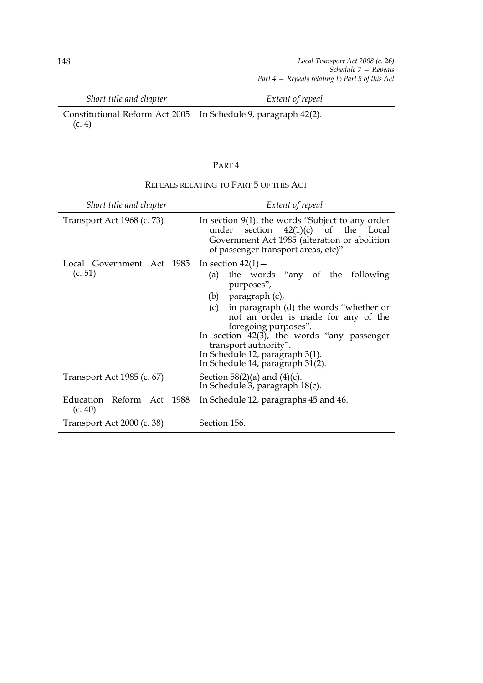| Short title and chapter                                                    | Extent of repeal |
|----------------------------------------------------------------------------|------------------|
| Constitutional Reform Act 2005   In Schedule 9, paragraph 42(2).<br>(c. 4) |                  |

# PART 4

| Short title and chapter              | Extent of repeal                                                                                                                                                                                                                                                                                                                                                        |
|--------------------------------------|-------------------------------------------------------------------------------------------------------------------------------------------------------------------------------------------------------------------------------------------------------------------------------------------------------------------------------------------------------------------------|
| Transport Act 1968 (c. 73)           | In section $9(1)$ , the words "Subject to any order<br>section $42(1)(c)$ of the Local<br>under<br>Government Act 1985 (alteration or abolition<br>of passenger transport areas, etc)".                                                                                                                                                                                 |
| Local Government Act 1985<br>(c. 51) | In section $42(1)$ –<br>the words "any of the following"<br>(a)<br>purposes",<br>(b) paragraph (c),<br>(c) in paragraph (d) the words "whether or<br>not an order is made for any of the<br>foregoing purposes".<br>In section $42(3)$ , the words "any passenger<br>transport authority".<br>In Schedule 12, paragraph 3(1).<br>In Schedule $14$ , paragraph $31(2)$ . |
| Transport Act 1985 (c. 67)           | Section 58(2)(a) and $(4)(c)$ .<br>In Schedule 3, paragraph $18(c)$ .                                                                                                                                                                                                                                                                                                   |
| Education Reform Act 1988<br>(c. 40) | In Schedule 12, paragraphs 45 and 46.                                                                                                                                                                                                                                                                                                                                   |
| Transport Act 2000 (c. 38)           | Section 156.                                                                                                                                                                                                                                                                                                                                                            |

# REPEALS RELATING TO PART 5 OF THIS ACT